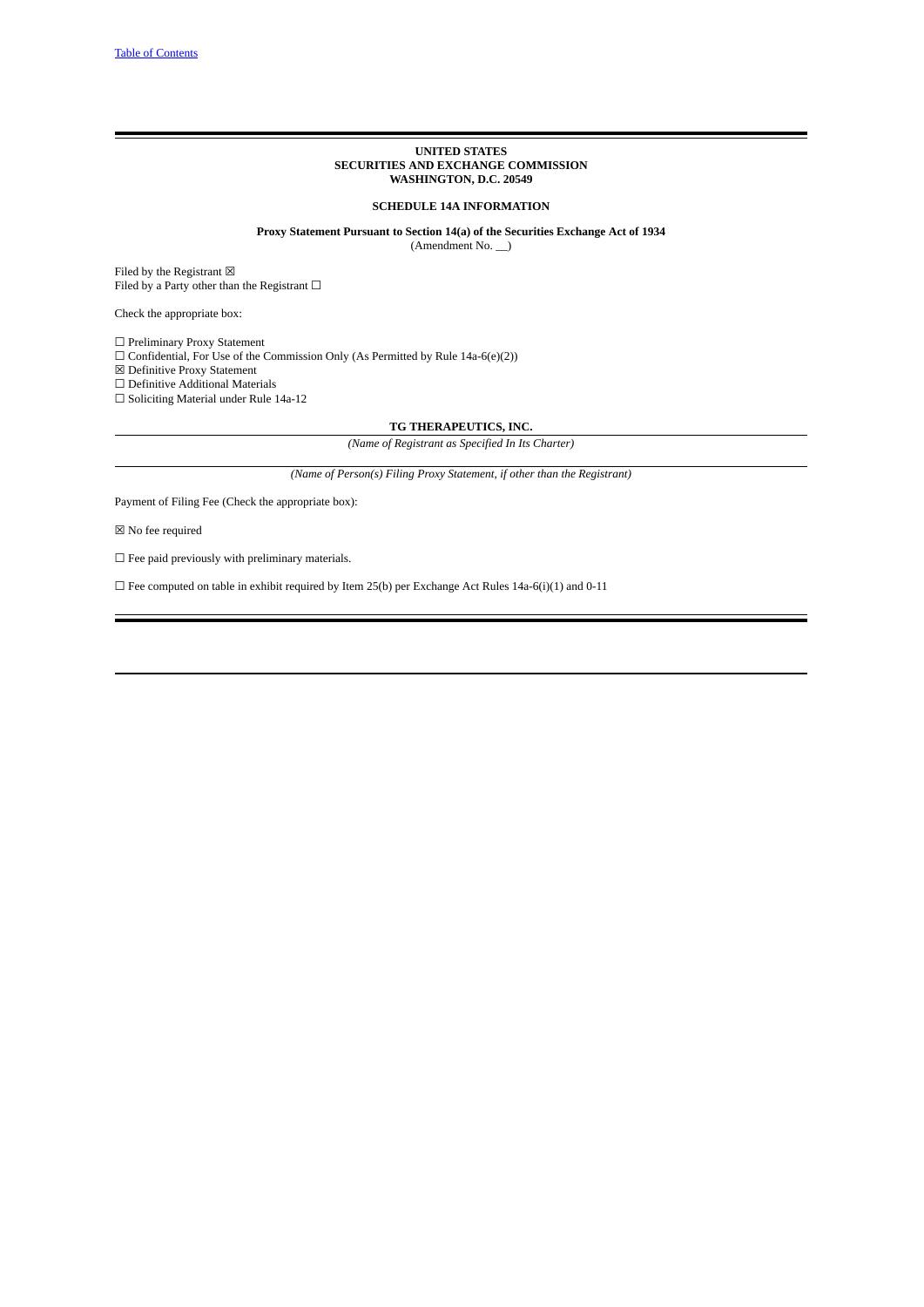### **UNITED STATES SECURITIES AND EXCHANGE COMMISSION WASHINGTON, D.C. 20549**

**SCHEDULE 14A INFORMATION**

**Proxy Statement Pursuant to Section 14(a) of the Securities Exchange Act of 1934** (Amendment No. \_\_)

Filed by the Registrant  $\boxtimes$ Filed by a Party other than the Registrant  $\Box$ 

Check the appropriate box:

 $\Box$  Preliminary Proxy Statement

 $\Box$  Confidential, For Use of the Commission Only (As Permitted by Rule 14a-6(e)(2))

☒ Definitive Proxy Statement

☐ Definitive Additional Materials

☐ Soliciting Material under Rule 14a-12

**TG THERAPEUTICS, INC.**

*(Name of Registrant as Specified In Its Charter)*

*(Name of Person(s) Filing Proxy Statement, if other than the Registrant)*

Payment of Filing Fee (Check the appropriate box):

 $\boxtimes$  No fee required

 $\Box$  Fee paid previously with preliminary materials.

 $\Box$  Fee computed on table in exhibit required by Item 25(b) per Exchange Act Rules 14a-6(i)(1) and 0-11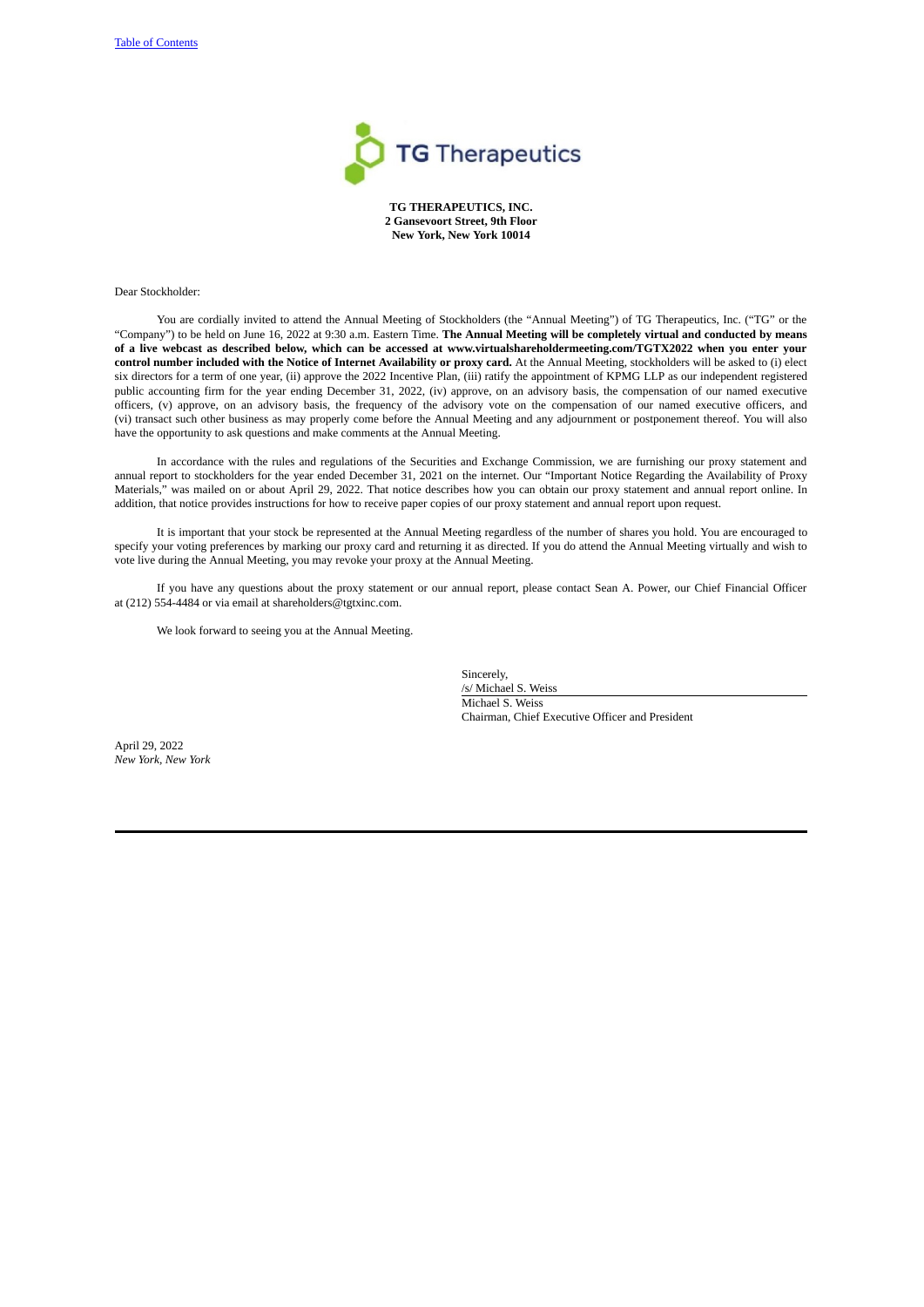

**TG THERAPEUTICS, INC. 2 Gansevoort Street, 9th Floor New York, New York 10014**

Dear Stockholder:

You are cordially invited to attend the Annual Meeting of Stockholders (the "Annual Meeting") of TG Therapeutics, Inc. ("TG" or the "Company") to be held on June 16, 2022 at 9:30 a.m. Eastern Time. **The Annual Meeting will be completely virtual and conducted by means** of a live webcast as described below, which can be accessed at www.virtualshareholdermeeting.com/TGTX2022 when you enter your control number included with the Notice of Internet Availability or proxy card. At the Annual Meeting, stockholders will be asked to (i) elect six directors for a term of one year, (ii) approve the 2022 Incentive Plan, (iii) ratify the appointment of KPMG LLP as our independent registered public accounting firm for the year ending December 31, 2022, (iv) approve, on an advisory basis, the compensation of our named executive officers, (v) approve, on an advisory basis, the frequency of the advisory vote on the compensation of our named executive officers, and (vi) transact such other business as may properly come before the Annual Meeting and any adjournment or postponement thereof. You will also have the opportunity to ask questions and make comments at the Annual Meeting.

In accordance with the rules and regulations of the Securities and Exchange Commission, we are furnishing our proxy statement and annual report to stockholders for the year ended December 31, 2021 on the internet. Our "Important Notice Regarding the Availability of Proxy Materials," was mailed on or about April 29, 2022. That notice describes how you can obtain our proxy statement and annual report online. In addition, that notice provides instructions for how to receive paper copies of our proxy statement and annual report upon request.

It is important that your stock be represented at the Annual Meeting regardless of the number of shares you hold. You are encouraged to specify your voting preferences by marking our proxy card and returning it as directed. If you do attend the Annual Meeting virtually and wish to vote live during the Annual Meeting, you may revoke your proxy at the Annual Meeting.

If you have any questions about the proxy statement or our annual report, please contact Sean A. Power, our Chief Financial Officer at (212) 554-4484 or via email at shareholders@tgtxinc.com.

We look forward to seeing you at the Annual Meeting.

Sincerely, /s/ Michael S. Weiss Michael S. Weiss Chairman, Chief Executive Officer and President

April 29, 2022 *New York, New York*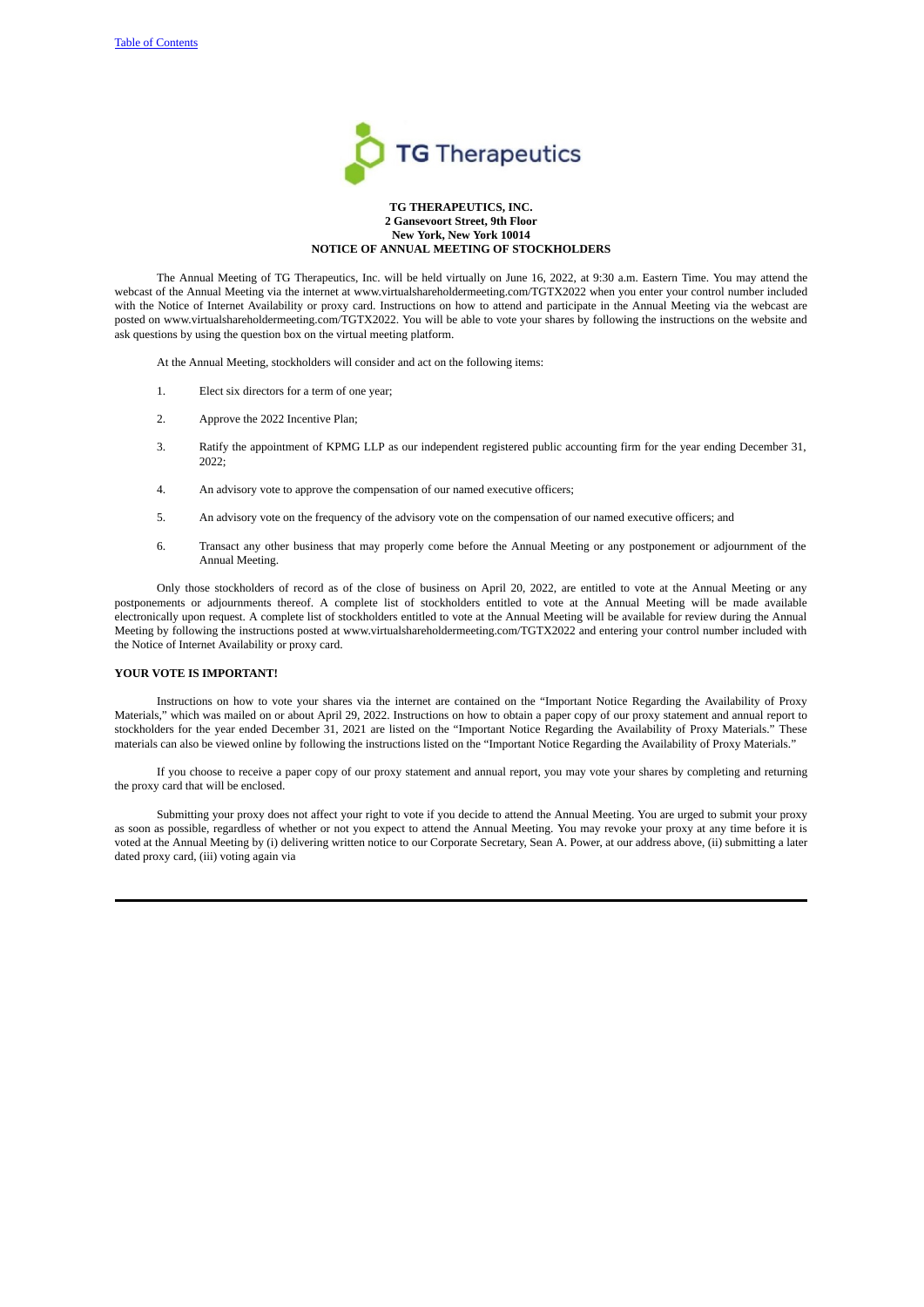

### **TG THERAPEUTICS, INC. 2 Gansevoort Street, 9th Floor New York, New York 10014 NOTICE OF ANNUAL MEETING OF STOCKHOLDERS**

The Annual Meeting of TG Therapeutics, Inc. will be held virtually on June 16, 2022, at 9:30 a.m. Eastern Time. You may attend the webcast of the Annual Meeting via the internet at www.virtualshareholdermeeting.com/TGTX2022 when you enter your control number included with the Notice of Internet Availability or proxy card. Instructions on how to attend and participate in the Annual Meeting via the webcast are posted on www.virtualshareholdermeeting.com/TGTX2022. You will be able to vote your shares by following the instructions on the website and ask questions by using the question box on the virtual meeting platform.

At the Annual Meeting, stockholders will consider and act on the following items:

- 1. Elect six directors for a term of one year;
- 2. Approve the 2022 Incentive Plan;
- 3. Ratify the appointment of KPMG LLP as our independent registered public accounting firm for the year ending December 31, 2022;
- 4. An advisory vote to approve the compensation of our named executive officers;
- 5. An advisory vote on the frequency of the advisory vote on the compensation of our named executive officers; and
- 6. Transact any other business that may properly come before the Annual Meeting or any postponement or adjournment of the Annual Meeting.

Only those stockholders of record as of the close of business on April 20, 2022, are entitled to vote at the Annual Meeting or any postponements or adjournments thereof. A complete list of stockholders entitled to vote at the Annual Meeting will be made available electronically upon request. A complete list of stockholders entitled to vote at the Annual Meeting will be available for review during the Annual Meeting by following the instructions posted at www.virtualshareholdermeeting.com/TGTX2022 and entering your control number included with the Notice of Internet Availability or proxy card.

# **YOUR VOTE IS IMPORTANT!**

Instructions on how to vote your shares via the internet are contained on the "Important Notice Regarding the Availability of Proxy Materials," which was mailed on or about April 29, 2022. Instructions on how to obtain a paper copy of our proxy statement and annual report to stockholders for the year ended December 31, 2021 are listed on the "Important Notice Regarding the Availability of Proxy Materials." These materials can also be viewed online by following the instructions listed on the "Important Notice Regarding the Availability of Proxy Materials."

If you choose to receive a paper copy of our proxy statement and annual report, you may vote your shares by completing and returning the proxy card that will be enclosed.

Submitting your proxy does not affect your right to vote if you decide to attend the Annual Meeting. You are urged to submit your proxy as soon as possible, regardless of whether or not you expect to attend the Annual Meeting. You may revoke your proxy at any time before it is voted at the Annual Meeting by (i) delivering written notice to our Corporate Secretary, Sean A. Power, at our address above, (ii) submitting a later dated proxy card, (iii) voting again via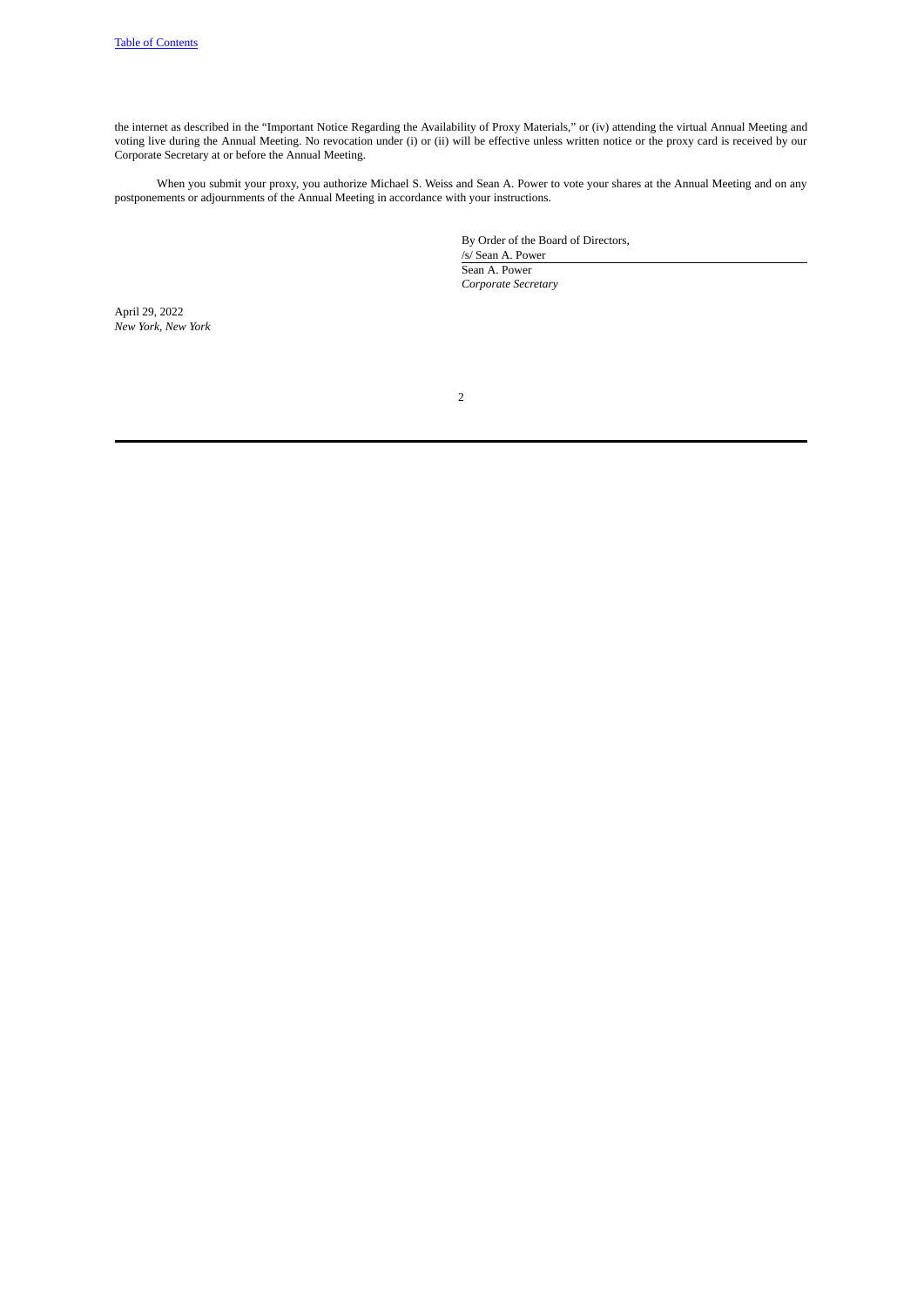the internet as described in the "Important Notice Regarding the Availability of Proxy Materials," or (iv) attending the virtual Annual Meeting and voting live during the Annual Meeting. No revocation under (i) or (ii) will be effective unless written notice or the proxy card is received by our Corporate Secretary at or before the Annual Meeting.

When you submit your proxy, you authorize Michael S. Weiss and Sean A. Power to vote your shares at the Annual Meeting and on any postponements or adjournments of the Annual Meeting in accordance with your instructions.

> By Order of the Board of Directors, /s/ Sean A. Power Sean A. Power *Corporate Secretary*

April 29, 2022 *New York, New York*

2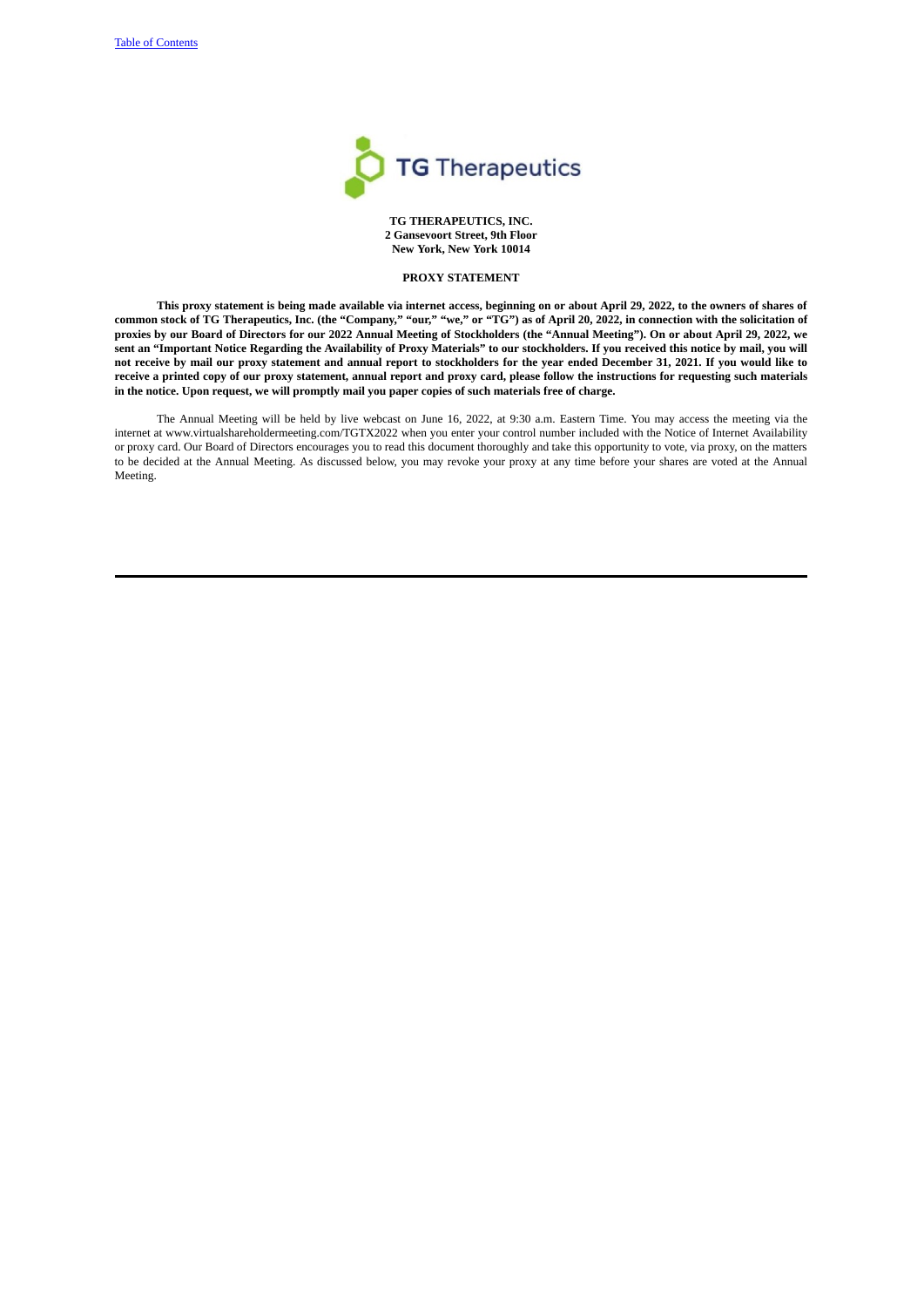

**TG THERAPEUTICS, INC. 2 Gansevoort Street, 9th Floor New York, New York 10014**

# <span id="page-4-0"></span>**PROXY STATEMENT**

This proxy statement is being made available via internet access, beginning on or about April 29, 2022, to the owners of shares of common stock of TG Therapeutics, Inc. (the "Company," "our," "ve," or "TG") as of April 20, 2022, in connection with the solicitation of proxies by our Board of Directors for our 2022 Annual Meeting of Stockholders (the "Annual Meeting"). On or about April 29, 2022, we sent an "Important Notice Regarding the Availability of Proxy Materials" to our stockholders. If you received this notice by mail, you will not receive by mail our proxy statement and annual report to stockholders for the year ended December 31, 2021. If you would like to receive a printed copy of our proxy statement, annual report and proxy card, please follow the instructions for requesting such materials in the notice. Upon request, we will promptly mail you paper copies of such materials free of charge.

The Annual Meeting will be held by live webcast on June 16, 2022, at 9:30 a.m. Eastern Time. You may access the meeting via the internet at www.virtualshareholdermeeting.com/TGTX2022 when you enter your control number included with the Notice of Internet Availability or proxy card. Our Board of Directors encourages you to read this document thoroughly and take this opportunity to vote, via proxy, on the matters to be decided at the Annual Meeting. As discussed below, you may revoke your proxy at any time before your shares are voted at the Annual Meeting.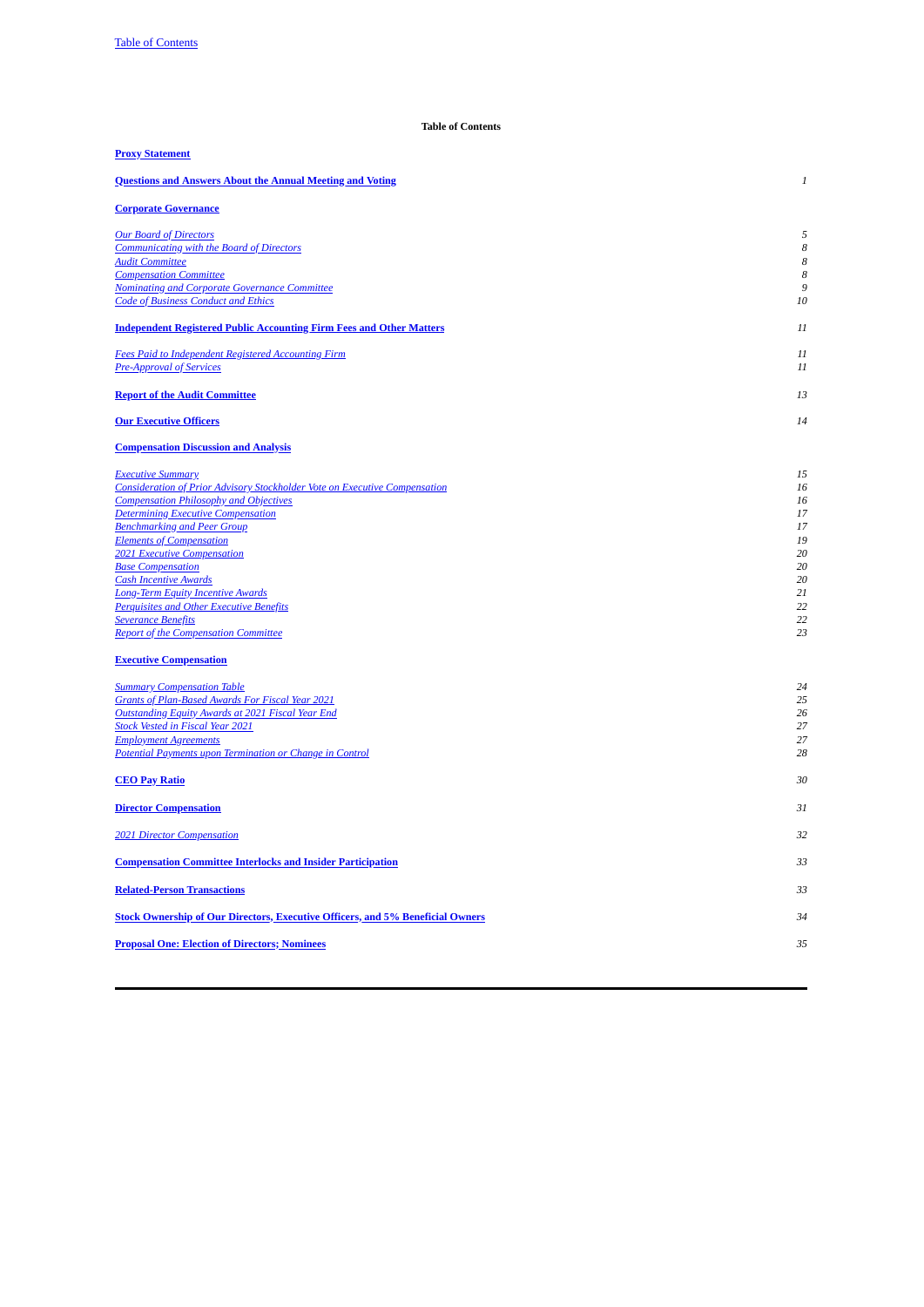# **Table of Contents**

<span id="page-5-0"></span>

| <b>Proxy Statement</b>                                                                                                                                                                                                                                                                                                                                                                                                                                                                                                                                                                                                                                                                                                                                                                                                                                                                                |                                                                                                                |
|-------------------------------------------------------------------------------------------------------------------------------------------------------------------------------------------------------------------------------------------------------------------------------------------------------------------------------------------------------------------------------------------------------------------------------------------------------------------------------------------------------------------------------------------------------------------------------------------------------------------------------------------------------------------------------------------------------------------------------------------------------------------------------------------------------------------------------------------------------------------------------------------------------|----------------------------------------------------------------------------------------------------------------|
| <b>Questions and Answers About the Annual Meeting and Voting</b>                                                                                                                                                                                                                                                                                                                                                                                                                                                                                                                                                                                                                                                                                                                                                                                                                                      | $\boldsymbol{1}$                                                                                               |
| <b>Corporate Governance</b>                                                                                                                                                                                                                                                                                                                                                                                                                                                                                                                                                                                                                                                                                                                                                                                                                                                                           |                                                                                                                |
| <b>Our Board of Directors</b><br><b>Communicating with the Board of Directors</b><br><b>Audit Committee</b><br><b>Compensation Committee</b><br><b>Nominating and Corporate Governance Committee</b><br><b>Code of Business Conduct and Ethics</b>                                                                                                                                                                                                                                                                                                                                                                                                                                                                                                                                                                                                                                                    | 5<br>8<br>8<br>8<br>9<br>10                                                                                    |
| <b>Independent Registered Public Accounting Firm Fees and Other Matters</b>                                                                                                                                                                                                                                                                                                                                                                                                                                                                                                                                                                                                                                                                                                                                                                                                                           | 11                                                                                                             |
| <b>Fees Paid to Independent Registered Accounting Firm</b><br><b>Pre-Approval of Services</b>                                                                                                                                                                                                                                                                                                                                                                                                                                                                                                                                                                                                                                                                                                                                                                                                         | 11<br>11                                                                                                       |
| <b>Report of the Audit Committee</b>                                                                                                                                                                                                                                                                                                                                                                                                                                                                                                                                                                                                                                                                                                                                                                                                                                                                  | 13                                                                                                             |
| <b>Our Executive Officers</b>                                                                                                                                                                                                                                                                                                                                                                                                                                                                                                                                                                                                                                                                                                                                                                                                                                                                         | 14                                                                                                             |
| <b>Compensation Discussion and Analysis</b>                                                                                                                                                                                                                                                                                                                                                                                                                                                                                                                                                                                                                                                                                                                                                                                                                                                           |                                                                                                                |
| <b>Executive Summary</b><br><b>Consideration of Prior Advisory Stockholder Vote on Executive Compensation</b><br><b>Compensation Philosophy and Objectives</b><br><b>Determining Executive Compensation</b><br><b>Benchmarking and Peer Group</b><br><b>Elements of Compensation</b><br><b>2021 Executive Compensation</b><br><b>Base Compensation</b><br><b>Cash Incentive Awards</b><br><b>Long-Term Equity Incentive Awards</b><br><b>Perquisites and Other Executive Benefits</b><br><b>Severance Benefits</b><br><b>Report of the Compensation Committee</b><br><b>Executive Compensation</b><br><b>Summary Compensation Table</b><br><b>Grants of Plan-Based Awards For Fiscal Year 2021</b><br><b>Outstanding Equity Awards at 2021 Fiscal Year End</b><br><b>Stock Vested in Fiscal Year 2021</b><br><b>Employment Agreements</b><br>Potential Payments upon Termination or Change in Control | 15<br>16<br>16<br>17<br>17<br>19<br>20<br>20<br>20<br>21<br>22<br>22<br>23<br>24<br>25<br>26<br>27<br>27<br>28 |
| <b>CEO Pay Ratio</b>                                                                                                                                                                                                                                                                                                                                                                                                                                                                                                                                                                                                                                                                                                                                                                                                                                                                                  | 30                                                                                                             |
| <b>Director Compensation</b>                                                                                                                                                                                                                                                                                                                                                                                                                                                                                                                                                                                                                                                                                                                                                                                                                                                                          | 31                                                                                                             |
| <b>2021 Director Compensation</b>                                                                                                                                                                                                                                                                                                                                                                                                                                                                                                                                                                                                                                                                                                                                                                                                                                                                     | 32                                                                                                             |
| <b>Compensation Committee Interlocks and Insider Participation</b>                                                                                                                                                                                                                                                                                                                                                                                                                                                                                                                                                                                                                                                                                                                                                                                                                                    | 33                                                                                                             |
| <b>Related-Person Transactions</b>                                                                                                                                                                                                                                                                                                                                                                                                                                                                                                                                                                                                                                                                                                                                                                                                                                                                    | 33                                                                                                             |
| <b>Stock Ownership of Our Directors, Executive Officers, and 5% Beneficial Owners</b>                                                                                                                                                                                                                                                                                                                                                                                                                                                                                                                                                                                                                                                                                                                                                                                                                 | 34                                                                                                             |
| <b>Proposal One: Election of Directors; Nominees</b>                                                                                                                                                                                                                                                                                                                                                                                                                                                                                                                                                                                                                                                                                                                                                                                                                                                  | 35                                                                                                             |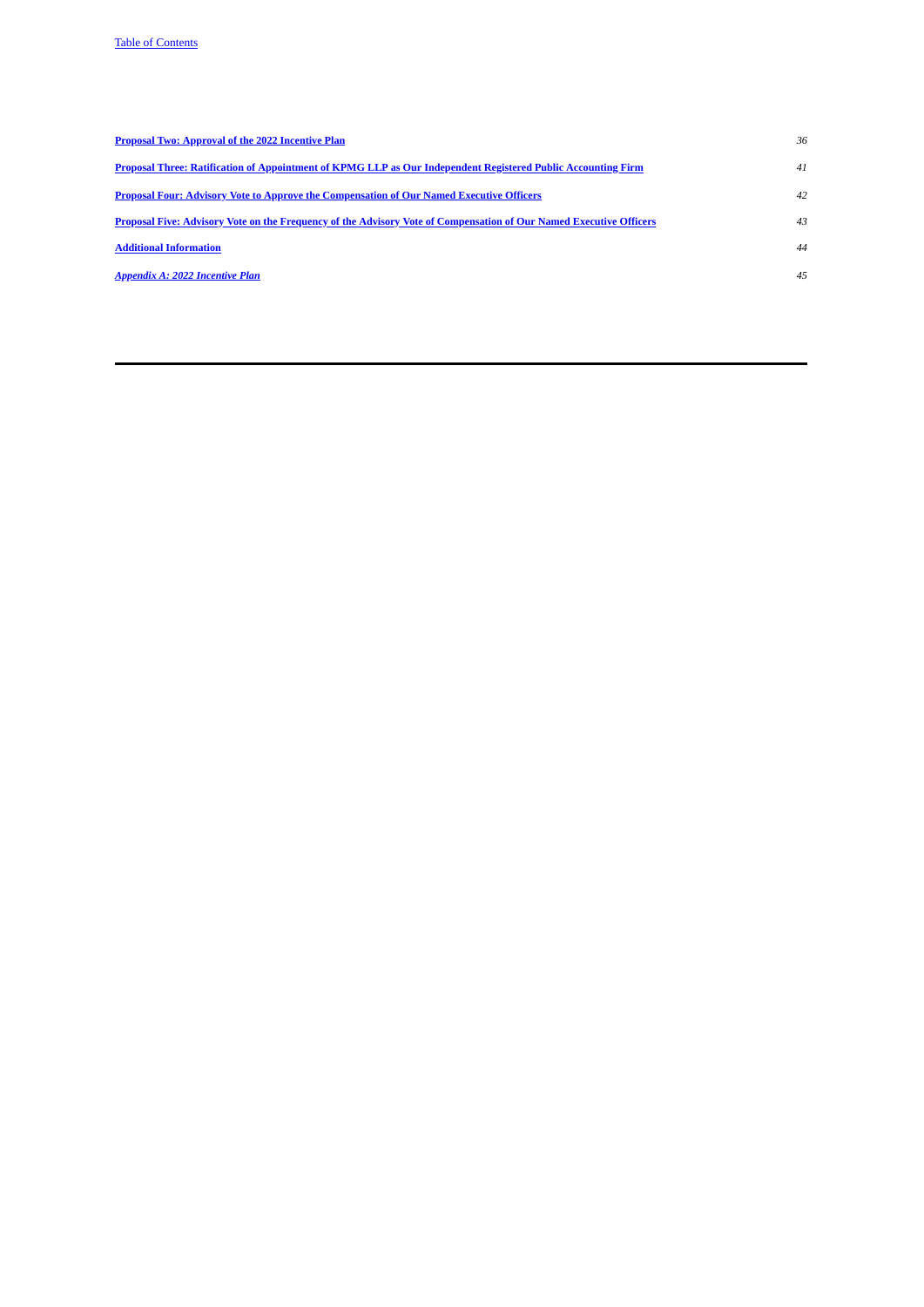| <b>Proposal Two: Approval of the 2022 Incentive Plan</b>                                                                  | 36 |
|---------------------------------------------------------------------------------------------------------------------------|----|
| Proposal Three: Ratification of Appointment of KPMG LLP as Our Independent Registered Public Accounting Firm              | 41 |
| <b>Proposal Four: Advisory Vote to Approve the Compensation of Our Named Executive Officers</b>                           | 42 |
| <b>Proposal Five: Advisory Vote on the Frequency of the Advisory Vote of Compensation of Our Named Executive Officers</b> | 43 |
| <b>Additional Information</b>                                                                                             | 44 |
| <b>Appendix A: 2022 Incentive Plan</b>                                                                                    | 45 |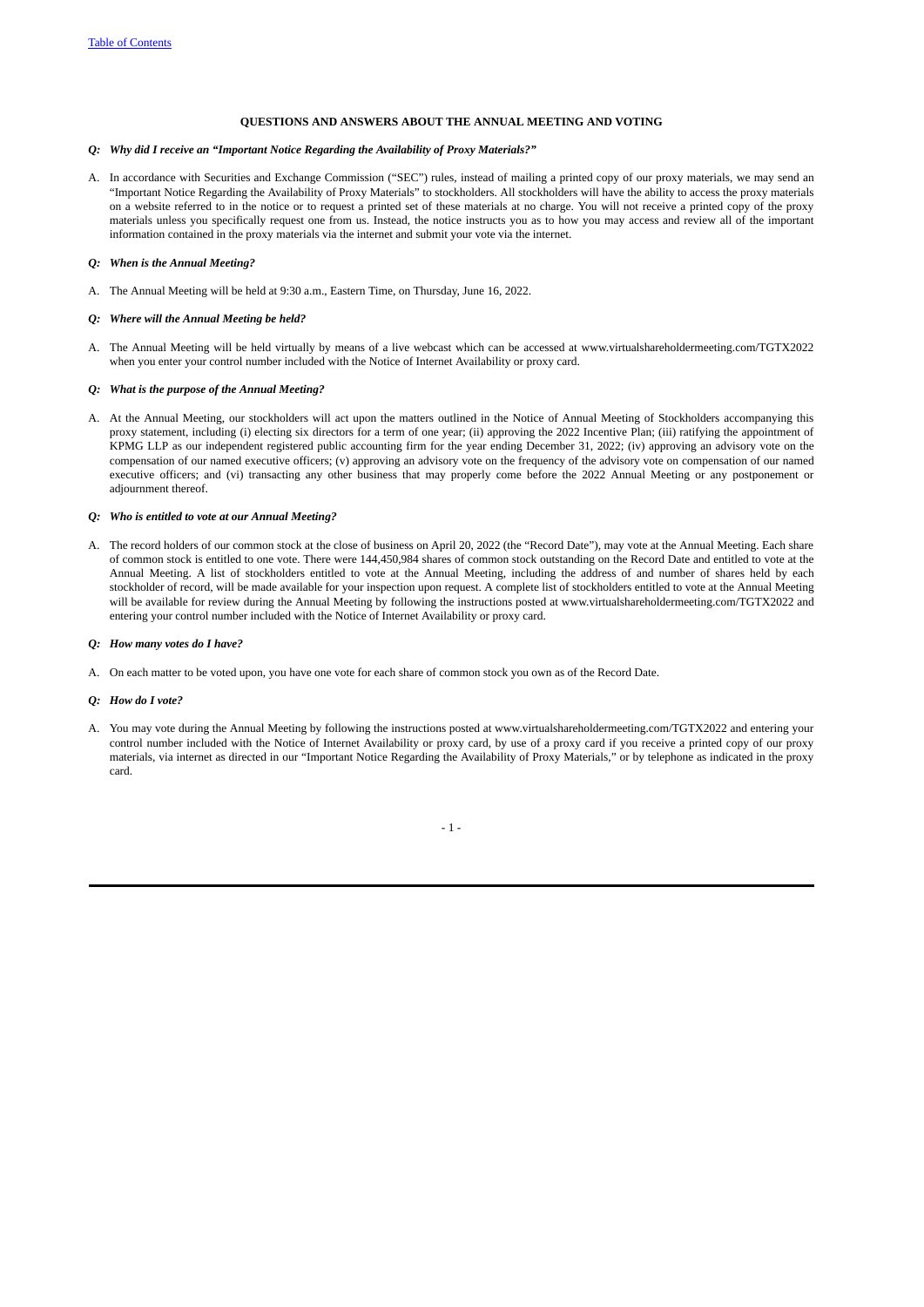# <span id="page-7-0"></span>**QUESTIONS AND ANSWERS ABOUT THE ANNUAL MEETING AND VOTING**

# *Q: Why did I receive an "Important Notice Regarding the Availability of Proxy Materials?"*

A. In accordance with Securities and Exchange Commission ("SEC") rules, instead of mailing a printed copy of our proxy materials, we may send an "Important Notice Regarding the Availability of Proxy Materials" to stockholders. All stockholders will have the ability to access the proxy materials on a website referred to in the notice or to request a printed set of these materials at no charge. You will not receive a printed copy of the proxy materials unless you specifically request one from us. Instead, the notice instructs you as to how you may access and review all of the important information contained in the proxy materials via the internet and submit your vote via the internet.

# *Q: When is the Annual Meeting?*

A. The Annual Meeting will be held at 9:30 a.m., Eastern Time, on Thursday, June 16, 2022.

### *Q: Where will the Annual Meeting be held?*

A. The Annual Meeting will be held virtually by means of a live webcast which can be accessed at www.virtualshareholdermeeting.com/TGTX2022 when you enter your control number included with the Notice of Internet Availability or proxy card.

### *Q: What is the purpose of the Annual Meeting?*

A. At the Annual Meeting, our stockholders will act upon the matters outlined in the Notice of Annual Meeting of Stockholders accompanying this proxy statement, including (i) electing six directors for a term of one year; (ii) approving the 2022 Incentive Plan; (iii) ratifying the appointment of KPMG LLP as our independent registered public accounting firm for the year ending December 31, 2022; (iv) approving an advisory vote on the compensation of our named executive officers; (v) approving an advisory vote on the frequency of the advisory vote on compensation of our named executive officers; and (vi) transacting any other business that may properly come before the 2022 Annual Meeting or any postponement or adiournment thereof.

## *Q: Who is entitled to vote at our Annual Meeting?*

A. The record holders of our common stock at the close of business on April 20, 2022 (the "Record Date"), may vote at the Annual Meeting. Each share of common stock is entitled to one vote. There were 144,450,984 shares of common stock outstanding on the Record Date and entitled to vote at the Annual Meeting. A list of stockholders entitled to vote at the Annual Meeting, including the address of and number of shares held by each stockholder of record, will be made available for your inspection upon request. A complete list of stockholders entitled to vote at the Annual Meeting will be available for review during the Annual Meeting by following the instructions posted at www.virtualshareholdermeeting.com/TGTX2022 and entering your control number included with the Notice of Internet Availability or proxy card.

### *Q: How many votes do I have?*

A. On each matter to be voted upon, you have one vote for each share of common stock you own as of the Record Date.

### *Q: How do I vote?*

A. You may vote during the Annual Meeting by following the instructions posted at www.virtualshareholdermeeting.com/TGTX2022 and entering your control number included with the Notice of Internet Availability or proxy card, by use of a proxy card if you receive a printed copy of our proxy materials, via internet as directed in our "Important Notice Regarding the Availability of Proxy Materials," or by telephone as indicated in the proxy card.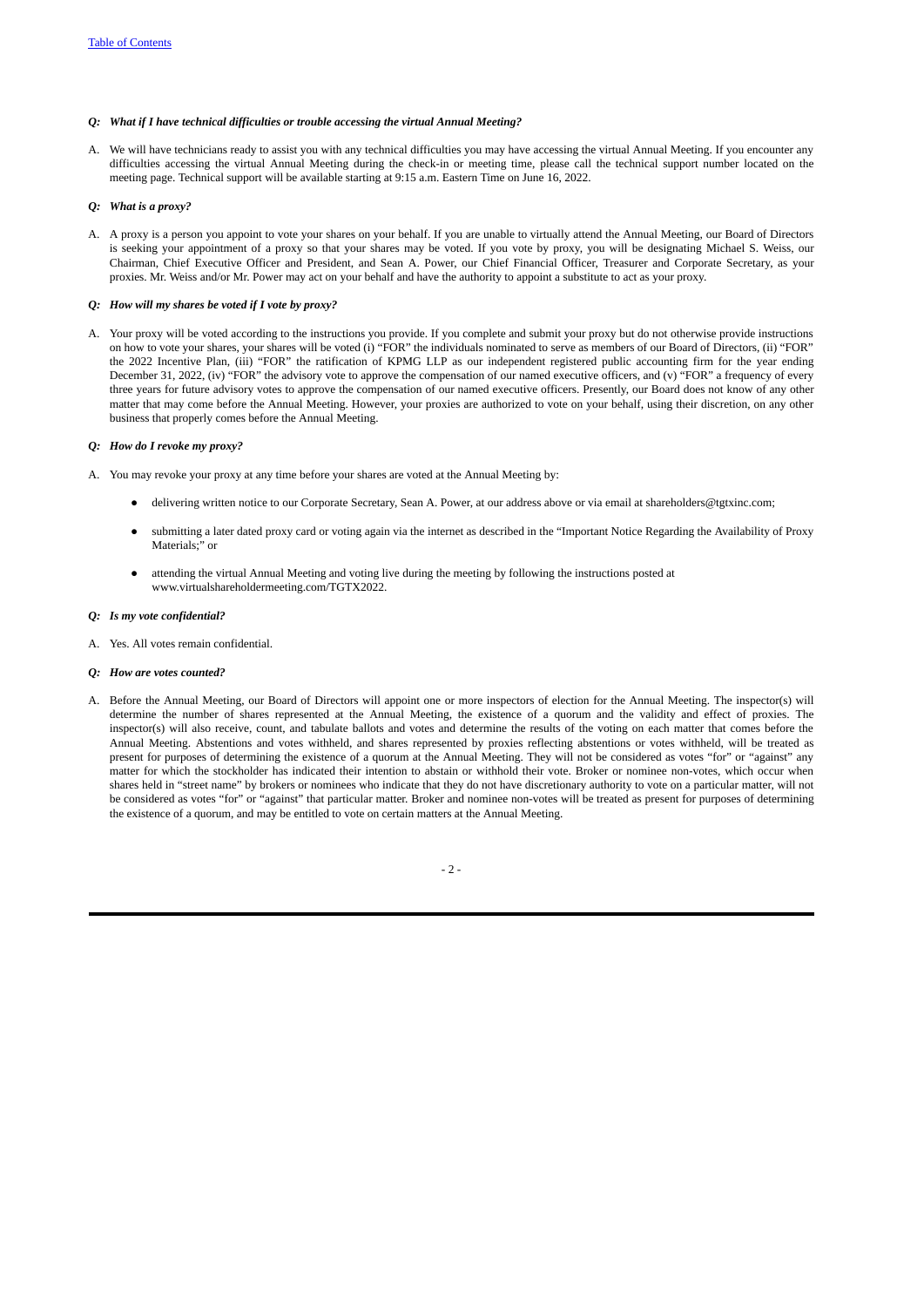# *Q: What if I have technical difficulties or trouble accessing the virtual Annual Meeting?*

A. We will have technicians ready to assist you with any technical difficulties you may have accessing the virtual Annual Meeting. If you encounter any difficulties accessing the virtual Annual Meeting during the check-in or meeting time, please call the technical support number located on the meeting page. Technical support will be available starting at 9:15 a.m. Eastern Time on June 16, 2022.

## *Q: What is a proxy?*

A. A proxy is a person you appoint to vote your shares on your behalf. If you are unable to virtually attend the Annual Meeting, our Board of Directors is seeking your appointment of a proxy so that your shares may be voted. If you vote by proxy, you will be designating Michael S. Weiss, our Chairman, Chief Executive Officer and President, and Sean A. Power, our Chief Financial Officer, Treasurer and Corporate Secretary, as your proxies. Mr. Weiss and/or Mr. Power may act on your behalf and have the authority to appoint a substitute to act as your proxy.

## *Q: How will my shares be voted if I vote by proxy?*

A. Your proxy will be voted according to the instructions you provide. If you complete and submit your proxy but do not otherwise provide instructions on how to vote your shares, your shares will be voted (i) "FOR" the individuals nominated to serve as members of our Board of Directors, (ii) "FOR" the 2022 Incentive Plan, (iii) "FOR" the ratification of KPMG LLP as our independent registered public accounting firm for the year ending December 31, 2022, (iv) "FOR" the advisory vote to approve the compensation of our named executive officers, and (v) "FOR" a frequency of every three years for future advisory votes to approve the compensation of our named executive officers. Presently, our Board does not know of any other matter that may come before the Annual Meeting. However, your proxies are authorized to vote on your behalf, using their discretion, on any other business that properly comes before the Annual Meeting.

### *Q: How do I revoke my proxy?*

- A. You may revoke your proxy at any time before your shares are voted at the Annual Meeting by:
	- delivering written notice to our Corporate Secretary, Sean A. Power, at our address above or via email at shareholders@tgtxinc.com;
	- submitting a later dated proxy card or voting again via the internet as described in the "Important Notice Regarding the Availability of Proxy Materials;" or
	- attending the virtual Annual Meeting and voting live during the meeting by following the instructions posted at www.virtualshareholdermeeting.com/TGTX2022.

### *Q: Is my vote confidential?*

- A. Yes. All votes remain confidential.
- *Q: How are votes counted?*
- A. Before the Annual Meeting, our Board of Directors will appoint one or more inspectors of election for the Annual Meeting. The inspector(s) will determine the number of shares represented at the Annual Meeting, the existence of a quorum and the validity and effect of proxies. The inspector(s) will also receive, count, and tabulate ballots and votes and determine the results of the voting on each matter that comes before the Annual Meeting. Abstentions and votes withheld, and shares represented by proxies reflecting abstentions or votes withheld, will be treated as present for purposes of determining the existence of a quorum at the Annual Meeting. They will not be considered as votes "for" or "against" any matter for which the stockholder has indicated their intention to abstain or withhold their vote. Broker or nominee non-votes, which occur when shares held in "street name" by brokers or nominees who indicate that they do not have discretionary authority to vote on a particular matter, will not be considered as votes "for" or "against" that particular matter. Broker and nominee non-votes will be treated as present for purposes of determining the existence of a quorum, and may be entitled to vote on certain matters at the Annual Meeting.

- 2 -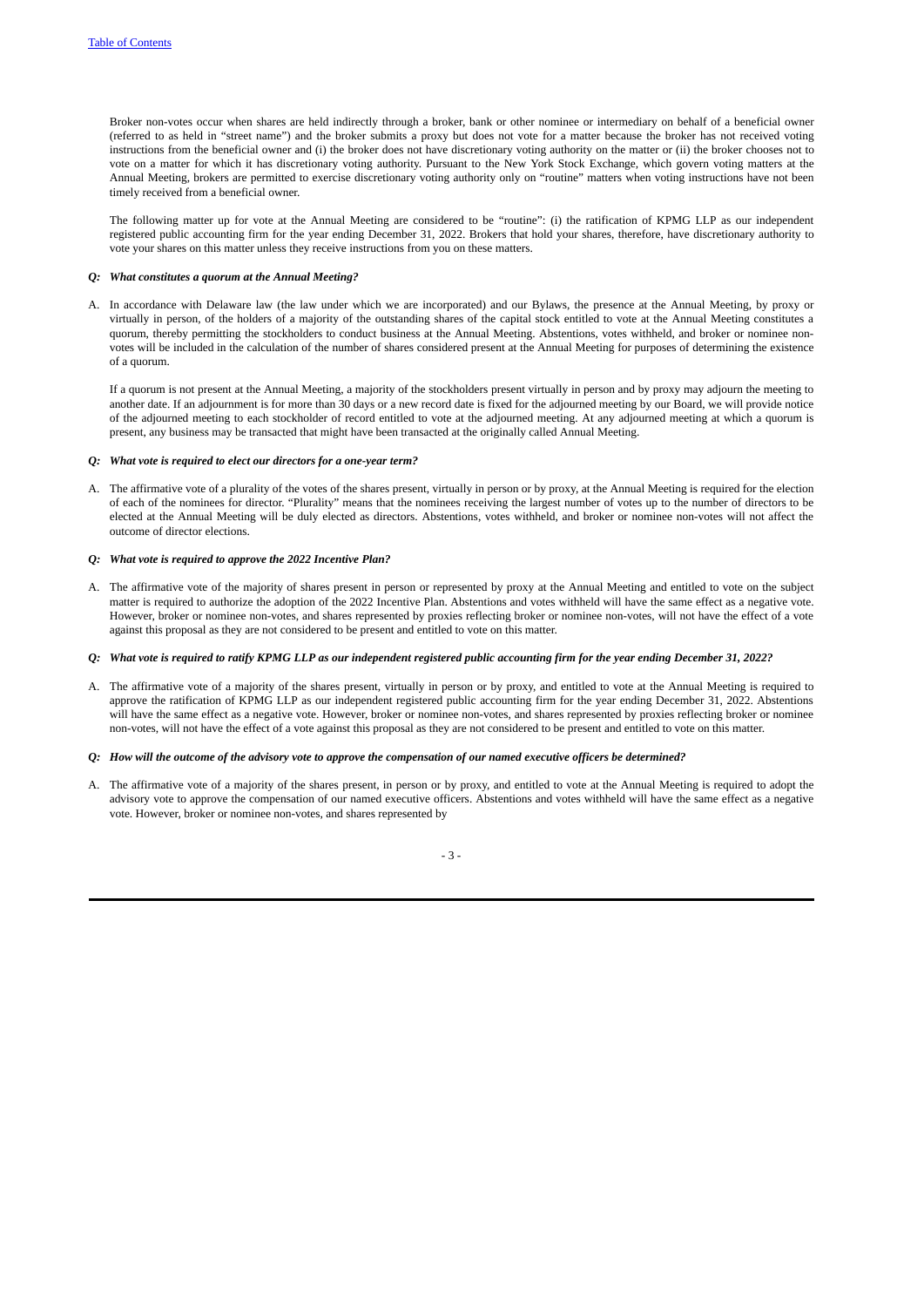Broker non-votes occur when shares are held indirectly through a broker, bank or other nominee or intermediary on behalf of a beneficial owner (referred to as held in "street name") and the broker submits a proxy but does not vote for a matter because the broker has not received voting instructions from the beneficial owner and (i) the broker does not have discretionary voting authority on the matter or (ii) the broker chooses not to vote on a matter for which it has discretionary voting authority. Pursuant to the New York Stock Exchange, which govern voting matters at the Annual Meeting, brokers are permitted to exercise discretionary voting authority only on "routine" matters when voting instructions have not been timely received from a beneficial owner.

The following matter up for vote at the Annual Meeting are considered to be "routine": (i) the ratification of KPMG LLP as our independent registered public accounting firm for the year ending December 31, 2022. Brokers that hold your shares, therefore, have discretionary authority to vote your shares on this matter unless they receive instructions from you on these matters.

### *Q: What constitutes a quorum at the Annual Meeting?*

A. In accordance with Delaware law (the law under which we are incorporated) and our Bylaws, the presence at the Annual Meeting, by proxy or virtually in person, of the holders of a majority of the outstanding shares of the capital stock entitled to vote at the Annual Meeting constitutes a quorum, thereby permitting the stockholders to conduct business at the Annual Meeting. Abstentions, votes withheld, and broker or nominee nonvotes will be included in the calculation of the number of shares considered present at the Annual Meeting for purposes of determining the existence of a quorum.

If a quorum is not present at the Annual Meeting, a majority of the stockholders present virtually in person and by proxy may adjourn the meeting to another date. If an adjournment is for more than 30 days or a new record date is fixed for the adjourned meeting by our Board, we will provide notice of the adjourned meeting to each stockholder of record entitled to vote at the adjourned meeting. At any adjourned meeting at which a quorum is present, any business may be transacted that might have been transacted at the originally called Annual Meeting.

### *Q: What vote is required to elect our directors for a one-year term?*

A. The affirmative vote of a plurality of the votes of the shares present, virtually in person or by proxy, at the Annual Meeting is required for the election of each of the nominees for director. "Plurality" means that the nominees receiving the largest number of votes up to the number of directors to be elected at the Annual Meeting will be duly elected as directors. Abstentions, votes withheld, and broker or nominee non-votes will not affect the outcome of director elections.

### *Q: What vote is required to approve the 2022 Incentive Plan?*

A. The affirmative vote of the majority of shares present in person or represented by proxy at the Annual Meeting and entitled to vote on the subject matter is required to authorize the adoption of the 2022 Incentive Plan. Abstentions and votes withheld will have the same effect as a negative vote. However, broker or nominee non-votes, and shares represented by proxies reflecting broker or nominee non-votes, will not have the effect of a vote against this proposal as they are not considered to be present and entitled to vote on this matter.

### Q: What vote is required to ratify KPMG LLP as our independent registered public accounting firm for the year ending December 31, 2022?

A. The affirmative vote of a majority of the shares present, virtually in person or by proxy, and entitled to vote at the Annual Meeting is required to approve the ratification of KPMG LLP as our independent registered public accounting firm for the year ending December 31, 2022. Abstentions will have the same effect as a negative vote. However, broker or nominee non-votes, and shares represented by proxies reflecting broker or nominee non-votes, will not have the effect of a vote against this proposal as they are not considered to be present and entitled to vote on this matter.

## Q: How will the outcome of the advisory vote to approve the compensation of our named executive officers be determined?

A. The affirmative vote of a majority of the shares present, in person or by proxy, and entitled to vote at the Annual Meeting is required to adopt the advisory vote to approve the compensation of our named executive officers. Abstentions and votes withheld will have the same effect as a negative vote. However, broker or nominee non-votes, and shares represented by

- 3 -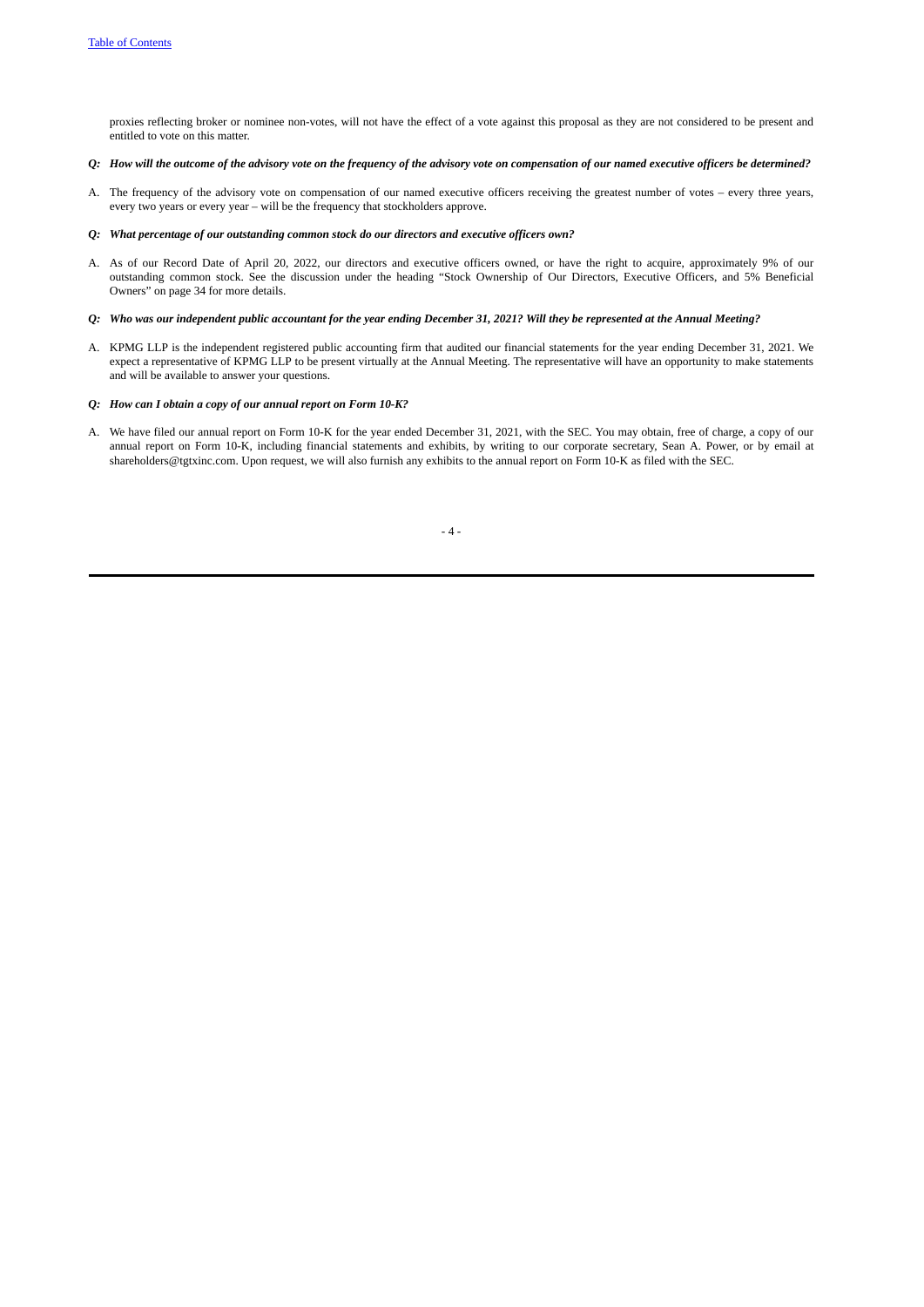proxies reflecting broker or nominee non-votes, will not have the effect of a vote against this proposal as they are not considered to be present and entitled to vote on this matter.

## Q: How will the outcome of the advisory vote on the frequency of the advisory vote on compensation of our named executive officers be determined?

A. The frequency of the advisory vote on compensation of our named executive officers receiving the greatest number of votes – every three years, every two years or every year – will be the frequency that stockholders approve.

### *Q: What percentage of our outstanding common stock do our directors and executive officers own?*

A. As of our Record Date of April 20, 2022, our directors and executive officers owned, or have the right to acquire, approximately 9% of our outstanding common stock. See the discussion under the heading "Stock Ownership of Our Directors, Executive Officers, and 5% Beneficial Owners" on page 34 for more details.

# Q: Who was our independent public accountant for the year ending December 31, 2021? Will they be represented at the Annual Meeting?

A. KPMG LLP is the independent registered public accounting firm that audited our financial statements for the year ending December 31, 2021. We expect a representative of KPMG LLP to be present virtually at the Annual Meeting. The representative will have an opportunity to make statements and will be available to answer your questions.

## *Q: How can I obtain a copy of our annual report on Form 10‑K?*

A. We have filed our annual report on Form 10-K for the year ended December 31, 2021, with the SEC. You may obtain, free of charge, a copy of our annual report on Form 10-K, including financial statements and exhibits, by writing to our corporate secretary, Sean A. Power, or by email at shareholders@tgtxinc.com. Upon request, we will also furnish any exhibits to the annual report on Form 10-K as filed with the SEC.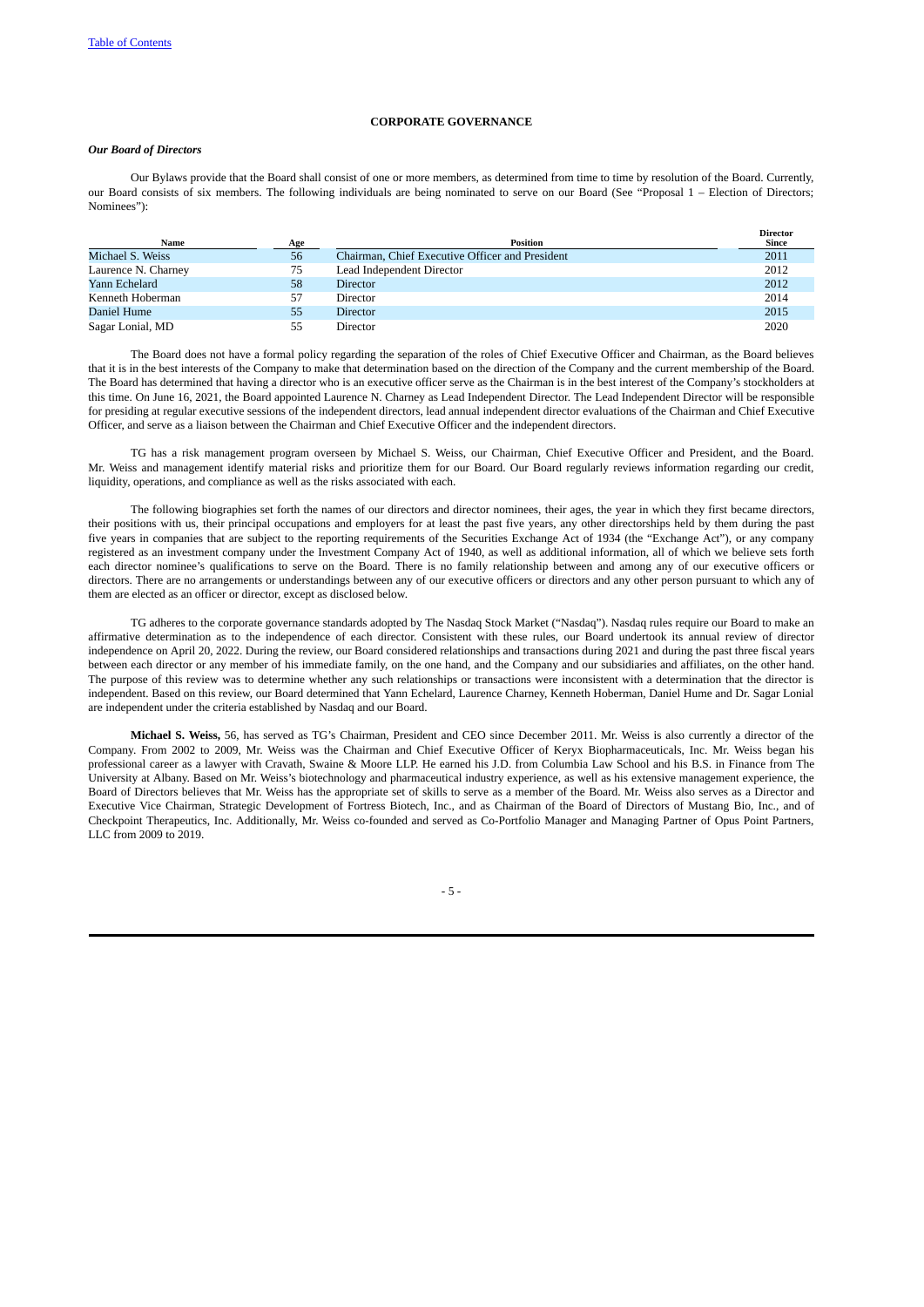# <span id="page-11-0"></span>**CORPORATE GOVERNANCE**

# <span id="page-11-1"></span>*Our Board of Directors*

Our Bylaws provide that the Board shall consist of one or more members, as determined from time to time by resolution of the Board. Currently, our Board consists of six members. The following individuals are being nominated to serve on our Board (See "Proposal 1 – Election of Directors; Nominees"):

| Name                | Age | Position                                        | <b>Director</b><br><b>Since</b> |
|---------------------|-----|-------------------------------------------------|---------------------------------|
| Michael S. Weiss    | 56  | Chairman, Chief Executive Officer and President | 2011                            |
| Laurence N. Charney | 75  | Lead Independent Director                       | 2012                            |
| Yann Echelard       | 58  | <b>Director</b>                                 | 2012                            |
| Kenneth Hoberman    | 57  | Director                                        | 2014                            |
| Daniel Hume         | 55  | <b>Director</b>                                 | 2015                            |
| Sagar Lonial, MD    | 55  | Director                                        | 2020                            |

The Board does not have a formal policy regarding the separation of the roles of Chief Executive Officer and Chairman, as the Board believes that it is in the best interests of the Company to make that determination based on the direction of the Company and the current membership of the Board. The Board has determined that having a director who is an executive officer serve as the Chairman is in the best interest of the Company's stockholders at this time. On June 16, 2021, the Board appointed Laurence N. Charney as Lead Independent Director. The Lead Independent Director will be responsible for presiding at regular executive sessions of the independent directors, lead annual independent director evaluations of the Chairman and Chief Executive Officer, and serve as a liaison between the Chairman and Chief Executive Officer and the independent directors.

TG has a risk management program overseen by Michael S. Weiss, our Chairman, Chief Executive Officer and President, and the Board. Mr. Weiss and management identify material risks and prioritize them for our Board. Our Board regularly reviews information regarding our credit, liquidity, operations, and compliance as well as the risks associated with each.

The following biographies set forth the names of our directors and director nominees, their ages, the year in which they first became directors, their positions with us, their principal occupations and employers for at least the past five years, any other directorships held by them during the past five years in companies that are subject to the reporting requirements of the Securities Exchange Act of 1934 (the "Exchange Act"), or any company registered as an investment company under the Investment Company Act of 1940, as well as additional information, all of which we believe sets forth each director nominee's qualifications to serve on the Board. There is no family relationship between and among any of our executive officers or directors. There are no arrangements or understandings between any of our executive officers or directors and any other person pursuant to which any of them are elected as an officer or director, except as disclosed below.

TG adheres to the corporate governance standards adopted by The Nasdaq Stock Market ("Nasdaq"). Nasdaq rules require our Board to make an affirmative determination as to the independence of each director. Consistent with these rules, our Board undertook its annual review of director independence on April 20, 2022. During the review, our Board considered relationships and transactions during 2021 and during the past three fiscal years between each director or any member of his immediate family, on the one hand, and the Company and our subsidiaries and affiliates, on the other hand. The purpose of this review was to determine whether any such relationships or transactions were inconsistent with a determination that the director is independent. Based on this review, our Board determined that Yann Echelard, Laurence Charney, Kenneth Hoberman, Daniel Hume and Dr. Sagar Lonial are independent under the criteria established by Nasdaq and our Board.

**Michael S. Weiss,** 56, has served as TG's Chairman, President and CEO since December 2011. Mr. Weiss is also currently a director of the Company. From 2002 to 2009, Mr. Weiss was the Chairman and Chief Executive Officer of Keryx Biopharmaceuticals, Inc. Mr. Weiss began his professional career as a lawyer with Cravath, Swaine & Moore LLP. He earned his J.D. from Columbia Law School and his B.S. in Finance from The University at Albany. Based on Mr. Weiss's biotechnology and pharmaceutical industry experience, as well as his extensive management experience, the Board of Directors believes that Mr. Weiss has the appropriate set of skills to serve as a member of the Board. Mr. Weiss also serves as a Director and Executive Vice Chairman, Strategic Development of Fortress Biotech, Inc., and as Chairman of the Board of Directors of Mustang Bio, Inc., and of Checkpoint Therapeutics, Inc. Additionally, Mr. Weiss co-founded and served as Co-Portfolio Manager and Managing Partner of Opus Point Partners, LLC from 2009 to 2019.

- 5 -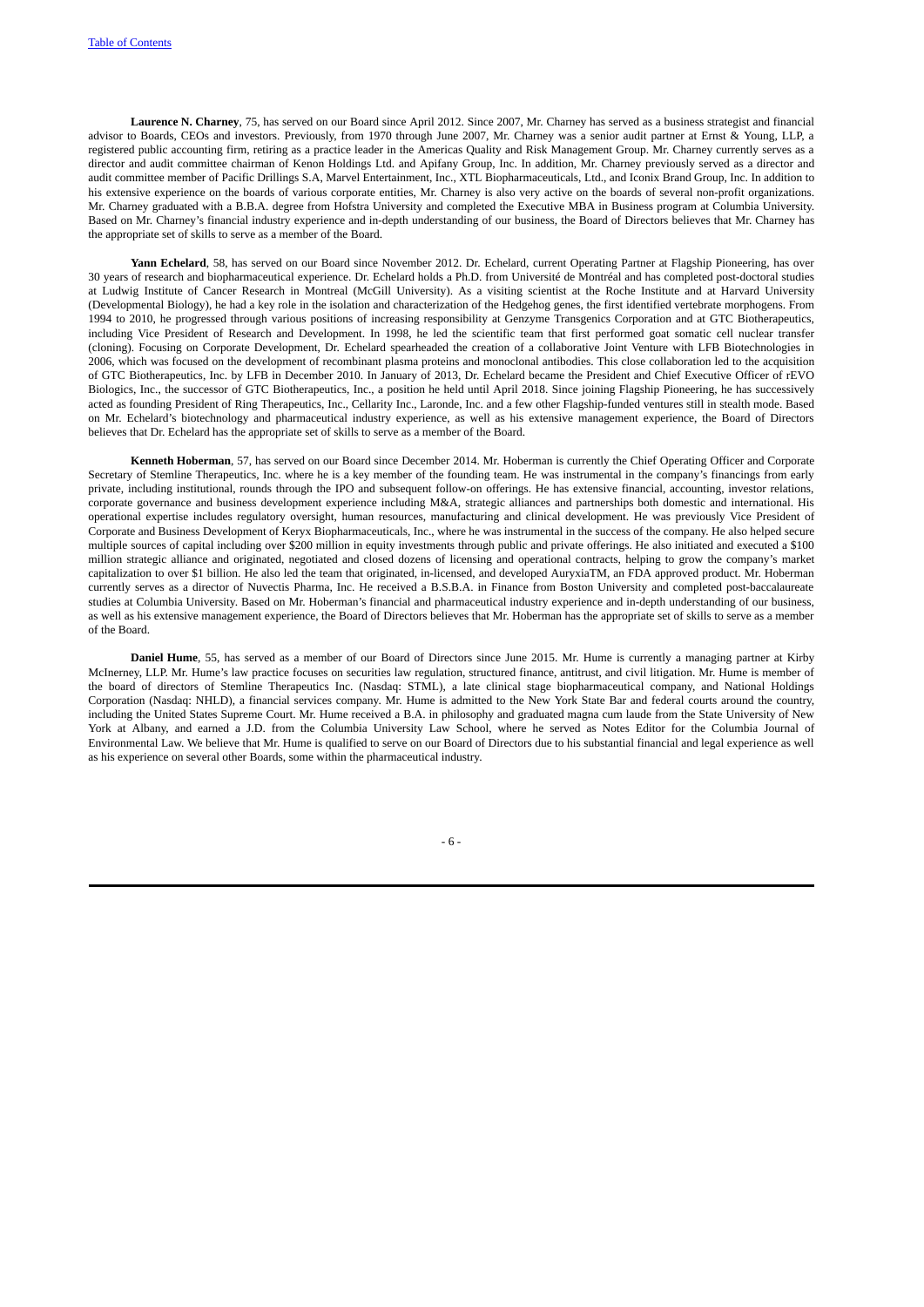**Laurence N. Charney**, 75, has served on our Board since April 2012. Since 2007, Mr. Charney has served as a business strategist and financial advisor to Boards, CEOs and investors. Previously, from 1970 through June 2007, Mr. Charney was a senior audit partner at Ernst & Young, LLP, a registered public accounting firm, retiring as a practice leader in the Americas Quality and Risk Management Group. Mr. Charney currently serves as a director and audit committee chairman of Kenon Holdings Ltd. and Apifany Group, Inc. In addition, Mr. Charney previously served as a director and audit committee member of Pacific Drillings S.A, Marvel Entertainment, Inc., XTL Biopharmaceuticals, Ltd., and Iconix Brand Group, Inc. In addition to his extensive experience on the boards of various corporate entities, Mr. Charney is also very active on the boards of several non-profit organizations. Mr. Charney graduated with a B.B.A. degree from Hofstra University and completed the Executive MBA in Business program at Columbia University. Based on Mr. Charney's financial industry experience and in-depth understanding of our business, the Board of Directors believes that Mr. Charney has the appropriate set of skills to serve as a member of the Board.

**Yann Echelard**, 58, has served on our Board since November 2012. Dr. Echelard, current Operating Partner at Flagship Pioneering, has over 30 years of research and biopharmaceutical experience. Dr. Echelard holds a Ph.D. from Université de Montréal and has completed post-doctoral studies at Ludwig Institute of Cancer Research in Montreal (McGill University). As a visiting scientist at the Roche Institute and at Harvard University (Developmental Biology), he had a key role in the isolation and characterization of the Hedgehog genes, the first identified vertebrate morphogens. From 1994 to 2010, he progressed through various positions of increasing responsibility at Genzyme Transgenics Corporation and at GTC Biotherapeutics, including Vice President of Research and Development. In 1998, he led the scientific team that first performed goat somatic cell nuclear transfer (cloning). Focusing on Corporate Development, Dr. Echelard spearheaded the creation of a collaborative Joint Venture with LFB Biotechnologies in 2006, which was focused on the development of recombinant plasma proteins and monoclonal antibodies. This close collaboration led to the acquisition of GTC Biotherapeutics, Inc. by LFB in December 2010. In January of 2013, Dr. Echelard became the President and Chief Executive Officer of rEVO Biologics, Inc., the successor of GTC Biotherapeutics, Inc., a position he held until April 2018. Since joining Flagship Pioneering, he has successively acted as founding President of Ring Therapeutics, Inc., Cellarity Inc., Laronde, Inc. and a few other Flagship-funded ventures still in stealth mode. Based on Mr. Echelard's biotechnology and pharmaceutical industry experience, as well as his extensive management experience, the Board of Directors believes that Dr. Echelard has the appropriate set of skills to serve as a member of the Board.

**Kenneth Hoberman**, 57, has served on our Board since December 2014. Mr. Hoberman is currently the Chief Operating Officer and Corporate Secretary of Stemline Therapeutics, Inc. where he is a key member of the founding team. He was instrumental in the company's financings from early private, including institutional, rounds through the IPO and subsequent follow-on offerings. He has extensive financial, accounting, investor relations, corporate governance and business development experience including M&A, strategic alliances and partnerships both domestic and international. His operational expertise includes regulatory oversight, human resources, manufacturing and clinical development. He was previously Vice President of Corporate and Business Development of Keryx Biopharmaceuticals, Inc., where he was instrumental in the success of the company. He also helped secure multiple sources of capital including over \$200 million in equity investments through public and private offerings. He also initiated and executed a \$100 million strategic alliance and originated, negotiated and closed dozens of licensing and operational contracts, helping to grow the company's market capitalization to over \$1 billion. He also led the team that originated, in-licensed, and developed AuryxiaTM, an FDA approved product. Mr. Hoberman currently serves as a director of Nuvectis Pharma, Inc. He received a B.S.B.A. in Finance from Boston University and completed post-baccalaureate studies at Columbia University. Based on Mr. Hoberman's financial and pharmaceutical industry experience and in-depth understanding of our business, as well as his extensive management experience, the Board of Directors believes that Mr. Hoberman has the appropriate set of skills to serve as a member of the Board.

**Daniel Hume**, 55, has served as a member of our Board of Directors since June 2015. Mr. Hume is currently a managing partner at Kirby McInerney, LLP. Mr. Hume's law practice focuses on securities law regulation, structured finance, antitrust, and civil litigation. Mr. Hume is member of the board of directors of Stemline Therapeutics Inc. (Nasdaq: STML), a late clinical stage biopharmaceutical company, and National Holdings Corporation (Nasdaq: NHLD), a financial services company. Mr. Hume is admitted to the New York State Bar and federal courts around the country, including the United States Supreme Court. Mr. Hume received a B.A. in philosophy and graduated magna cum laude from the State University of New York at Albany, and earned a J.D. from the Columbia University Law School, where he served as Notes Editor for the Columbia Journal of Environmental Law. We believe that Mr. Hume is qualified to serve on our Board of Directors due to his substantial financial and legal experience as well as his experience on several other Boards, some within the pharmaceutical industry.

- 6 -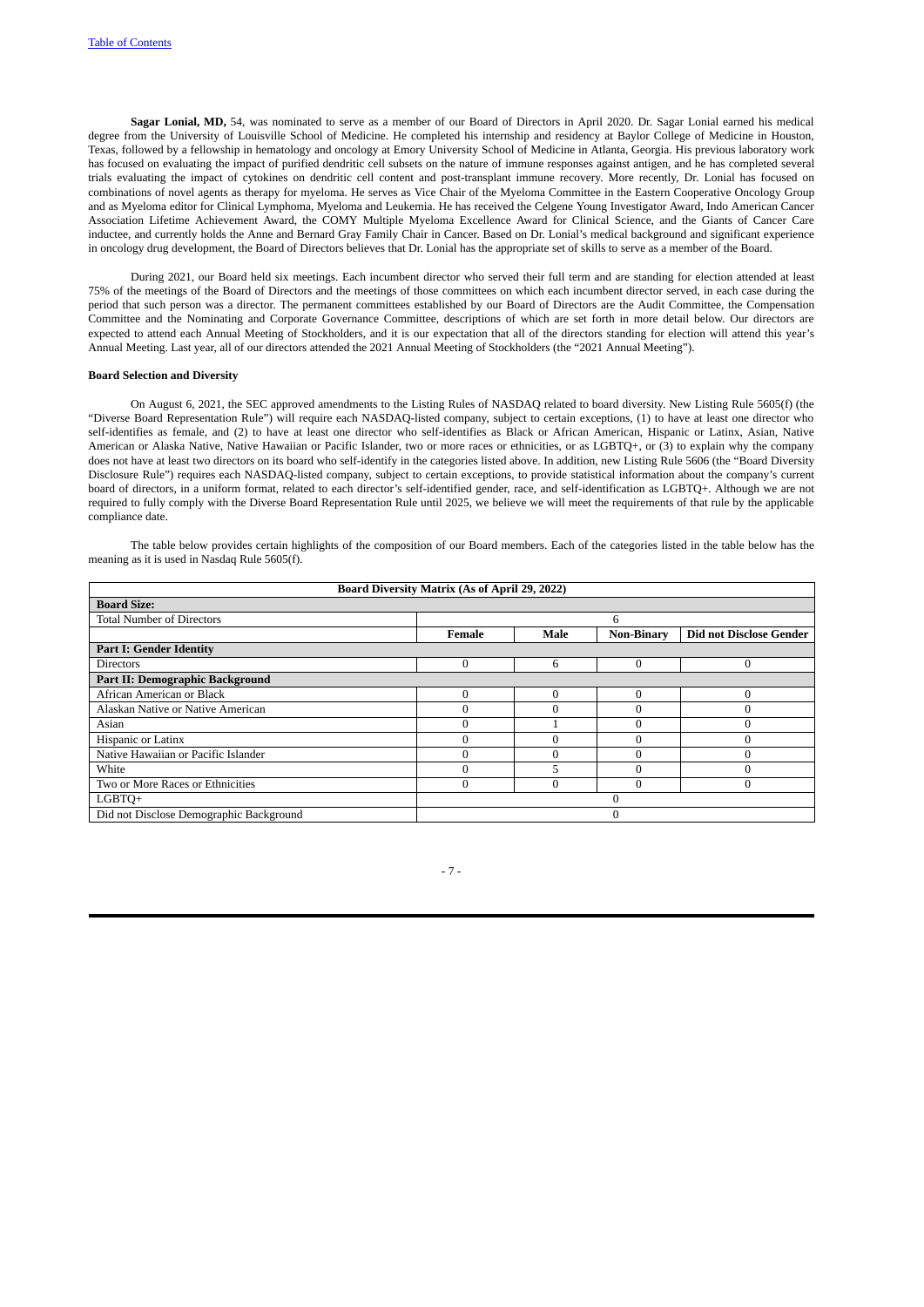**Sagar Lonial, MD,** 54, was nominated to serve as a member of our Board of Directors in April 2020. Dr. Sagar Lonial earned his medical degree from the University of Louisville School of Medicine. He completed his internship and residency at Baylor College of Medicine in Houston, Texas, followed by a fellowship in hematology and oncology at Emory University School of Medicine in Atlanta, Georgia. His previous laboratory work has focused on evaluating the impact of purified dendritic cell subsets on the nature of immune responses against antigen, and he has completed several trials evaluating the impact of cytokines on dendritic cell content and post-transplant immune recovery. More recently, Dr. Lonial has focused on combinations of novel agents as therapy for myeloma. He serves as Vice Chair of the Myeloma Committee in the Eastern Cooperative Oncology Group and as Myeloma editor for Clinical Lymphoma, Myeloma and Leukemia. He has received the Celgene Young Investigator Award, Indo American Cancer Association Lifetime Achievement Award, the COMY Multiple Myeloma Excellence Award for Clinical Science, and the Giants of Cancer Care inductee, and currently holds the Anne and Bernard Gray Family Chair in Cancer. Based on Dr. Lonial's medical background and significant experience in oncology drug development, the Board of Directors believes that Dr. Lonial has the appropriate set of skills to serve as a member of the Board.

During 2021, our Board held six meetings. Each incumbent director who served their full term and are standing for election attended at least 75% of the meetings of the Board of Directors and the meetings of those committees on which each incumbent director served, in each case during the period that such person was a director. The permanent committees established by our Board of Directors are the Audit Committee, the Compensation Committee and the Nominating and Corporate Governance Committee, descriptions of which are set forth in more detail below. Our directors are expected to attend each Annual Meeting of Stockholders, and it is our expectation that all of the directors standing for election will attend this year's Annual Meeting. Last year, all of our directors attended the 2021 Annual Meeting of Stockholders (the "2021 Annual Meeting").

## **Board Selection and Diversity**

On August 6, 2021, the SEC approved amendments to the Listing Rules of NASDAQ related to board diversity. New Listing Rule 5605(f) (the "Diverse Board Representation Rule") will require each NASDAQ-listed company, subject to certain exceptions, (1) to have at least one director who self-identifies as female, and (2) to have at least one director who self-identifies as Black or African American, Hispanic or Latinx, Asian, Native American or Alaska Native, Native Hawaiian or Pacific Islander, two or more races or ethnicities, or as LGBTQ+, or (3) to explain why the company does not have at least two directors on its board who self-identify in the categories listed above. In addition, new Listing Rule 5606 (the "Board Diversity Disclosure Rule") requires each NASDAQ-listed company, subject to certain exceptions, to provide statistical information about the company's current board of directors, in a uniform format, related to each director's self-identified gender, race, and self-identification as LGBTQ+. Although we are not required to fully comply with the Diverse Board Representation Rule until 2025, we believe we will meet the requirements of that rule by the applicable compliance date.

The table below provides certain highlights of the composition of our Board members. Each of the categories listed in the table below has the meaning as it is used in Nasdaq Rule 5605(f).

| <b>Board Diversity Matrix (As of April 29, 2022)</b> |        |          |                   |                                |  |
|------------------------------------------------------|--------|----------|-------------------|--------------------------------|--|
| <b>Board Size:</b>                                   |        |          |                   |                                |  |
| <b>Total Number of Directors</b>                     |        |          | 6                 |                                |  |
|                                                      | Female | Male     | <b>Non-Binary</b> | <b>Did not Disclose Gender</b> |  |
| <b>Part I: Gender Identity</b>                       |        |          |                   |                                |  |
| <b>Directors</b>                                     |        | 6        | $\mathbf{0}$      |                                |  |
| Part II: Demographic Background                      |        |          |                   |                                |  |
| African American or Black                            |        | $\Omega$ | $\Omega$          |                                |  |
| Alaskan Native or Native American                    |        | 0        | $\Omega$          |                                |  |
| Asian                                                |        |          | $\Omega$          |                                |  |
| Hispanic or Latinx                                   |        | $\theta$ | $\Omega$          |                                |  |
| Native Hawaiian or Pacific Islander                  |        | $\Omega$ | $\theta$          |                                |  |
| White                                                |        | 5        | $\Omega$          |                                |  |
| Two or More Races or Ethnicities                     |        | $\theta$ | $\Omega$          |                                |  |
| LGBTQ+                                               |        |          |                   |                                |  |
| Did not Disclose Demographic Background              |        |          |                   |                                |  |

- 7 -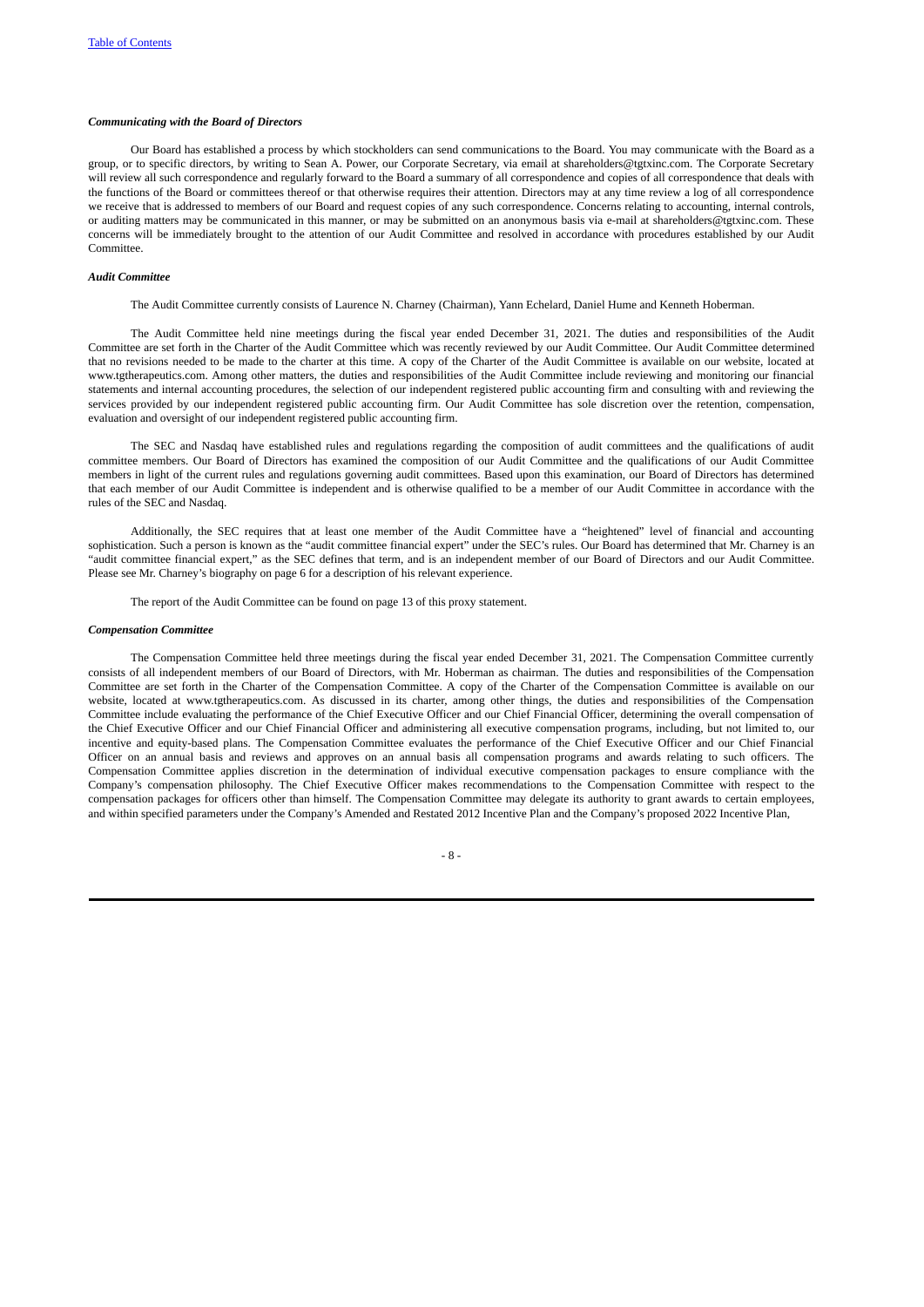### <span id="page-14-0"></span>*Communicating with the Board of Directors*

Our Board has established a process by which stockholders can send communications to the Board. You may communicate with the Board as a group, or to specific directors, by writing to Sean A. Power, our Corporate Secretary, via email at shareholders@tgtxinc.com. The Corporate Secretary will review all such correspondence and regularly forward to the Board a summary of all correspondence and copies of all correspondence that deals with the functions of the Board or committees thereof or that otherwise requires their attention. Directors may at any time review a log of all correspondence we receive that is addressed to members of our Board and request copies of any such correspondence. Concerns relating to accounting, internal controls, or auditing matters may be communicated in this manner, or may be submitted on an anonymous basis via e-mail at shareholders@tgtxinc.com. These concerns will be immediately brought to the attention of our Audit Committee and resolved in accordance with procedures established by our Audit Committee.

### *Audit Committee*

<span id="page-14-1"></span>The Audit Committee currently consists of Laurence N. Charney (Chairman), Yann Echelard, Daniel Hume and Kenneth Hoberman.

The Audit Committee held nine meetings during the fiscal year ended December 31, 2021. The duties and responsibilities of the Audit Committee are set forth in the Charter of the Audit Committee which was recently reviewed by our Audit Committee. Our Audit Committee determined that no revisions needed to be made to the charter at this time. A copy of the Charter of the Audit Committee is available on our website, located at www.tgtherapeutics.com. Among other matters, the duties and responsibilities of the Audit Committee include reviewing and monitoring our financial statements and internal accounting procedures, the selection of our independent registered public accounting firm and consulting with and reviewing the services provided by our independent registered public accounting firm. Our Audit Committee has sole discretion over the retention, compensation, evaluation and oversight of our independent registered public accounting firm.

The SEC and Nasdaq have established rules and regulations regarding the composition of audit committees and the qualifications of audit committee members. Our Board of Directors has examined the composition of our Audit Committee and the qualifications of our Audit Committee members in light of the current rules and regulations governing audit committees. Based upon this examination, our Board of Directors has determined that each member of our Audit Committee is independent and is otherwise qualified to be a member of our Audit Committee in accordance with the rules of the SEC and Nasdaq.

Additionally, the SEC requires that at least one member of the Audit Committee have a "heightened" level of financial and accounting sophistication. Such a person is known as the "audit committee financial expert" under the SEC's rules. Our Board has determined that Mr. Charney is an "audit committee financial expert," as the SEC defines that term, and is an independent member of our Board of Directors and our Audit Committee. Please see Mr. Charney's biography on page 6 for a description of his relevant experience.

<span id="page-14-2"></span>The report of the Audit Committee can be found on page 13 of this proxy statement.

### *Compensation Committee*

The Compensation Committee held three meetings during the fiscal year ended December 31, 2021. The Compensation Committee currently consists of all independent members of our Board of Directors, with Mr. Hoberman as chairman. The duties and responsibilities of the Compensation Committee are set forth in the Charter of the Compensation Committee. A copy of the Charter of the Compensation Committee is available on our website, located at www.tgtherapeutics.com. As discussed in its charter, among other things, the duties and responsibilities of the Compensation Committee include evaluating the performance of the Chief Executive Officer and our Chief Financial Officer, determining the overall compensation of the Chief Executive Officer and our Chief Financial Officer and administering all executive compensation programs, including, but not limited to, our incentive and equity-based plans. The Compensation Committee evaluates the performance of the Chief Executive Officer and our Chief Financial Officer on an annual basis and reviews and approves on an annual basis all compensation programs and awards relating to such officers. The Compensation Committee applies discretion in the determination of individual executive compensation packages to ensure compliance with the Company's compensation philosophy. The Chief Executive Officer makes recommendations to the Compensation Committee with respect to the compensation packages for officers other than himself. The Compensation Committee may delegate its authority to grant awards to certain employees, and within specified parameters under the Company's Amended and Restated 2012 Incentive Plan and the Company's proposed 2022 Incentive Plan,

- 8 -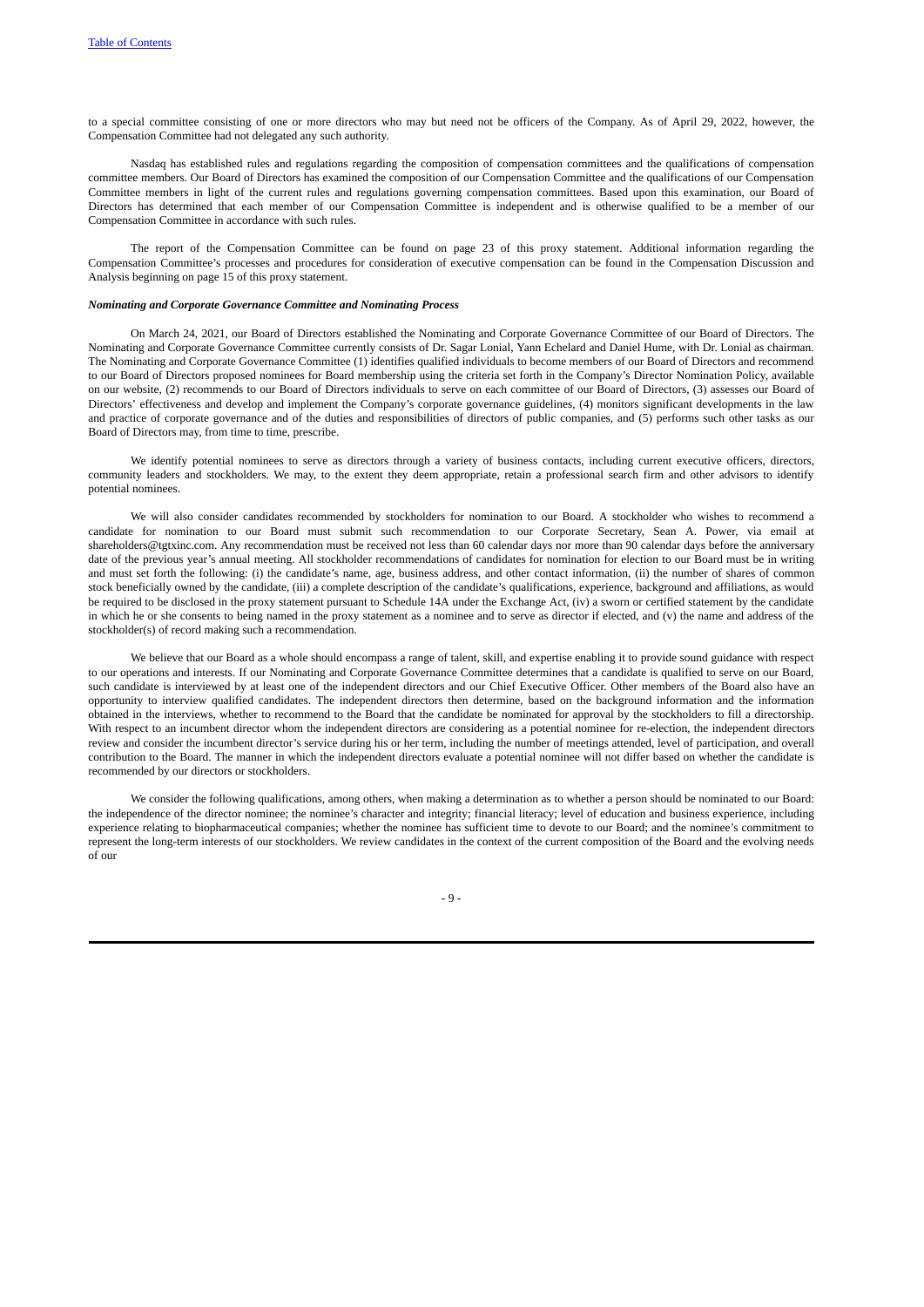to a special committee consisting of one or more directors who may but need not be officers of the Company. As of April 29, 2022, however, the Compensation Committee had not delegated any such authority.

Nasdaq has established rules and regulations regarding the composition of compensation committees and the qualifications of compensation committee members. Our Board of Directors has examined the composition of our Compensation Committee and the qualifications of our Compensation Committee members in light of the current rules and regulations governing compensation committees. Based upon this examination, our Board of Directors has determined that each member of our Compensation Committee is independent and is otherwise qualified to be a member of our Compensation Committee in accordance with such rules.

The report of the Compensation Committee can be found on page 23 of this proxy statement. Additional information regarding the Compensation Committee's processes and procedures for consideration of executive compensation can be found in the Compensation Discussion and Analysis beginning on page 15 of this proxy statement.

### <span id="page-15-0"></span>*Nominating and Corporate Governance Committee and Nominating Process*

On March 24, 2021, our Board of Directors established the Nominating and Corporate Governance Committee of our Board of Directors. The Nominating and Corporate Governance Committee currently consists of Dr. Sagar Lonial, Yann Echelard and Daniel Hume, with Dr. Lonial as chairman. The Nominating and Corporate Governance Committee (1) identifies qualified individuals to become members of our Board of Directors and recommend to our Board of Directors proposed nominees for Board membership using the criteria set forth in the Company's Director Nomination Policy, available on our website, (2) recommends to our Board of Directors individuals to serve on each committee of our Board of Directors, (3) assesses our Board of Directors' effectiveness and develop and implement the Company's corporate governance guidelines, (4) monitors significant developments in the law and practice of corporate governance and of the duties and responsibilities of directors of public companies, and (5) performs such other tasks as our Board of Directors may, from time to time, prescribe.

We identify potential nominees to serve as directors through a variety of business contacts, including current executive officers, directors, community leaders and stockholders. We may, to the extent they deem appropriate, retain a professional search firm and other advisors to identify potential nominees.

We will also consider candidates recommended by stockholders for nomination to our Board. A stockholder who wishes to recommend a candidate for nomination to our Board must submit such recommendation to our Corporate Secretary, Sean A. Power, via email at shareholders@tgtxinc.com. Any recommendation must be received not less than 60 calendar days nor more than 90 calendar days before the anniversary date of the previous year's annual meeting. All stockholder recommendations of candidates for nomination for election to our Board must be in writing and must set forth the following: (i) the candidate's name, age, business address, and other contact information, (ii) the number of shares of common stock beneficially owned by the candidate, (iii) a complete description of the candidate's qualifications, experience, background and affiliations, as would be required to be disclosed in the proxy statement pursuant to Schedule 14A under the Exchange Act, (iv) a sworn or certified statement by the candidate in which he or she consents to being named in the proxy statement as a nominee and to serve as director if elected, and (v) the name and address of the stockholder(s) of record making such a recommendation.

We believe that our Board as a whole should encompass a range of talent, skill, and expertise enabling it to provide sound guidance with respect to our operations and interests. If our Nominating and Corporate Governance Committee determines that a candidate is qualified to serve on our Board, such candidate is interviewed by at least one of the independent directors and our Chief Executive Officer. Other members of the Board also have an opportunity to interview qualified candidates. The independent directors then determine, based on the background information and the information obtained in the interviews, whether to recommend to the Board that the candidate be nominated for approval by the stockholders to fill a directorship. With respect to an incumbent director whom the independent directors are considering as a potential nominee for re-election, the independent directors review and consider the incumbent director's service during his or her term, including the number of meetings attended, level of participation, and overall contribution to the Board. The manner in which the independent directors evaluate a potential nominee will not differ based on whether the candidate is recommended by our directors or stockholders.

We consider the following qualifications, among others, when making a determination as to whether a person should be nominated to our Board: the independence of the director nominee; the nominee's character and integrity; financial literacy; level of education and business experience, including experience relating to biopharmaceutical companies; whether the nominee has sufficient time to devote to our Board; and the nominee's commitment to represent the long-term interests of our stockholders. We review candidates in the context of the current composition of the Board and the evolving needs of our

 $-9 -$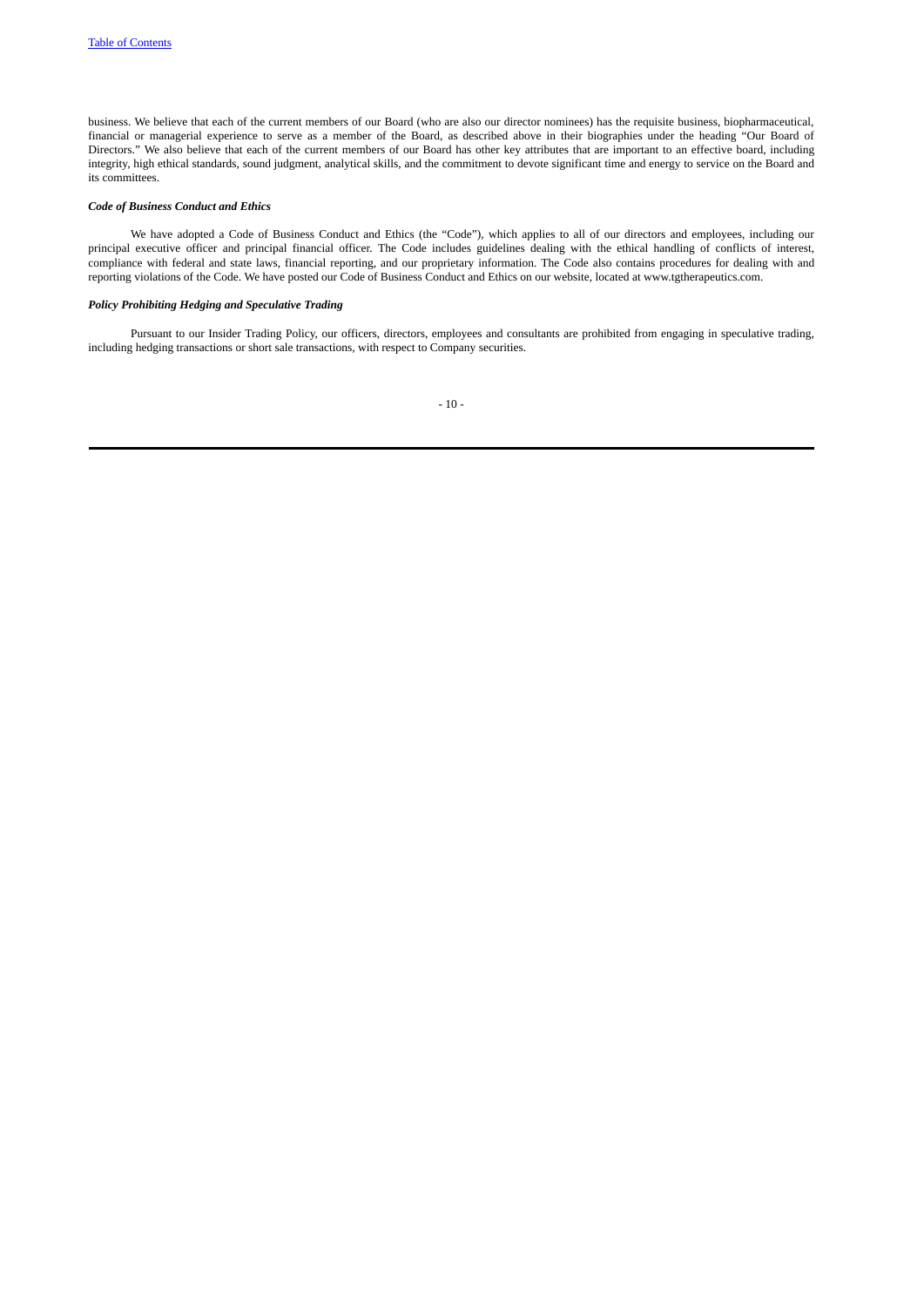business. We believe that each of the current members of our Board (who are also our director nominees) has the requisite business, biopharmaceutical, financial or managerial experience to serve as a member of the Board, as described above in their biographies under the heading "Our Board of Directors." We also believe that each of the current members of our Board has other key attributes that are important to an effective board, including integrity, high ethical standards, sound judgment, analytical skills, and the commitment to devote significant time and energy to service on the Board and its committees.

# <span id="page-16-0"></span>*Code of Business Conduct and Ethics*

We have adopted a Code of Business Conduct and Ethics (the "Code"), which applies to all of our directors and employees, including our principal executive officer and principal financial officer. The Code includes guidelines dealing with the ethical handling of conflicts of interest, compliance with federal and state laws, financial reporting, and our proprietary information. The Code also contains procedures for dealing with and reporting violations of the Code. We have posted our Code of Business Conduct and Ethics on our website, located at www.tgtherapeutics.com.

# *Policy Prohibiting Hedging and Speculative Trading*

Pursuant to our Insider Trading Policy, our officers, directors, employees and consultants are prohibited from engaging in speculative trading, including hedging transactions or short sale transactions, with respect to Company securities.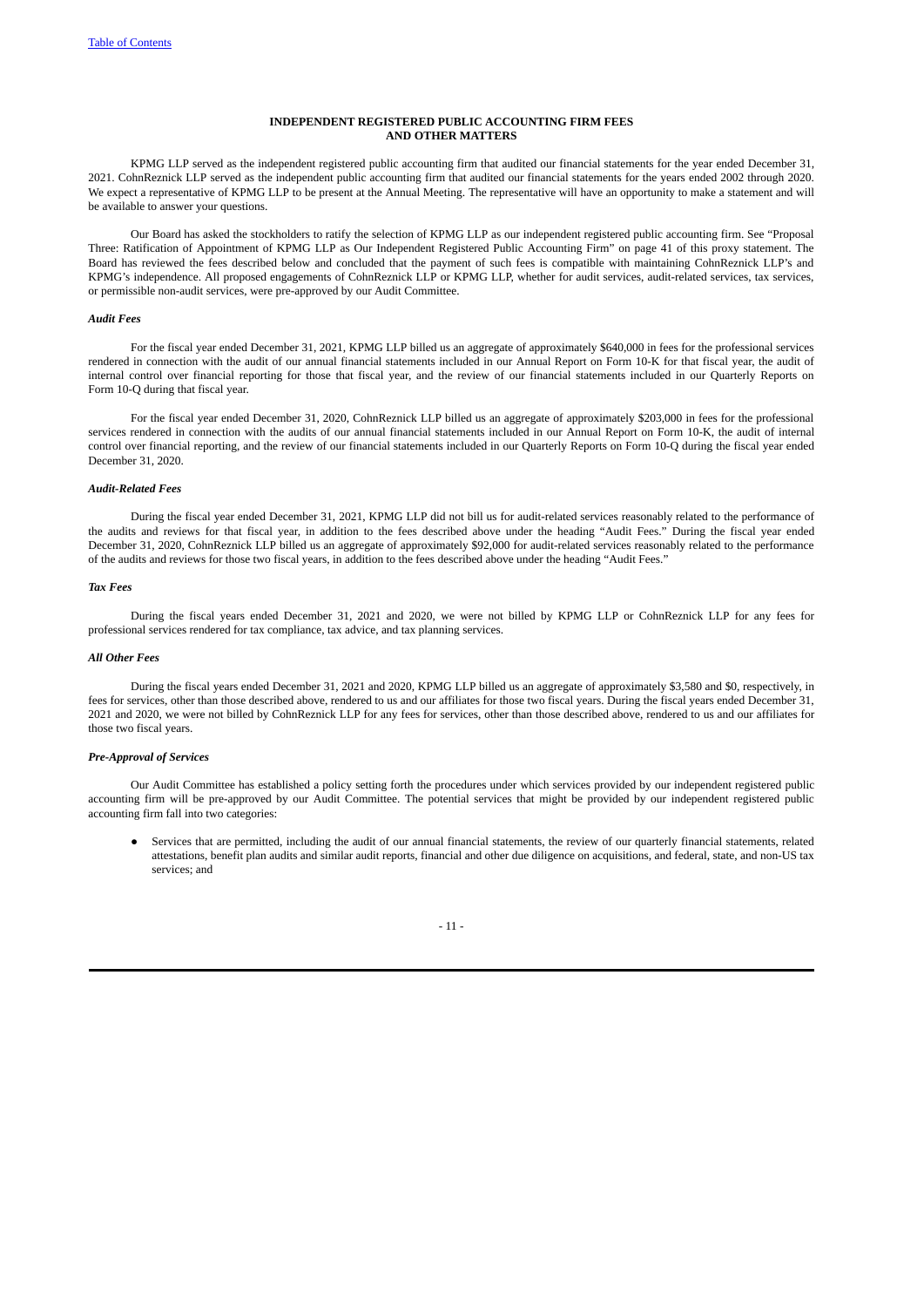### <span id="page-17-0"></span>**INDEPENDENT REGISTERED PUBLIC ACCOUNTING FIRM FEES AND OTHER MATTERS**

KPMG LLP served as the independent registered public accounting firm that audited our financial statements for the year ended December 31, 2021. CohnReznick LLP served as the independent public accounting firm that audited our financial statements for the years ended 2002 through 2020. We expect a representative of KPMG LLP to be present at the Annual Meeting. The representative will have an opportunity to make a statement and will be available to answer your questions.

Our Board has asked the stockholders to ratify the selection of KPMG LLP as our independent registered public accounting firm. See "Proposal Three: Ratification of Appointment of KPMG LLP as Our Independent Registered Public Accounting Firm" on page 41 of this proxy statement. The Board has reviewed the fees described below and concluded that the payment of such fees is compatible with maintaining CohnReznick LLP's and KPMG's independence. All proposed engagements of CohnReznick LLP or KPMG LLP, whether for audit services, audit-related services, tax services, or permissible non-audit services, were pre-approved by our Audit Committee.

### *Audit Fees*

For the fiscal year ended December 31, 2021, KPMG LLP billed us an aggregate of approximately \$640,000 in fees for the professional services rendered in connection with the audit of our annual financial statements included in our Annual Report on Form 10-K for that fiscal year, the audit of internal control over financial reporting for those that fiscal year, and the review of our financial statements included in our Quarterly Reports on Form 10-Q during that fiscal year.

For the fiscal year ended December 31, 2020, CohnReznick LLP billed us an aggregate of approximately \$203,000 in fees for the professional services rendered in connection with the audits of our annual financial statements included in our Annual Report on Form 10-K, the audit of internal control over financial reporting, and the review of our financial statements included in our Quarterly Reports on Form 10-Q during the fiscal year ended December 31, 2020.

# <span id="page-17-1"></span>*Audit-Related Fees*

During the fiscal year ended December 31, 2021, KPMG LLP did not bill us for audit-related services reasonably related to the performance of the audits and reviews for that fiscal year, in addition to the fees described above under the heading "Audit Fees." During the fiscal year ended December 31, 2020, CohnReznick LLP billed us an aggregate of approximately \$92,000 for audit-related services reasonably related to the performance of the audits and reviews for those two fiscal years, in addition to the fees described above under the heading "Audit Fees."

#### *Tax Fees*

During the fiscal years ended December 31, 2021 and 2020, we were not billed by KPMG LLP or CohnReznick LLP for any fees for professional services rendered for tax compliance, tax advice, and tax planning services.

## *All Other Fees*

During the fiscal years ended December 31, 2021 and 2020, KPMG LLP billed us an aggregate of approximately \$3,580 and \$0, respectively, in fees for services, other than those described above, rendered to us and our affiliates for those two fiscal years. During the fiscal years ended December 31, 2021 and 2020, we were not billed by CohnReznick LLP for any fees for services, other than those described above, rendered to us and our affiliates for those two fiscal years.

## *Pre-Approval of Services*

Our Audit Committee has established a policy setting forth the procedures under which services provided by our independent registered public accounting firm will be pre-approved by our Audit Committee. The potential services that might be provided by our independent registered public accounting firm fall into two categories:

<span id="page-17-2"></span>● Services that are permitted, including the audit of our annual financial statements, the review of our quarterly financial statements, related attestations, benefit plan audits and similar audit reports, financial and other due diligence on acquisitions, and federal, state, and non-US tax services; and

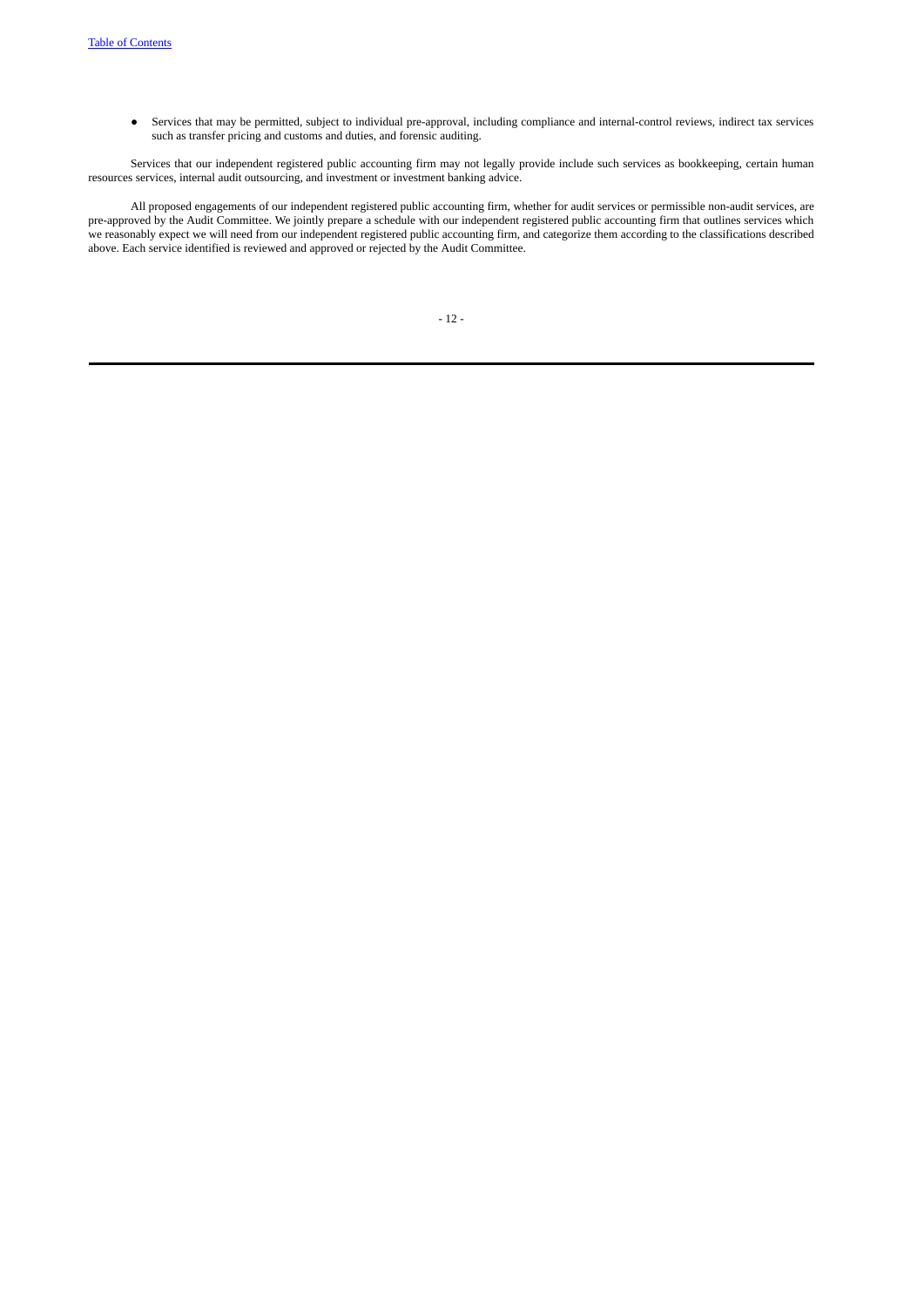● Services that may be permitted, subject to individual pre-approval, including compliance and internal-control reviews, indirect tax services such as transfer pricing and customs and duties, and forensic auditing.

Services that our independent registered public accounting firm may not legally provide include such services as bookkeeping, certain human resources services, internal audit outsourcing, and investment or investment banking advice.

All proposed engagements of our independent registered public accounting firm, whether for audit services or permissible non-audit services, are pre-approved by the Audit Committee. We jointly prepare a schedule with our independent registered public accounting firm that outlines services which we reasonably expect we will need from our independent registered public accounting firm, and categorize them according to the classifications described above. Each service identified is reviewed and approved or rejected by the Audit Committee.

|  | ۰. |  |  |
|--|----|--|--|
|--|----|--|--|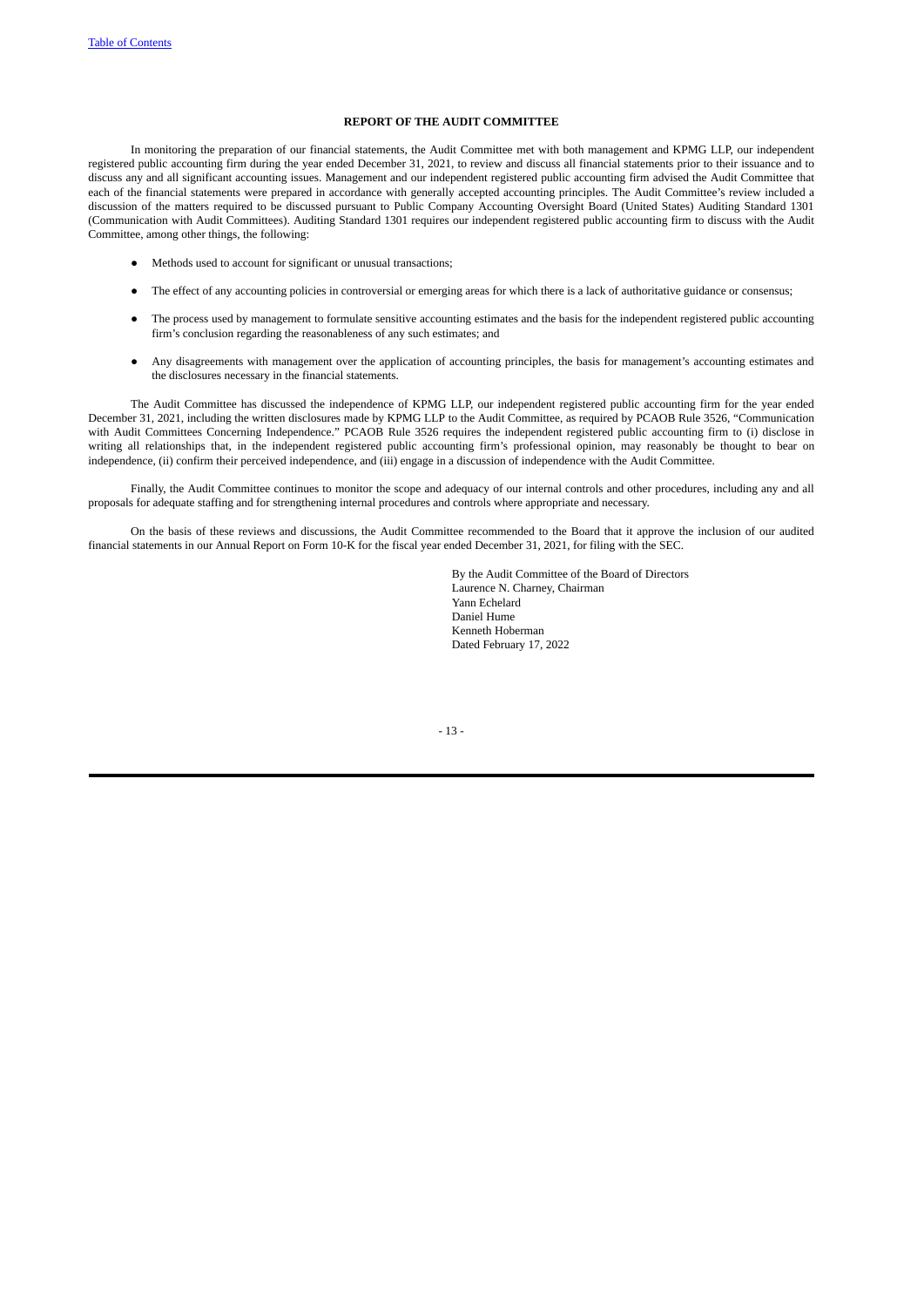# **REPORT OF THE AUDIT COMMITTEE**

<span id="page-19-0"></span>In monitoring the preparation of our financial statements, the Audit Committee met with both management and KPMG LLP, our independent registered public accounting firm during the year ended December 31, 2021, to review and discuss all financial statements prior to their issuance and to discuss any and all significant accounting issues. Management and our independent registered public accounting firm advised the Audit Committee that each of the financial statements were prepared in accordance with generally accepted accounting principles. The Audit Committee's review included a discussion of the matters required to be discussed pursuant to Public Company Accounting Oversight Board (United States) Auditing Standard 1301 (Communication with Audit Committees). Auditing Standard 1301 requires our independent registered public accounting firm to discuss with the Audit Committee, among other things, the following:

- Methods used to account for significant or unusual transactions;
- The effect of any accounting policies in controversial or emerging areas for which there is a lack of authoritative guidance or consensus;
- The process used by management to formulate sensitive accounting estimates and the basis for the independent registered public accounting firm's conclusion regarding the reasonableness of any such estimates; and
- Any disagreements with management over the application of accounting principles, the basis for management's accounting estimates and the disclosures necessary in the financial statements.

The Audit Committee has discussed the independence of KPMG LLP, our independent registered public accounting firm for the year ended December 31, 2021, including the written disclosures made by KPMG LLP to the Audit Committee, as required by PCAOB Rule 3526, "Communication with Audit Committees Concerning Independence." PCAOB Rule 3526 requires the independent registered public accounting firm to (i) disclose in writing all relationships that, in the independent registered public accounting firm's professional opinion, may reasonably be thought to bear on independence, (ii) confirm their perceived independence, and (iii) engage in a discussion of independence with the Audit Committee.

Finally, the Audit Committee continues to monitor the scope and adequacy of our internal controls and other procedures, including any and all proposals for adequate staffing and for strengthening internal procedures and controls where appropriate and necessary.

On the basis of these reviews and discussions, the Audit Committee recommended to the Board that it approve the inclusion of our audited financial statements in our Annual Report on Form 10-K for the fiscal year ended December 31, 2021, for filing with the SEC.

> By the Audit Committee of the Board of Directors Laurence N. Charney, Chairman Yann Echelard Daniel Hume Kenneth Hoberman Dated February 17, 2022

- 13 -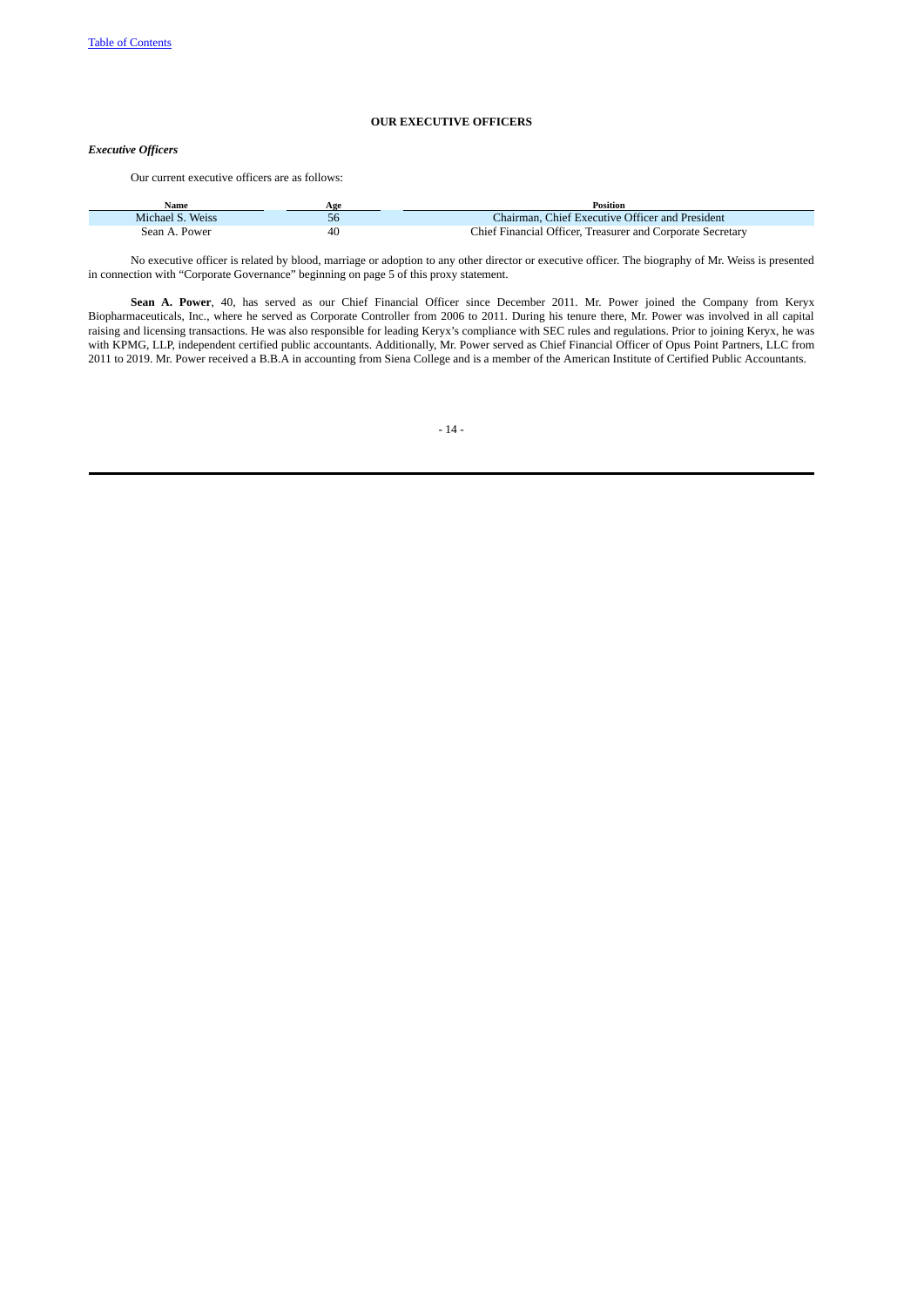# <span id="page-20-0"></span>**OUR EXECUTIVE OFFICERS**

# *Executive Officers*

Our current executive officers are as follows:

| Name             | Age | <b>Position</b>                                            |
|------------------|-----|------------------------------------------------------------|
| Michael S. Weiss |     | Chairman, Chief Executive Officer and President            |
| Sean A. Power    | 40  | Chief Financial Officer, Treasurer and Corporate Secretary |

No executive officer is related by blood, marriage or adoption to any other director or executive officer. The biography of Mr. Weiss is presented in connection with "Corporate Governance" beginning on page 5 of this proxy statement.

**Sean A. Power**, 40, has served as our Chief Financial Officer since December 2011. Mr. Power joined the Company from Keryx Biopharmaceuticals, Inc., where he served as Corporate Controller from 2006 to 2011. During his tenure there, Mr. Power was involved in all capital raising and licensing transactions. He was also responsible for leading Keryx's compliance with SEC rules and regulations. Prior to joining Keryx, he was with KPMG, LLP, independent certified public accountants. Additionally, Mr. Power served as Chief Financial Officer of Opus Point Partners, LLC from 2011 to 2019. Mr. Power received a B.B.A in accounting from Siena College and is a member of the American Institute of Certified Public Accountants.

- 14 -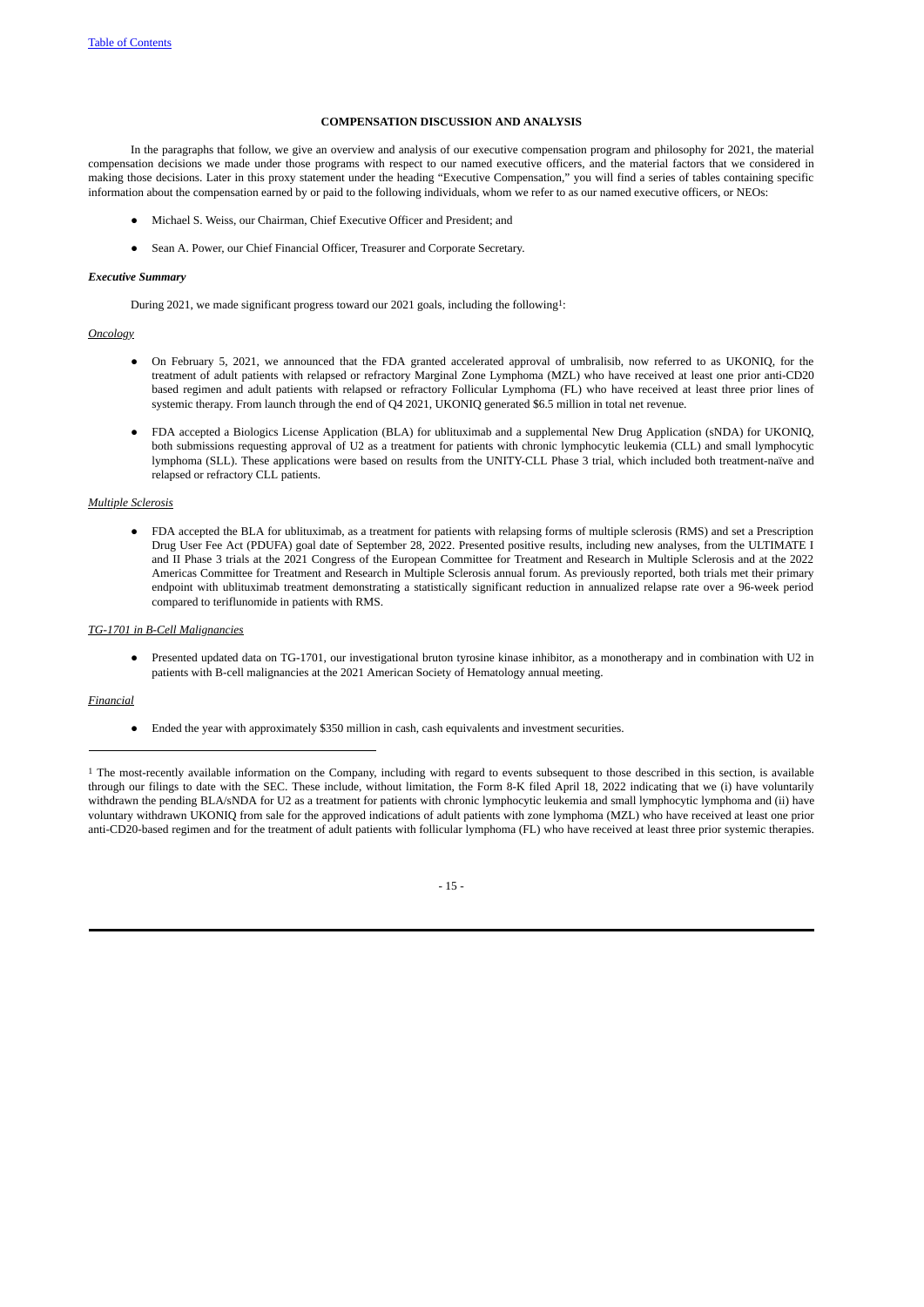## <span id="page-21-0"></span>**COMPENSATION DISCUSSION AND ANALYSIS**

In the paragraphs that follow, we give an overview and analysis of our executive compensation program and philosophy for 2021, the material compensation decisions we made under those programs with respect to our named executive officers, and the material factors that we considered in making those decisions. Later in this proxy statement under the heading "Executive Compensation," you will find a series of tables containing specific information about the compensation earned by or paid to the following individuals, whom we refer to as our named executive officers, or NEOs:

- Michael S. Weiss, our Chairman, Chief Executive Officer and President; and
- <span id="page-21-1"></span>● Sean A. Power, our Chief Financial Officer, Treasurer and Corporate Secretary.

### *Executive Summary*

During 2021, we made significant progress toward our 2021 goals, including the following1:

### *Oncology*

- On February 5, 2021, we announced that the FDA granted accelerated approval of umbralisib, now referred to as UKONIQ, for the treatment of adult patients with relapsed or refractory Marginal Zone Lymphoma (MZL) who have received at least one prior anti-CD20 based regimen and adult patients with relapsed or refractory Follicular Lymphoma (FL) who have received at least three prior lines of systemic therapy. From launch through the end of Q4 2021, UKONIQ generated \$6.5 million in total net revenue.
- FDA accepted a Biologics License Application (BLA) for ublituximab and a supplemental New Drug Application (sNDA) for UKONIQ, both submissions requesting approval of U2 as a treatment for patients with chronic lymphocytic leukemia (CLL) and small lymphocytic lymphoma (SLL). These applications were based on results from the UNITY-CLL Phase 3 trial, which included both treatment-naïve and relapsed or refractory CLL patients.

## *Multiple Sclerosis*

FDA accepted the BLA for ublituximab, as a treatment for patients with relapsing forms of multiple sclerosis (RMS) and set a Prescription Drug User Fee Act (PDUFA) goal date of September 28, 2022. Presented positive results, including new analyses, from the ULTIMATE I and II Phase 3 trials at the 2021 Congress of the European Committee for Treatment and Research in Multiple Sclerosis and at the 2022 Americas Committee for Treatment and Research in Multiple Sclerosis annual forum. As previously reported, both trials met their primary endpoint with ublituximab treatment demonstrating a statistically significant reduction in annualized relapse rate over a 96-week period compared to teriflunomide in patients with RMS.

### *TG-1701 in B-Cell Malignancies*

Presented updated data on TG-1701, our investigational bruton tyrosine kinase inhibitor, as a monotherapy and in combination with U2 in patients with B-cell malignancies at the 2021 American Society of Hematology annual meeting.

## *Financial*

● Ended the year with approximately \$350 million in cash, cash equivalents and investment securities.

<sup>1</sup> The most-recently available information on the Company, including with regard to events subsequent to those described in this section, is available through our filings to date with the SEC. These include, without limitation, the Form 8-K filed April 18, 2022 indicating that we (i) have voluntarily withdrawn the pending BLA/sNDA for U2 as a treatment for patients with chronic lymphocytic leukemia and small lymphocytic lymphoma and (ii) have voluntary withdrawn UKONIQ from sale for the approved indications of adult patients with zone lymphoma (MZL) who have received at least one prior anti-CD20-based regimen and for the treatment of adult patients with follicular lymphoma (FL) who have received at least three prior systemic therapies.

# - 15 -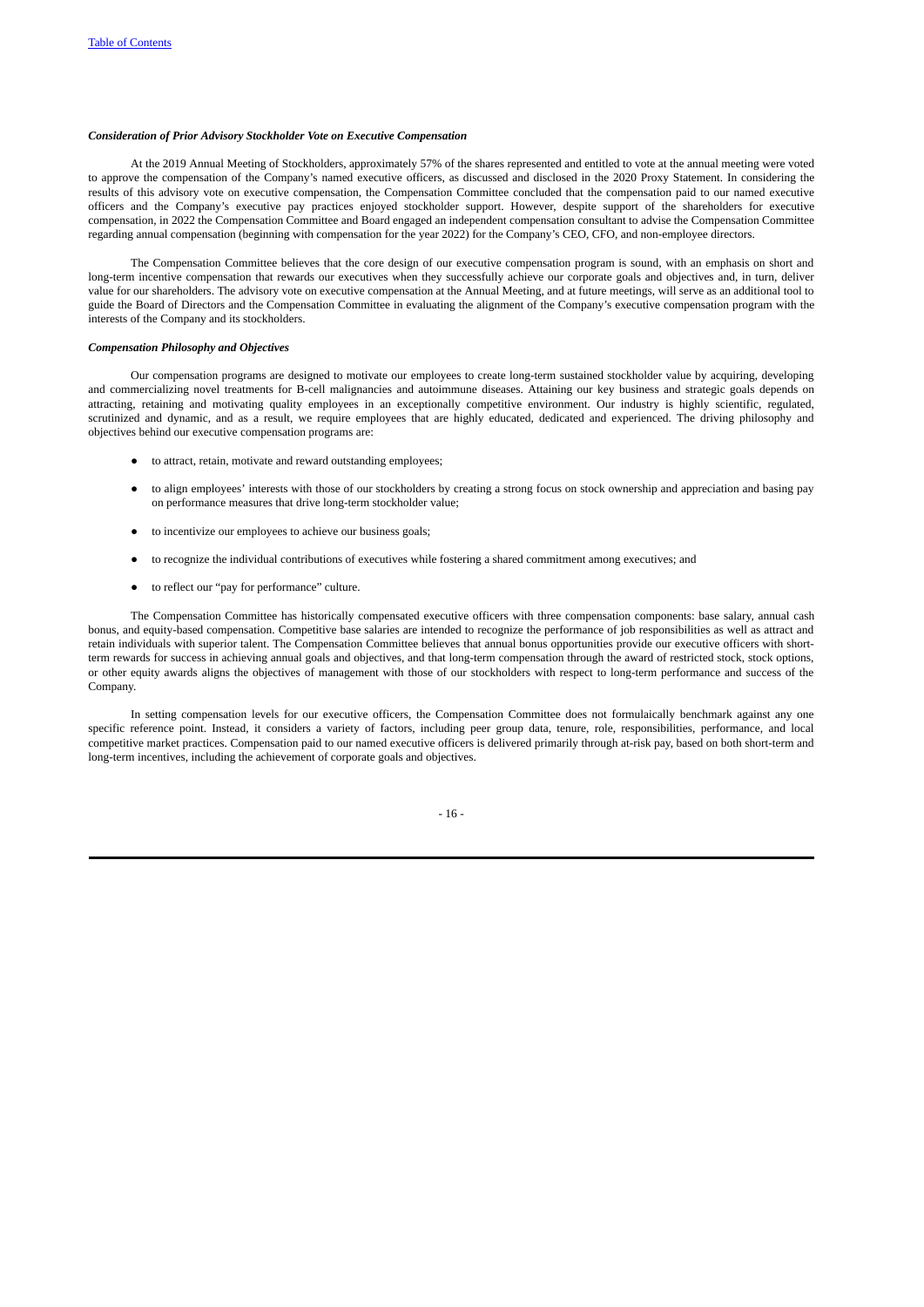# <span id="page-22-0"></span>*Consideration of Prior Advisory Stockholder Vote on Executive Compensation*

At the 2019 Annual Meeting of Stockholders, approximately 57% of the shares represented and entitled to vote at the annual meeting were voted to approve the compensation of the Company's named executive officers, as discussed and disclosed in the 2020 Proxy Statement. In considering the results of this advisory vote on executive compensation, the Compensation Committee concluded that the compensation paid to our named executive officers and the Company's executive pay practices enjoyed stockholder support. However, despite support of the shareholders for executive compensation, in 2022 the Compensation Committee and Board engaged an independent compensation consultant to advise the Compensation Committee regarding annual compensation (beginning with compensation for the year 2022) for the Company's CEO, CFO, and non-employee directors.

The Compensation Committee believes that the core design of our executive compensation program is sound, with an emphasis on short and long-term incentive compensation that rewards our executives when they successfully achieve our corporate goals and objectives and, in turn, deliver value for our shareholders. The advisory vote on executive compensation at the Annual Meeting, and at future meetings, will serve as an additional tool to guide the Board of Directors and the Compensation Committee in evaluating the alignment of the Company's executive compensation program with the interests of the Company and its stockholders.

### *Compensation Philosophy and Objectives*

Our compensation programs are designed to motivate our employees to create long-term sustained stockholder value by acquiring, developing and commercializing novel treatments for B-cell malignancies and autoimmune diseases. Attaining our key business and strategic goals depends on attracting, retaining and motivating quality employees in an exceptionally competitive environment. Our industry is highly scientific, regulated, scrutinized and dynamic, and as a result, we require employees that are highly educated, dedicated and experienced. The driving philosophy and objectives behind our executive compensation programs are:

- <span id="page-22-1"></span>● to attract, retain, motivate and reward outstanding employees;
- to align employees' interests with those of our stockholders by creating a strong focus on stock ownership and appreciation and basing pay on performance measures that drive long-term stockholder value;
- to incentivize our employees to achieve our business goals;
- to recognize the individual contributions of executives while fostering a shared commitment among executives; and
- to reflect our "pay for performance" culture.

The Compensation Committee has historically compensated executive officers with three compensation components: base salary, annual cash bonus, and equity-based compensation. Competitive base salaries are intended to recognize the performance of job responsibilities as well as attract and retain individuals with superior talent. The Compensation Committee believes that annual bonus opportunities provide our executive officers with shortterm rewards for success in achieving annual goals and objectives, and that long-term compensation through the award of restricted stock, stock options, or other equity awards aligns the objectives of management with those of our stockholders with respect to long-term performance and success of the Company.

In setting compensation levels for our executive officers, the Compensation Committee does not formulaically benchmark against any one specific reference point. Instead, it considers a variety of factors, including peer group data, tenure, role, responsibilities, performance, and local competitive market practices. Compensation paid to our named executive officers is delivered primarily through at-risk pay, based on both short-term and long-term incentives, including the achievement of corporate goals and objectives.

- 16 -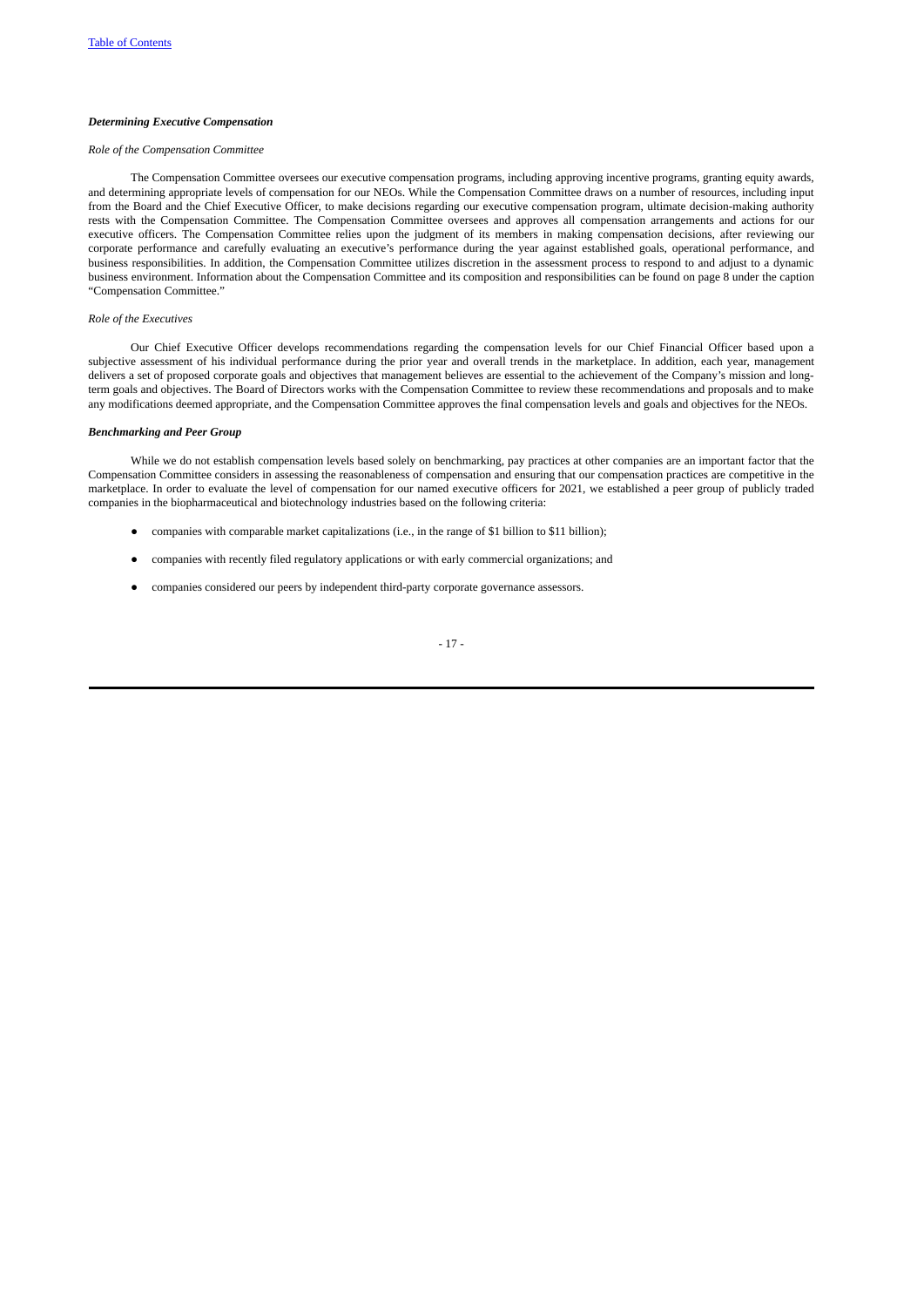### <span id="page-23-0"></span>*Determining Executive Compensation*

# *Role of the Compensation Committee*

The Compensation Committee oversees our executive compensation programs, including approving incentive programs, granting equity awards, and determining appropriate levels of compensation for our NEOs. While the Compensation Committee draws on a number of resources, including input from the Board and the Chief Executive Officer, to make decisions regarding our executive compensation program, ultimate decision-making authority rests with the Compensation Committee. The Compensation Committee oversees and approves all compensation arrangements and actions for our executive officers. The Compensation Committee relies upon the judgment of its members in making compensation decisions, after reviewing our corporate performance and carefully evaluating an executive's performance during the year against established goals, operational performance, and business responsibilities. In addition, the Compensation Committee utilizes discretion in the assessment process to respond to and adjust to a dynamic business environment. Information about the Compensation Committee and its composition and responsibilities can be found on page 8 under the caption "Compensation Committee."

# *Role of the Executives*

Our Chief Executive Officer develops recommendations regarding the compensation levels for our Chief Financial Officer based upon a subjective assessment of his individual performance during the prior year and overall trends in the marketplace. In addition, each year, management delivers a set of proposed corporate goals and objectives that management believes are essential to the achievement of the Company's mission and longterm goals and objectives. The Board of Directors works with the Compensation Committee to review these recommendations and proposals and to make any modifications deemed appropriate, and the Compensation Committee approves the final compensation levels and goals and objectives for the NEOs.

# *Benchmarking and Peer Group*

While we do not establish compensation levels based solely on benchmarking, pay practices at other companies are an important factor that the Compensation Committee considers in assessing the reasonableness of compensation and ensuring that our compensation practices are competitive in the marketplace. In order to evaluate the level of compensation for our named executive officers for 2021, we established a peer group of publicly traded companies in the biopharmaceutical and biotechnology industries based on the following criteria:

- <span id="page-23-1"></span>● companies with comparable market capitalizations (i.e., in the range of \$1 billion to \$11 billion);
- companies with recently filed regulatory applications or with early commercial organizations; and
- companies considered our peers by independent third-party corporate governance assessors.

# - 17 -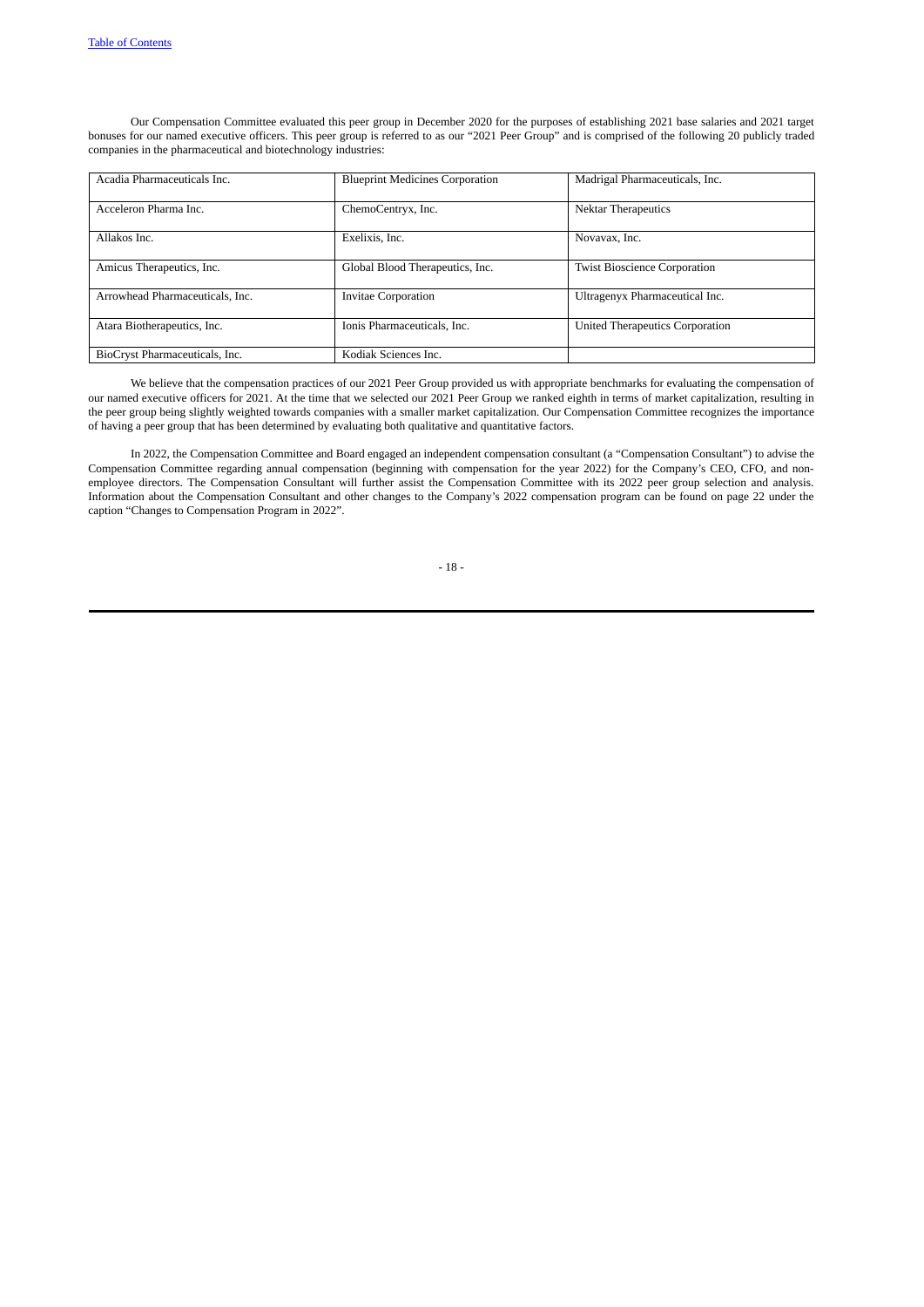Our Compensation Committee evaluated this peer group in December 2020 for the purposes of establishing 2021 base salaries and 2021 target bonuses for our named executive officers. This peer group is referred to as our "2021 Peer Group" and is comprised of the following 20 publicly traded companies in the pharmaceutical and biotechnology industries:

| Acadia Pharmaceuticals Inc.     | <b>Blueprint Medicines Corporation</b> | Madrigal Pharmaceuticals, Inc.      |
|---------------------------------|----------------------------------------|-------------------------------------|
| Acceleron Pharma Inc.           | ChemoCentryx, Inc.                     | <b>Nektar Therapeutics</b>          |
| Allakos Inc.                    | Exelixis, Inc.                         | Novavax, Inc.                       |
| Amicus Therapeutics, Inc.       | Global Blood Therapeutics, Inc.        | <b>Twist Bioscience Corporation</b> |
| Arrowhead Pharmaceuticals, Inc. | <b>Invitae Corporation</b>             | Ultragenyx Pharmaceutical Inc.      |
| Atara Biotherapeutics, Inc.     | Ionis Pharmaceuticals, Inc.            | United Therapeutics Corporation     |
| BioCryst Pharmaceuticals, Inc.  | Kodiak Sciences Inc.                   |                                     |

We believe that the compensation practices of our 2021 Peer Group provided us with appropriate benchmarks for evaluating the compensation of our named executive officers for 2021. At the time that we selected our 2021 Peer Group we ranked eighth in terms of market capitalization, resulting in the peer group being slightly weighted towards companies with a smaller market capitalization. Our Compensation Committee recognizes the importance of having a peer group that has been determined by evaluating both qualitative and quantitative factors.

In 2022, the Compensation Committee and Board engaged an independent compensation consultant (a "Compensation Consultant") to advise the Compensation Committee regarding annual compensation (beginning with compensation for the year 2022) for the Company's CEO, CFO, and nonemployee directors. The Compensation Consultant will further assist the Compensation Committee with its 2022 peer group selection and analysis. Information about the Compensation Consultant and other changes to the Company's 2022 compensation program can be found on page 22 under the caption "Changes to Compensation Program in 2022".

- 18 -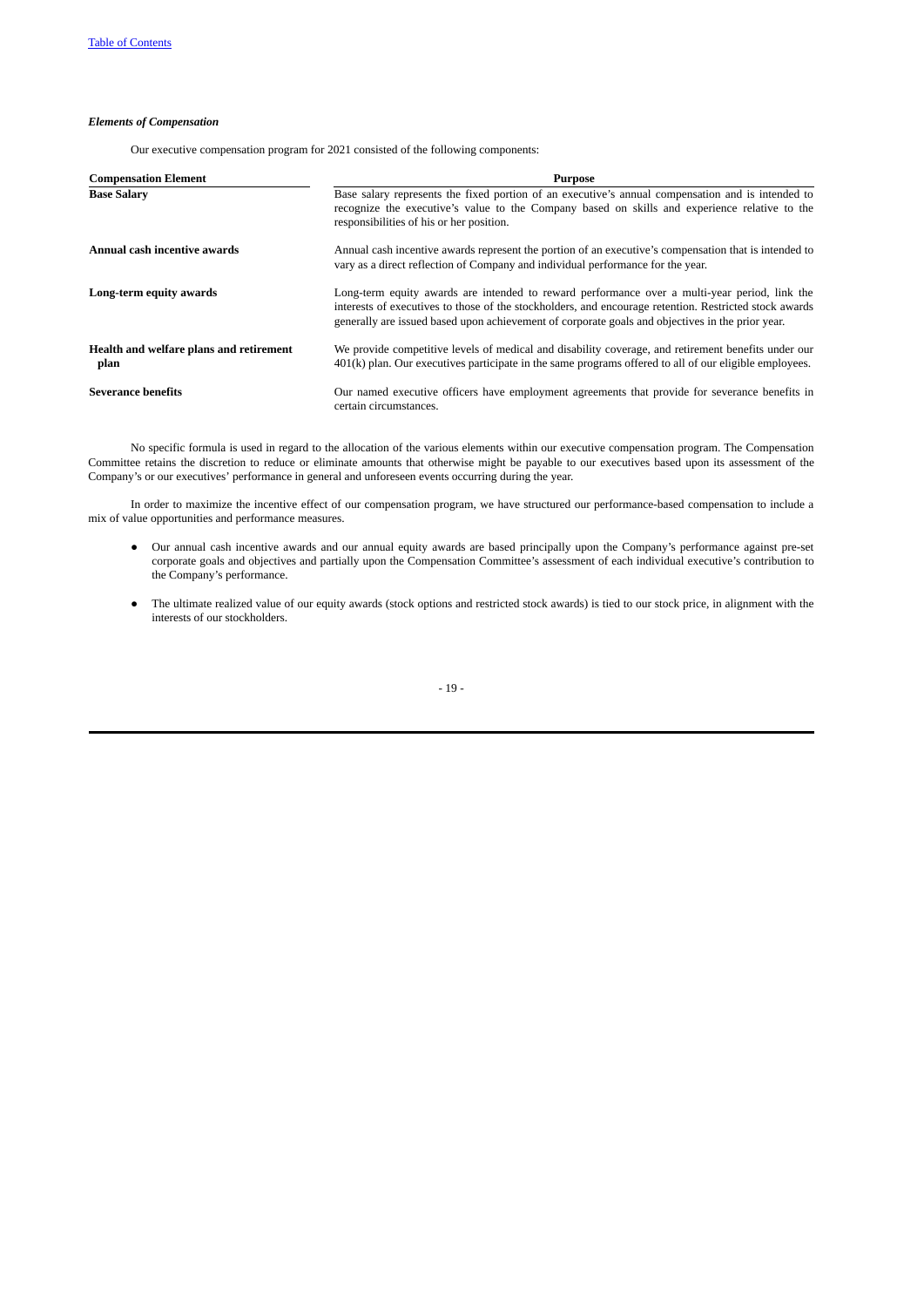# *Elements of Compensation*

<span id="page-25-0"></span>Our executive compensation program for 2021 consisted of the following components:

| <b>Compensation Element</b>                     | <b>Purpose</b>                                                                                                                                                                                                                                                                                              |
|-------------------------------------------------|-------------------------------------------------------------------------------------------------------------------------------------------------------------------------------------------------------------------------------------------------------------------------------------------------------------|
| <b>Base Salary</b>                              | Base salary represents the fixed portion of an executive's annual compensation and is intended to<br>recognize the executive's value to the Company based on skills and experience relative to the<br>responsibilities of his or her position.                                                              |
| Annual cash incentive awards                    | Annual cash incentive awards represent the portion of an executive's compensation that is intended to<br>vary as a direct reflection of Company and individual performance for the year.                                                                                                                    |
| Long-term equity awards                         | Long-term equity awards are intended to reward performance over a multi-year period, link the<br>interests of executives to those of the stockholders, and encourage retention. Restricted stock awards<br>generally are issued based upon achievement of corporate goals and objectives in the prior year. |
| Health and welfare plans and retirement<br>plan | We provide competitive levels of medical and disability coverage, and retirement benefits under our<br>401(k) plan. Our executives participate in the same programs offered to all of our eligible employees.                                                                                               |
| <b>Severance benefits</b>                       | Our named executive officers have employment agreements that provide for severance benefits in<br>certain circumstances.                                                                                                                                                                                    |

No specific formula is used in regard to the allocation of the various elements within our executive compensation program. The Compensation Committee retains the discretion to reduce or eliminate amounts that otherwise might be payable to our executives based upon its assessment of the Company's or our executives' performance in general and unforeseen events occurring during the year.

In order to maximize the incentive effect of our compensation program, we have structured our performance-based compensation to include a mix of value opportunities and performance measures.

- Our annual cash incentive awards and our annual equity awards are based principally upon the Company's performance against pre-set corporate goals and objectives and partially upon the Compensation Committee's assessment of each individual executive's contribution to the Company's performance.
- The ultimate realized value of our equity awards (stock options and restricted stock awards) is tied to our stock price, in alignment with the interests of our stockholders.

- 19 -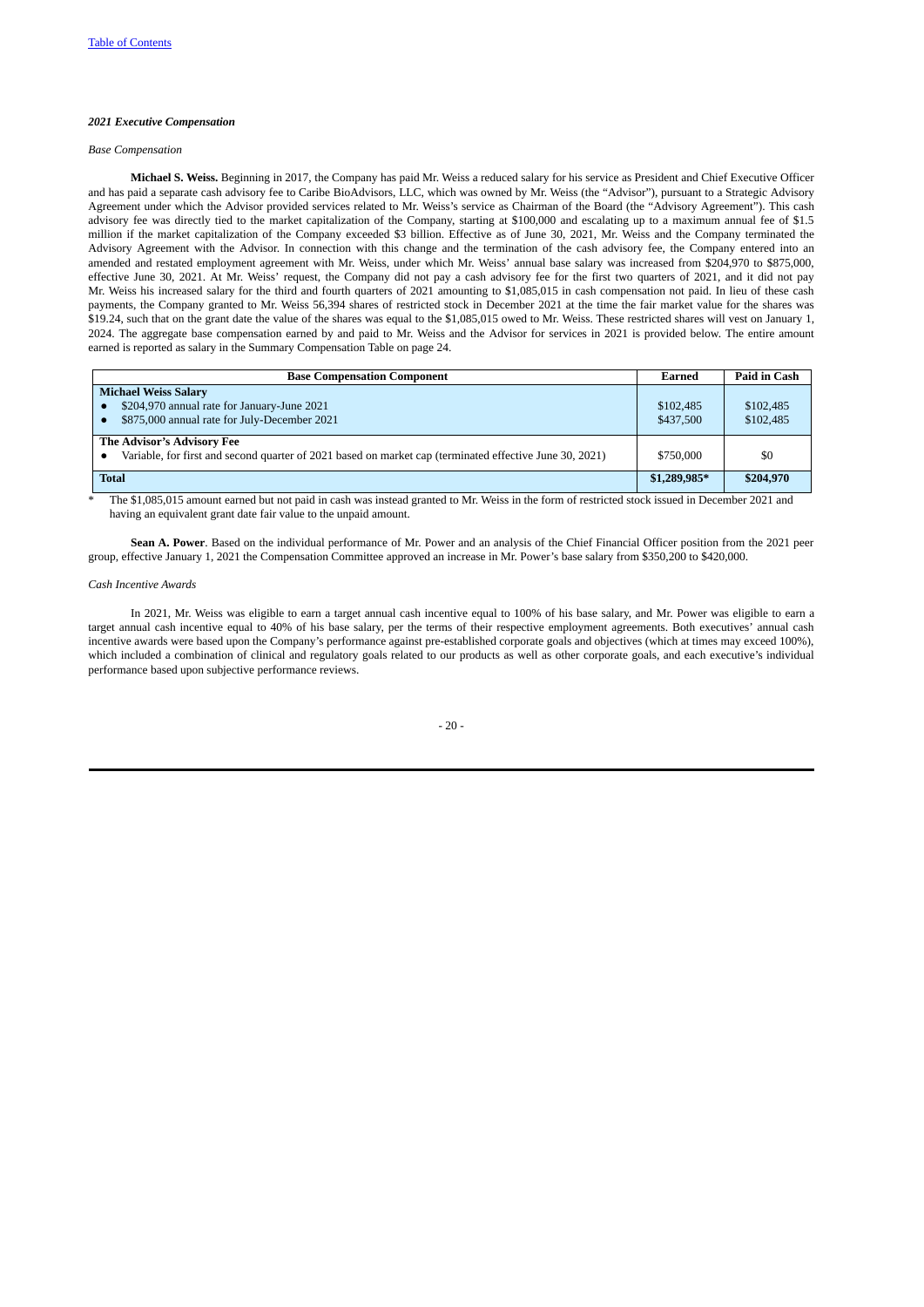### <span id="page-26-0"></span>*2021 Executive Compensation*

# <span id="page-26-1"></span>*Base Compensation*

**Michael S. Weiss.** Beginning in 2017, the Company has paid Mr. Weiss a reduced salary for his service as President and Chief Executive Officer and has paid a separate cash advisory fee to Caribe BioAdvisors, LLC, which was owned by Mr. Weiss (the "Advisor"), pursuant to a Strategic Advisory Agreement under which the Advisor provided services related to Mr. Weiss's service as Chairman of the Board (the "Advisory Agreement"). This cash advisory fee was directly tied to the market capitalization of the Company, starting at \$100,000 and escalating up to a maximum annual fee of \$1.5 million if the market capitalization of the Company exceeded \$3 billion. Effective as of June 30, 2021, Mr. Weiss and the Company terminated the Advisory Agreement with the Advisor. In connection with this change and the termination of the cash advisory fee, the Company entered into an amended and restated employment agreement with Mr. Weiss, under which Mr. Weiss' annual base salary was increased from \$204,970 to \$875,000, effective June 30, 2021. At Mr. Weiss' request, the Company did not pay a cash advisory fee for the first two quarters of 2021, and it did not pay Mr. Weiss his increased salary for the third and fourth quarters of 2021 amounting to \$1,085,015 in cash compensation not paid. In lieu of these cash payments, the Company granted to Mr. Weiss 56,394 shares of restricted stock in December 2021 at the time the fair market value for the shares was \$19.24, such that on the grant date the value of the shares was equal to the \$1,085,015 owed to Mr. Weiss. These restricted shares will vest on January 1, 2024. The aggregate base compensation earned by and paid to Mr. Weiss and the Advisor for services in 2021 is provided below. The entire amount earned is reported as salary in the Summary Compensation Table on page 24.

| <b>Base Compensation Component</b>                                                                      | Earned        | Paid in Cash |
|---------------------------------------------------------------------------------------------------------|---------------|--------------|
| <b>Michael Weiss Salary</b>                                                                             |               |              |
| \$204,970 annual rate for January-June 2021                                                             | \$102,485     | \$102,485    |
| \$875,000 annual rate for July-December 2021                                                            | \$437,500     | \$102,485    |
| The Advisor's Advisory Fee                                                                              |               |              |
| Variable, for first and second quarter of 2021 based on market cap (terminated effective June 30, 2021) | \$750,000     | \$0          |
| <b>Total</b>                                                                                            | $$1,289,985*$ | \$204,970    |

The \$1,085,015 amount earned but not paid in cash was instead granted to Mr. Weiss in the form of restricted stock issued in December 2021 and having an equivalent grant date fair value to the unpaid amount.

**Sean A. Power**. Based on the individual performance of Mr. Power and an analysis of the Chief Financial Officer position from the 2021 peer group, effective January 1, 2021 the Compensation Committee approved an increase in Mr. Power's base salary from \$350,200 to \$420,000.

### <span id="page-26-2"></span>*Cash Incentive Awards*

In 2021, Mr. Weiss was eligible to earn a target annual cash incentive equal to 100% of his base salary, and Mr. Power was eligible to earn a target annual cash incentive equal to 40% of his base salary, per the terms of their respective employment agreements. Both executives' annual cash incentive awards were based upon the Company's performance against pre-established corporate goals and objectives (which at times may exceed 100%), which included a combination of clinical and regulatory goals related to our products as well as other corporate goals, and each executive's individual performance based upon subjective performance reviews.

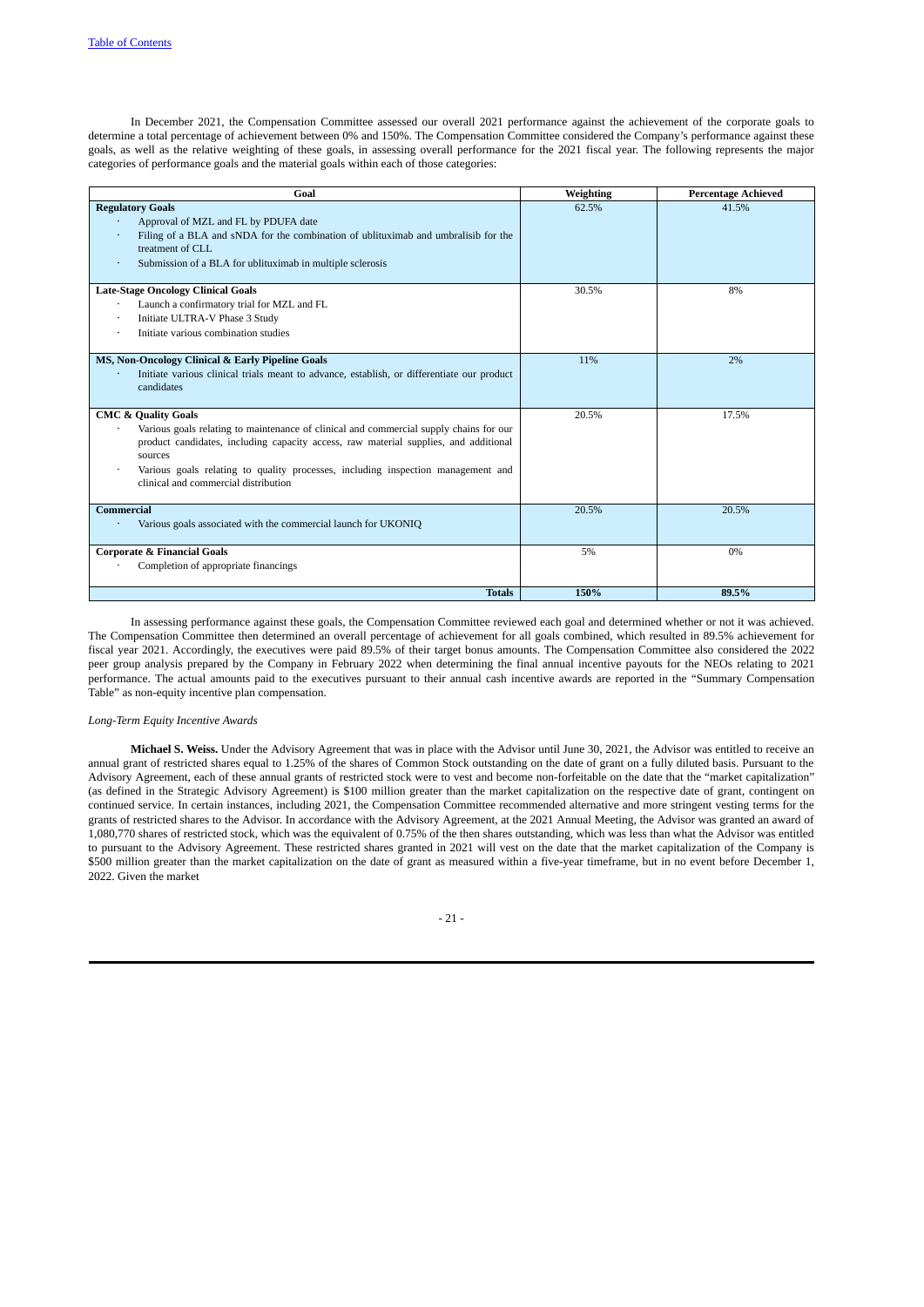In December 2021, the Compensation Committee assessed our overall 2021 performance against the achievement of the corporate goals to determine a total percentage of achievement between 0% and 150%. The Compensation Committee considered the Company's performance against these goals, as well as the relative weighting of these goals, in assessing overall performance for the 2021 fiscal year. The following represents the major categories of performance goals and the material goals within each of those categories:

| Goal                                                                                                                                                                                                                                                                                                                                                    | Weighting | <b>Percentage Achieved</b> |
|---------------------------------------------------------------------------------------------------------------------------------------------------------------------------------------------------------------------------------------------------------------------------------------------------------------------------------------------------------|-----------|----------------------------|
| <b>Regulatory Goals</b><br>Approval of MZL and FL by PDUFA date<br>Filing of a BLA and sNDA for the combination of ublituximab and umbralisib for the<br>treatment of CLL.<br>Submission of a BLA for ublituximab in multiple sclerosis                                                                                                                 | 62.5%     | 41.5%                      |
| <b>Late-Stage Oncology Clinical Goals</b><br>Launch a confirmatory trial for MZL and FL<br>٠<br>Initiate ULTRA-V Phase 3 Study<br>Initiate various combination studies<br>$\bullet$                                                                                                                                                                     | 30.5%     | 8%                         |
| MS, Non-Oncology Clinical & Early Pipeline Goals<br>Initiate various clinical trials meant to advance, establish, or differentiate our product<br>candidates                                                                                                                                                                                            | 11%       | 2%                         |
| <b>CMC &amp; Quality Goals</b><br>Various goals relating to maintenance of clinical and commercial supply chains for our<br>product candidates, including capacity access, raw material supplies, and additional<br>sources<br>Various goals relating to quality processes, including inspection management and<br>clinical and commercial distribution | 20.5%     | 17.5%                      |
| Commercial<br>Various goals associated with the commercial launch for UKONIQ                                                                                                                                                                                                                                                                            | 20.5%     | 20.5%                      |
| <b>Corporate &amp; Financial Goals</b><br>Completion of appropriate financings                                                                                                                                                                                                                                                                          | 5%        | $0\%$                      |
| <b>Totals</b>                                                                                                                                                                                                                                                                                                                                           | 150%      | 89.5%                      |

In assessing performance against these goals, the Compensation Committee reviewed each goal and determined whether or not it was achieved. The Compensation Committee then determined an overall percentage of achievement for all goals combined, which resulted in 89.5% achievement for fiscal year 2021. Accordingly, the executives were paid 89.5% of their target bonus amounts. The Compensation Committee also considered the 2022 peer group analysis prepared by the Company in February 2022 when determining the final annual incentive payouts for the NEOs relating to 2021 performance. The actual amounts paid to the executives pursuant to their annual cash incentive awards are reported in the "Summary Compensation Table" as non-equity incentive plan compensation.

### <span id="page-27-0"></span>*Long-Term Equity Incentive Awards*

**Michael S. Weiss.** Under the Advisory Agreement that was in place with the Advisor until June 30, 2021, the Advisor was entitled to receive an annual grant of restricted shares equal to 1.25% of the shares of Common Stock outstanding on the date of grant on a fully diluted basis. Pursuant to the Advisory Agreement, each of these annual grants of restricted stock were to vest and become non-forfeitable on the date that the "market capitalization" (as defined in the Strategic Advisory Agreement) is \$100 million greater than the market capitalization on the respective date of grant, contingent on continued service. In certain instances, including 2021, the Compensation Committee recommended alternative and more stringent vesting terms for the grants of restricted shares to the Advisor. In accordance with the Advisory Agreement, at the 2021 Annual Meeting, the Advisor was granted an award of 1,080,770 shares of restricted stock, which was the equivalent of 0.75% of the then shares outstanding, which was less than what the Advisor was entitled to pursuant to the Advisory Agreement. These restricted shares granted in 2021 will vest on the date that the market capitalization of the Company is \$500 million greater than the market capitalization on the date of grant as measured within a five-year timeframe, but in no event before December 1, 2022. Given the market

### - 21 -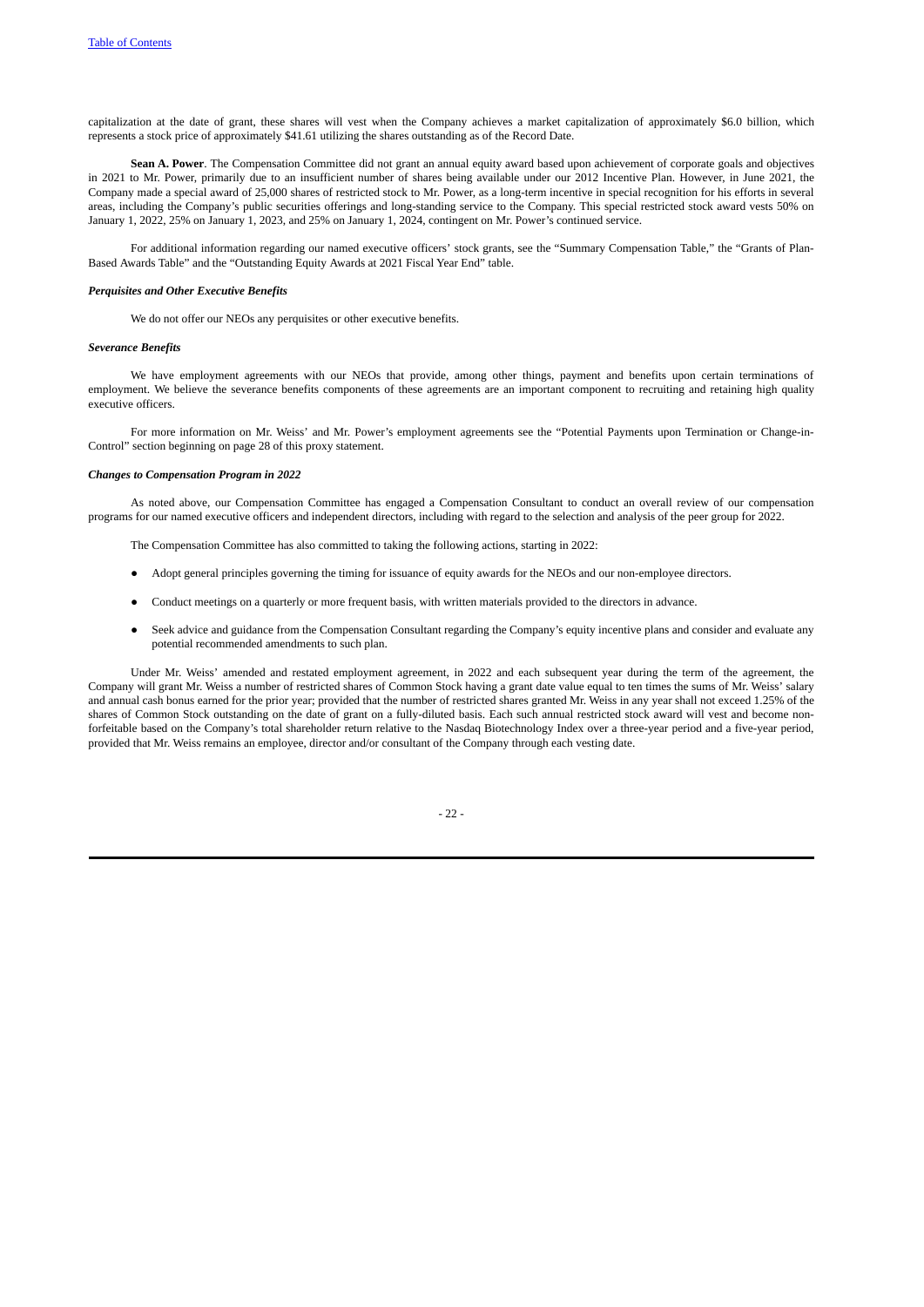capitalization at the date of grant, these shares will vest when the Company achieves a market capitalization of approximately \$6.0 billion, which represents a stock price of approximately \$41.61 utilizing the shares outstanding as of the Record Date.

**Sean A. Power**. The Compensation Committee did not grant an annual equity award based upon achievement of corporate goals and objectives in 2021 to Mr. Power, primarily due to an insufficient number of shares being available under our 2012 Incentive Plan. However, in June 2021, the Company made a special award of 25,000 shares of restricted stock to Mr. Power, as a long-term incentive in special recognition for his efforts in several areas, including the Company's public securities offerings and long-standing service to the Company. This special restricted stock award vests 50% on January 1, 2022, 25% on January 1, 2023, and 25% on January 1, 2024, contingent on Mr. Power's continued service.

For additional information regarding our named executive officers' stock grants, see the "Summary Compensation Table," the "Grants of Plan-Based Awards Table" and the "Outstanding Equity Awards at 2021 Fiscal Year End" table.

### *Perquisites and Other Executive Benefits*

<span id="page-28-1"></span><span id="page-28-0"></span>We do not offer our NEOs any perquisites or other executive benefits.

## *Severance Benefits*

We have employment agreements with our NEOs that provide, among other things, payment and benefits upon certain terminations of employment. We believe the severance benefits components of these agreements are an important component to recruiting and retaining high quality executive officers.

For more information on Mr. Weiss' and Mr. Power's employment agreements see the "Potential Payments upon Termination or Change-in-Control" section beginning on page 28 of this proxy statement.

### *Changes to Compensation Program in 2022*

As noted above, our Compensation Committee has engaged a Compensation Consultant to conduct an overall review of our compensation programs for our named executive officers and independent directors, including with regard to the selection and analysis of the peer group for 2022.

The Compensation Committee has also committed to taking the following actions, starting in 2022:

- Adopt general principles governing the timing for issuance of equity awards for the NEOs and our non-employee directors.
- Conduct meetings on a quarterly or more frequent basis, with written materials provided to the directors in advance.
- Seek advice and guidance from the Compensation Consultant regarding the Company's equity incentive plans and consider and evaluate any potential recommended amendments to such plan.

Under Mr. Weiss' amended and restated employment agreement, in 2022 and each subsequent year during the term of the agreement, the Company will grant Mr. Weiss a number of restricted shares of Common Stock having a grant date value equal to ten times the sums of Mr. Weiss' salary and annual cash bonus earned for the prior year; provided that the number of restricted shares granted Mr. Weiss in any year shall not exceed 1.25% of the shares of Common Stock outstanding on the date of grant on a fully-diluted basis. Each such annual restricted stock award will vest and become nonforfeitable based on the Company's total shareholder return relative to the Nasdaq Biotechnology Index over a three-year period and a five-year period, provided that Mr. Weiss remains an employee, director and/or consultant of the Company through each vesting date.

 $22$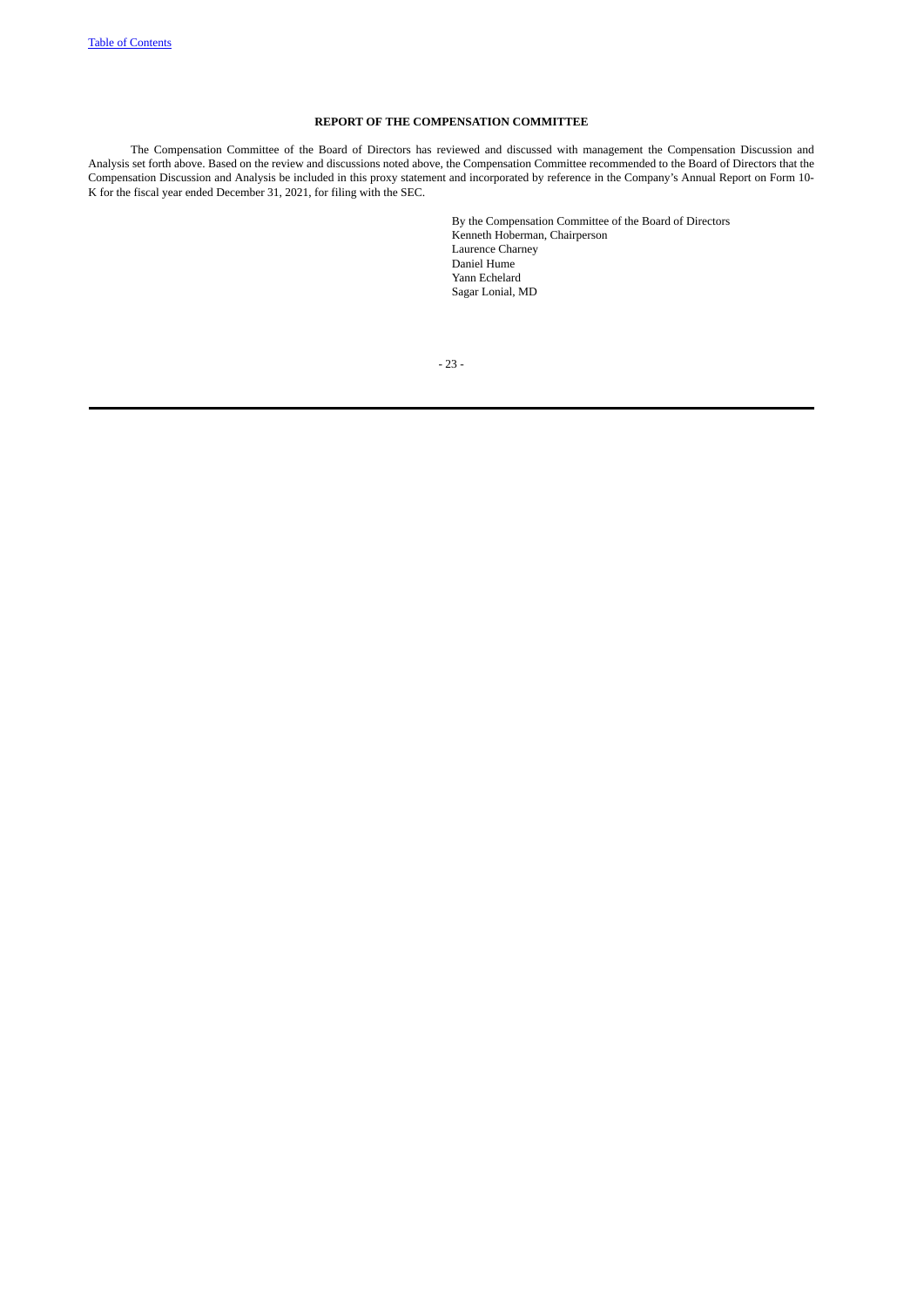# **REPORT OF THE COMPENSATION COMMITTEE**

The Compensation Committee of the Board of Directors has reviewed and discussed with management the Compensation Discussion and Analysis set forth above. Based on the review and discussions noted above, the Compensation Committee recommended to the Board of Directors that the Compensation Discussion and Analysis be included in this proxy statement and incorporated by reference in the Company's Annual Report on Form 10- K for the fiscal year ended December 31, 2021, for filing with the SEC.

> <span id="page-29-0"></span>By the Compensation Committee of the Board of Directors Kenneth Hoberman, Chairperson Laurence Charney Daniel Hume Yann Echelard Sagar Lonial, MD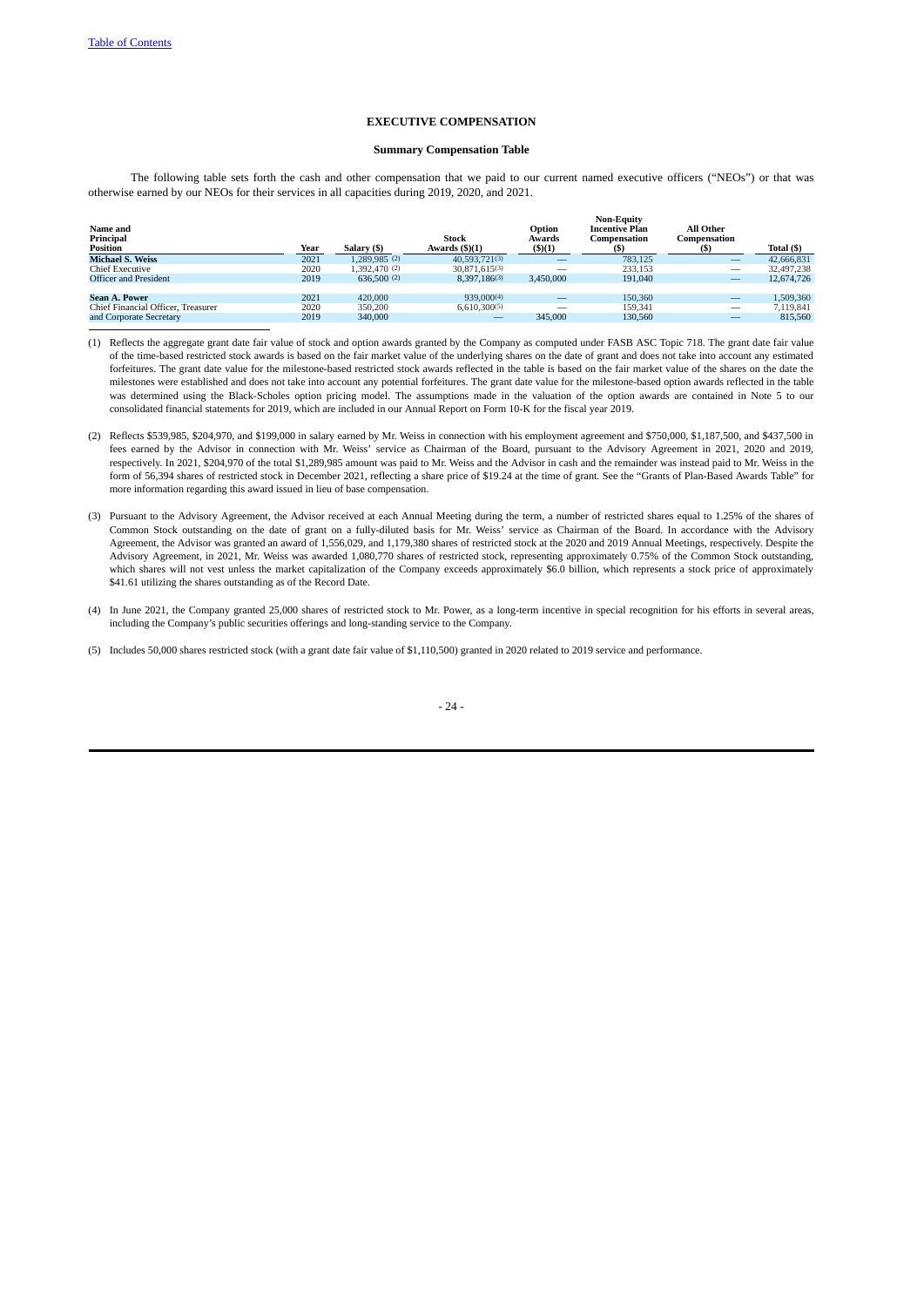# **EXECUTIVE COMPENSATION**

## <span id="page-30-1"></span><span id="page-30-0"></span>**Summary Compensation Table**

The following table sets forth the cash and other compensation that we paid to our current named executive officers ("NEOs") or that was otherwise earned by our NEOs for their services in all capacities during 2019, 2020, and 2021.

| Name and<br>Principal<br>Position  | Year | Salary (\$)   | Stock<br>Awards $(\frac{5}{1})$ | Option<br>Awards<br>(5)(1) | <b>Non-Equity</b><br><b>Incentive Plan</b><br>Compensation | All Other<br>Compensation | Total (\$) |
|------------------------------------|------|---------------|---------------------------------|----------------------------|------------------------------------------------------------|---------------------------|------------|
| <b>Michael S. Weiss</b>            | 2021 | 1.289.985 (2) | 40.593.721(3)                   |                            | 783.125                                                    | $\qquad \qquad -$         | 42,666,831 |
| <b>Chief Executive</b>             | 2020 | 1.392,470 (2) | $30.871.615^{(3)}$              |                            | 233.153                                                    | -                         | 32,497,238 |
| <b>Officer and President</b>       | 2019 | 636,500(2)    | 8.397.186(3)                    | 3.450,000                  | 191,040                                                    | $\qquad \qquad -$         | 12.674.726 |
|                                    |      |               |                                 |                            |                                                            |                           |            |
| <b>Sean A. Power</b>               | 2021 | 420,000       | 939,000(4)                      | $\overline{\phantom{a}}$   | 150,360                                                    | $\overline{\phantom{a}}$  | 1.509.360  |
| Chief Financial Officer, Treasurer | 2020 | 350,200       | 6,610,300(5)                    | $\overline{\phantom{a}}$   | 159.341                                                    | $\overline{\phantom{a}}$  | 7.119.841  |
| and Corporate Secretary            | 2019 | 340,000       |                                 | 345,000                    | 130,560                                                    |                           | 815,560    |

- (1) Reflects the aggregate grant date fair value of stock and option awards granted by the Company as computed under FASB ASC Topic 718. The grant date fair value of the time-based restricted stock awards is based on the fair market value of the underlying shares on the date of grant and does not take into account any estimated forfeitures. The grant date value for the milestone-based restricted stock awards reflected in the table is based on the fair market value of the shares on the date the milestones were established and does not take into account any potential forfeitures. The grant date value for the milestone-based option awards reflected in the table was determined using the Black-Scholes option pricing model. The assumptions made in the valuation of the option awards are contained in Note 5 to our consolidated financial statements for 2019, which are included in our Annual Report on Form 10-K for the fiscal year 2019.
- (2) Reflects \$539,985, \$204,970, and \$199,000 in salary earned by Mr. Weiss in connection with his employment agreement and \$750,000, \$1,187,500, and \$437,500 in fees earned by the Advisor in connection with Mr. Weiss' service as Chairman of the Board, pursuant to the Advisory Agreement in 2021, 2020 and 2019, respectively. In 2021, \$204,970 of the total \$1,289,985 amount was paid to Mr. Weiss and the Advisor in cash and the remainder was instead paid to Mr. Weiss in the form of 56,394 shares of restricted stock in December 2021, reflecting a share price of \$19.24 at the time of grant. See the "Grants of Plan-Based Awards Table" for more information regarding this award issued in lieu of base compensation.
- (3) Pursuant to the Advisory Agreement, the Advisor received at each Annual Meeting during the term, a number of restricted shares equal to 1.25% of the shares of Common Stock outstanding on the date of grant on a fully-diluted basis for Mr. Weiss' service as Chairman of the Board. In accordance with the Advisory Agreement, the Advisor was granted an award of 1,556,029, and 1,179,380 shares of restricted stock at the 2020 and 2019 Annual Meetings, respectively. Despite the Advisory Agreement, in 2021, Mr. Weiss was awarded 1,080,770 shares of restricted stock, representing approximately 0.75% of the Common Stock outstanding, which shares will not vest unless the market capitalization of the Company exceeds approximately \$6.0 billion, which represents a stock price of approximately \$41.61 utilizing the shares outstanding as of the Record Date.
- (4) In June 2021, the Company granted 25,000 shares of restricted stock to Mr. Power, as a long-term incentive in special recognition for his efforts in several areas, including the Company's public securities offerings and long-standing service to the Company.
- (5) Includes 50,000 shares restricted stock (with a grant date fair value of \$1,110,500) granted in 2020 related to 2019 service and performance.

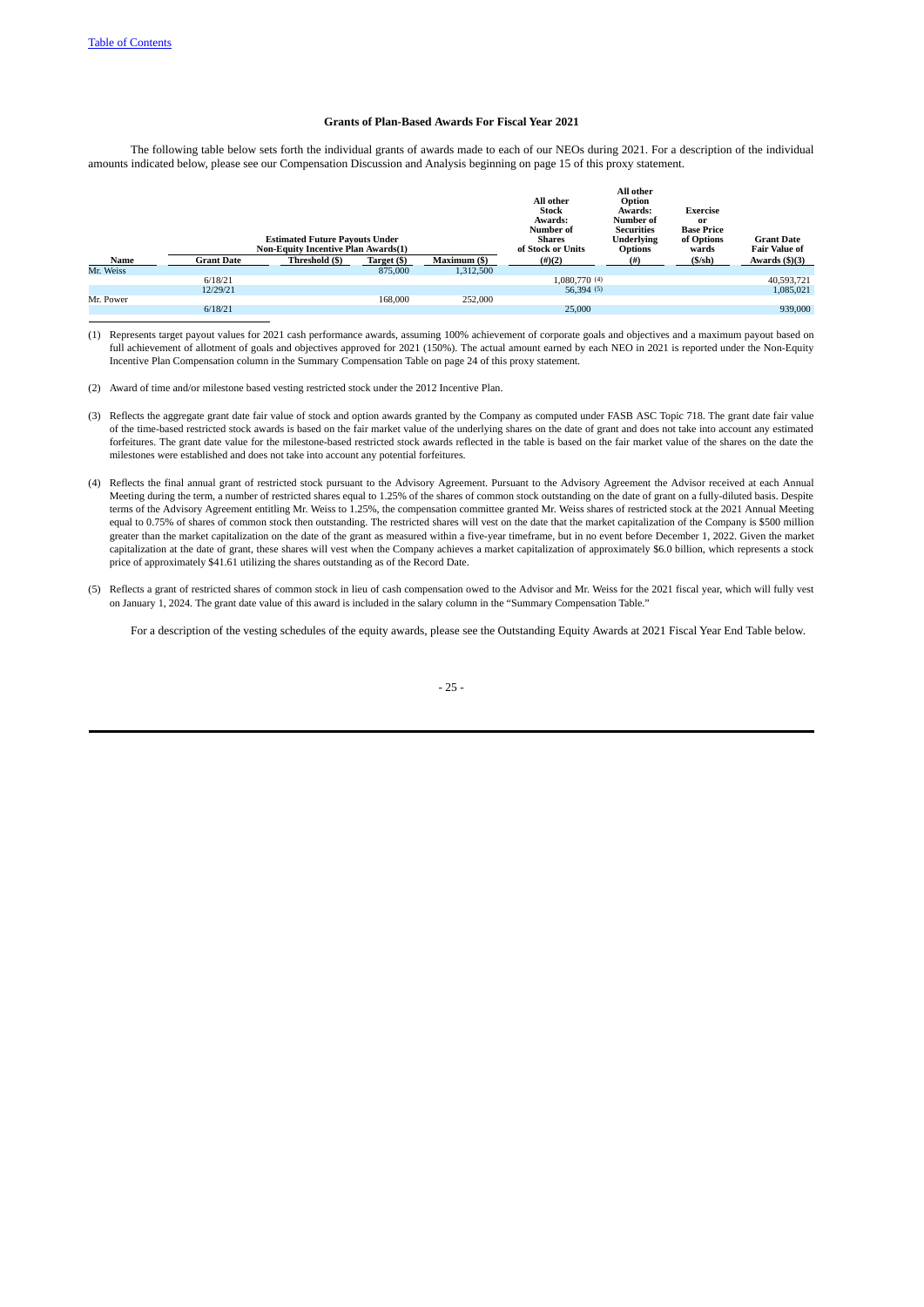## <span id="page-31-0"></span>**Grants of Plan-Based Awards For Fiscal Year 2021**

The following table below sets forth the individual grants of awards made to each of our NEOs during 2021. For a description of the individual amounts indicated below, please see our Compensation Discussion and Analysis beginning on page 15 of this proxy statement.

|           |                   | <b>Estimated Future Payouts Under</b><br><b>Non-Equity Incentive Plan Awards(1)</b> |             |              | All other<br><b>Stock</b><br>Awards:<br>Number of<br><b>Shares</b><br>of Stock or Units | All other<br>Option<br>Awards:<br>Number of<br><b>Securities</b><br><b>Underlying</b><br><b>Options</b> | <b>Exercise</b><br>or<br><b>Base Price</b><br>of Options<br>wards | <b>Grant Date</b><br><b>Fair Value of</b> |
|-----------|-------------------|-------------------------------------------------------------------------------------|-------------|--------------|-----------------------------------------------------------------------------------------|---------------------------------------------------------------------------------------------------------|-------------------------------------------------------------------|-------------------------------------------|
| Name      | <b>Grant Date</b> | Threshold (\$)                                                                      | Target (\$) | Maximum (\$) | $(\#)(2)$                                                                               | (# )                                                                                                    | $(S/\sh)$                                                         | Awards $(\frac{5}{3})$                    |
| Mr. Weiss |                   |                                                                                     | 875,000     | 1,312,500    |                                                                                         |                                                                                                         |                                                                   |                                           |
|           | 6/18/21           |                                                                                     |             |              | 1.080.770 (4)                                                                           |                                                                                                         |                                                                   | 40,593,721                                |
|           | 12/29/21          |                                                                                     |             |              | 56,394(5)                                                                               |                                                                                                         |                                                                   | 1,085,021                                 |
| Mr. Power |                   |                                                                                     | 168,000     | 252,000      |                                                                                         |                                                                                                         |                                                                   |                                           |
|           | 6/18/21           |                                                                                     |             |              | 25,000                                                                                  |                                                                                                         |                                                                   | 939,000                                   |

(1) Represents target payout values for 2021 cash performance awards, assuming 100% achievement of corporate goals and objectives and a maximum payout based on full achievement of allotment of goals and objectives approved for 2021 (150%). The actual amount earned by each NEO in 2021 is reported under the Non-Equity Incentive Plan Compensation column in the Summary Compensation Table on page 24 of this proxy statement.

(2) Award of time and/or milestone based vesting restricted stock under the 2012 Incentive Plan.

- (3) Reflects the aggregate grant date fair value of stock and option awards granted by the Company as computed under FASB ASC Topic 718. The grant date fair value of the time-based restricted stock awards is based on the fair market value of the underlying shares on the date of grant and does not take into account any estimated forfeitures. The grant date value for the milestone-based restricted stock awards reflected in the table is based on the fair market value of the shares on the date the milestones were established and does not take into account any potential forfeitures.
- (4) Reflects the final annual grant of restricted stock pursuant to the Advisory Agreement. Pursuant to the Advisory Agreement the Advisor received at each Annual Meeting during the term, a number of restricted shares equal to 1.25% of the shares of common stock outstanding on the date of grant on a fully-diluted basis. Despite terms of the Advisory Agreement entitling Mr. Weiss to 1.25%, the compensation committee granted Mr. Weiss shares of restricted stock at the 2021 Annual Meeting equal to 0.75% of shares of common stock then outstanding. The restricted shares will vest on the date that the market capitalization of the Company is \$500 million greater than the market capitalization on the date of the grant as measured within a five-year timeframe, but in no event before December 1, 2022. Given the market capitalization at the date of grant, these shares will vest when the Company achieves a market capitalization of approximately \$6.0 billion, which represents a stock price of approximately \$41.61 utilizing the shares outstanding as of the Record Date.
- (5) Reflects a grant of restricted shares of common stock in lieu of cash compensation owed to the Advisor and Mr. Weiss for the 2021 fiscal year, which will fully vest on January 1, 2024. The grant date value of this award is included in the salary column in the "Summary Compensation Table."

For a description of the vesting schedules of the equity awards, please see the Outstanding Equity Awards at 2021 Fiscal Year End Table below.

### - 25 -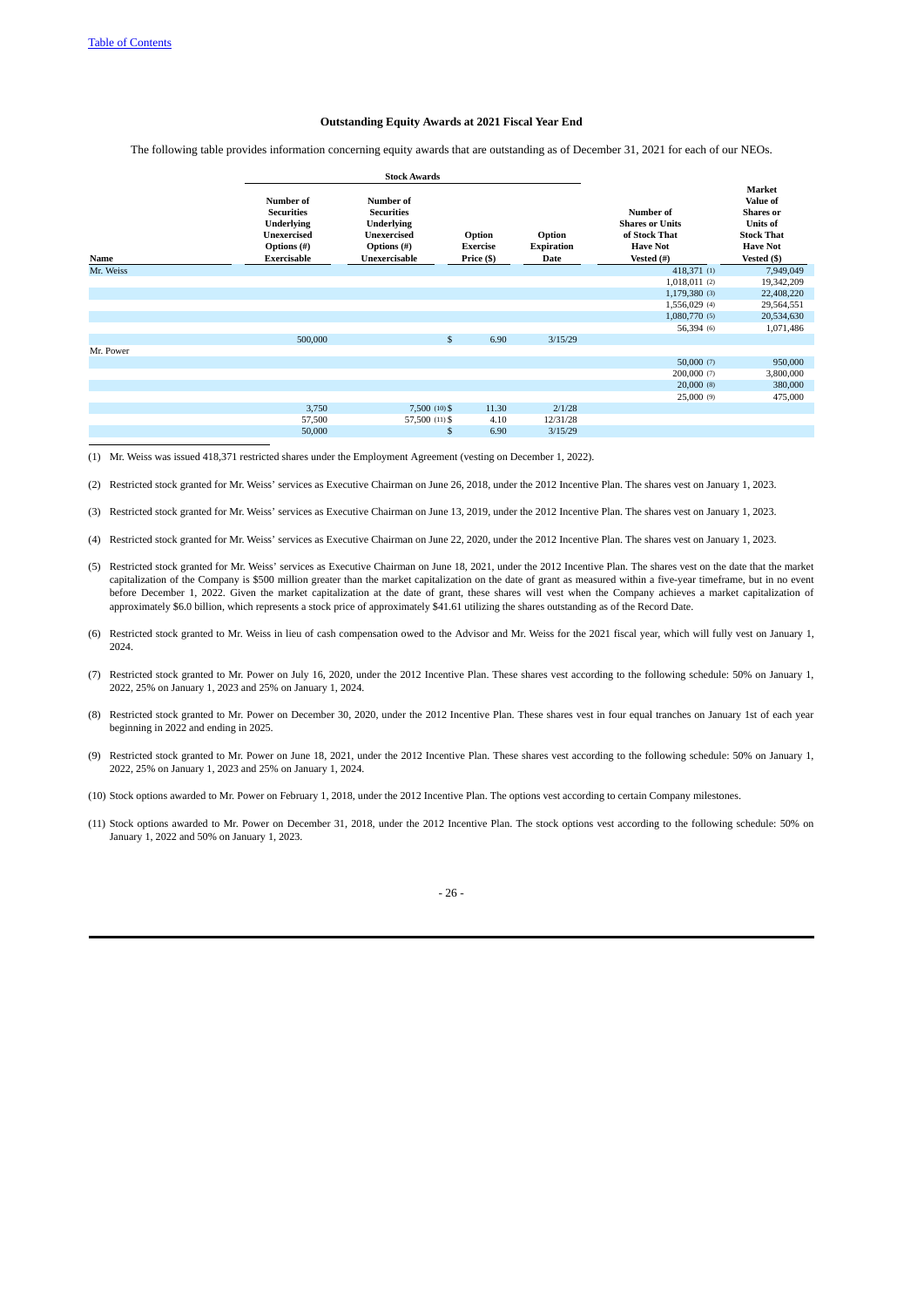# <span id="page-32-0"></span>**Outstanding Equity Awards at 2021 Fiscal Year End**

The following table provides information concerning equity awards that are outstanding as of December 31, 2021 for each of our NEOs.

|           |                                                                                                         | <b>Stock Awards</b>                                                                                       |                                         |                                     |                                                                                       |                                                                                                                  |
|-----------|---------------------------------------------------------------------------------------------------------|-----------------------------------------------------------------------------------------------------------|-----------------------------------------|-------------------------------------|---------------------------------------------------------------------------------------|------------------------------------------------------------------------------------------------------------------|
| Name      | Number of<br><b>Securities</b><br><b>Underlying</b><br><b>Unexercised</b><br>Options (#)<br>Exercisable | Number of<br><b>Securities</b><br><b>Underlying</b><br><b>Unexercised</b><br>Options (#)<br>Unexercisable | Option<br><b>Exercise</b><br>Price (\$) | Option<br><b>Expiration</b><br>Date | Number of<br><b>Shares or Units</b><br>of Stock That<br><b>Have Not</b><br>Vested (#) | Market<br>Value of<br><b>Shares</b> or<br><b>Units of</b><br><b>Stock That</b><br><b>Have Not</b><br>Vested (\$) |
| Mr. Weiss |                                                                                                         |                                                                                                           |                                         |                                     | 418,371 (1)                                                                           | 7,949,049                                                                                                        |
|           |                                                                                                         |                                                                                                           |                                         |                                     | 1,018,011(2)                                                                          | 19,342,209                                                                                                       |
|           |                                                                                                         |                                                                                                           |                                         |                                     | 1,179,380 (3)                                                                         | 22,408,220                                                                                                       |
|           |                                                                                                         |                                                                                                           |                                         |                                     | 1,556,029 (4)                                                                         | 29,564,551                                                                                                       |
|           |                                                                                                         |                                                                                                           |                                         |                                     | 1,080,770 (5)                                                                         | 20,534,630                                                                                                       |
|           |                                                                                                         |                                                                                                           |                                         |                                     | 56,394 (6)                                                                            | 1,071,486                                                                                                        |
|           | 500,000                                                                                                 | \$                                                                                                        | 6.90                                    | 3/15/29                             |                                                                                       |                                                                                                                  |
| Mr. Power |                                                                                                         |                                                                                                           |                                         |                                     |                                                                                       |                                                                                                                  |
|           |                                                                                                         |                                                                                                           |                                         |                                     | 50,000(7)                                                                             | 950,000                                                                                                          |
|           |                                                                                                         |                                                                                                           |                                         |                                     | 200,000 (7)                                                                           | 3,800,000                                                                                                        |
|           |                                                                                                         |                                                                                                           |                                         |                                     | $20,000$ (8)                                                                          | 380,000                                                                                                          |
|           |                                                                                                         |                                                                                                           |                                         |                                     | 25,000(9)                                                                             | 475,000                                                                                                          |
|           | 3,750                                                                                                   | 7,500 (10) \$                                                                                             | 11.30                                   | 2/1/28                              |                                                                                       |                                                                                                                  |
|           | 57,500                                                                                                  | 57,500 (11) \$                                                                                            | 4.10                                    | 12/31/28                            |                                                                                       |                                                                                                                  |
|           | 50,000                                                                                                  | \$                                                                                                        | 6.90                                    | 3/15/29                             |                                                                                       |                                                                                                                  |

(1) Mr. Weiss was issued 418,371 restricted shares under the Employment Agreement (vesting on December 1, 2022).

(2) Restricted stock granted for Mr. Weiss' services as Executive Chairman on June 26, 2018, under the 2012 Incentive Plan. The shares vest on January 1, 2023.

- (3) Restricted stock granted for Mr. Weiss' services as Executive Chairman on June 13, 2019, under the 2012 Incentive Plan. The shares vest on January 1, 2023.
- (4) Restricted stock granted for Mr. Weiss' services as Executive Chairman on June 22, 2020, under the 2012 Incentive Plan. The shares vest on January 1, 2023.
- (5) Restricted stock granted for Mr. Weiss' services as Executive Chairman on June 18, 2021, under the 2012 Incentive Plan. The shares vest on the date that the market capitalization of the Company is \$500 million greater than the market capitalization on the date of grant as measured within a five-year timeframe, but in no event before December 1, 2022. Given the market capitalization at the date of grant, these shares will vest when the Company achieves a market capitalization of approximately \$6.0 billion, which represents a stock price of approximately \$41.61 utilizing the shares outstanding as of the Record Date.
- (6) Restricted stock granted to Mr. Weiss in lieu of cash compensation owed to the Advisor and Mr. Weiss for the 2021 fiscal year, which will fully vest on January 1, 2024.
- (7) Restricted stock granted to Mr. Power on July 16, 2020, under the 2012 Incentive Plan. These shares vest according to the following schedule: 50% on January 1, 2022, 25% on January 1, 2023 and 25% on January 1, 2024.
- (8) Restricted stock granted to Mr. Power on December 30, 2020, under the 2012 Incentive Plan. These shares vest in four equal tranches on January 1st of each year beginning in 2022 and ending in 2025.
- (9) Restricted stock granted to Mr. Power on June 18, 2021, under the 2012 Incentive Plan. These shares vest according to the following schedule: 50% on January 1, 2022, 25% on January 1, 2023 and 25% on January 1, 2024.
- (10) Stock options awarded to Mr. Power on February 1, 2018, under the 2012 Incentive Plan. The options vest according to certain Company milestones.
- (11) Stock options awarded to Mr. Power on December 31, 2018, under the 2012 Incentive Plan. The stock options vest according to the following schedule: 50% on January 1, 2022 and 50% on January 1, 2023.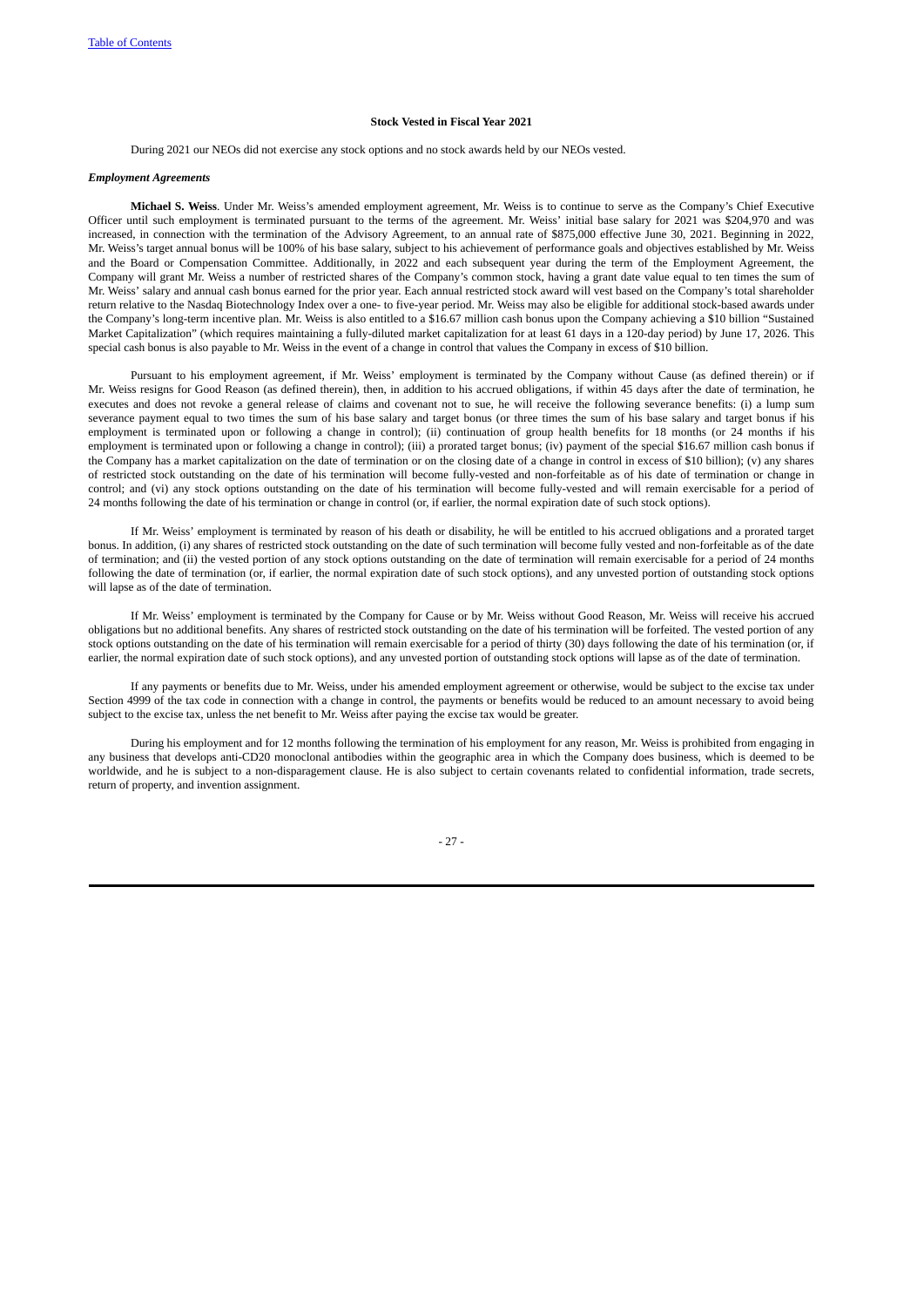## <span id="page-33-0"></span>**Stock Vested in Fiscal Year 2021**

<span id="page-33-1"></span>During 2021 our NEOs did not exercise any stock options and no stock awards held by our NEOs vested.

### *Employment Agreements*

**Michael S. Weiss**. Under Mr. Weiss's amended employment agreement, Mr. Weiss is to continue to serve as the Company's Chief Executive Officer until such employment is terminated pursuant to the terms of the agreement. Mr. Weiss' initial base salary for 2021 was \$204,970 and was increased, in connection with the termination of the Advisory Agreement, to an annual rate of \$875,000 effective June 30, 2021. Beginning in 2022, Mr. Weiss's target annual bonus will be 100% of his base salary, subject to his achievement of performance goals and objectives established by Mr. Weiss and the Board or Compensation Committee. Additionally, in 2022 and each subsequent year during the term of the Employment Agreement, the Company will grant Mr. Weiss a number of restricted shares of the Company's common stock, having a grant date value equal to ten times the sum of Mr. Weiss' salary and annual cash bonus earned for the prior year. Each annual restricted stock award will vest based on the Company's total shareholder return relative to the Nasdaq Biotechnology Index over a one- to five-year period. Mr. Weiss may also be eligible for additional stock-based awards under the Company's long-term incentive plan. Mr. Weiss is also entitled to a \$16.67 million cash bonus upon the Company achieving a \$10 billion "Sustained Market Capitalization" (which requires maintaining a fully-diluted market capitalization for at least 61 days in a 120-day period) by June 17, 2026. This special cash bonus is also payable to Mr. Weiss in the event of a change in control that values the Company in excess of \$10 billion.

Pursuant to his employment agreement, if Mr. Weiss' employment is terminated by the Company without Cause (as defined therein) or if Mr. Weiss resigns for Good Reason (as defined therein), then, in addition to his accrued obligations, if within 45 days after the date of termination, he executes and does not revoke a general release of claims and covenant not to sue, he will receive the following severance benefits: (i) a lump sum severance payment equal to two times the sum of his base salary and target bonus (or three times the sum of his base salary and target bonus if his employment is terminated upon or following a change in control); (ii) continuation of group health benefits for 18 months (or 24 months if his employment is terminated upon or following a change in control); (iii) a prorated target bonus; (iv) payment of the special \$16.67 million cash bonus if the Company has a market capitalization on the date of termination or on the closing date of a change in control in excess of \$10 billion); (v) any shares of restricted stock outstanding on the date of his termination will become fully-vested and non-forfeitable as of his date of termination or change in control; and (vi) any stock options outstanding on the date of his termination will become fully-vested and will remain exercisable for a period of 24 months following the date of his termination or change in control (or, if earlier, the normal expiration date of such stock options).

If Mr. Weiss' employment is terminated by reason of his death or disability, he will be entitled to his accrued obligations and a prorated target bonus. In addition, (i) any shares of restricted stock outstanding on the date of such termination will become fully vested and non-forfeitable as of the date of termination; and (ii) the vested portion of any stock options outstanding on the date of termination will remain exercisable for a period of 24 months following the date of termination (or, if earlier, the normal expiration date of such stock options), and any unvested portion of outstanding stock options will lapse as of the date of termination.

If Mr. Weiss' employment is terminated by the Company for Cause or by Mr. Weiss without Good Reason, Mr. Weiss will receive his accrued obligations but no additional benefits. Any shares of restricted stock outstanding on the date of his termination will be forfeited. The vested portion of any stock options outstanding on the date of his termination will remain exercisable for a period of thirty (30) days following the date of his termination (or, if earlier, the normal expiration date of such stock options), and any unvested portion of outstanding stock options will lapse as of the date of termination.

If any payments or benefits due to Mr. Weiss, under his amended employment agreement or otherwise, would be subject to the excise tax under Section 4999 of the tax code in connection with a change in control, the payments or benefits would be reduced to an amount necessary to avoid being subject to the excise tax, unless the net benefit to Mr. Weiss after paying the excise tax would be greater.

During his employment and for 12 months following the termination of his employment for any reason, Mr. Weiss is prohibited from engaging in any business that develops anti-CD20 monoclonal antibodies within the geographic area in which the Company does business, which is deemed to be worldwide, and he is subject to a non-disparagement clause. He is also subject to certain covenants related to confidential information, trade secrets, return of property, and invention assignment.

- 27 -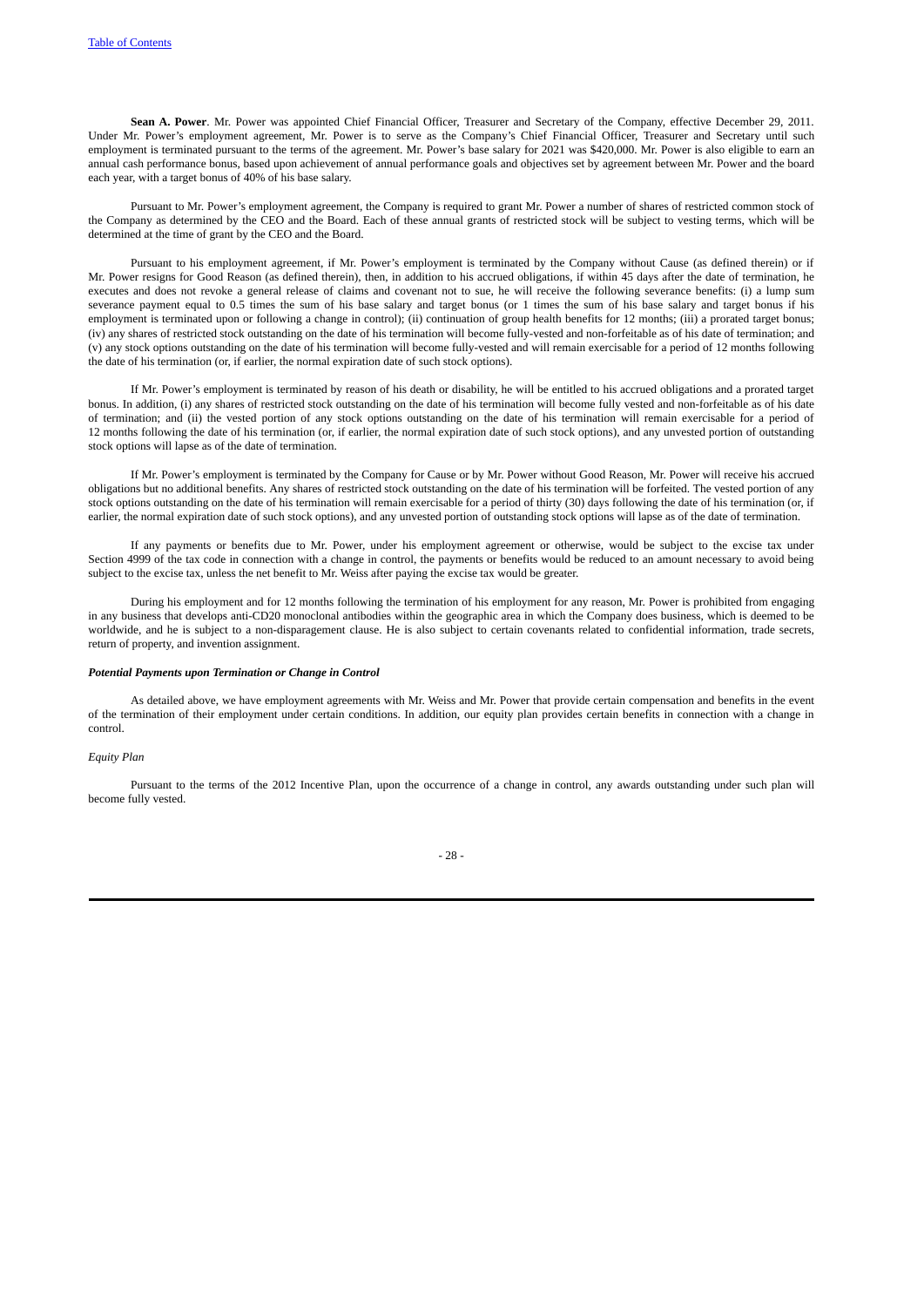**Sean A. Power**. Mr. Power was appointed Chief Financial Officer, Treasurer and Secretary of the Company, effective December 29, 2011. Under Mr. Power's employment agreement, Mr. Power is to serve as the Company's Chief Financial Officer, Treasurer and Secretary until such employment is terminated pursuant to the terms of the agreement. Mr. Power's base salary for 2021 was \$420,000. Mr. Power is also eligible to earn an annual cash performance bonus, based upon achievement of annual performance goals and objectives set by agreement between Mr. Power and the board each year, with a target bonus of 40% of his base salary.

Pursuant to Mr. Power's employment agreement, the Company is required to grant Mr. Power a number of shares of restricted common stock of the Company as determined by the CEO and the Board. Each of these annual grants of restricted stock will be subject to vesting terms, which will be determined at the time of grant by the CEO and the Board.

Pursuant to his employment agreement, if Mr. Power's employment is terminated by the Company without Cause (as defined therein) or if Mr. Power resigns for Good Reason (as defined therein), then, in addition to his accrued obligations, if within 45 days after the date of termination, he executes and does not revoke a general release of claims and covenant not to sue, he will receive the following severance benefits: (i) a lump sum severance payment equal to 0.5 times the sum of his base salary and target bonus (or 1 times the sum of his base salary and target bonus if his employment is terminated upon or following a change in control); (ii) continuation of group health benefits for 12 months; (iii) a prorated target bonus; (iv) any shares of restricted stock outstanding on the date of his termination will become fully-vested and non-forfeitable as of his date of termination; and (v) any stock options outstanding on the date of his termination will become fully-vested and will remain exercisable for a period of 12 months following the date of his termination (or, if earlier, the normal expiration date of such stock options).

If Mr. Power's employment is terminated by reason of his death or disability, he will be entitled to his accrued obligations and a prorated target bonus. In addition, (i) any shares of restricted stock outstanding on the date of his termination will become fully vested and non-forfeitable as of his date of termination; and (ii) the vested portion of any stock options outstanding on the date of his termination will remain exercisable for a period of 12 months following the date of his termination (or, if earlier, the normal expiration date of such stock options), and any unvested portion of outstanding stock options will lapse as of the date of termination.

If Mr. Power's employment is terminated by the Company for Cause or by Mr. Power without Good Reason, Mr. Power will receive his accrued obligations but no additional benefits. Any shares of restricted stock outstanding on the date of his termination will be forfeited. The vested portion of any stock options outstanding on the date of his termination will remain exercisable for a period of thirty (30) days following the date of his termination (or, if earlier, the normal expiration date of such stock options), and any unvested portion of outstanding stock options will lapse as of the date of termination.

If any payments or benefits due to Mr. Power, under his employment agreement or otherwise, would be subject to the excise tax under Section 4999 of the tax code in connection with a change in control, the payments or benefits would be reduced to an amount necessary to avoid being subject to the excise tax, unless the net benefit to Mr. Weiss after paying the excise tax would be greater.

During his employment and for 12 months following the termination of his employment for any reason, Mr. Power is prohibited from engaging in any business that develops anti-CD20 monoclonal antibodies within the geographic area in which the Company does business, which is deemed to be worldwide, and he is subject to a non-disparagement clause. He is also subject to certain covenants related to confidential information, trade secrets, return of property, and invention assignment.

### *Potential Payments upon Termination or Change in Control*

As detailed above, we have employment agreements with Mr. Weiss and Mr. Power that provide certain compensation and benefits in the event of the termination of their employment under certain conditions. In addition, our equity plan provides certain benefits in connection with a change in control.

## *Equity Plan*

Pursuant to the terms of the 2012 Incentive Plan, upon the occurrence of a change in control, any awards outstanding under such plan will become fully vested.

<span id="page-34-0"></span>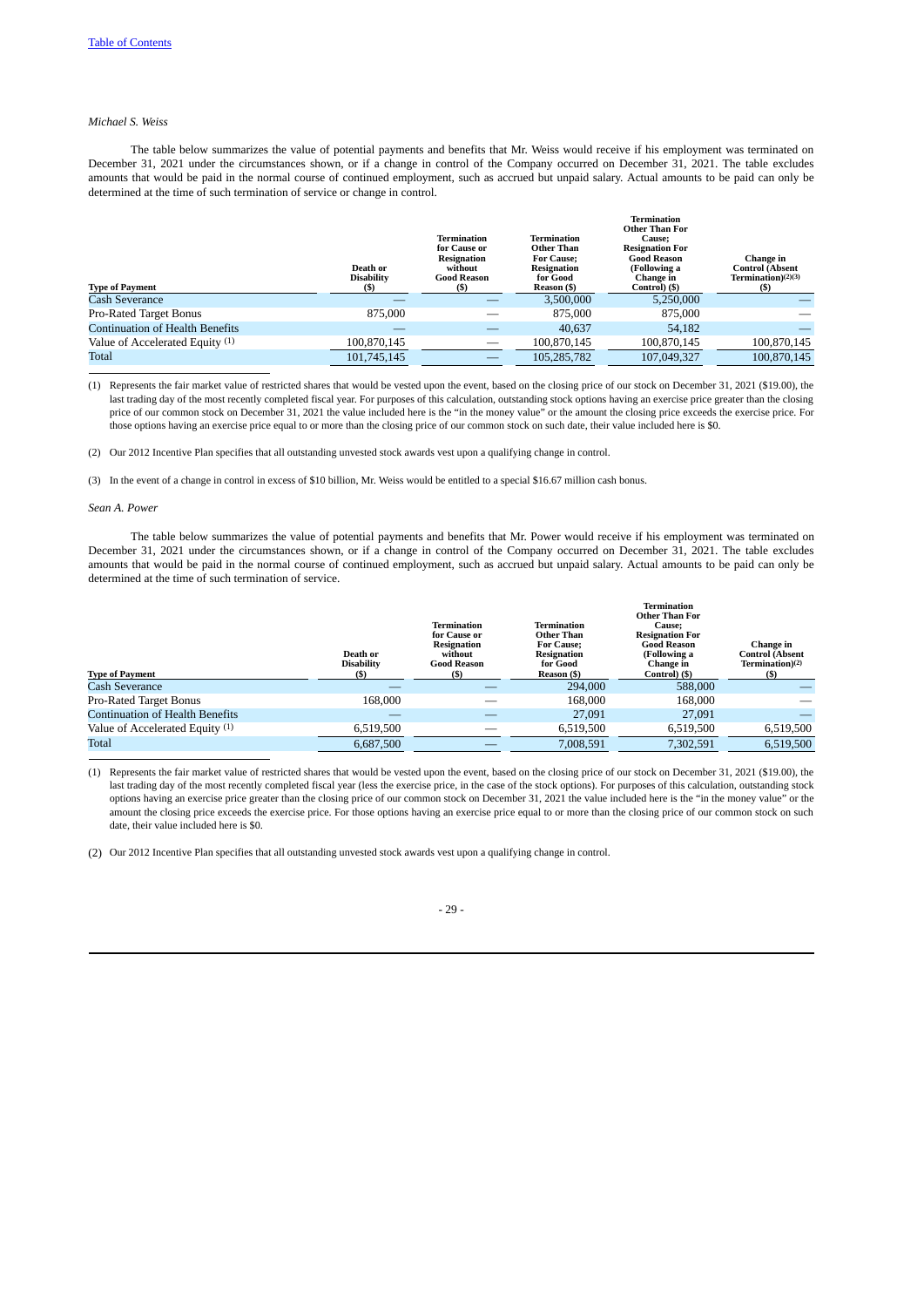# *Michael S. Weiss*

The table below summarizes the value of potential payments and benefits that Mr. Weiss would receive if his employment was terminated on December 31, 2021 under the circumstances shown, or if a change in control of the Company occurred on December 31, 2021. The table excludes amounts that would be paid in the normal course of continued employment, such as accrued but unpaid salary. Actual amounts to be paid can only be determined at the time of such termination of service or change in control.

| <b>Type of Payment</b>                 | Death or<br><b>Disability</b><br>(S) | <b>Termination</b><br>for Cause or<br>Resignation<br>without<br><b>Good Reason</b><br>(S) | Termination<br>Other Than<br><b>For Cause:</b><br><b>Resignation</b><br>for Good<br>Reason (\$) | <b>Termination</b><br><b>Other Than For</b><br><b>Cause:</b><br><b>Resignation For</b><br><b>Good Reason</b><br>(Following a<br>Change in<br>Control) (\$) | Change in<br><b>Control (Absent</b><br>Termination(2)(3)<br>(S) |
|----------------------------------------|--------------------------------------|-------------------------------------------------------------------------------------------|-------------------------------------------------------------------------------------------------|------------------------------------------------------------------------------------------------------------------------------------------------------------|-----------------------------------------------------------------|
| Cash Severance                         |                                      |                                                                                           | 3,500,000                                                                                       | 5,250,000                                                                                                                                                  |                                                                 |
| Pro-Rated Target Bonus                 | 875,000                              |                                                                                           | 875,000                                                                                         | 875,000                                                                                                                                                    |                                                                 |
| <b>Continuation of Health Benefits</b> |                                      |                                                                                           | 40.637                                                                                          | 54.182                                                                                                                                                     |                                                                 |
| Value of Accelerated Equity (1)        | 100.870.145                          |                                                                                           | 100.870.145                                                                                     | 100.870.145                                                                                                                                                | 100.870.145                                                     |
| Total                                  | 101,745,145                          |                                                                                           | 105,285,782                                                                                     | 107.049.327                                                                                                                                                | 100.870.145                                                     |

(1) Represents the fair market value of restricted shares that would be vested upon the event, based on the closing price of our stock on December 31, 2021 (\$19.00), the last trading day of the most recently completed fiscal year. For purposes of this calculation, outstanding stock options having an exercise price greater than the closing price of our common stock on December 31, 2021 the value included here is the "in the money value" or the amount the closing price exceeds the exercise price. For those options having an exercise price equal to or more than the closing price of our common stock on such date, their value included here is \$0.

(2) Our 2012 Incentive Plan specifies that all outstanding unvested stock awards vest upon a qualifying change in control.

(3) In the event of a change in control in excess of \$10 billion, Mr. Weiss would be entitled to a special \$16.67 million cash bonus.

#### *Sean A. Power*

The table below summarizes the value of potential payments and benefits that Mr. Power would receive if his employment was terminated on December 31, 2021 under the circumstances shown, or if a change in control of the Company occurred on December 31, 2021. The table excludes amounts that would be paid in the normal course of continued employment, such as accrued but unpaid salary. Actual amounts to be paid can only be determined at the time of such termination of service.

|                                        | Death or<br><b>Disability</b> | Termination<br>for Cause or<br>Resignation<br>without<br><b>Good Reason</b> | Termination<br><b>Other Than</b><br><b>For Cause:</b><br><b>Resignation</b><br>for Good | <b>Termination</b><br><b>Other Than For</b><br><b>Cause:</b><br><b>Resignation For</b><br><b>Good Reason</b><br>(Following a<br>Change in | Change in<br><b>Control (Absent</b><br>Termination) <sup>(2)</sup> |
|----------------------------------------|-------------------------------|-----------------------------------------------------------------------------|-----------------------------------------------------------------------------------------|-------------------------------------------------------------------------------------------------------------------------------------------|--------------------------------------------------------------------|
| <b>Type of Payment</b>                 | (S)                           | (S)                                                                         | Reason (\$)                                                                             | Control) (\$)                                                                                                                             | (S)                                                                |
| Cash Severance                         |                               |                                                                             | 294,000                                                                                 | 588,000                                                                                                                                   |                                                                    |
| Pro-Rated Target Bonus                 | 168.000                       |                                                                             | 168,000                                                                                 | 168,000                                                                                                                                   |                                                                    |
| <b>Continuation of Health Benefits</b> |                               |                                                                             | 27,091                                                                                  | 27,091                                                                                                                                    |                                                                    |
| Value of Accelerated Equity (1)        | 6.519.500                     |                                                                             | 6.519.500                                                                               | 6.519.500                                                                                                                                 | 6,519,500                                                          |
| Total                                  | 6.687.500                     |                                                                             | 7,008,591                                                                               | 7,302,591                                                                                                                                 | 6,519,500                                                          |

(1) Represents the fair market value of restricted shares that would be vested upon the event, based on the closing price of our stock on December 31, 2021 (\$19.00), the last trading day of the most recently completed fiscal year (less the exercise price, in the case of the stock options). For purposes of this calculation, outstanding stock options having an exercise price greater than the closing price of our common stock on December 31, 2021 the value included here is the "in the money value" or the amount the closing price exceeds the exercise price. For those options having an exercise price equal to or more than the closing price of our common stock on such date, their value included here is \$0.

(2) Our 2012 Incentive Plan specifies that all outstanding unvested stock awards vest upon a qualifying change in control.

# - 29 -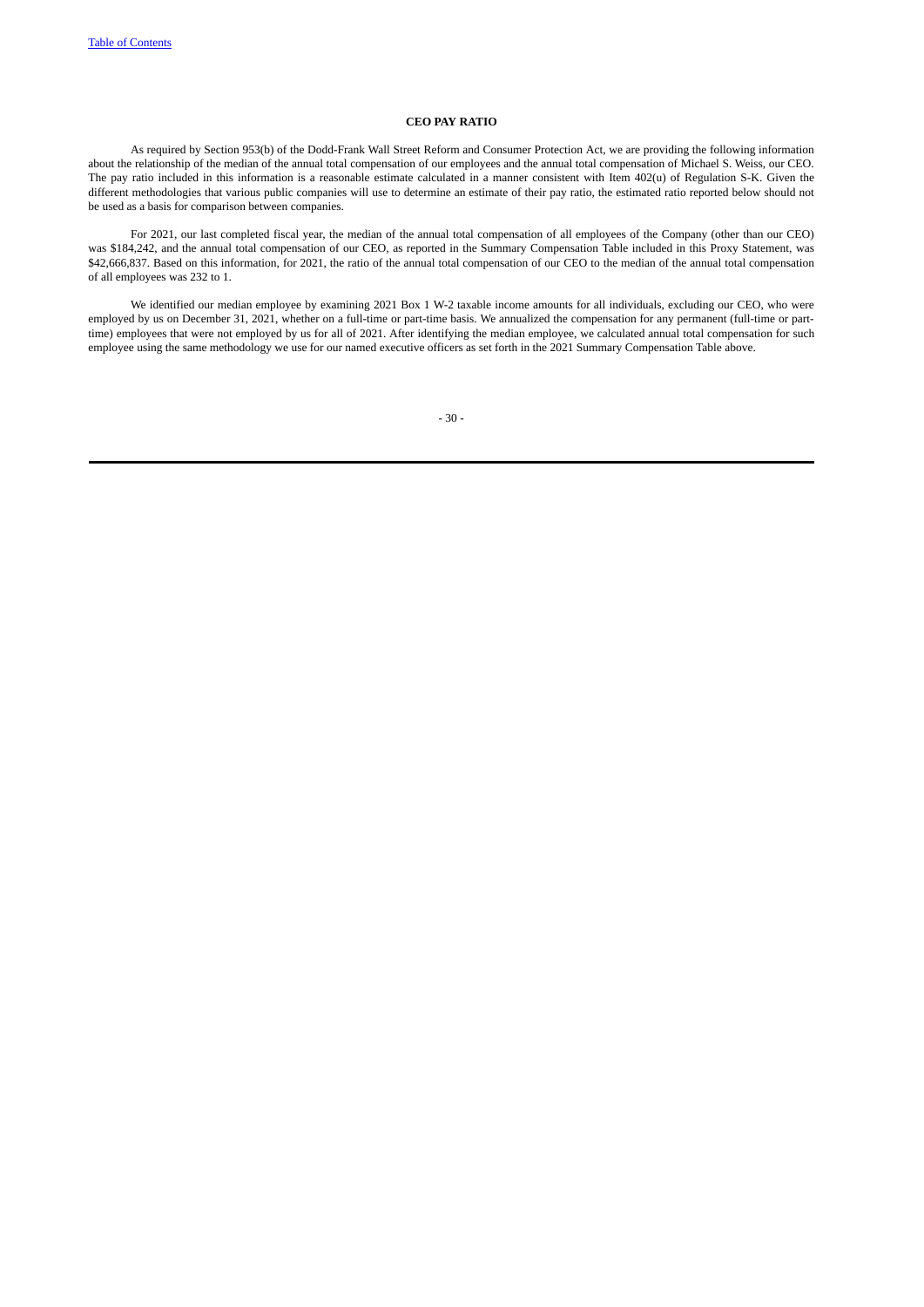## **CEO PAY RATIO**

As required by Section 953(b) of the Dodd-Frank Wall Street Reform and Consumer Protection Act, we are providing the following information about the relationship of the median of the annual total compensation of our employees and the annual total compensation of Michael S. Weiss, our CEO. The pay ratio included in this information is a reasonable estimate calculated in a manner consistent with Item 402(u) of Regulation S-K. Given the different methodologies that various public companies will use to determine an estimate of their pay ratio, the estimated ratio reported below should not be used as a basis for comparison between companies.

For 2021, our last completed fiscal year, the median of the annual total compensation of all employees of the Company (other than our CEO) was \$184,242, and the annual total compensation of our CEO, as reported in the Summary Compensation Table included in this Proxy Statement, was \$42,666,837. Based on this information, for 2021, the ratio of the annual total compensation of our CEO to the median of the annual total compensation of all employees was 232 to 1.

We identified our median employee by examining 2021 Box 1 W-2 taxable income amounts for all individuals, excluding our CEO, who were employed by us on December 31, 2021, whether on a full-time or part-time basis. We annualized the compensation for any permanent (full-time or parttime) employees that were not employed by us for all of 2021. After identifying the median employee, we calculated annual total compensation for such employee using the same methodology we use for our named executive officers as set forth in the 2021 Summary Compensation Table above.

- 30 -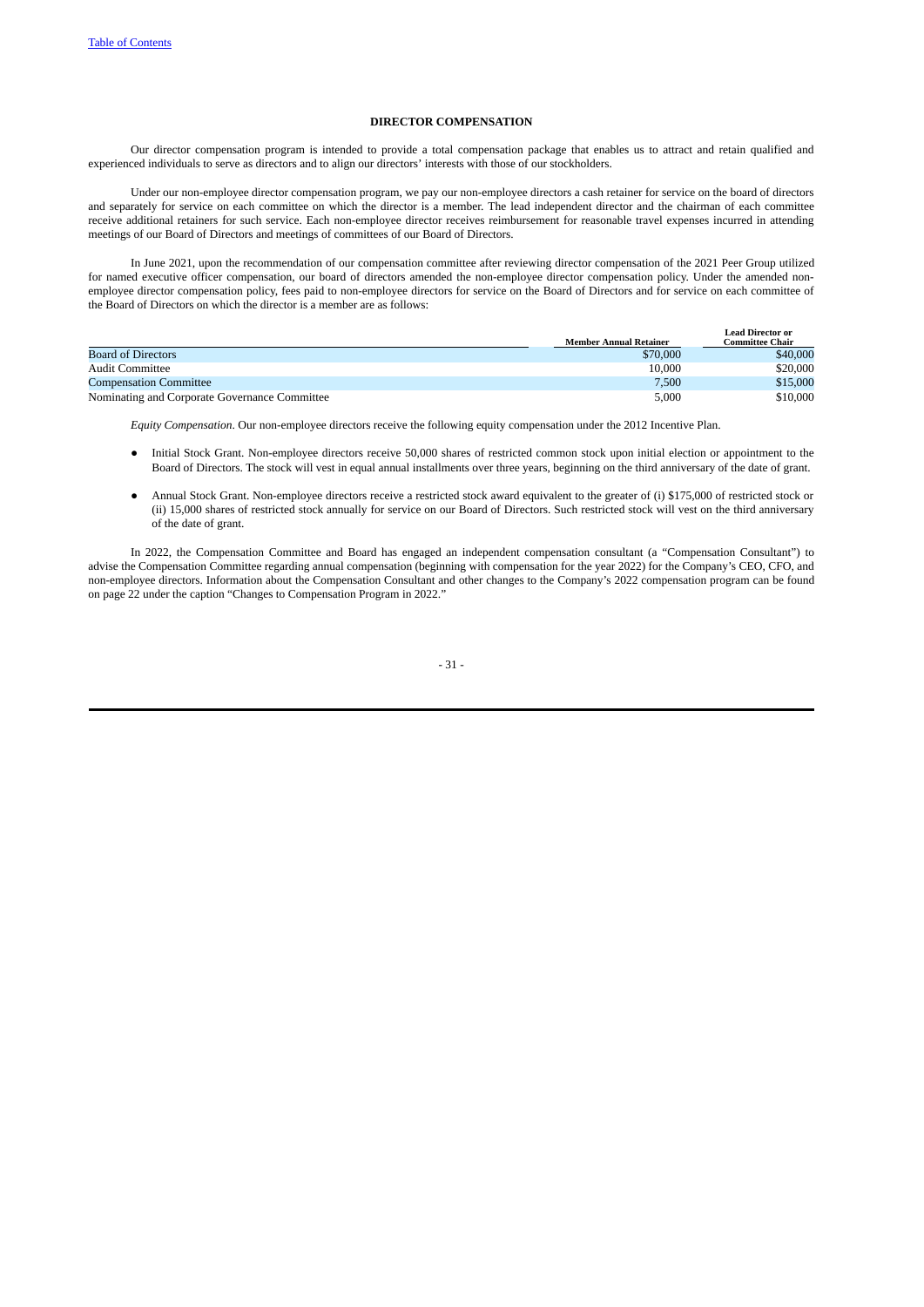## **DIRECTOR COMPENSATION**

Our director compensation program is intended to provide a total compensation package that enables us to attract and retain qualified and experienced individuals to serve as directors and to align our directors' interests with those of our stockholders.

Under our non-employee director compensation program, we pay our non-employee directors a cash retainer for service on the board of directors and separately for service on each committee on which the director is a member. The lead independent director and the chairman of each committee receive additional retainers for such service. Each non-employee director receives reimbursement for reasonable travel expenses incurred in attending meetings of our Board of Directors and meetings of committees of our Board of Directors.

In June 2021, upon the recommendation of our compensation committee after reviewing director compensation of the 2021 Peer Group utilized for named executive officer compensation, our board of directors amended the non-employee director compensation policy. Under the amended nonemployee director compensation policy, fees paid to non-employee directors for service on the Board of Directors and for service on each committee of the Board of Directors on which the director is a member are as follows:

|                                               | <b>Member Annual Retainer</b> | <b>Lead Director or</b><br>Committee Chair |
|-----------------------------------------------|-------------------------------|--------------------------------------------|
| Board of Directors                            | \$70,000                      | \$40,000                                   |
| <b>Audit Committee</b>                        | 10,000                        | \$20,000                                   |
| <b>Compensation Committee</b>                 | 7,500                         | \$15,000                                   |
| Nominating and Corporate Governance Committee | 5,000                         | \$10,000                                   |

*Equity Compensation*. Our non-employee directors receive the following equity compensation under the 2012 Incentive Plan.

- Initial Stock Grant. Non-employee directors receive 50,000 shares of restricted common stock upon initial election or appointment to the Board of Directors. The stock will vest in equal annual installments over three years, beginning on the third anniversary of the date of grant.
- Annual Stock Grant. Non-employee directors receive a restricted stock award equivalent to the greater of (i) \$175,000 of restricted stock or (ii) 15,000 shares of restricted stock annually for service on our Board of Directors. Such restricted stock will vest on the third anniversary of the date of grant.

In 2022, the Compensation Committee and Board has engaged an independent compensation consultant (a "Compensation Consultant") to advise the Compensation Committee regarding annual compensation (beginning with compensation for the year 2022) for the Company's CEO, CFO, and non-employee directors. Information about the Compensation Consultant and other changes to the Company's 2022 compensation program can be found on page 22 under the caption "Changes to Compensation Program in 2022."

- 31 -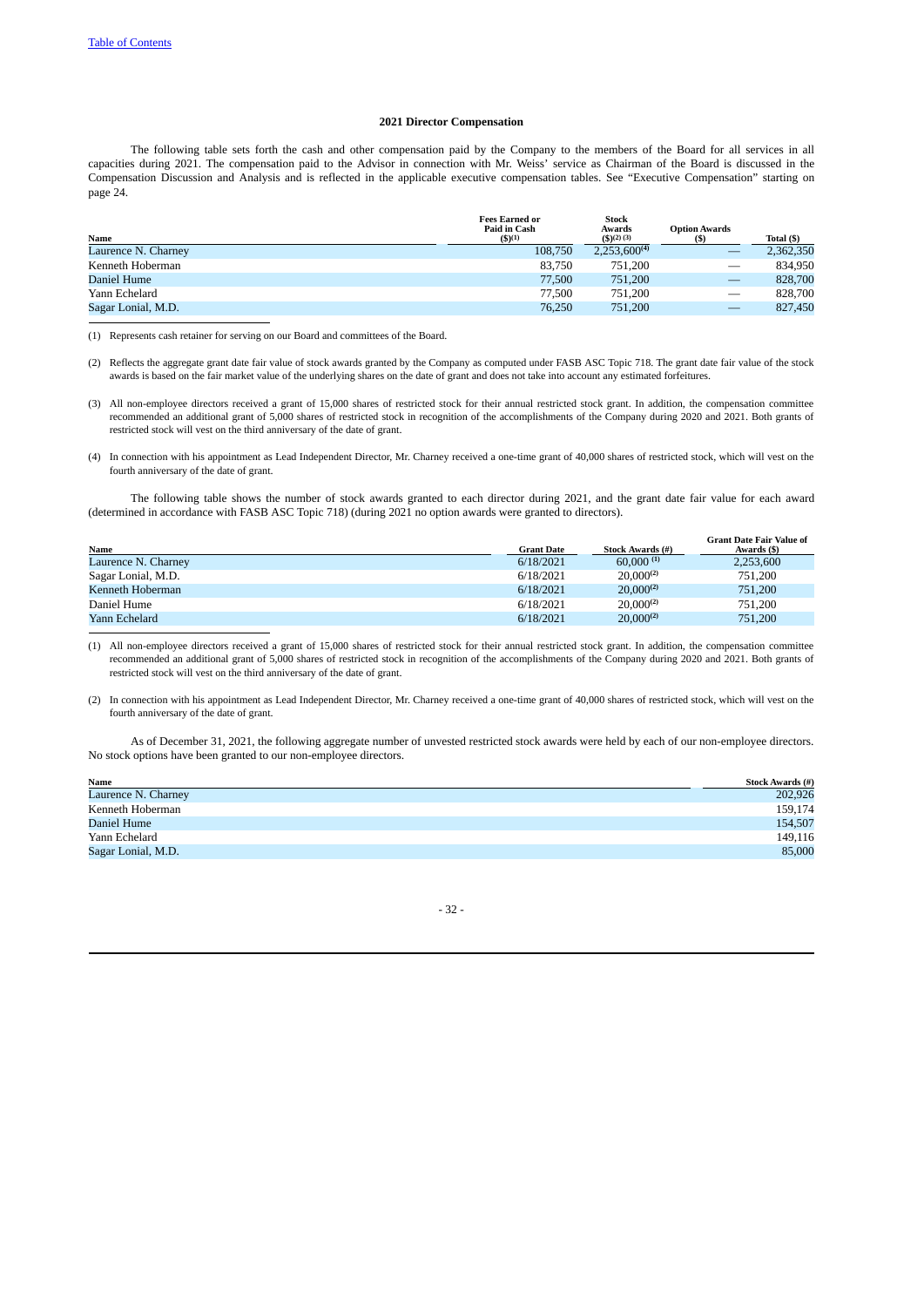### **2021 Director Compensation**

The following table sets forth the cash and other compensation paid by the Company to the members of the Board for all services in all capacities during 2021. The compensation paid to the Advisor in connection with Mr. Weiss' service as Chairman of the Board is discussed in the Compensation Discussion and Analysis and is reflected in the applicable executive compensation tables. See "Executive Compensation" starting on page 24.

|                     | <b>Fees Earned or</b><br>Paid in Cash | <b>Stock</b><br>Awards | <b>Option Awards</b> |            |
|---------------------|---------------------------------------|------------------------|----------------------|------------|
| Name                | (5)(1)                                | $($ \$)(2) (3)         |                      | Total (\$) |
| Laurence N. Charney | 108,750                               | $2,253,600^{(4)}$      |                      | 2,362,350  |
| Kenneth Hoberman    | 83.750                                | 751.200                | $\hspace{0.05cm}$    | 834.950    |
| Daniel Hume         | 77,500                                | 751,200                |                      | 828,700    |
| Yann Echelard       | 77.500                                | 751,200                |                      | 828,700    |
| Sagar Lonial, M.D.  | 76,250                                | 751,200                |                      | 827,450    |

(1) Represents cash retainer for serving on our Board and committees of the Board.

- (2) Reflects the aggregate grant date fair value of stock awards granted by the Company as computed under FASB ASC Topic 718. The grant date fair value of the stock awards is based on the fair market value of the underlying shares on the date of grant and does not take into account any estimated forfeitures.
- (3) All non-employee directors received a grant of 15,000 shares of restricted stock for their annual restricted stock grant. In addition, the compensation committee recommended an additional grant of 5,000 shares of restricted stock in recognition of the accomplishments of the Company during 2020 and 2021. Both grants of restricted stock will vest on the third anniversary of the date of grant.
- (4) In connection with his appointment as Lead Independent Director, Mr. Charney received a one-time grant of 40,000 shares of restricted stock, which will vest on the fourth anniversary of the date of grant.

The following table shows the number of stock awards granted to each director during 2021, and the grant date fair value for each award (determined in accordance with FASB ASC Topic 718) (during 2021 no option awards were granted to directors).

|                     |                   |                         | <b>Grant Date Fair Value of</b> |
|---------------------|-------------------|-------------------------|---------------------------------|
| Name                | <b>Grant Date</b> | <b>Stock Awards (#)</b> | Awards (\$)                     |
| Laurence N. Charney | 6/18/2021         | $60,000^{(1)}$          | 2,253,600                       |
| Sagar Lonial, M.D.  | 6/18/2021         | $20,000^{(2)}$          | 751,200                         |
| Kenneth Hoberman    | 6/18/2021         | $20,000^{(2)}$          | 751,200                         |
| Daniel Hume         | 6/18/2021         | $20,000^{(2)}$          | 751,200                         |
| Yann Echelard       | 6/18/2021         | $20,000^{(2)}$          | 751,200                         |

(1) All non-employee directors received a grant of 15,000 shares of restricted stock for their annual restricted stock grant. In addition, the compensation committee recommended an additional grant of 5,000 shares of restricted stock in recognition of the accomplishments of the Company during 2020 and 2021. Both grants of restricted stock will vest on the third anniversary of the date of grant.

(2) In connection with his appointment as Lead Independent Director, Mr. Charney received a one-time grant of 40,000 shares of restricted stock, which will vest on the fourth anniversary of the date of grant.

As of December 31, 2021, the following aggregate number of unvested restricted stock awards were held by each of our non-employee directors. No stock options have been granted to our non-employee directors.

| Name                | <b>Stock Awards</b> (#) |
|---------------------|-------------------------|
| Laurence N. Charney | 202,926                 |
| Kenneth Hoberman    | 159,174                 |
| Daniel Hume         | 154,507                 |
| Yann Echelard       | 149,116                 |
| Sagar Lonial, M.D.  | 85,000                  |

- 32 -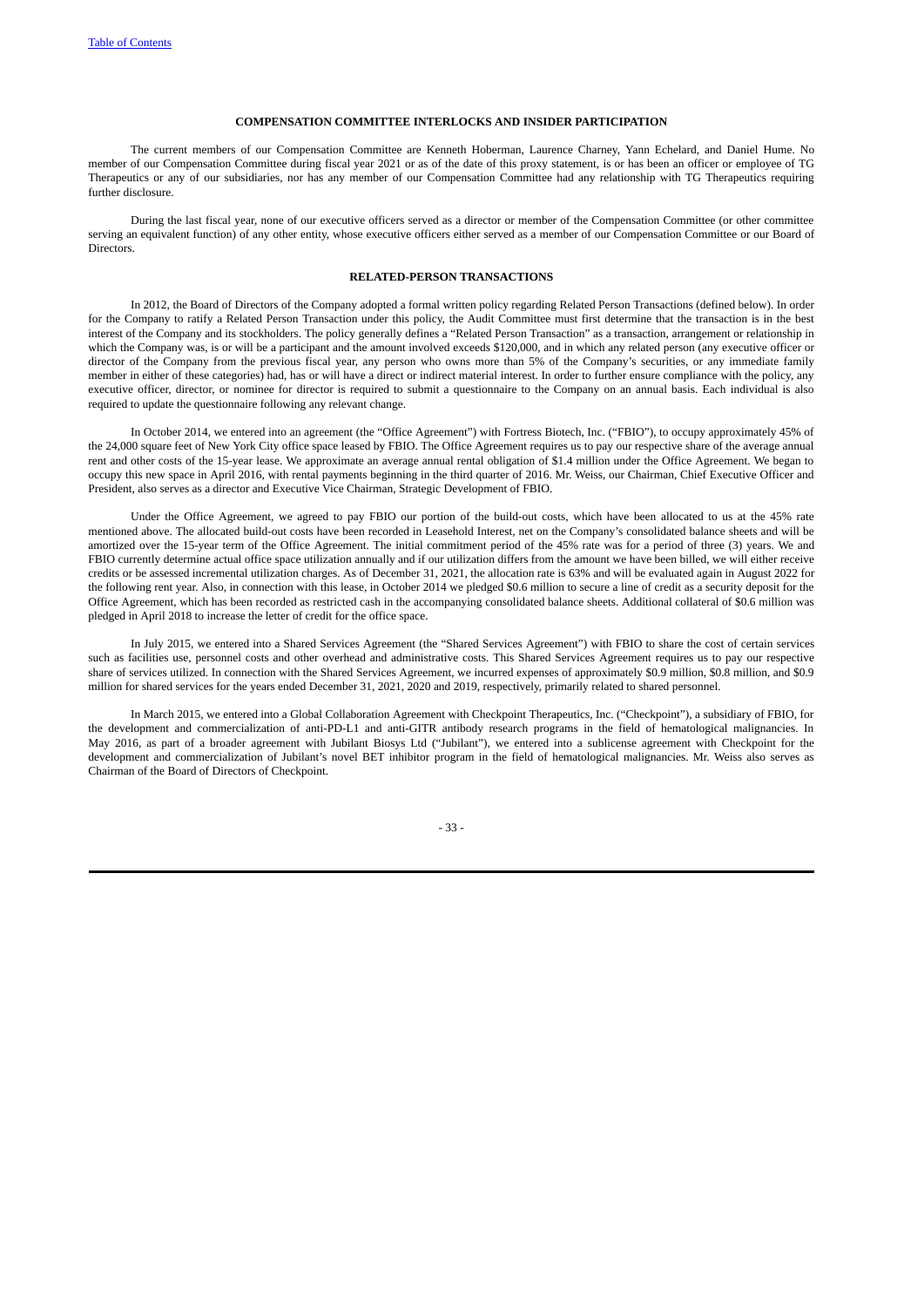## **COMPENSATION COMMITTEE INTERLOCKS AND INSIDER PARTICIPATION**

The current members of our Compensation Committee are Kenneth Hoberman, Laurence Charney, Yann Echelard, and Daniel Hume. No member of our Compensation Committee during fiscal year 2021 or as of the date of this proxy statement, is or has been an officer or employee of TG Therapeutics or any of our subsidiaries, nor has any member of our Compensation Committee had any relationship with TG Therapeutics requiring further disclosure.

During the last fiscal year, none of our executive officers served as a director or member of the Compensation Committee (or other committee serving an equivalent function) of any other entity, whose executive officers either served as a member of our Compensation Committee or our Board of Directors.

## **RELATED-PERSON TRANSACTIONS**

In 2012, the Board of Directors of the Company adopted a formal written policy regarding Related Person Transactions (defined below). In order for the Company to ratify a Related Person Transaction under this policy, the Audit Committee must first determine that the transaction is in the best interest of the Company and its stockholders. The policy generally defines a "Related Person Transaction" as a transaction, arrangement or relationship in which the Company was, is or will be a participant and the amount involved exceeds \$120,000, and in which any related person (any executive officer or director of the Company from the previous fiscal year, any person who owns more than 5% of the Company's securities, or any immediate family member in either of these categories) had, has or will have a direct or indirect material interest. In order to further ensure compliance with the policy, any executive officer, director, or nominee for director is required to submit a questionnaire to the Company on an annual basis. Each individual is also required to update the questionnaire following any relevant change.

In October 2014, we entered into an agreement (the "Office Agreement") with Fortress Biotech, Inc. ("FBIO"), to occupy approximately 45% of the 24,000 square feet of New York City office space leased by FBIO. The Office Agreement requires us to pay our respective share of the average annual rent and other costs of the 15-year lease. We approximate an average annual rental obligation of \$1.4 million under the Office Agreement. We began to occupy this new space in April 2016, with rental payments beginning in the third quarter of 2016. Mr. Weiss, our Chairman, Chief Executive Officer and President, also serves as a director and Executive Vice Chairman, Strategic Development of FBIO.

Under the Office Agreement, we agreed to pay FBIO our portion of the build-out costs, which have been allocated to us at the 45% rate mentioned above. The allocated build-out costs have been recorded in Leasehold Interest, net on the Company's consolidated balance sheets and will be amortized over the 15-year term of the Office Agreement. The initial commitment period of the 45% rate was for a period of three (3) years. We and FBIO currently determine actual office space utilization annually and if our utilization differs from the amount we have been billed, we will either receive credits or be assessed incremental utilization charges. As of December 31, 2021, the allocation rate is 63% and will be evaluated again in August 2022 for the following rent year. Also, in connection with this lease, in October 2014 we pledged \$0.6 million to secure a line of credit as a security deposit for the Office Agreement, which has been recorded as restricted cash in the accompanying consolidated balance sheets. Additional collateral of \$0.6 million was pledged in April 2018 to increase the letter of credit for the office space.

In July 2015, we entered into a Shared Services Agreement (the "Shared Services Agreement") with FBIO to share the cost of certain services such as facilities use, personnel costs and other overhead and administrative costs. This Shared Services Agreement requires us to pay our respective share of services utilized. In connection with the Shared Services Agreement, we incurred expenses of approximately \$0.9 million, \$0.8 million, and \$0.9 million for shared services for the years ended December 31, 2021, 2020 and 2019, respectively, primarily related to shared personnel.

In March 2015, we entered into a Global Collaboration Agreement with Checkpoint Therapeutics, Inc. ("Checkpoint"), a subsidiary of FBIO, for the development and commercialization of anti-PD-L1 and anti-GITR antibody research programs in the field of hematological malignancies. In May 2016, as part of a broader agreement with Jubilant Biosys Ltd ("Jubilant"), we entered into a sublicense agreement with Checkpoint for the development and commercialization of Jubilant's novel BET inhibitor program in the field of hematological malignancies. Mr. Weiss also serves as Chairman of the Board of Directors of Checkpoint.

- 33 -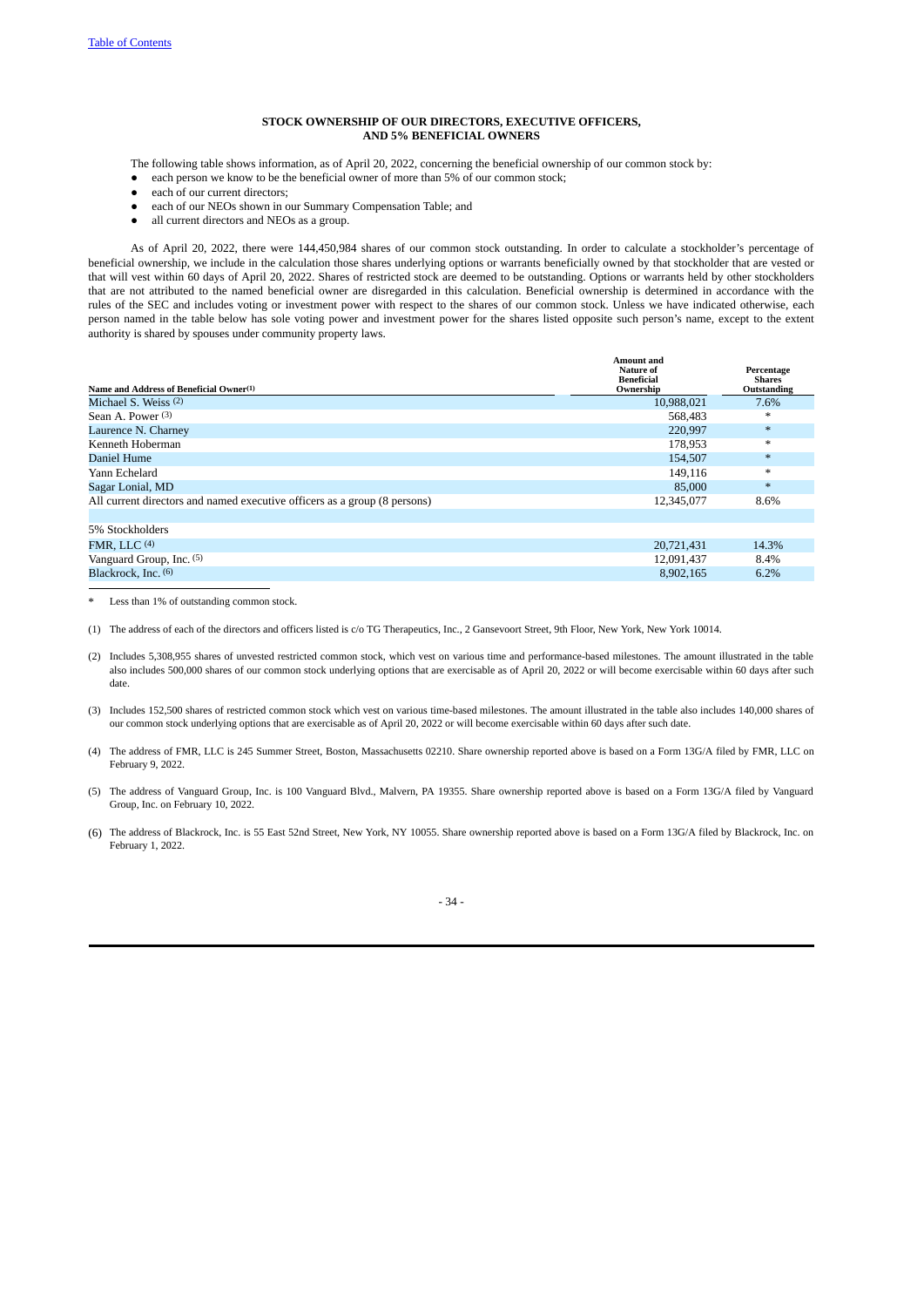### **STOCK OWNERSHIP OF OUR DIRECTORS, EXECUTIVE OFFICERS, AND 5% BENEFICIAL OWNERS**

The following table shows information, as of April 20, 2022, concerning the beneficial ownership of our common stock by:

- each person we know to be the beneficial owner of more than 5% of our common stock;
- each of our current directors:
- each of our NEOs shown in our Summary Compensation Table; and
- all current directors and NEOs as a group.

As of April 20, 2022, there were 144,450,984 shares of our common stock outstanding. In order to calculate a stockholder's percentage of beneficial ownership, we include in the calculation those shares underlying options or warrants beneficially owned by that stockholder that are vested or that will vest within 60 days of April 20, 2022. Shares of restricted stock are deemed to be outstanding. Options or warrants held by other stockholders that are not attributed to the named beneficial owner are disregarded in this calculation. Beneficial ownership is determined in accordance with the rules of the SEC and includes voting or investment power with respect to the shares of our common stock. Unless we have indicated otherwise, each person named in the table below has sole voting power and investment power for the shares listed opposite such person's name, except to the extent authority is shared by spouses under community property laws.

| Name and Address of Beneficial Owner <sup>(1)</sup>                                     | Amount and<br>Nature of<br><b>Beneficial</b><br>Ownership | Percentage<br><b>Shares</b><br>Outstanding |
|-----------------------------------------------------------------------------------------|-----------------------------------------------------------|--------------------------------------------|
| Michael S. Weiss (2)                                                                    | 10,988,021                                                | 7.6%                                       |
| Sean A. Power (3)                                                                       | 568,483                                                   | $*$                                        |
| Laurence N. Charney                                                                     | 220.997                                                   | $*$                                        |
| Kenneth Hoberman                                                                        | 178.953                                                   | $*$                                        |
| Daniel Hume                                                                             | 154,507                                                   | $\ast$                                     |
| Yann Echelard                                                                           | 149,116                                                   | $*$                                        |
| Sagar Lonial, MD                                                                        | 85,000                                                    | $*$                                        |
| All current directors and named executive officers as a group (8 persons)<br>12,345,077 |                                                           | 8.6%                                       |
|                                                                                         |                                                           |                                            |
| 5% Stockholders                                                                         |                                                           |                                            |
| FMR, LLC $(4)$                                                                          | 20,721,431                                                | 14.3%                                      |
| Vanguard Group, Inc. (5)                                                                | 12,091,437                                                | 8.4%                                       |
| Blackrock, Inc. (6)                                                                     | 8,902,165                                                 | 6.2%                                       |
|                                                                                         |                                                           |                                            |

Less than 1% of outstanding common stock.

(1) The address of each of the directors and officers listed is c/o TG Therapeutics, Inc., 2 Gansevoort Street, 9th Floor, New York, New York 10014.

- (2) Includes 5,308,955 shares of unvested restricted common stock, which vest on various time and performance-based milestones. The amount illustrated in the table also includes 500,000 shares of our common stock underlying options that are exercisable as of April 20, 2022 or will become exercisable within 60 days after such date.
- (3) Includes 152,500 shares of restricted common stock which vest on various time-based milestones. The amount illustrated in the table also includes 140,000 shares of our common stock underlying options that are exercisable as of April 20, 2022 or will become exercisable within 60 days after such date.
- (4) The address of FMR, LLC is 245 Summer Street, Boston, Massachusetts 02210. Share ownership reported above is based on a Form 13G/A filed by FMR, LLC on February 9, 2022.
- (5) The address of Vanguard Group, Inc. is 100 Vanguard Blvd., Malvern, PA 19355. Share ownership reported above is based on a Form 13G/A filed by Vanguard Group, Inc. on February 10, 2022.
- (6) The address of Blackrock, Inc. is 55 East 52nd Street, New York, NY 10055. Share ownership reported above is based on a Form 13G/A filed by Blackrock, Inc. on February 1, 2022.

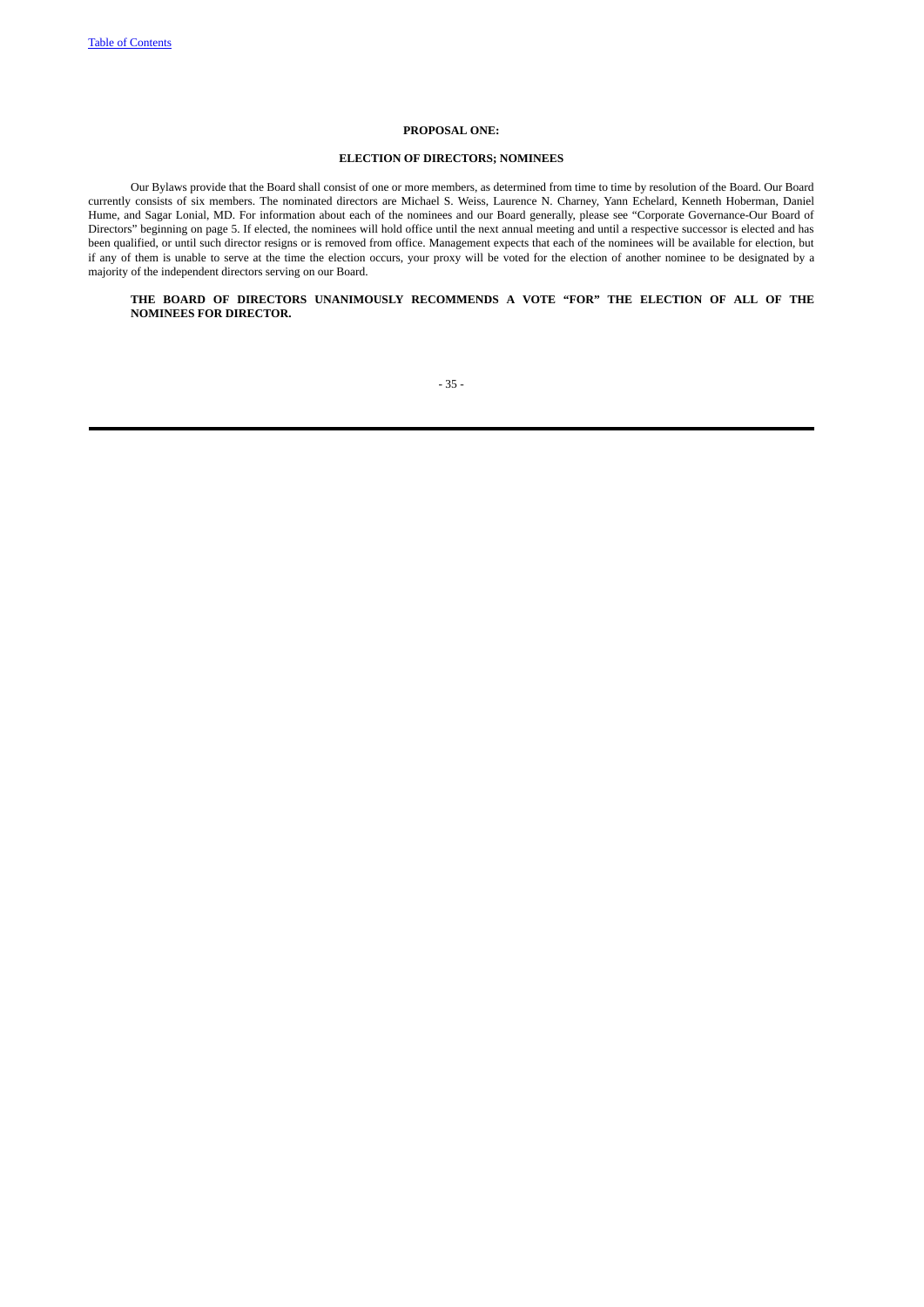# **PROPOSAL ONE:**

# **ELECTION OF DIRECTORS; NOMINEES**

Our Bylaws provide that the Board shall consist of one or more members, as determined from time to time by resolution of the Board. Our Board currently consists of six members. The nominated directors are Michael S. Weiss, Laurence N. Charney, Yann Echelard, Kenneth Hoberman, Daniel Hume, and Sagar Lonial, MD. For information about each of the nominees and our Board generally, please see "Corporate Governance-Our Board of Directors" beginning on page 5. If elected, the nominees will hold office until the next annual meeting and until a respective successor is elected and has been qualified, or until such director resigns or is removed from office. Management expects that each of the nominees will be available for election, but if any of them is unable to serve at the time the election occurs, your proxy will be voted for the election of another nominee to be designated by a majority of the independent directors serving on our Board.

# **THE BOARD OF DIRECTORS UNANIMOUSLY RECOMMENDS A VOTE "FOR" THE ELECTION OF ALL OF THE NOMINEES FOR DIRECTOR.**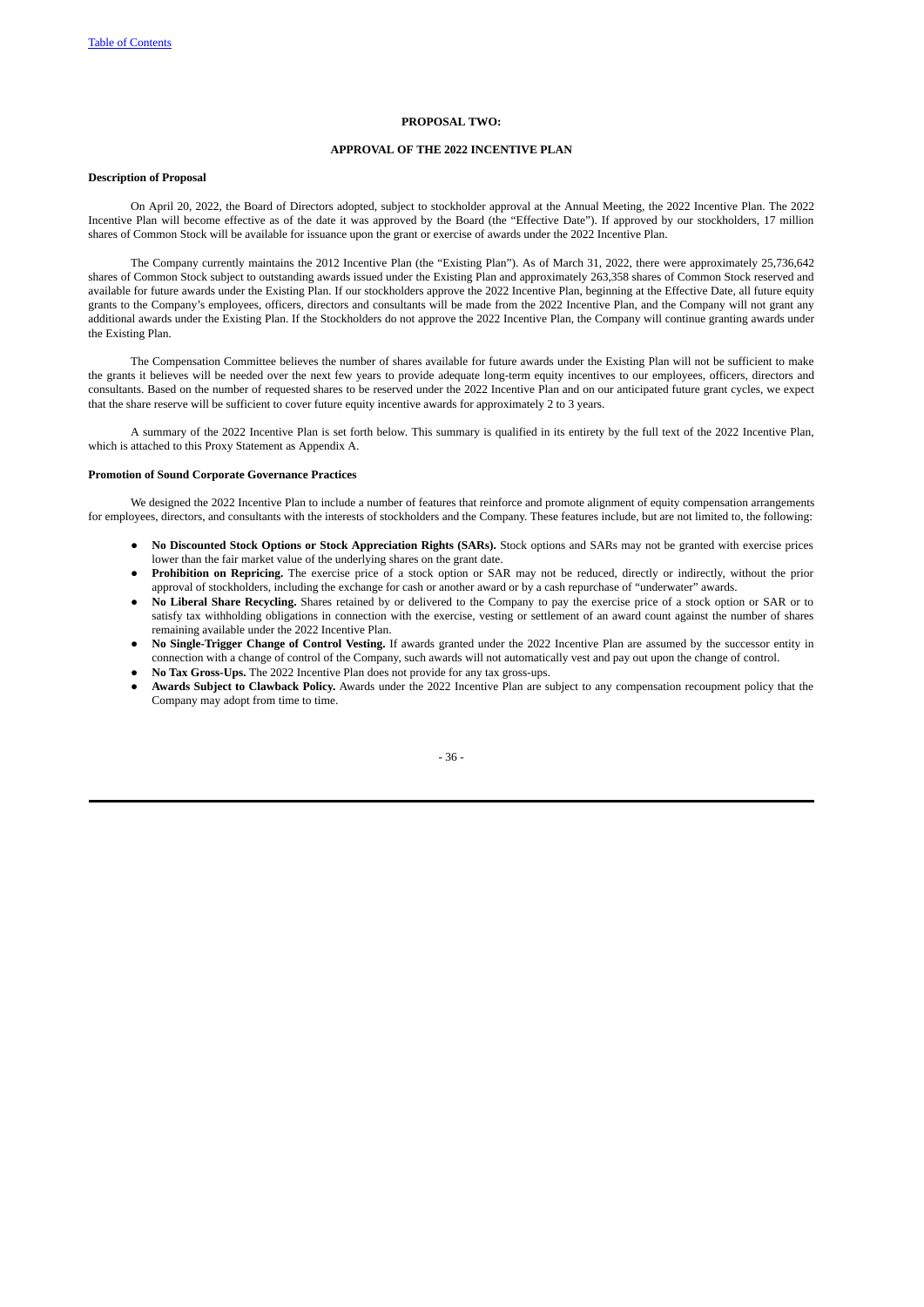## **PROPOSAL TWO:**

# **APPROVAL OF THE 2022 INCENTIVE PLAN**

## **Description of Proposal**

On April 20, 2022, the Board of Directors adopted, subject to stockholder approval at the Annual Meeting, the 2022 Incentive Plan. The 2022 Incentive Plan will become effective as of the date it was approved by the Board (the "Effective Date"). If approved by our stockholders, 17 million shares of Common Stock will be available for issuance upon the grant or exercise of awards under the 2022 Incentive Plan.

The Company currently maintains the 2012 Incentive Plan (the "Existing Plan"). As of March 31, 2022, there were approximately 25,736,642 shares of Common Stock subject to outstanding awards issued under the Existing Plan and approximately 263,358 shares of Common Stock reserved and available for future awards under the Existing Plan. If our stockholders approve the 2022 Incentive Plan, beginning at the Effective Date, all future equity grants to the Company's employees, officers, directors and consultants will be made from the 2022 Incentive Plan, and the Company will not grant any additional awards under the Existing Plan. If the Stockholders do not approve the 2022 Incentive Plan, the Company will continue granting awards under the Existing Plan.

The Compensation Committee believes the number of shares available for future awards under the Existing Plan will not be sufficient to make the grants it believes will be needed over the next few years to provide adequate long-term equity incentives to our employees, officers, directors and consultants. Based on the number of requested shares to be reserved under the 2022 Incentive Plan and on our anticipated future grant cycles, we expect that the share reserve will be sufficient to cover future equity incentive awards for approximately 2 to 3 years.

A summary of the 2022 Incentive Plan is set forth below. This summary is qualified in its entirety by the full text of the 2022 Incentive Plan, which is attached to this Proxy Statement as Appendix A.

# **Promotion of Sound Corporate Governance Practices**

We designed the 2022 Incentive Plan to include a number of features that reinforce and promote alignment of equity compensation arrangements for employees, directors, and consultants with the interests of stockholders and the Company. These features include, but are not limited to, the following:

- **No Discounted Stock Options or Stock Appreciation Rights (SARs).** Stock options and SARs may not be granted with exercise prices lower than the fair market value of the underlying shares on the grant date.
- Prohibition on Repricing. The exercise price of a stock option or SAR may not be reduced, directly or indirectly, without the prior approval of stockholders, including the exchange for cash or another award or by a cash repurchase of "underwater" awards.
- **No Liberal Share Recycling.** Shares retained by or delivered to the Company to pay the exercise price of a stock option or SAR or to satisfy tax withholding obligations in connection with the exercise, vesting or settlement of an award count against the number of shares remaining available under the 2022 Incentive Plan.
- **No Single-Trigger Change of Control Vesting.** If awards granted under the 2022 Incentive Plan are assumed by the successor entity in connection with a change of control of the Company, such awards will not automatically vest and pay out upon the change of control.
- **No Tax Gross-Ups.** The 2022 Incentive Plan does not provide for any tax gross-ups.
- **Awards Subject to Clawback Policy.** Awards under the 2022 Incentive Plan are subject to any compensation recoupment policy that the Company may adopt from time to time.

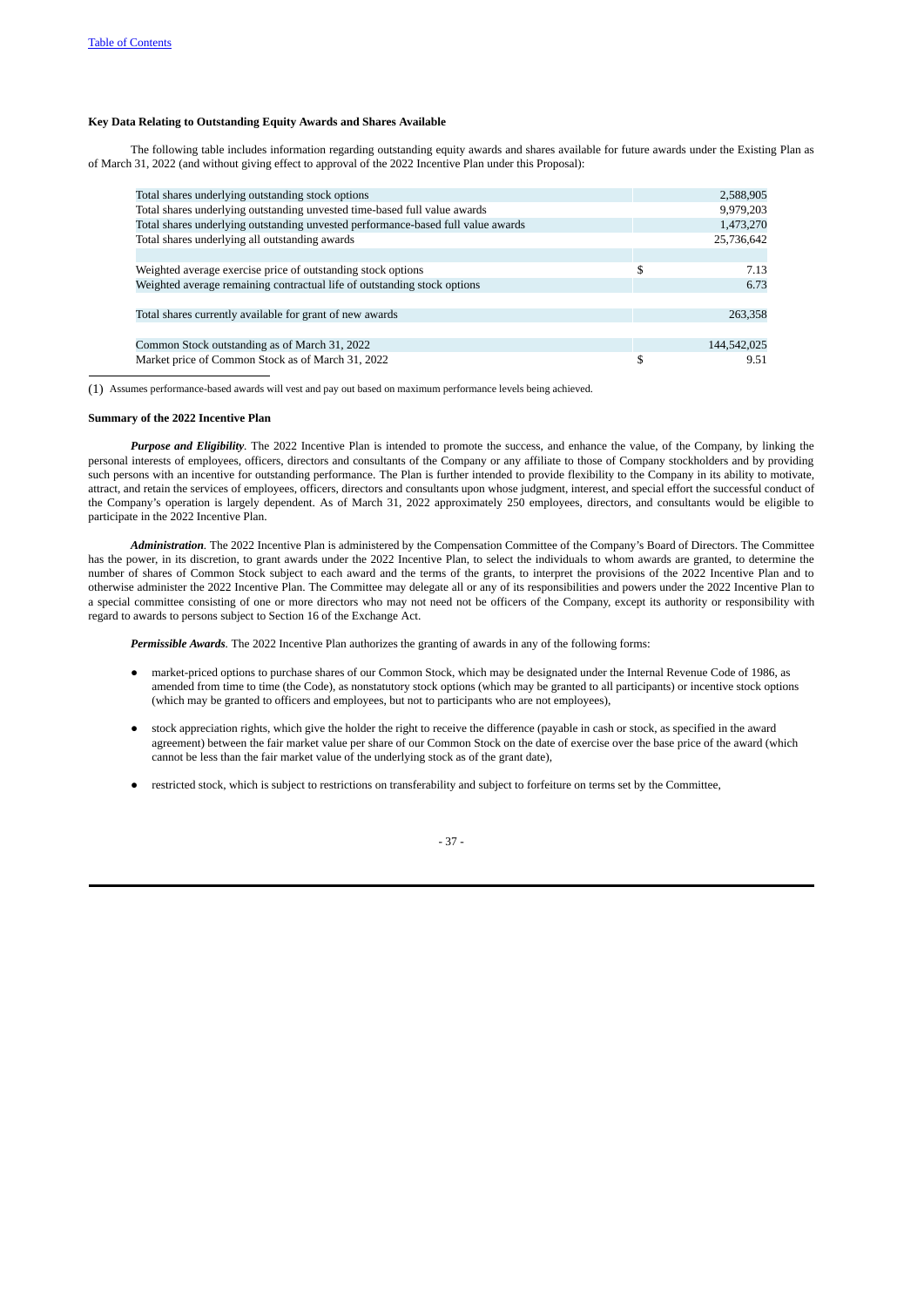# **Key Data Relating to Outstanding Equity Awards and Shares Available**

The following table includes information regarding outstanding equity awards and shares available for future awards under the Existing Plan as of March 31, 2022 (and without giving effect to approval of the 2022 Incentive Plan under this Proposal):

| Total shares underlying outstanding stock options                                | 2,588,905   |
|----------------------------------------------------------------------------------|-------------|
| Total shares underlying outstanding unvested time-based full value awards        | 9,979,203   |
| Total shares underlying outstanding unvested performance-based full value awards | 1,473,270   |
| Total shares underlying all outstanding awards                                   | 25,736,642  |
|                                                                                  |             |
| Weighted average exercise price of outstanding stock options                     | 7.13        |
| Weighted average remaining contractual life of outstanding stock options         | 6.73        |
|                                                                                  |             |
| Total shares currently available for grant of new awards                         | 263,358     |
|                                                                                  |             |
| Common Stock outstanding as of March 31, 2022                                    | 144,542,025 |
| Market price of Common Stock as of March 31, 2022                                | 9.51        |

(1) Assumes performance-based awards will vest and pay out based on maximum performance levels being achieved.

#### **Summary of the 2022 Incentive Plan**

*Purpose and Eligibility.* The 2022 Incentive Plan is intended to promote the success, and enhance the value, of the Company, by linking the personal interests of employees, officers, directors and consultants of the Company or any affiliate to those of Company stockholders and by providing such persons with an incentive for outstanding performance. The Plan is further intended to provide flexibility to the Company in its ability to motivate, attract, and retain the services of employees, officers, directors and consultants upon whose judgment, interest, and special effort the successful conduct of the Company's operation is largely dependent. As of March 31, 2022 approximately 250 employees, directors, and consultants would be eligible to participate in the 2022 Incentive Plan.

*Administration.* The 2022 Incentive Plan is administered by the Compensation Committee of the Company's Board of Directors. The Committee has the power, in its discretion, to grant awards under the 2022 Incentive Plan, to select the individuals to whom awards are granted, to determine the number of shares of Common Stock subject to each award and the terms of the grants, to interpret the provisions of the 2022 Incentive Plan and to otherwise administer the 2022 Incentive Plan. The Committee may delegate all or any of its responsibilities and powers under the 2022 Incentive Plan to a special committee consisting of one or more directors who may not need not be officers of the Company, except its authority or responsibility with regard to awards to persons subject to Section 16 of the Exchange Act.

*Permissible Awards.* The 2022 Incentive Plan authorizes the granting of awards in any of the following forms:

- market-priced options to purchase shares of our Common Stock, which may be designated under the Internal Revenue Code of 1986, as amended from time to time (the Code), as nonstatutory stock options (which may be granted to all participants) or incentive stock options (which may be granted to officers and employees, but not to participants who are not employees),
- stock appreciation rights, which give the holder the right to receive the difference (payable in cash or stock, as specified in the award agreement) between the fair market value per share of our Common Stock on the date of exercise over the base price of the award (which cannot be less than the fair market value of the underlying stock as of the grant date),
- restricted stock, which is subject to restrictions on transferability and subject to forfeiture on terms set by the Committee,

- 37 -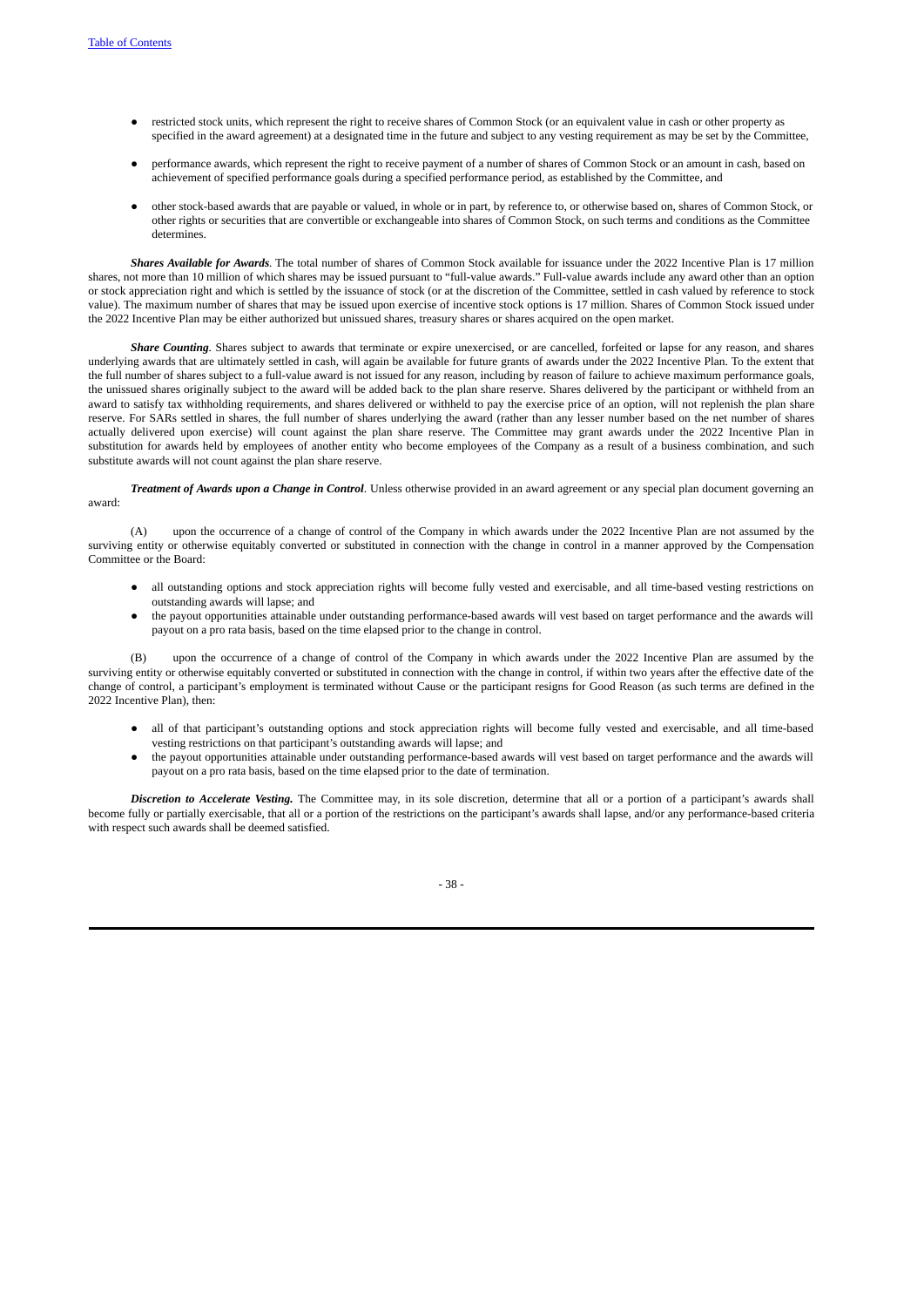- restricted stock units, which represent the right to receive shares of Common Stock (or an equivalent value in cash or other property as specified in the award agreement) at a designated time in the future and subject to any vesting requirement as may be set by the Committee,
- performance awards, which represent the right to receive payment of a number of shares of Common Stock or an amount in cash, based on achievement of specified performance goals during a specified performance period, as established by the Committee, and
- other stock-based awards that are payable or valued, in whole or in part, by reference to, or otherwise based on, shares of Common Stock, or other rights or securities that are convertible or exchangeable into shares of Common Stock, on such terms and conditions as the Committee determines.

*Shares Available for Awards.* The total number of shares of Common Stock available for issuance under the 2022 Incentive Plan is 17 million shares, not more than 10 million of which shares may be issued pursuant to "full-value awards." Full-value awards include any award other than an option or stock appreciation right and which is settled by the issuance of stock (or at the discretion of the Committee, settled in cash valued by reference to stock value). The maximum number of shares that may be issued upon exercise of incentive stock options is 17 million. Shares of Common Stock issued under the 2022 Incentive Plan may be either authorized but unissued shares, treasury shares or shares acquired on the open market.

*Share Counting.* Shares subject to awards that terminate or expire unexercised, or are cancelled, forfeited or lapse for any reason, and shares underlying awards that are ultimately settled in cash, will again be available for future grants of awards under the 2022 Incentive Plan. To the extent that the full number of shares subject to a full-value award is not issued for any reason, including by reason of failure to achieve maximum performance goals, the unissued shares originally subject to the award will be added back to the plan share reserve. Shares delivered by the participant or withheld from an award to satisfy tax withholding requirements, and shares delivered or withheld to pay the exercise price of an option, will not replenish the plan share reserve. For SARs settled in shares, the full number of shares underlying the award (rather than any lesser number based on the net number of shares actually delivered upon exercise) will count against the plan share reserve. The Committee may grant awards under the 2022 Incentive Plan in substitution for awards held by employees of another entity who become employees of the Company as a result of a business combination, and such substitute awards will not count against the plan share reserve.

*Treatment of Awards upon a Change in Control*. Unless otherwise provided in an award agreement or any special plan document governing an award:

(A) upon the occurrence of a change of control of the Company in which awards under the 2022 Incentive Plan are not assumed by the surviving entity or otherwise equitably converted or substituted in connection with the change in control in a manner approved by the Compensation Committee or the Board:

- all outstanding options and stock appreciation rights will become fully vested and exercisable, and all time-based vesting restrictions on outstanding awards will lapse; and
- the payout opportunities attainable under outstanding performance-based awards will vest based on target performance and the awards will payout on a pro rata basis, based on the time elapsed prior to the change in control.

upon the occurrence of a change of control of the Company in which awards under the 2022 Incentive Plan are assumed by the surviving entity or otherwise equitably converted or substituted in connection with the change in control, if within two years after the effective date of the change of control, a participant's employment is terminated without Cause or the participant resigns for Good Reason (as such terms are defined in the 2022 Incentive Plan), then:

- all of that participant's outstanding options and stock appreciation rights will become fully vested and exercisable, and all time-based vesting restrictions on that participant's outstanding awards will lapse; and
- the payout opportunities attainable under outstanding performance-based awards will vest based on target performance and the awards will payout on a pro rata basis, based on the time elapsed prior to the date of termination.

*Discretion to Accelerate Vesting.* The Committee may, in its sole discretion, determine that all or a portion of a participant's awards shall become fully or partially exercisable, that all or a portion of the restrictions on the participant's awards shall lapse, and/or any performance-based criteria with respect such awards shall be deemed satisfied.

- 38 -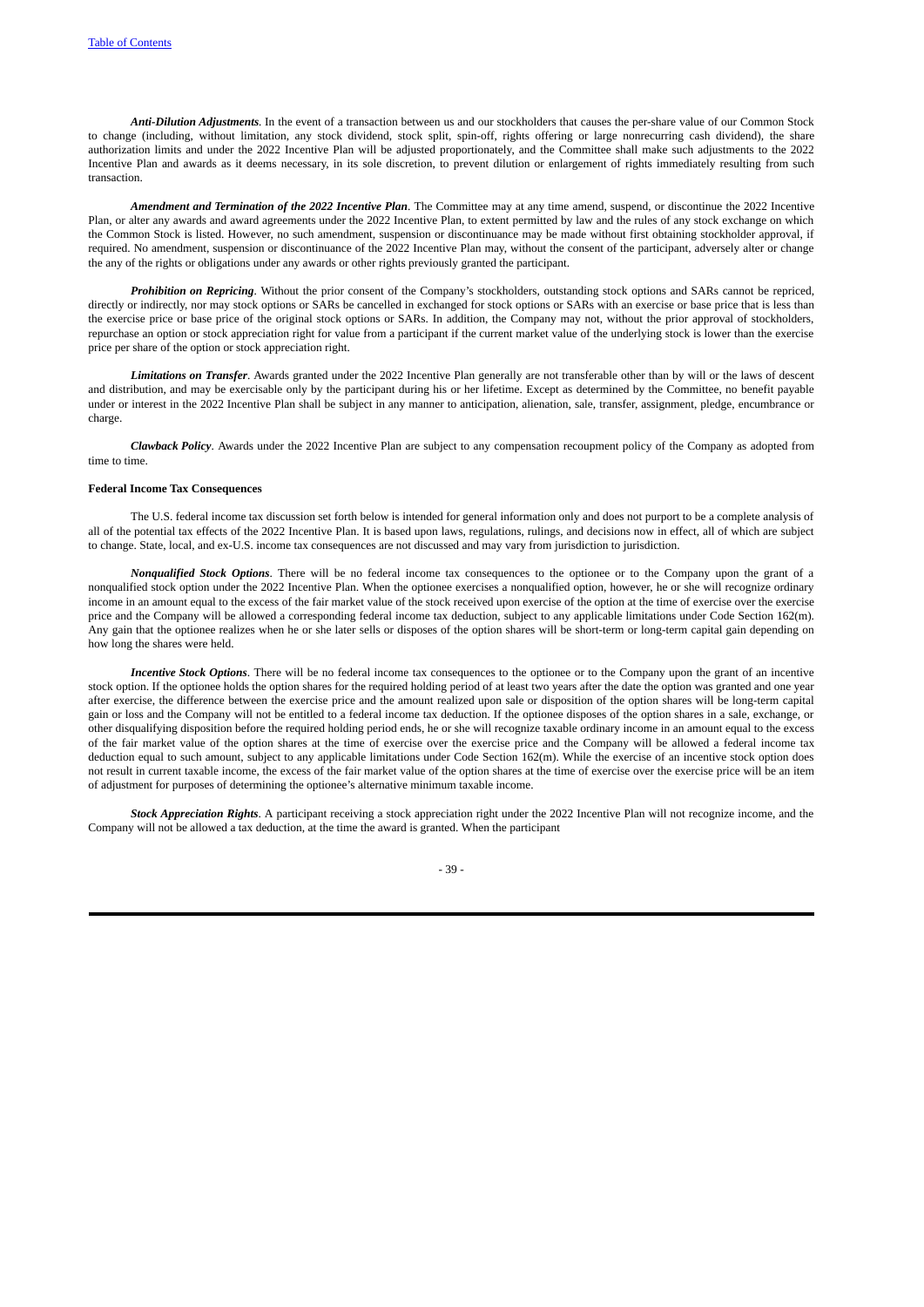*Anti-Dilution Adjustments.* In the event of a transaction between us and our stockholders that causes the per-share value of our Common Stock to change (including, without limitation, any stock dividend, stock split, spin-off, rights offering or large nonrecurring cash dividend), the share authorization limits and under the 2022 Incentive Plan will be adjusted proportionately, and the Committee shall make such adjustments to the 2022 Incentive Plan and awards as it deems necessary, in its sole discretion, to prevent dilution or enlargement of rights immediately resulting from such transaction.

*Amendment and Termination of the 2022 Incentive Plan*. The Committee may at any time amend, suspend, or discontinue the 2022 Incentive Plan, or alter any awards and award agreements under the 2022 Incentive Plan, to extent permitted by law and the rules of any stock exchange on which the Common Stock is listed. However, no such amendment, suspension or discontinuance may be made without first obtaining stockholder approval, if required. No amendment, suspension or discontinuance of the 2022 Incentive Plan may, without the consent of the participant, adversely alter or change the any of the rights or obligations under any awards or other rights previously granted the participant.

*Prohibition on Repricing*. Without the prior consent of the Company's stockholders, outstanding stock options and SARs cannot be repriced, directly or indirectly, nor may stock options or SARs be cancelled in exchanged for stock options or SARs with an exercise or base price that is less than the exercise price or base price of the original stock options or SARs. In addition, the Company may not, without the prior approval of stockholders, repurchase an option or stock appreciation right for value from a participant if the current market value of the underlying stock is lower than the exercise price per share of the option or stock appreciation right.

*Limitations on Transfer*. Awards granted under the 2022 Incentive Plan generally are not transferable other than by will or the laws of descent and distribution, and may be exercisable only by the participant during his or her lifetime. Except as determined by the Committee, no benefit payable under or interest in the 2022 Incentive Plan shall be subject in any manner to anticipation, alienation, sale, transfer, assignment, pledge, encumbrance or charge.

*Clawback Policy*. Awards under the 2022 Incentive Plan are subject to any compensation recoupment policy of the Company as adopted from time to time.

## **Federal Income Tax Consequences**

The U.S. federal income tax discussion set forth below is intended for general information only and does not purport to be a complete analysis of all of the potential tax effects of the 2022 Incentive Plan. It is based upon laws, regulations, rulings, and decisions now in effect, all of which are subject to change. State, local, and ex-U.S. income tax consequences are not discussed and may vary from jurisdiction to jurisdiction.

*Nonqualified Stock Options*. There will be no federal income tax consequences to the optionee or to the Company upon the grant of a nonqualified stock option under the 2022 Incentive Plan. When the optionee exercises a nonqualified option, however, he or she will recognize ordinary income in an amount equal to the excess of the fair market value of the stock received upon exercise of the option at the time of exercise over the exercise price and the Company will be allowed a corresponding federal income tax deduction, subject to any applicable limitations under Code Section 162(m). Any gain that the optionee realizes when he or she later sells or disposes of the option shares will be short-term or long-term capital gain depending on how long the shares were held.

*Incentive Stock Options*. There will be no federal income tax consequences to the optionee or to the Company upon the grant of an incentive stock option. If the optionee holds the option shares for the required holding period of at least two years after the date the option was granted and one year after exercise, the difference between the exercise price and the amount realized upon sale or disposition of the option shares will be long-term capital gain or loss and the Company will not be entitled to a federal income tax deduction. If the optionee disposes of the option shares in a sale, exchange, or other disqualifying disposition before the required holding period ends, he or she will recognize taxable ordinary income in an amount equal to the excess of the fair market value of the option shares at the time of exercise over the exercise price and the Company will be allowed a federal income tax deduction equal to such amount, subject to any applicable limitations under Code Section 162(m). While the exercise of an incentive stock option does not result in current taxable income, the excess of the fair market value of the option shares at the time of exercise over the exercise price will be an item of adjustment for purposes of determining the optionee's alternative minimum taxable income.

*Stock Appreciation Rights*. A participant receiving a stock appreciation right under the 2022 Incentive Plan will not recognize income, and the Company will not be allowed a tax deduction, at the time the award is granted. When the participant

- 39 -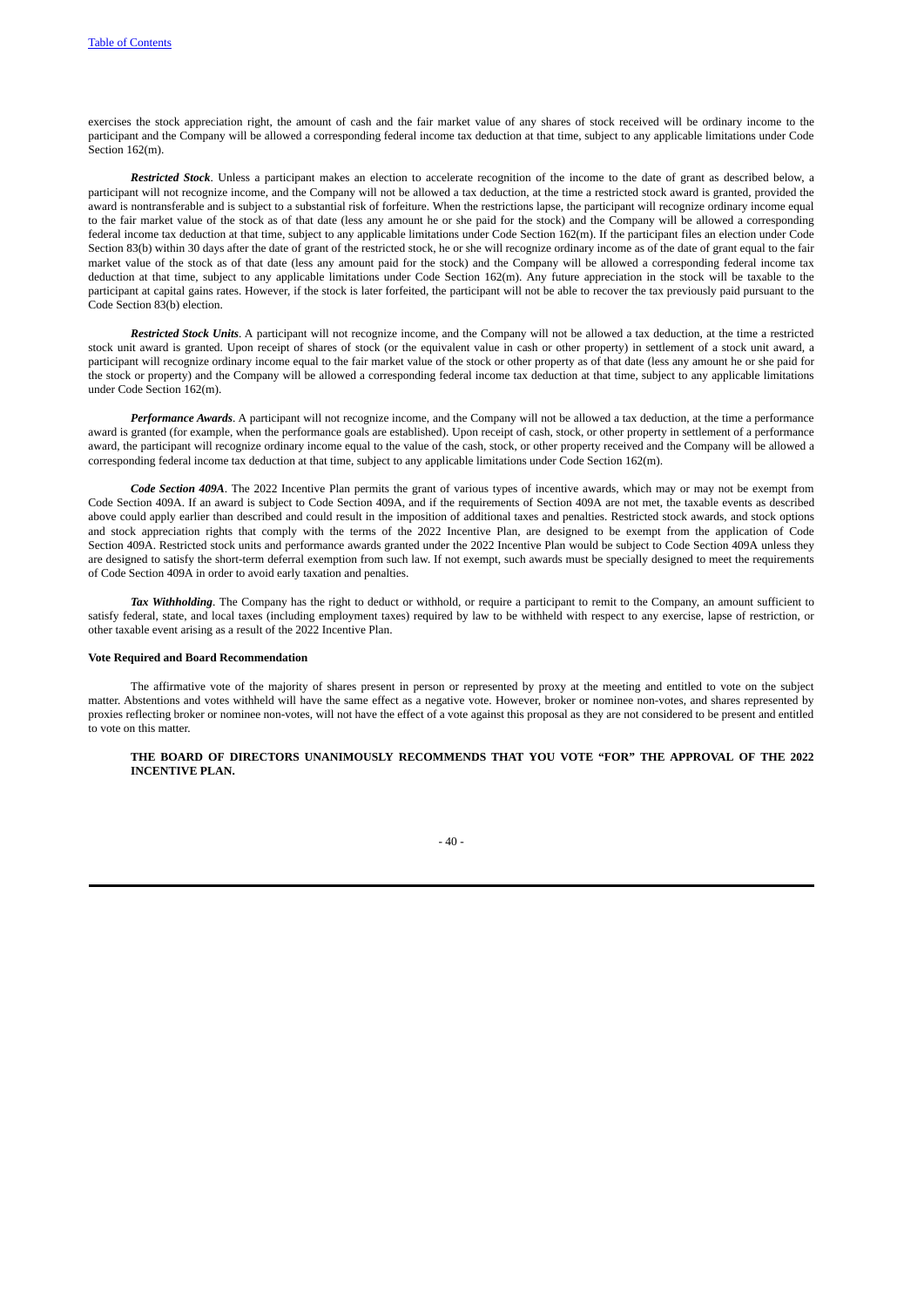exercises the stock appreciation right, the amount of cash and the fair market value of any shares of stock received will be ordinary income to the participant and the Company will be allowed a corresponding federal income tax deduction at that time, subject to any applicable limitations under Code Section 162(m).

*Restricted Stock*. Unless a participant makes an election to accelerate recognition of the income to the date of grant as described below, a participant will not recognize income, and the Company will not be allowed a tax deduction, at the time a restricted stock award is granted, provided the award is nontransferable and is subject to a substantial risk of forfeiture. When the restrictions lapse, the participant will recognize ordinary income equal to the fair market value of the stock as of that date (less any amount he or she paid for the stock) and the Company will be allowed a corresponding federal income tax deduction at that time, subject to any applicable limitations under Code Section 162(m). If the participant files an election under Code Section 83(b) within 30 days after the date of grant of the restricted stock, he or she will recognize ordinary income as of the date of grant equal to the fair market value of the stock as of that date (less any amount paid for the stock) and the Company will be allowed a corresponding federal income tax deduction at that time, subject to any applicable limitations under Code Section 162(m). Any future appreciation in the stock will be taxable to the participant at capital gains rates. However, if the stock is later forfeited, the participant will not be able to recover the tax previously paid pursuant to the Code Section 83(b) election.

*Restricted Stock Units*. A participant will not recognize income, and the Company will not be allowed a tax deduction, at the time a restricted stock unit award is granted. Upon receipt of shares of stock (or the equivalent value in cash or other property) in settlement of a stock unit award, a participant will recognize ordinary income equal to the fair market value of the stock or other property as of that date (less any amount he or she paid for the stock or property) and the Company will be allowed a corresponding federal income tax deduction at that time, subject to any applicable limitations under Code Section 162(m).

*Performance Awards*. A participant will not recognize income, and the Company will not be allowed a tax deduction, at the time a performance award is granted (for example, when the performance goals are established). Upon receipt of cash, stock, or other property in settlement of a performance award, the participant will recognize ordinary income equal to the value of the cash, stock, or other property received and the Company will be allowed a corresponding federal income tax deduction at that time, subject to any applicable limitations under Code Section 162(m).

*Code Section 409A*. The 2022 Incentive Plan permits the grant of various types of incentive awards, which may or may not be exempt from Code Section 409A. If an award is subject to Code Section 409A, and if the requirements of Section 409A are not met, the taxable events as described above could apply earlier than described and could result in the imposition of additional taxes and penalties. Restricted stock awards, and stock options and stock appreciation rights that comply with the terms of the 2022 Incentive Plan, are designed to be exempt from the application of Code Section 409A. Restricted stock units and performance awards granted under the 2022 Incentive Plan would be subject to Code Section 409A unless they are designed to satisfy the short-term deferral exemption from such law. If not exempt, such awards must be specially designed to meet the requirements of Code Section 409A in order to avoid early taxation and penalties.

*Tax Withholding*. The Company has the right to deduct or withhold, or require a participant to remit to the Company, an amount sufficient to satisfy federal, state, and local taxes (including employment taxes) required by law to be withheld with respect to any exercise, lapse of restriction, or other taxable event arising as a result of the 2022 Incentive Plan.

## **Vote Required and Board Recommendation**

The affirmative vote of the majority of shares present in person or represented by proxy at the meeting and entitled to vote on the subject matter. Abstentions and votes withheld will have the same effect as a negative vote. However, broker or nominee non-votes, and shares represented by proxies reflecting broker or nominee non-votes, will not have the effect of a vote against this proposal as they are not considered to be present and entitled to vote on this matter.

**THE BOARD OF DIRECTORS UNANIMOUSLY RECOMMENDS THAT YOU VOTE "FOR" THE APPROVAL OF THE 2022 INCENTIVE PLAN.**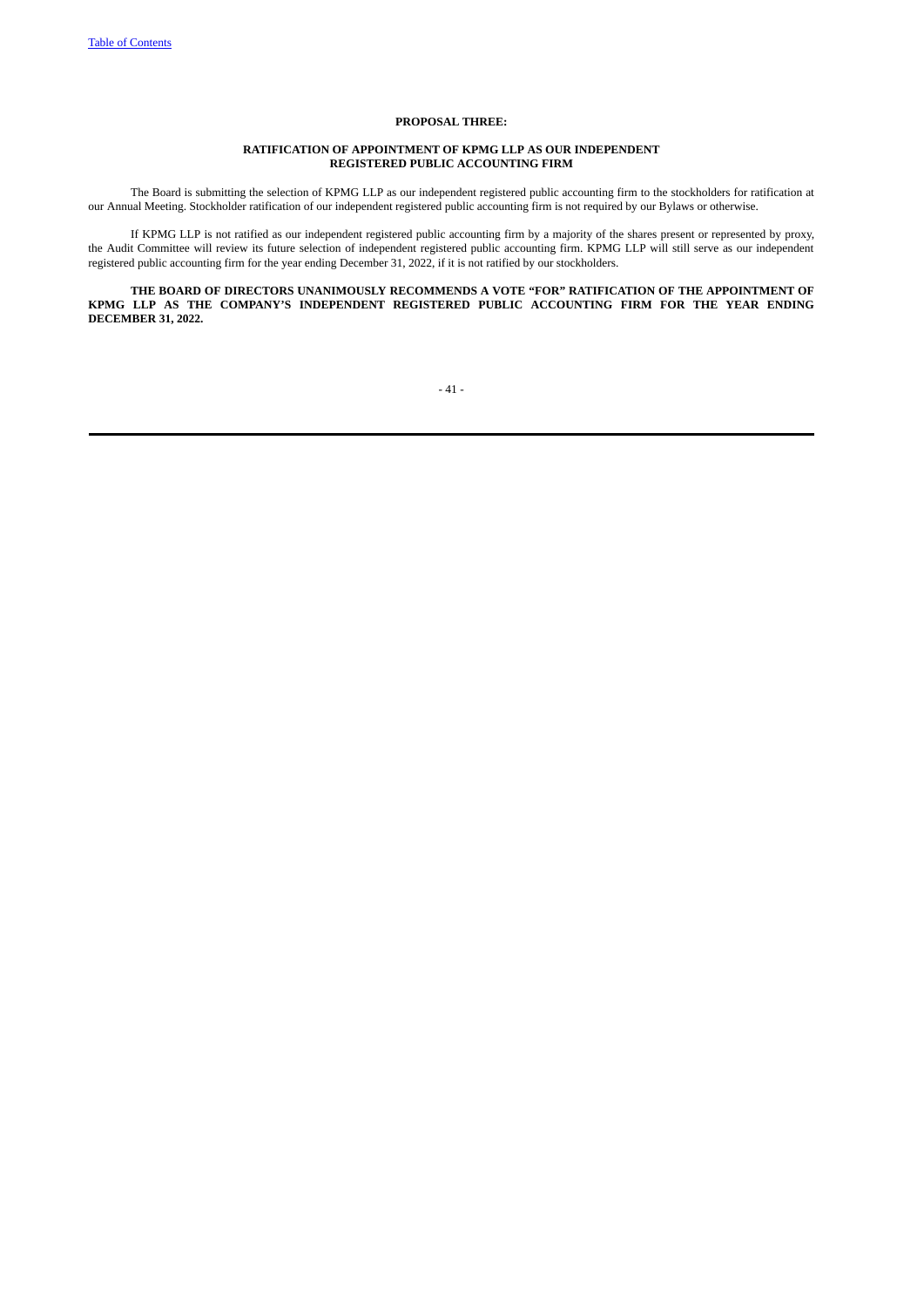## **PROPOSAL THREE:**

# **RATIFICATION OF APPOINTMENT OF KPMG LLP AS OUR INDEPENDENT REGISTERED PUBLIC ACCOUNTING FIRM**

The Board is submitting the selection of KPMG LLP as our independent registered public accounting firm to the stockholders for ratification at our Annual Meeting. Stockholder ratification of our independent registered public accounting firm is not required by our Bylaws or otherwise.

If KPMG LLP is not ratified as our independent registered public accounting firm by a majority of the shares present or represented by proxy, the Audit Committee will review its future selection of independent registered public accounting firm. KPMG LLP will still serve as our independent registered public accounting firm for the year ending December 31, 2022, if it is not ratified by our stockholders.

**THE BOARD OF DIRECTORS UNANIMOUSLY RECOMMENDS A VOTE "FOR" RATIFICATION OF THE APPOINTMENT OF KPMG LLP AS THE COMPANY'S INDEPENDENT REGISTERED PUBLIC ACCOUNTING FIRM FOR THE YEAR ENDING DECEMBER 31, 2022.**

 $-41-$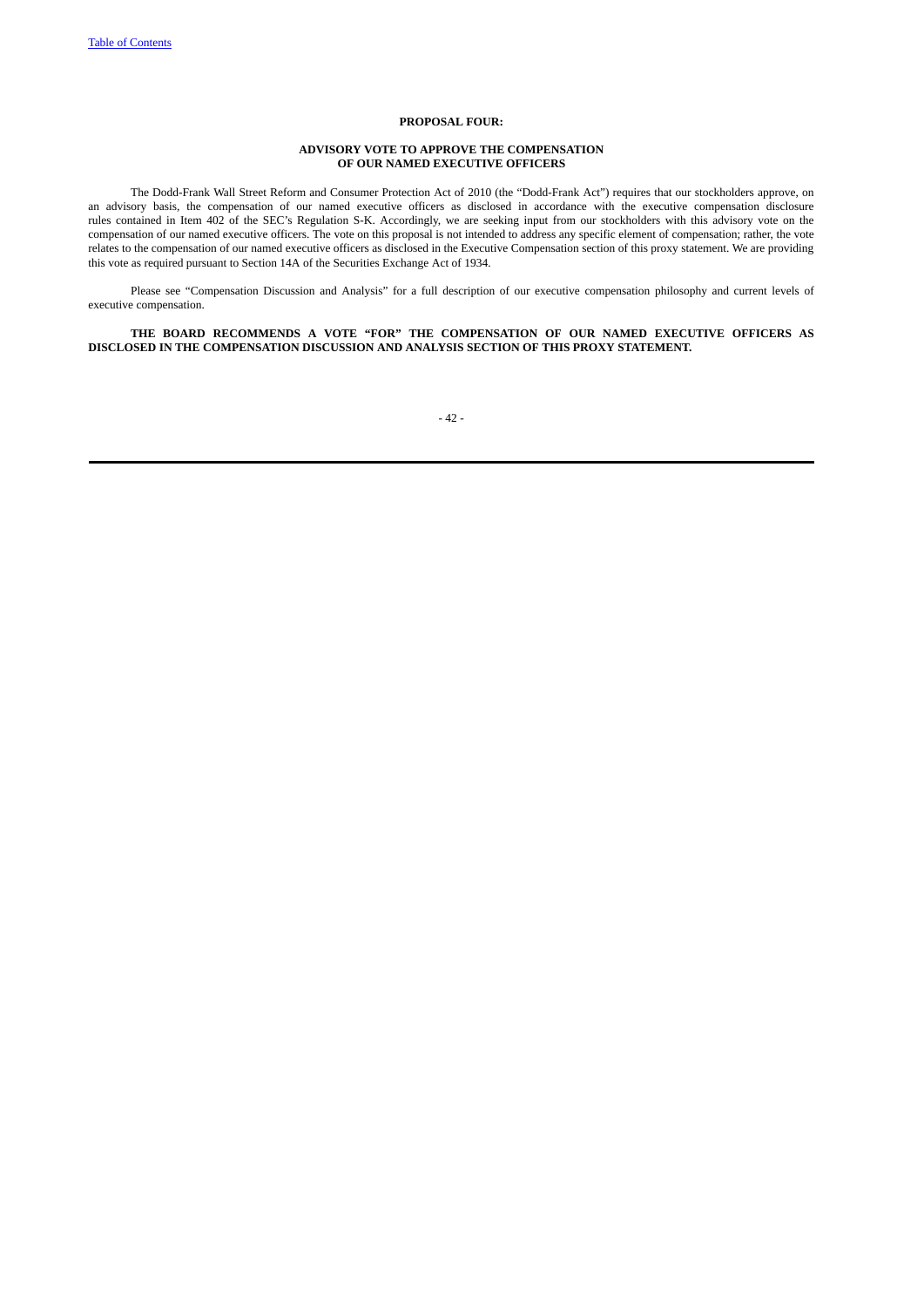## **PROPOSAL FOUR:**

# **ADVISORY VOTE TO APPROVE THE COMPENSATION OF OUR NAMED EXECUTIVE OFFICERS**

The Dodd-Frank Wall Street Reform and Consumer Protection Act of 2010 (the "Dodd-Frank Act") requires that our stockholders approve, on an advisory basis, the compensation of our named executive officers as disclosed in accordance with the executive compensation disclosure rules contained in Item 402 of the SEC's Regulation S-K. Accordingly, we are seeking input from our stockholders with this advisory vote on the compensation of our named executive officers. The vote on this proposal is not intended to address any specific element of compensation; rather, the vote relates to the compensation of our named executive officers as disclosed in the Executive Compensation section of this proxy statement. We are providing this vote as required pursuant to Section 14A of the Securities Exchange Act of 1934.

Please see "Compensation Discussion and Analysis" for a full description of our executive compensation philosophy and current levels of executive compensation.

**THE BOARD RECOMMENDS A VOTE "FOR" THE COMPENSATION OF OUR NAMED EXECUTIVE OFFICERS AS DISCLOSED IN THE COMPENSATION DISCUSSION AND ANALYSIS SECTION OF THIS PROXY STATEMENT.**

# - 42 -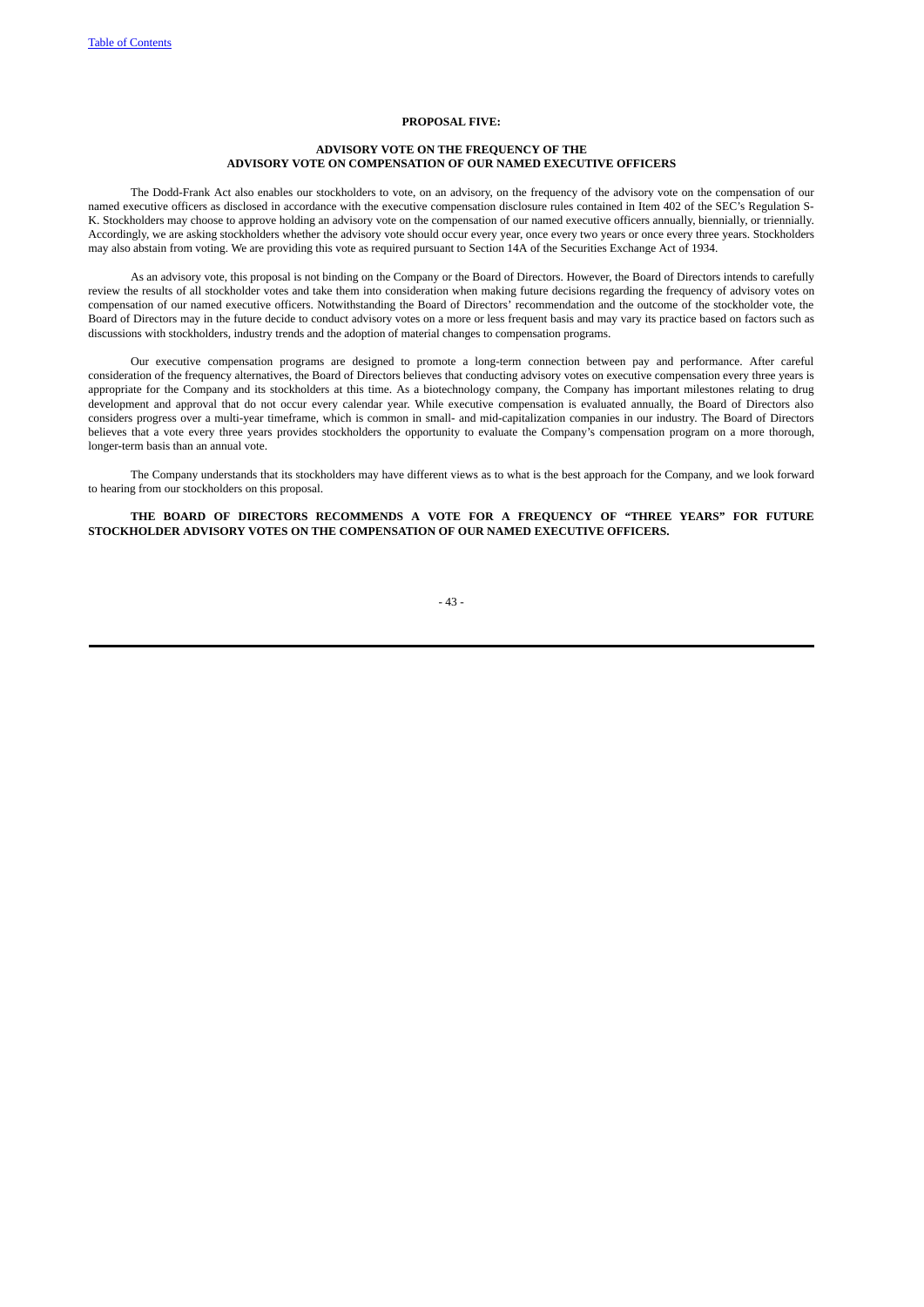## **PROPOSAL FIVE:**

# **ADVISORY VOTE ON THE FREQUENCY OF THE ADVISORY VOTE ON COMPENSATION OF OUR NAMED EXECUTIVE OFFICERS**

The Dodd-Frank Act also enables our stockholders to vote, on an advisory, on the frequency of the advisory vote on the compensation of our named executive officers as disclosed in accordance with the executive compensation disclosure rules contained in Item 402 of the SEC's Regulation S-K. Stockholders may choose to approve holding an advisory vote on the compensation of our named executive officers annually, biennially, or triennially. Accordingly, we are asking stockholders whether the advisory vote should occur every year, once every two years or once every three years. Stockholders may also abstain from voting. We are providing this vote as required pursuant to Section 14A of the Securities Exchange Act of 1934.

As an advisory vote, this proposal is not binding on the Company or the Board of Directors. However, the Board of Directors intends to carefully review the results of all stockholder votes and take them into consideration when making future decisions regarding the frequency of advisory votes on compensation of our named executive officers. Notwithstanding the Board of Directors' recommendation and the outcome of the stockholder vote, the Board of Directors may in the future decide to conduct advisory votes on a more or less frequent basis and may vary its practice based on factors such as discussions with stockholders, industry trends and the adoption of material changes to compensation programs.

Our executive compensation programs are designed to promote a long-term connection between pay and performance. After careful consideration of the frequency alternatives, the Board of Directors believes that conducting advisory votes on executive compensation every three years is appropriate for the Company and its stockholders at this time. As a biotechnology company, the Company has important milestones relating to drug development and approval that do not occur every calendar year. While executive compensation is evaluated annually, the Board of Directors also considers progress over a multi-year timeframe, which is common in small- and mid-capitalization companies in our industry. The Board of Directors believes that a vote every three years provides stockholders the opportunity to evaluate the Company's compensation program on a more thorough, longer-term basis than an annual vote.

The Company understands that its stockholders may have different views as to what is the best approach for the Company, and we look forward to hearing from our stockholders on this proposal.

**THE BOARD OF DIRECTORS RECOMMENDS A VOTE FOR A FREQUENCY OF "THREE YEARS" FOR FUTURE STOCKHOLDER ADVISORY VOTES ON THE COMPENSATION OF OUR NAMED EXECUTIVE OFFICERS.**

# - 43 -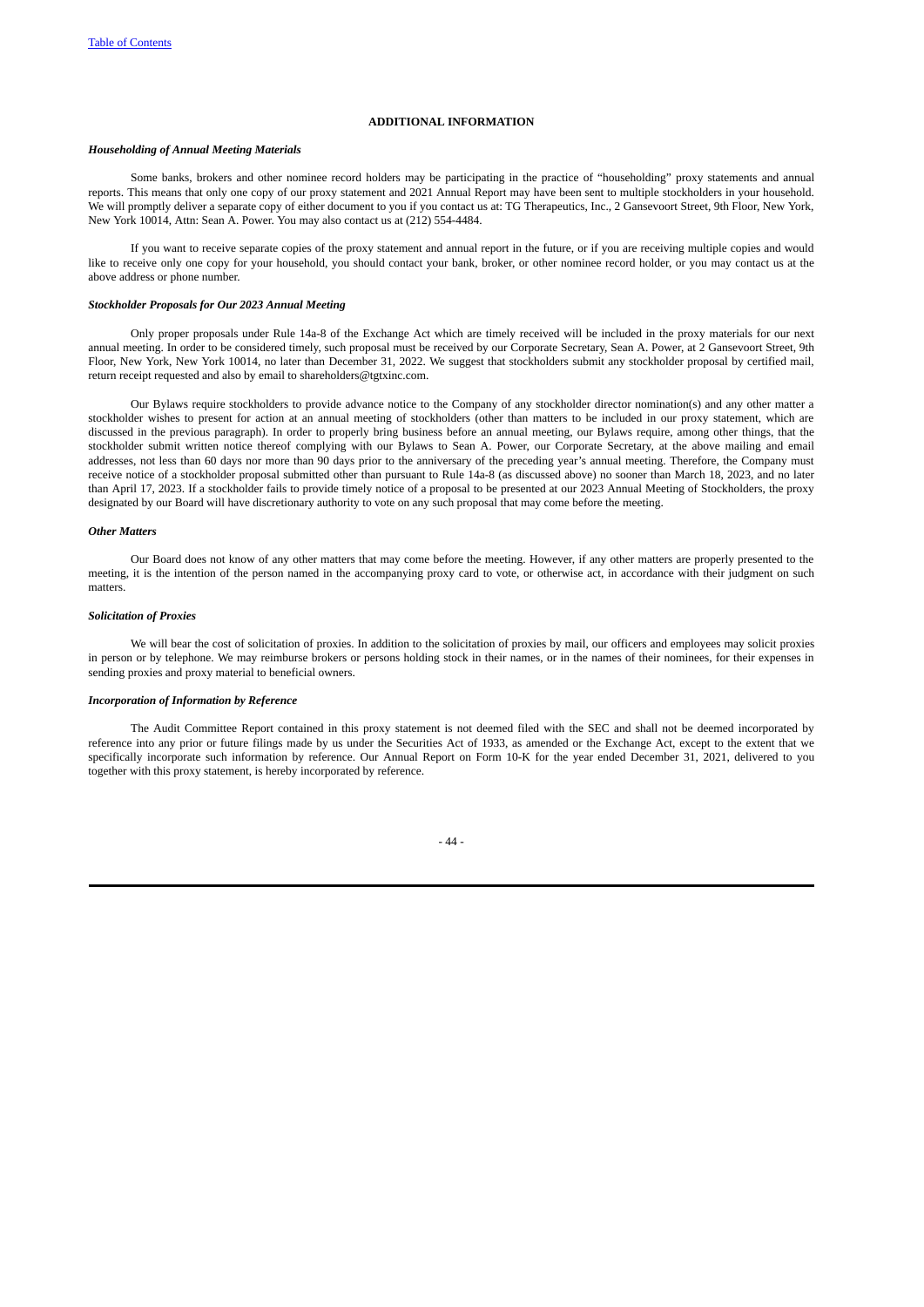## **ADDITIONAL INFORMATION**

## *Householding of Annual Meeting Materials*

Some banks, brokers and other nominee record holders may be participating in the practice of "householding" proxy statements and annual reports. This means that only one copy of our proxy statement and 2021 Annual Report may have been sent to multiple stockholders in your household. We will promptly deliver a separate copy of either document to you if you contact us at: TG Therapeutics, Inc., 2 Gansevoort Street, 9th Floor, New York, New York 10014, Attn: Sean A. Power. You may also contact us at (212) 554-4484.

If you want to receive separate copies of the proxy statement and annual report in the future, or if you are receiving multiple copies and would like to receive only one copy for your household, you should contact your bank, broker, or other nominee record holder, or you may contact us at the above address or phone number.

#### *Stockholder Proposals for Our 2023 Annual Meeting*

Only proper proposals under Rule 14a-8 of the Exchange Act which are timely received will be included in the proxy materials for our next annual meeting. In order to be considered timely, such proposal must be received by our Corporate Secretary, Sean A. Power, at 2 Gansevoort Street, 9th Floor, New York, New York 10014, no later than December 31, 2022. We suggest that stockholders submit any stockholder proposal by certified mail, return receipt requested and also by email to shareholders@tgtxinc.com.

Our Bylaws require stockholders to provide advance notice to the Company of any stockholder director nomination(s) and any other matter a stockholder wishes to present for action at an annual meeting of stockholders (other than matters to be included in our proxy statement, which are discussed in the previous paragraph). In order to properly bring business before an annual meeting, our Bylaws require, among other things, that the stockholder submit written notice thereof complying with our Bylaws to Sean A. Power, our Corporate Secretary, at the above mailing and email addresses, not less than 60 days nor more than 90 days prior to the anniversary of the preceding year's annual meeting. Therefore, the Company must receive notice of a stockholder proposal submitted other than pursuant to Rule 14a-8 (as discussed above) no sooner than March 18, 2023, and no later than April 17, 2023. If a stockholder fails to provide timely notice of a proposal to be presented at our 2023 Annual Meeting of Stockholders, the proxy designated by our Board will have discretionary authority to vote on any such proposal that may come before the meeting.

## *Other Matters*

Our Board does not know of any other matters that may come before the meeting. However, if any other matters are properly presented to the meeting, it is the intention of the person named in the accompanying proxy card to vote, or otherwise act, in accordance with their judgment on such matters.

#### *Solicitation of Proxies*

We will bear the cost of solicitation of proxies. In addition to the solicitation of proxies by mail, our officers and employees may solicit proxies in person or by telephone. We may reimburse brokers or persons holding stock in their names, or in the names of their nominees, for their expenses in sending proxies and proxy material to beneficial owners.

#### *Incorporation of Information by Reference*

The Audit Committee Report contained in this proxy statement is not deemed filed with the SEC and shall not be deemed incorporated by reference into any prior or future filings made by us under the Securities Act of 1933, as amended or the Exchange Act, except to the extent that we specifically incorporate such information by reference. Our Annual Report on Form 10-K for the year ended December 31, 2021, delivered to you together with this proxy statement, is hereby incorporated by reference.

- 44 -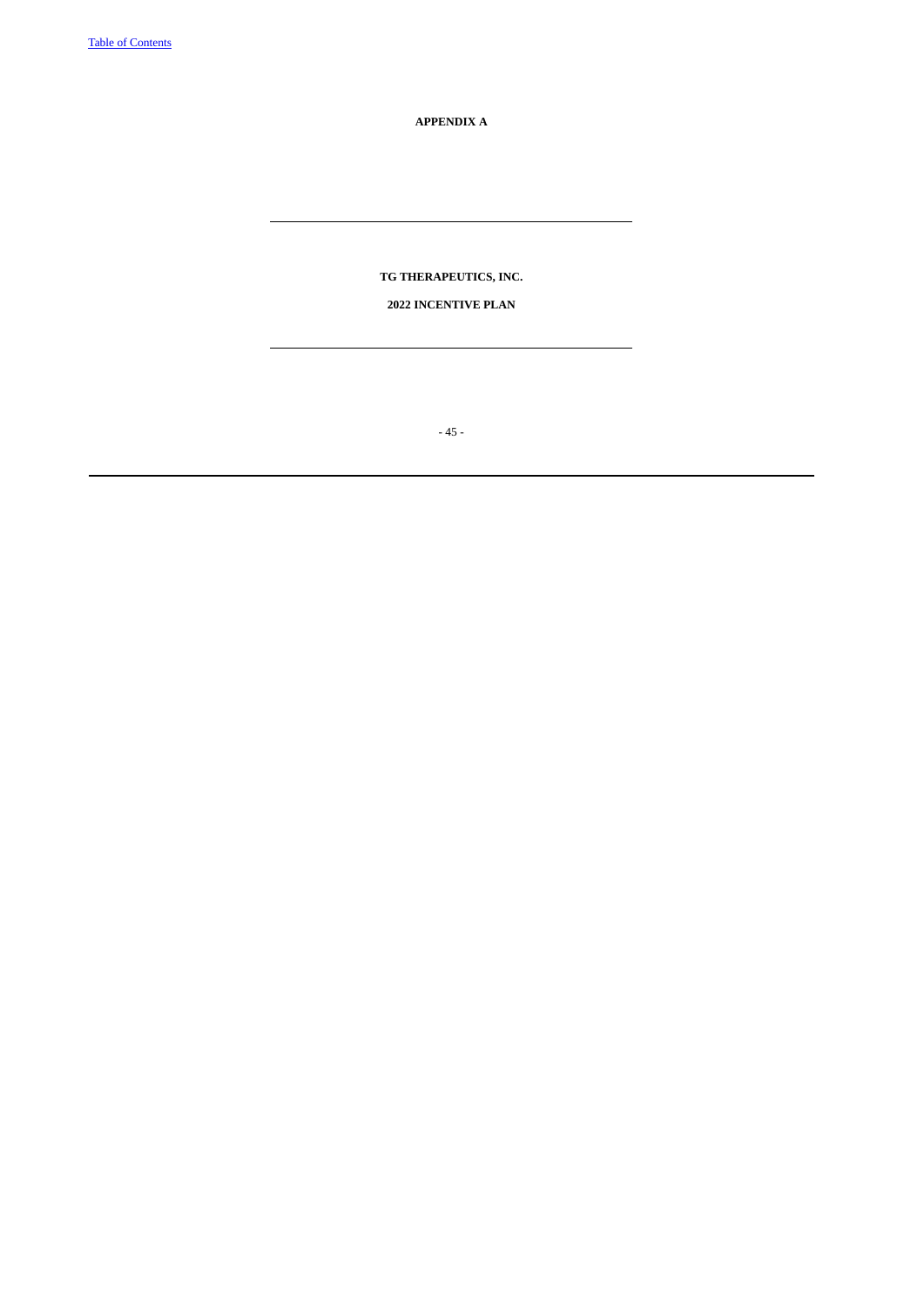**APPENDIX A**

**TG THERAPEUTICS, INC.**

# **2022 INCENTIVE PLAN**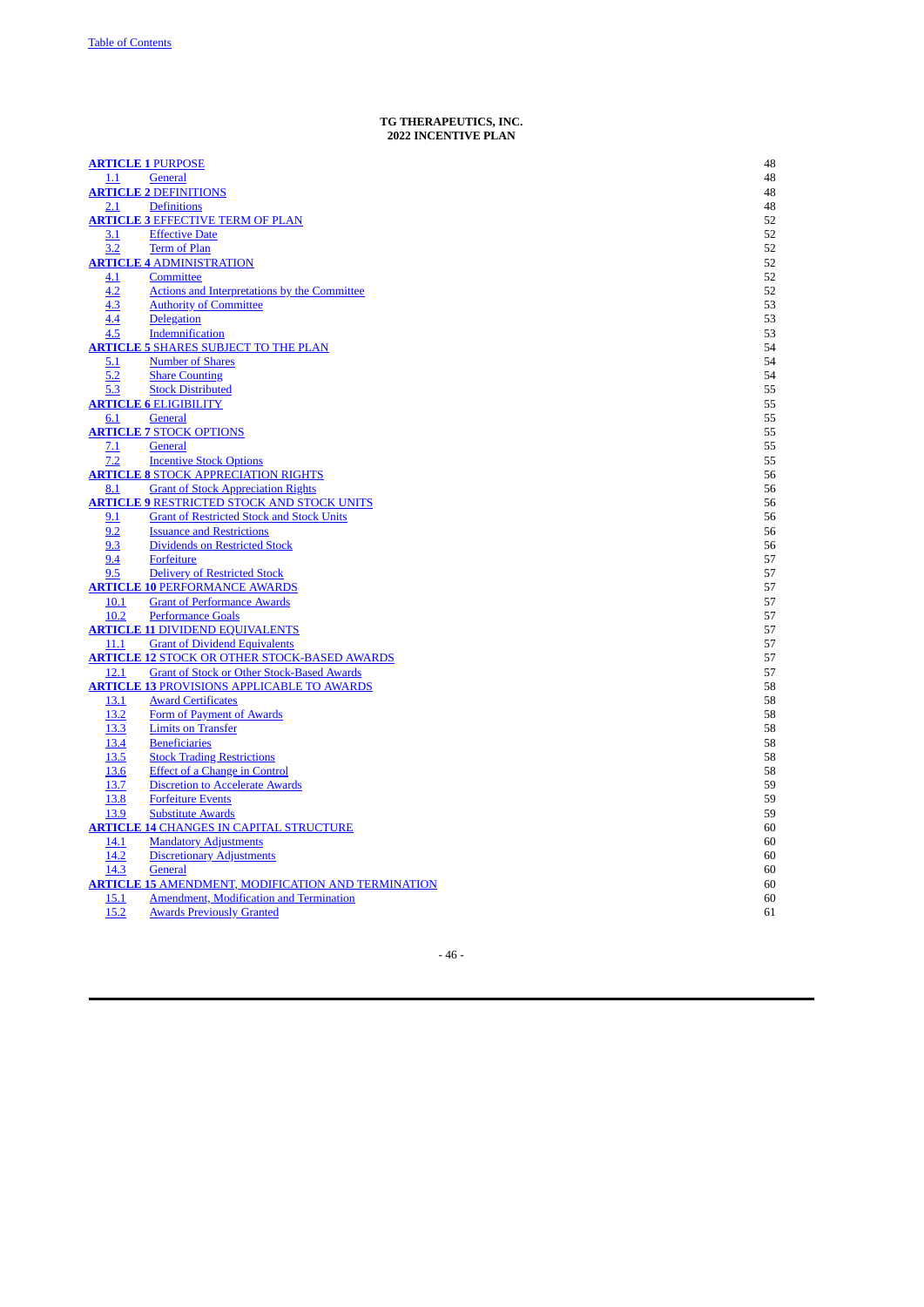#### **TG THERAPEUTICS, INC. 2022 INCENTIVE PLAN**

|      | <b>ARTICLE 1 PURPOSE</b>                                  | 48 |
|------|-----------------------------------------------------------|----|
| 1.1  | <b>General</b>                                            | 48 |
|      | <b>ARTICLE 2 DEFINITIONS</b>                              | 48 |
| 2.1  | <b>Definitions</b>                                        | 48 |
|      | <b>ARTICLE 3 EFFECTIVE TERM OF PLAN</b>                   | 52 |
| 3.1  | <b>Effective Date</b>                                     | 52 |
| 3.2  | Term of Plan                                              | 52 |
|      | <b>ARTICLE 4 ADMINISTRATION</b>                           | 52 |
| 4.1  | Committee                                                 | 52 |
| 4.2  | <b>Actions and Interpretations by the Committee</b>       | 52 |
| 4.3  | <b>Authority of Committee</b>                             | 53 |
| 4.4  | Delegation                                                | 53 |
| 4.5  | Indemnification                                           | 53 |
|      | <b>ARTICLE 5 SHARES SUBJECT TO THE PLAN</b>               | 54 |
| 5.1  | <b>Number of Shares</b>                                   | 54 |
| 5.2  | <b>Share Counting</b>                                     | 54 |
| 5.3  | <b>Stock Distributed</b>                                  | 55 |
|      | <b>ARTICLE 6 ELIGIBILITY</b>                              | 55 |
| 6.1  | General                                                   | 55 |
|      | <b>ARTICLE 7 STOCK OPTIONS</b>                            | 55 |
| 7.1  | General                                                   | 55 |
| 7.2  | <b>Incentive Stock Options</b>                            | 55 |
|      | <b>ARTICLE 8 STOCK APPRECIATION RIGHTS</b>                | 56 |
| 8.1  | <b>Grant of Stock Appreciation Rights</b>                 | 56 |
|      | <b>ARTICLE 9 RESTRICTED STOCK AND STOCK UNITS</b>         | 56 |
| 9.1  | <b>Grant of Restricted Stock and Stock Units</b>          | 56 |
| 9.2  | <b>Issuance and Restrictions</b>                          | 56 |
| 9.3  | <b>Dividends on Restricted Stock</b>                      | 56 |
| 9.4  | Forfeiture                                                | 57 |
| 9.5  | <b>Delivery of Restricted Stock</b>                       | 57 |
|      | <b>ARTICLE 10 PERFORMANCE AWARDS</b>                      | 57 |
| 10.1 | <b>Grant of Performance Awards</b>                        | 57 |
| 10.2 | <b>Performance Goals</b>                                  | 57 |
|      | <b>ARTICLE 11 DIVIDEND EQUIVALENTS</b>                    | 57 |
| 11.1 | <b>Grant of Dividend Equivalents</b>                      | 57 |
|      | <b>ARTICLE 12 STOCK OR OTHER STOCK-BASED AWARDS</b>       | 57 |
| 12.1 | <b>Grant of Stock or Other Stock-Based Awards</b>         | 57 |
|      | <b>ARTICLE 13 PROVISIONS APPLICABLE TO AWARDS</b>         | 58 |
| 13.1 | <b>Award Certificates</b>                                 | 58 |
| 13.2 | Form of Payment of Awards                                 | 58 |
| 13.3 | <b>Limits on Transfer</b>                                 | 58 |
| 13.4 | <b>Beneficiaries</b>                                      | 58 |
| 13.5 | <b>Stock Trading Restrictions</b>                         | 58 |
| 13.6 | <b>Effect of a Change in Control</b>                      | 58 |
| 13.7 | <b>Discretion to Accelerate Awards</b>                    | 59 |
| 13.8 | <b>Forfeiture Events</b>                                  | 59 |
| 13.9 | <b>Substitute Awards</b>                                  | 59 |
|      | <b>ARTICLE 14 CHANGES IN CAPITAL STRUCTURE</b>            | 60 |
| 14.1 | <b>Mandatory Adjustments</b>                              | 60 |
| 14.2 | <b>Discretionary Adjustments</b>                          | 60 |
| 14.3 | General                                                   | 60 |
|      | <b>ARTICLE 15 AMENDMENT, MODIFICATION AND TERMINATION</b> | 60 |
| 15.1 | Amendment, Modification and Termination                   | 60 |
| 15.2 | <b>Awards Previously Granted</b>                          | 61 |
|      |                                                           |    |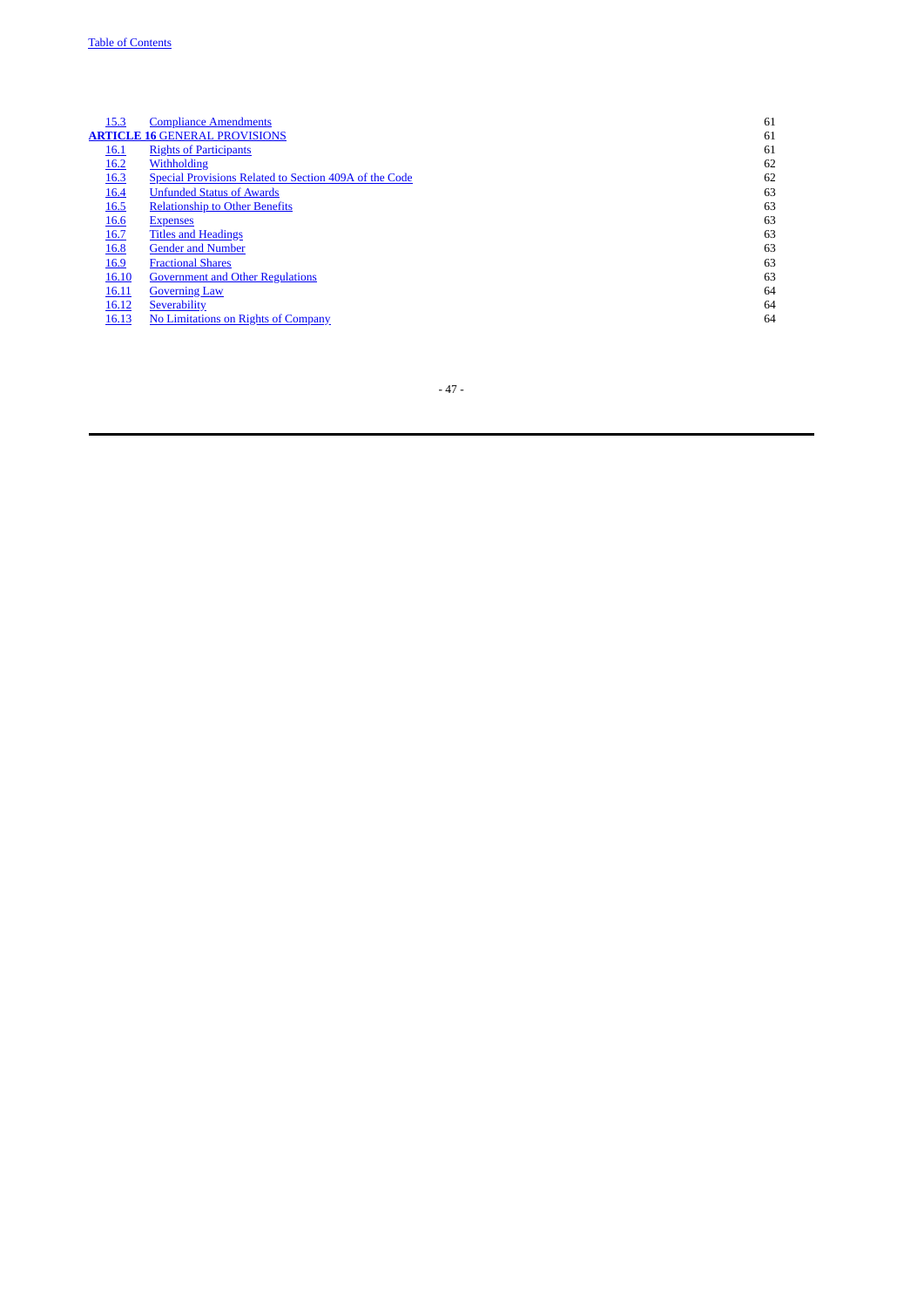| 15.3        | <b>Compliance Amendments</b>                           | 61 |
|-------------|--------------------------------------------------------|----|
|             | <b>ARTICLE 16 GENERAL PROVISIONS</b>                   | 61 |
| <u>16.1</u> | <b>Rights of Participants</b>                          | 61 |
| 16.2        | Withholding                                            | 62 |
| <b>16.3</b> | Special Provisions Related to Section 409A of the Code | 62 |
| 16.4        | <b>Unfunded Status of Awards</b>                       | 63 |
| 16.5        | <b>Relationship to Other Benefits</b>                  | 63 |
| 16.6        | <b>Expenses</b>                                        | 63 |
| 16.7        | <b>Titles and Headings</b>                             | 63 |
| 16.8        | <b>Gender and Number</b>                               | 63 |
| 16.9        | <b>Fractional Shares</b>                               | 63 |
| 16.10       | <b>Government and Other Regulations</b>                | 63 |
| 16.11       | <b>Governing Law</b>                                   | 64 |
| 16.12       | Severability                                           | 64 |
| 16.13       | No Limitations on Rights of Company                    | 64 |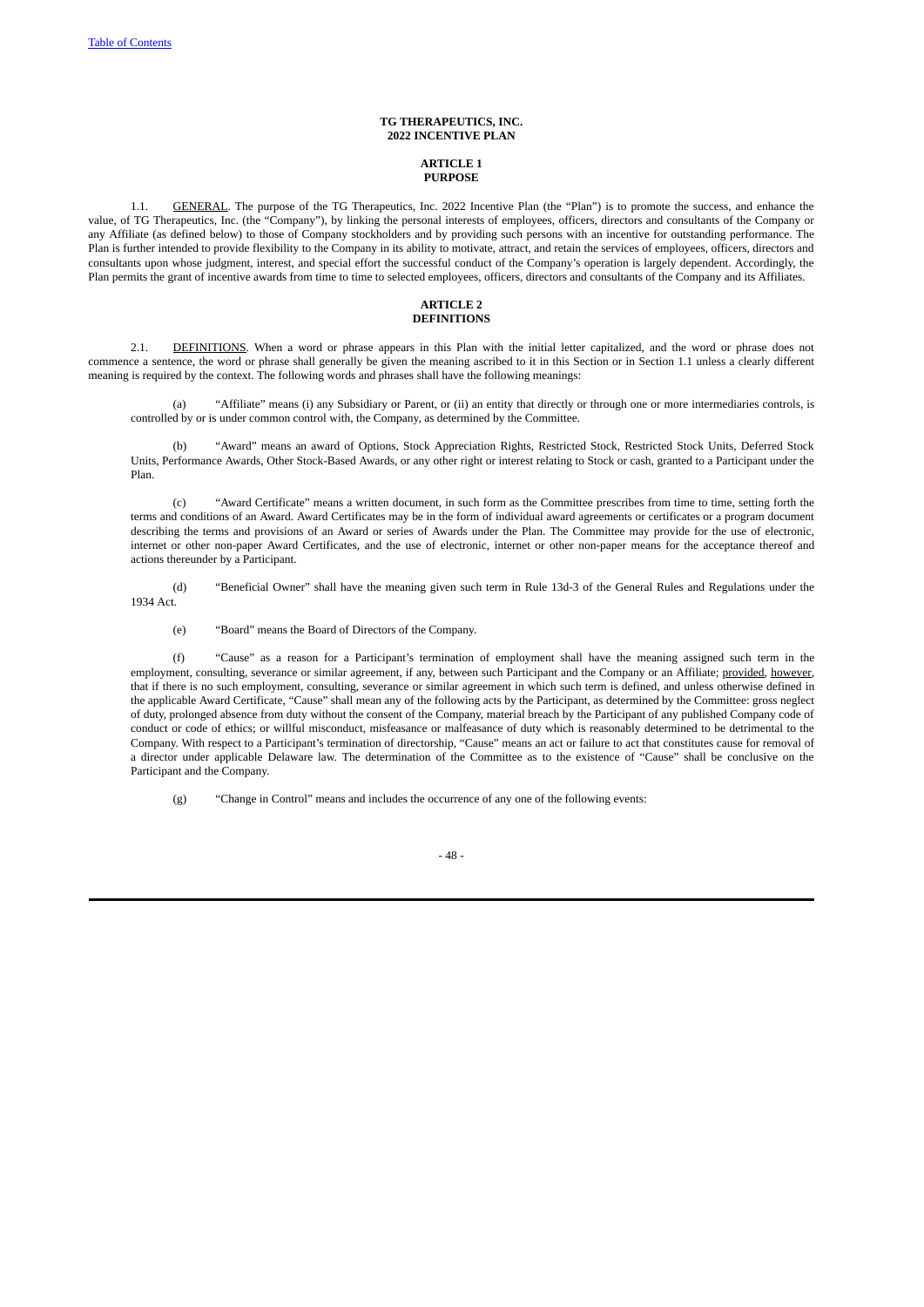# **TG THERAPEUTICS, INC. 2022 INCENTIVE PLAN**

## <span id="page-54-1"></span><span id="page-54-0"></span>**ARTICLE 1 PURPOSE**

1.1. GENERAL. The purpose of the TG Therapeutics, Inc. 2022 Incentive Plan (the "Plan") is to promote the success, and enhance the value, of TG Therapeutics, Inc. (the "Company"), by linking the personal interests of employees, officers, directors and consultants of the Company or any Affiliate (as defined below) to those of Company stockholders and by providing such persons with an incentive for outstanding performance. The Plan is further intended to provide flexibility to the Company in its ability to motivate, attract, and retain the services of employees, officers, directors and consultants upon whose judgment, interest, and special effort the successful conduct of the Company's operation is largely dependent. Accordingly, the Plan permits the grant of incentive awards from time to time to selected employees, officers, directors and consultants of the Company and its Affiliates.

## <span id="page-54-3"></span><span id="page-54-2"></span>**ARTICLE 2 DEFINITIONS**

2.1. DEFINITIONS. When a word or phrase appears in this Plan with the initial letter capitalized, and the word or phrase does not commence a sentence, the word or phrase shall generally be given the meaning ascribed to it in this Section or in Section 1.1 unless a clearly different meaning is required by the context. The following words and phrases shall have the following meanings:

(a) "Affiliate" means (i) any Subsidiary or Parent, or (ii) an entity that directly or through one or more intermediaries controls, is controlled by or is under common control with, the Company, as determined by the Committee.

(b) "Award" means an award of Options, Stock Appreciation Rights, Restricted Stock, Restricted Stock Units, Deferred Stock Units, Performance Awards, Other Stock-Based Awards, or any other right or interest relating to Stock or cash, granted to a Participant under the Plan.

(c) "Award Certificate" means a written document, in such form as the Committee prescribes from time to time, setting forth the terms and conditions of an Award. Award Certificates may be in the form of individual award agreements or certificates or a program document describing the terms and provisions of an Award or series of Awards under the Plan. The Committee may provide for the use of electronic, internet or other non-paper Award Certificates, and the use of electronic, internet or other non-paper means for the acceptance thereof and actions thereunder by a Participant.

(d) "Beneficial Owner" shall have the meaning given such term in Rule 13d-3 of the General Rules and Regulations under the 1934 Act.

(e) "Board" means the Board of Directors of the Company.

(f) "Cause" as a reason for a Participant's termination of employment shall have the meaning assigned such term in the employment, consulting, severance or similar agreement, if any, between such Participant and the Company or an Affiliate; provided, however, that if there is no such employment, consulting, severance or similar agreement in which such term is defined, and unless otherwise defined in the applicable Award Certificate, "Cause" shall mean any of the following acts by the Participant, as determined by the Committee: gross neglect of duty, prolonged absence from duty without the consent of the Company, material breach by the Participant of any published Company code of conduct or code of ethics; or willful misconduct, misfeasance or malfeasance of duty which is reasonably determined to be detrimental to the Company. With respect to a Participant's termination of directorship, "Cause" means an act or failure to act that constitutes cause for removal of a director under applicable Delaware law. The determination of the Committee as to the existence of "Cause" shall be conclusive on the Participant and the Company.

(g) "Change in Control" means and includes the occurrence of any one of the following events:

- 48 -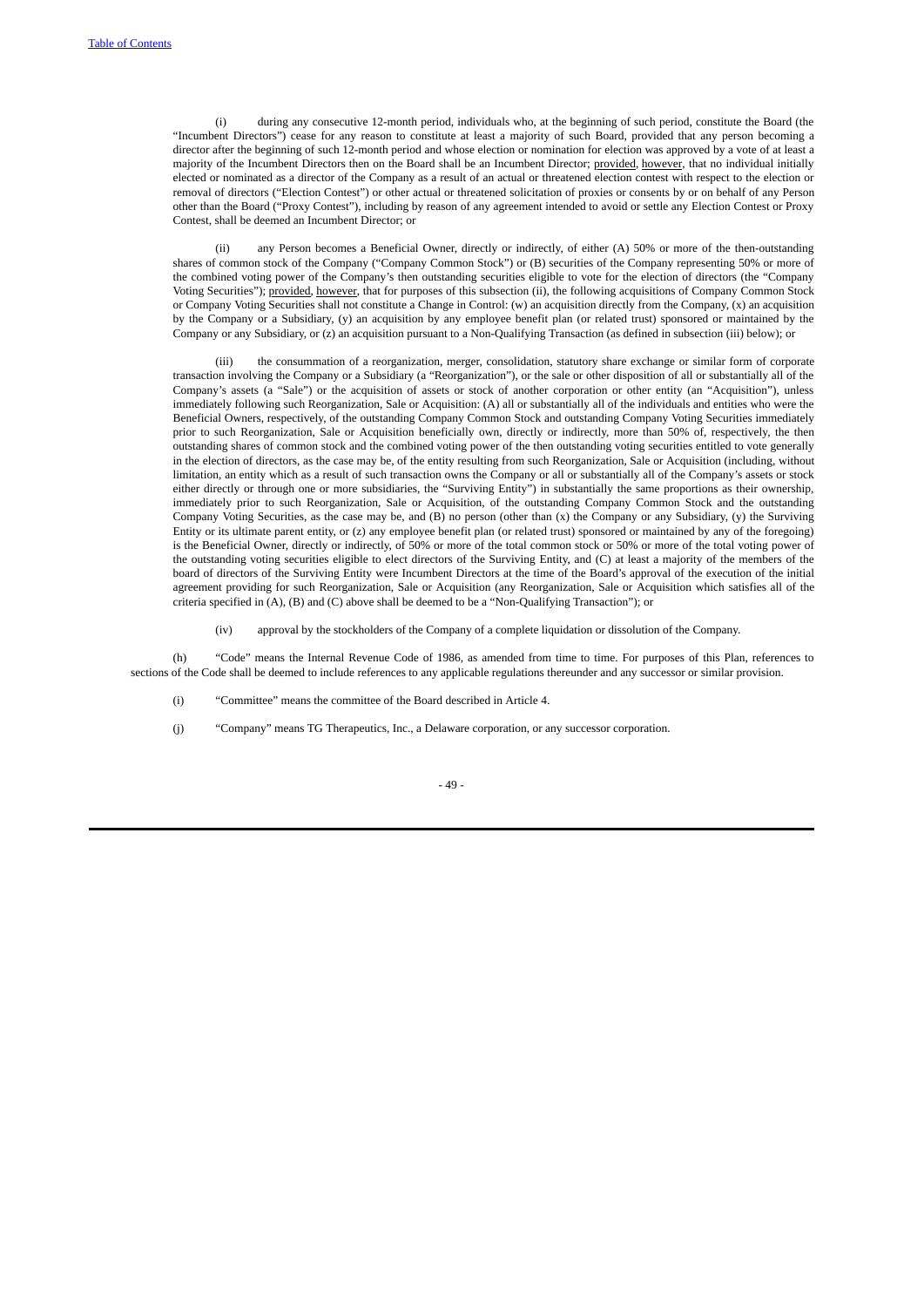(i) during any consecutive 12-month period, individuals who, at the beginning of such period, constitute the Board (the "Incumbent Directors") cease for any reason to constitute at least a majority of such Board, provided that any person becoming a director after the beginning of such 12-month period and whose election or nomination for election was approved by a vote of at least a majority of the Incumbent Directors then on the Board shall be an Incumbent Director; provided, however, that no individual initially elected or nominated as a director of the Company as a result of an actual or threatened election contest with respect to the election or removal of directors ("Election Contest") or other actual or threatened solicitation of proxies or consents by or on behalf of any Person other than the Board ("Proxy Contest"), including by reason of any agreement intended to avoid or settle any Election Contest or Proxy Contest, shall be deemed an Incumbent Director; or

(ii) any Person becomes a Beneficial Owner, directly or indirectly, of either (A) 50% or more of the then-outstanding shares of common stock of the Company ("Company Common Stock") or (B) securities of the Company representing 50% or more of the combined voting power of the Company's then outstanding securities eligible to vote for the election of directors (the "Company Voting Securities"); provided, however, that for purposes of this subsection (ii), the following acquisitions of Company Common Stock or Company Voting Securities shall not constitute a Change in Control: (w) an acquisition directly from the Company, (x) an acquisition by the Company or a Subsidiary, (y) an acquisition by any employee benefit plan (or related trust) sponsored or maintained by the Company or any Subsidiary, or (z) an acquisition pursuant to a Non-Qualifying Transaction (as defined in subsection (iii) below); or

the consummation of a reorganization, merger, consolidation, statutory share exchange or similar form of corporate transaction involving the Company or a Subsidiary (a "Reorganization"), or the sale or other disposition of all or substantially all of the Company's assets (a "Sale") or the acquisition of assets or stock of another corporation or other entity (an "Acquisition"), unless immediately following such Reorganization, Sale or Acquisition: (A) all or substantially all of the individuals and entities who were the Beneficial Owners, respectively, of the outstanding Company Common Stock and outstanding Company Voting Securities immediately prior to such Reorganization, Sale or Acquisition beneficially own, directly or indirectly, more than 50% of, respectively, the then outstanding shares of common stock and the combined voting power of the then outstanding voting securities entitled to vote generally in the election of directors, as the case may be, of the entity resulting from such Reorganization, Sale or Acquisition (including, without limitation, an entity which as a result of such transaction owns the Company or all or substantially all of the Company's assets or stock either directly or through one or more subsidiaries, the "Surviving Entity") in substantially the same proportions as their ownership, immediately prior to such Reorganization, Sale or Acquisition, of the outstanding Company Common Stock and the outstanding Company Voting Securities, as the case may be, and (B) no person (other than (x) the Company or any Subsidiary, (y) the Surviving Entity or its ultimate parent entity, or (z) any employee benefit plan (or related trust) sponsored or maintained by any of the foregoing) is the Beneficial Owner, directly or indirectly, of 50% or more of the total common stock or 50% or more of the total voting power of the outstanding voting securities eligible to elect directors of the Surviving Entity, and (C) at least a majority of the members of the board of directors of the Surviving Entity were Incumbent Directors at the time of the Board's approval of the execution of the initial agreement providing for such Reorganization, Sale or Acquisition (any Reorganization, Sale or Acquisition which satisfies all of the criteria specified in (A), (B) and (C) above shall be deemed to be a "Non-Qualifying Transaction"); or

(iv) approval by the stockholders of the Company of a complete liquidation or dissolution of the Company.

(h) "Code" means the Internal Revenue Code of 1986, as amended from time to time. For purposes of this Plan, references to sections of the Code shall be deemed to include references to any applicable regulations thereunder and any successor or similar provision.

- (i) "Committee" means the committee of the Board described in Article 4.
- (j) "Company" means TG Therapeutics, Inc., a Delaware corporation, or any successor corporation.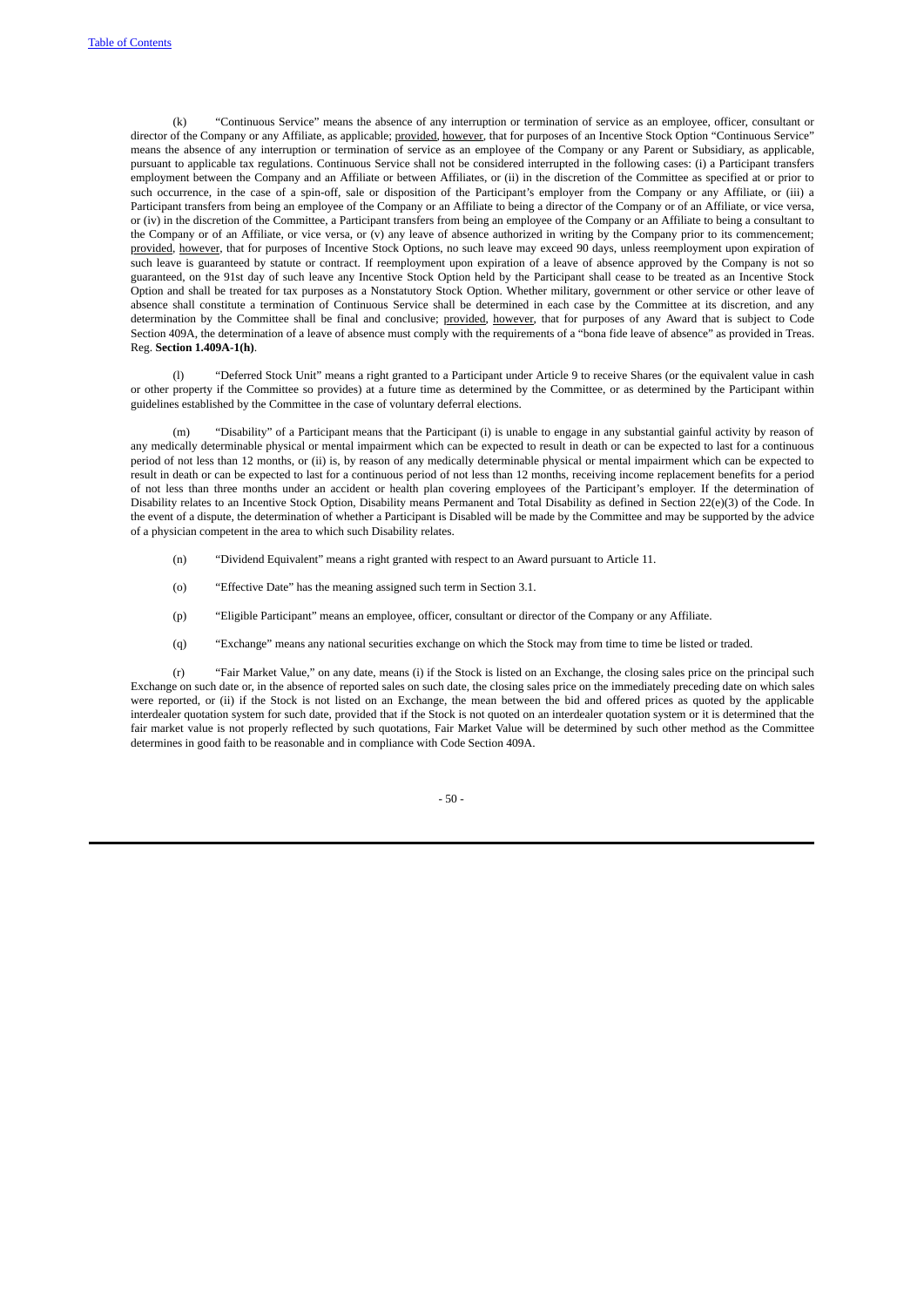(k) "Continuous Service" means the absence of any interruption or termination of service as an employee, officer, consultant or director of the Company or any Affiliate, as applicable; provided, however, that for purposes of an Incentive Stock Option "Continuous Service" means the absence of any interruption or termination of service as an employee of the Company or any Parent or Subsidiary, as applicable, pursuant to applicable tax regulations. Continuous Service shall not be considered interrupted in the following cases: (i) a Participant transfers employment between the Company and an Affiliate or between Affiliates, or (ii) in the discretion of the Committee as specified at or prior to such occurrence, in the case of a spin-off, sale or disposition of the Participant's employer from the Company or any Affiliate, or (iii) a Participant transfers from being an employee of the Company or an Affiliate to being a director of the Company or of an Affiliate, or vice versa, or (iv) in the discretion of the Committee, a Participant transfers from being an employee of the Company or an Affiliate to being a consultant to the Company or of an Affiliate, or vice versa, or (v) any leave of absence authorized in writing by the Company prior to its commencement; provided, however, that for purposes of Incentive Stock Options, no such leave may exceed 90 days, unless reemployment upon expiration of such leave is guaranteed by statute or contract. If reemployment upon expiration of a leave of absence approved by the Company is not so guaranteed, on the 91st day of such leave any Incentive Stock Option held by the Participant shall cease to be treated as an Incentive Stock Option and shall be treated for tax purposes as a Nonstatutory Stock Option. Whether military, government or other service or other leave of absence shall constitute a termination of Continuous Service shall be determined in each case by the Committee at its discretion, and any determination by the Committee shall be final and conclusive; provided, however, that for purposes of any Award that is subject to Code Section 409A, the determination of a leave of absence must comply with the requirements of a "bona fide leave of absence" as provided in Treas. Reg. **Section 1.409A-1(h)**.

(l) "Deferred Stock Unit" means a right granted to a Participant under Article 9 to receive Shares (or the equivalent value in cash or other property if the Committee so provides) at a future time as determined by the Committee, or as determined by the Participant within guidelines established by the Committee in the case of voluntary deferral elections.

(m) "Disability" of a Participant means that the Participant (i) is unable to engage in any substantial gainful activity by reason of any medically determinable physical or mental impairment which can be expected to result in death or can be expected to last for a continuous period of not less than 12 months, or (ii) is, by reason of any medically determinable physical or mental impairment which can be expected to result in death or can be expected to last for a continuous period of not less than 12 months, receiving income replacement benefits for a period of not less than three months under an accident or health plan covering employees of the Participant's employer. If the determination of Disability relates to an Incentive Stock Option, Disability means Permanent and Total Disability as defined in Section 22(e)(3) of the Code. In the event of a dispute, the determination of whether a Participant is Disabled will be made by the Committee and may be supported by the advice of a physician competent in the area to which such Disability relates.

- (n) "Dividend Equivalent" means a right granted with respect to an Award pursuant to Article 11.
- (o) "Effective Date" has the meaning assigned such term in Section 3.1.
- (p) "Eligible Participant" means an employee, officer, consultant or director of the Company or any Affiliate.
- (q) "Exchange" means any national securities exchange on which the Stock may from time to time be listed or traded.

(r) "Fair Market Value," on any date, means (i) if the Stock is listed on an Exchange, the closing sales price on the principal such Exchange on such date or, in the absence of reported sales on such date, the closing sales price on the immediately preceding date on which sales were reported, or (ii) if the Stock is not listed on an Exchange, the mean between the bid and offered prices as quoted by the applicable interdealer quotation system for such date, provided that if the Stock is not quoted on an interdealer quotation system or it is determined that the fair market value is not properly reflected by such quotations, Fair Market Value will be determined by such other method as the Committee determines in good faith to be reasonable and in compliance with Code Section 409A.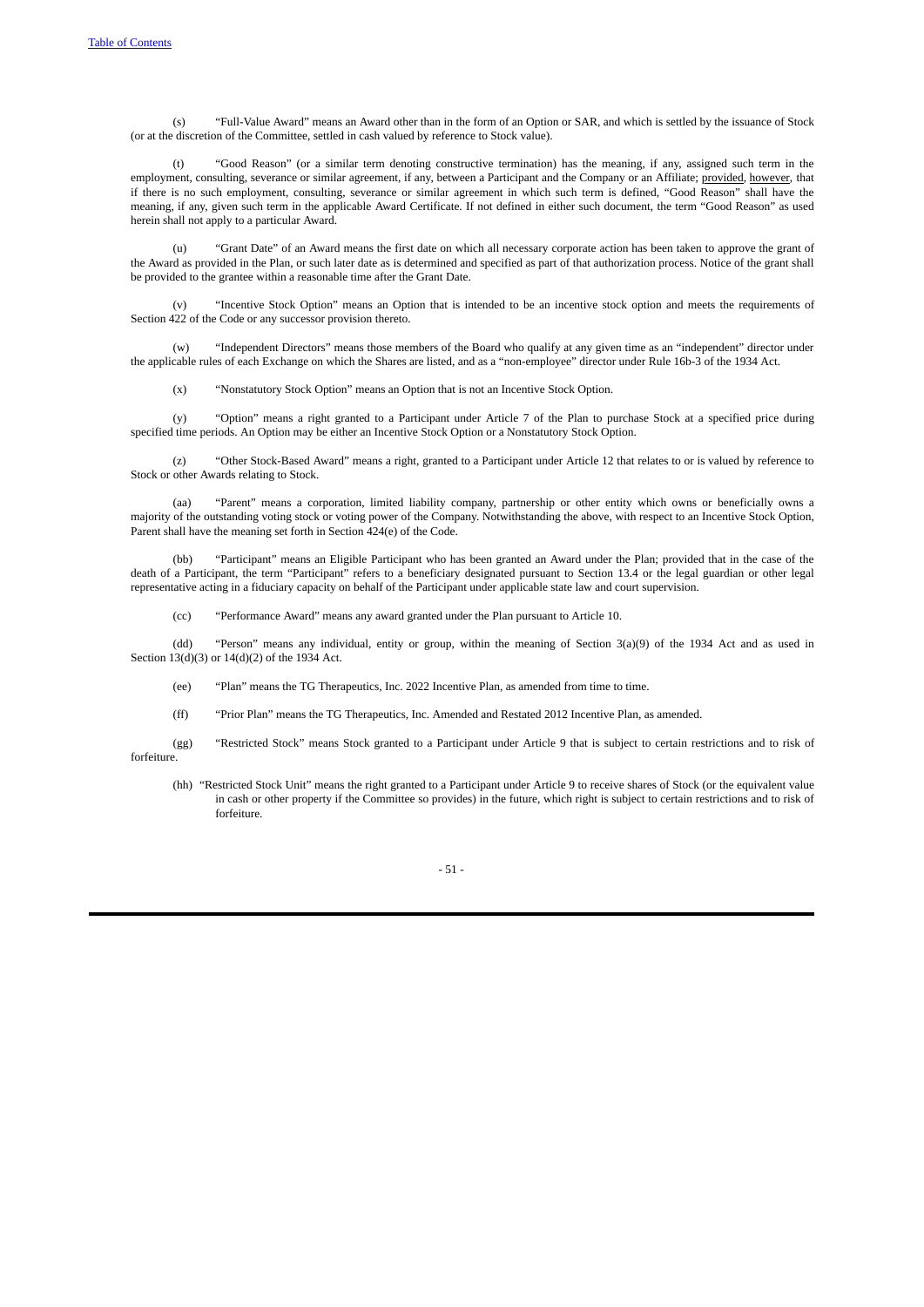(s) "Full-Value Award" means an Award other than in the form of an Option or SAR, and which is settled by the issuance of Stock (or at the discretion of the Committee, settled in cash valued by reference to Stock value).

"Good Reason" (or a similar term denoting constructive termination) has the meaning, if any, assigned such term in the employment, consulting, severance or similar agreement, if any, between a Participant and the Company or an Affiliate; provided, however, that if there is no such employment, consulting, severance or similar agreement in which such term is defined, "Good Reason" shall have the meaning, if any, given such term in the applicable Award Certificate. If not defined in either such document, the term "Good Reason" as used herein shall not apply to a particular Award.

(u) "Grant Date" of an Award means the first date on which all necessary corporate action has been taken to approve the grant of the Award as provided in the Plan, or such later date as is determined and specified as part of that authorization process. Notice of the grant shall be provided to the grantee within a reasonable time after the Grant Date.

(v) "Incentive Stock Option" means an Option that is intended to be an incentive stock option and meets the requirements of Section 422 of the Code or any successor provision thereto.

(w) "Independent Directors" means those members of the Board who qualify at any given time as an "independent" director under the applicable rules of each Exchange on which the Shares are listed, and as a "non-employee" director under Rule 16b-3 of the 1934 Act.

(x) "Nonstatutory Stock Option" means an Option that is not an Incentive Stock Option.

(y) "Option" means a right granted to a Participant under Article 7 of the Plan to purchase Stock at a specified price during specified time periods. An Option may be either an Incentive Stock Option or a Nonstatutory Stock Option.

(z) "Other Stock-Based Award" means a right, granted to a Participant under Article 12 that relates to or is valued by reference to Stock or other Awards relating to Stock.

(aa) "Parent" means a corporation, limited liability company, partnership or other entity which owns or beneficially owns a majority of the outstanding voting stock or voting power of the Company. Notwithstanding the above, with respect to an Incentive Stock Option, Parent shall have the meaning set forth in Section 424(e) of the Code.

(bb) "Participant" means an Eligible Participant who has been granted an Award under the Plan; provided that in the case of the death of a Participant, the term "Participant" refers to a beneficiary designated pursuant to Section 13.4 or the legal guardian or other legal representative acting in a fiduciary capacity on behalf of the Participant under applicable state law and court supervision.

(cc) "Performance Award" means any award granted under the Plan pursuant to Article 10.

(dd) "Person" means any individual, entity or group, within the meaning of Section 3(a)(9) of the 1934 Act and as used in Section 13(d)(3) or 14(d)(2) of the 1934 Act.

(ee) "Plan" means the TG Therapeutics, Inc. 2022 Incentive Plan, as amended from time to time.

(ff) "Prior Plan" means the TG Therapeutics, Inc. Amended and Restated 2012 Incentive Plan, as amended.

(gg) "Restricted Stock" means Stock granted to a Participant under Article 9 that is subject to certain restrictions and to risk of forfeiture.

(hh) "Restricted Stock Unit" means the right granted to a Participant under Article 9 to receive shares of Stock (or the equivalent value in cash or other property if the Committee so provides) in the future, which right is subject to certain restrictions and to risk of forfeiture.

- 51 -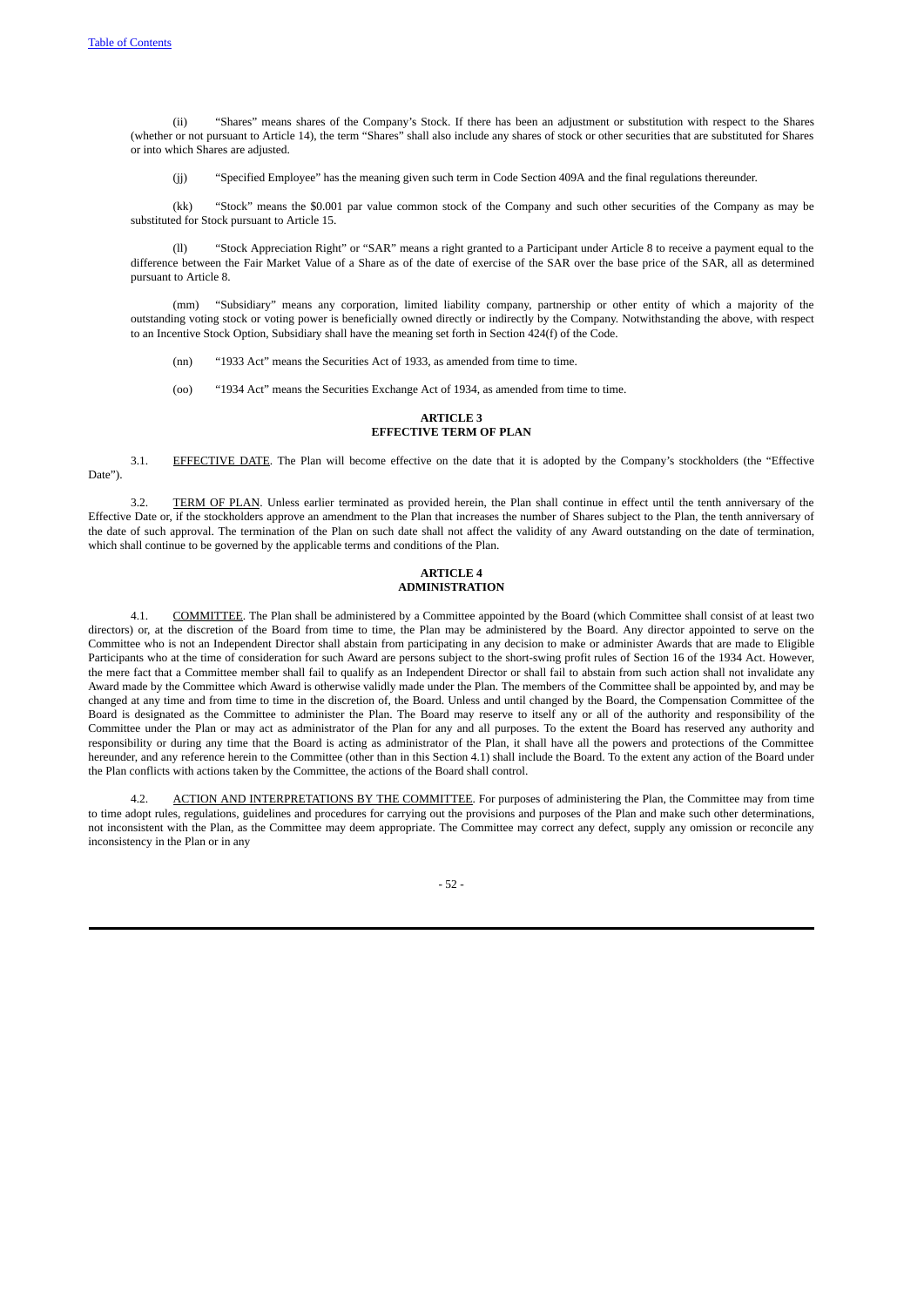(ii) "Shares" means shares of the Company's Stock. If there has been an adjustment or substitution with respect to the Shares (whether or not pursuant to Article 14), the term "Shares" shall also include any shares of stock or other securities that are substituted for Shares or into which Shares are adjusted.

(jj) "Specified Employee" has the meaning given such term in Code Section 409A and the final regulations thereunder.

(kk) "Stock" means the \$0.001 par value common stock of the Company and such other securities of the Company as may be substituted for Stock pursuant to Article 15.

(ll) "Stock Appreciation Right" or "SAR" means a right granted to a Participant under Article 8 to receive a payment equal to the difference between the Fair Market Value of a Share as of the date of exercise of the SAR over the base price of the SAR, all as determined pursuant to Article 8.

(mm) "Subsidiary" means any corporation, limited liability company, partnership or other entity of which a majority of the outstanding voting stock or voting power is beneficially owned directly or indirectly by the Company. Notwithstanding the above, with respect to an Incentive Stock Option, Subsidiary shall have the meaning set forth in Section 424(f) of the Code.

(nn) "1933 Act" means the Securities Act of 1933, as amended from time to time.

(oo) "1934 Act" means the Securities Exchange Act of 1934, as amended from time to time.

## <span id="page-58-0"></span>**ARTICLE 3 EFFECTIVE TERM OF PLAN**

3.1. EFFECTIVE DATE. The Plan will become effective on the date that it is adopted by the Company's stockholders (the "Effective Date").

3.2. TERM OF PLAN. Unless earlier terminated as provided herein, the Plan shall continue in effect until the tenth anniversary of the Effective Date or, if the stockholders approve an amendment to the Plan that increases the number of Shares subject to the Plan, the tenth anniversary of the date of such approval. The termination of the Plan on such date shall not affect the validity of any Award outstanding on the date of termination, which shall continue to be governed by the applicable terms and conditions of the Plan.

#### <span id="page-58-4"></span><span id="page-58-3"></span><span id="page-58-2"></span><span id="page-58-1"></span>**ARTICLE 4 ADMINISTRATION**

4.1. COMMITTEE. The Plan shall be administered by a Committee appointed by the Board (which Committee shall consist of at least two directors) or, at the discretion of the Board from time to time, the Plan may be administered by the Board. Any director appointed to serve on the Committee who is not an Independent Director shall abstain from participating in any decision to make or administer Awards that are made to Eligible Participants who at the time of consideration for such Award are persons subject to the short-swing profit rules of Section 16 of the 1934 Act. However, the mere fact that a Committee member shall fail to qualify as an Independent Director or shall fail to abstain from such action shall not invalidate any Award made by the Committee which Award is otherwise validly made under the Plan. The members of the Committee shall be appointed by, and may be changed at any time and from time to time in the discretion of, the Board. Unless and until changed by the Board, the Compensation Committee of the Board is designated as the Committee to administer the Plan. The Board may reserve to itself any or all of the authority and responsibility of the Committee under the Plan or may act as administrator of the Plan for any and all purposes. To the extent the Board has reserved any authority and responsibility or during any time that the Board is acting as administrator of the Plan, it shall have all the powers and protections of the Committee hereunder, and any reference herein to the Committee (other than in this Section 4.1) shall include the Board. To the extent any action of the Board under the Plan conflicts with actions taken by the Committee, the actions of the Board shall control.

4.2. ACTION AND INTERPRETATIONS BY THE COMMITTEE. For purposes of administering the Plan, the Committee may from time to time adopt rules, regulations, guidelines and procedures for carrying out the provisions and purposes of the Plan and make such other determinations, not inconsistent with the Plan, as the Committee may deem appropriate. The Committee may correct any defect, supply any omission or reconcile any inconsistency in the Plan or in any

<span id="page-58-5"></span>- 52 -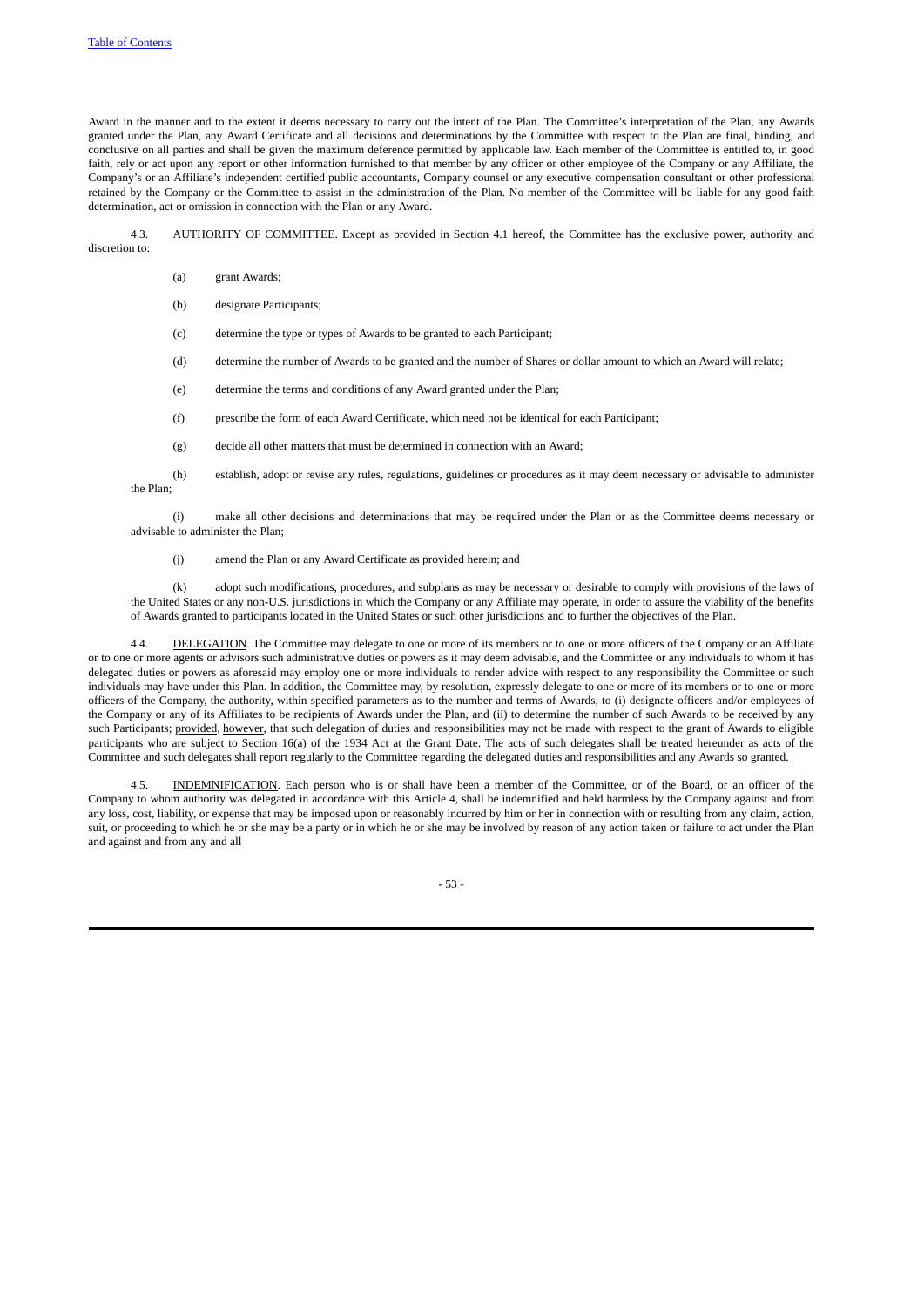Award in the manner and to the extent it deems necessary to carry out the intent of the Plan. The Committee's interpretation of the Plan, any Awards granted under the Plan, any Award Certificate and all decisions and determinations by the Committee with respect to the Plan are final, binding, and conclusive on all parties and shall be given the maximum deference permitted by applicable law. Each member of the Committee is entitled to, in good faith, rely or act upon any report or other information furnished to that member by any officer or other employee of the Company or any Affiliate, the Company's or an Affiliate's independent certified public accountants, Company counsel or any executive compensation consultant or other professional retained by the Company or the Committee to assist in the administration of the Plan. No member of the Committee will be liable for any good faith determination, act or omission in connection with the Plan or any Award.

4.3. AUTHORITY OF COMMITTEE. Except as provided in Section 4.1 hereof, the Committee has the exclusive power, authority and discretion to:

- <span id="page-59-0"></span>(a) grant Awards;
- (b) designate Participants;
- (c) determine the type or types of Awards to be granted to each Participant;
- (d) determine the number of Awards to be granted and the number of Shares or dollar amount to which an Award will relate;
- (e) determine the terms and conditions of any Award granted under the Plan;
- (f) prescribe the form of each Award Certificate, which need not be identical for each Participant;
- (g) decide all other matters that must be determined in connection with an Award;
- (h) establish, adopt or revise any rules, regulations, guidelines or procedures as it may deem necessary or advisable to administer the Plan;

(i) make all other decisions and determinations that may be required under the Plan or as the Committee deems necessary or advisable to administer the Plan;

(j) amend the Plan or any Award Certificate as provided herein; and

(k) adopt such modifications, procedures, and subplans as may be necessary or desirable to comply with provisions of the laws of the United States or any non-U.S. jurisdictions in which the Company or any Affiliate may operate, in order to assure the viability of the benefits of Awards granted to participants located in the United States or such other jurisdictions and to further the objectives of the Plan.

DELEGATION. The Committee may delegate to one or more of its members or to one or more officers of the Company or an Affiliate or to one or more agents or advisors such administrative duties or powers as it may deem advisable, and the Committee or any individuals to whom it has delegated duties or powers as aforesaid may employ one or more individuals to render advice with respect to any responsibility the Committee or such individuals may have under this Plan. In addition, the Committee may, by resolution, expressly delegate to one or more of its members or to one or more officers of the Company, the authority, within specified parameters as to the number and terms of Awards, to (i) designate officers and/or employees of the Company or any of its Affiliates to be recipients of Awards under the Plan, and (ii) to determine the number of such Awards to be received by any such Participants; provided, however, that such delegation of duties and responsibilities may not be made with respect to the grant of Awards to eligible participants who are subject to Section 16(a) of the 1934 Act at the Grant Date. The acts of such delegates shall be treated hereunder as acts of the Committee and such delegates shall report regularly to the Committee regarding the delegated duties and responsibilities and any Awards so granted.

4.5. INDEMNIFICATION. Each person who is or shall have been a member of the Committee, or of the Board, or an officer of the Company to whom authority was delegated in accordance with this Article 4, shall be indemnified and held harmless by the Company against and from any loss, cost, liability, or expense that may be imposed upon or reasonably incurred by him or her in connection with or resulting from any claim, action, suit, or proceeding to which he or she may be a party or in which he or she may be involved by reason of any action taken or failure to act under the Plan and against and from any and all

<span id="page-59-2"></span><span id="page-59-1"></span>- 53 -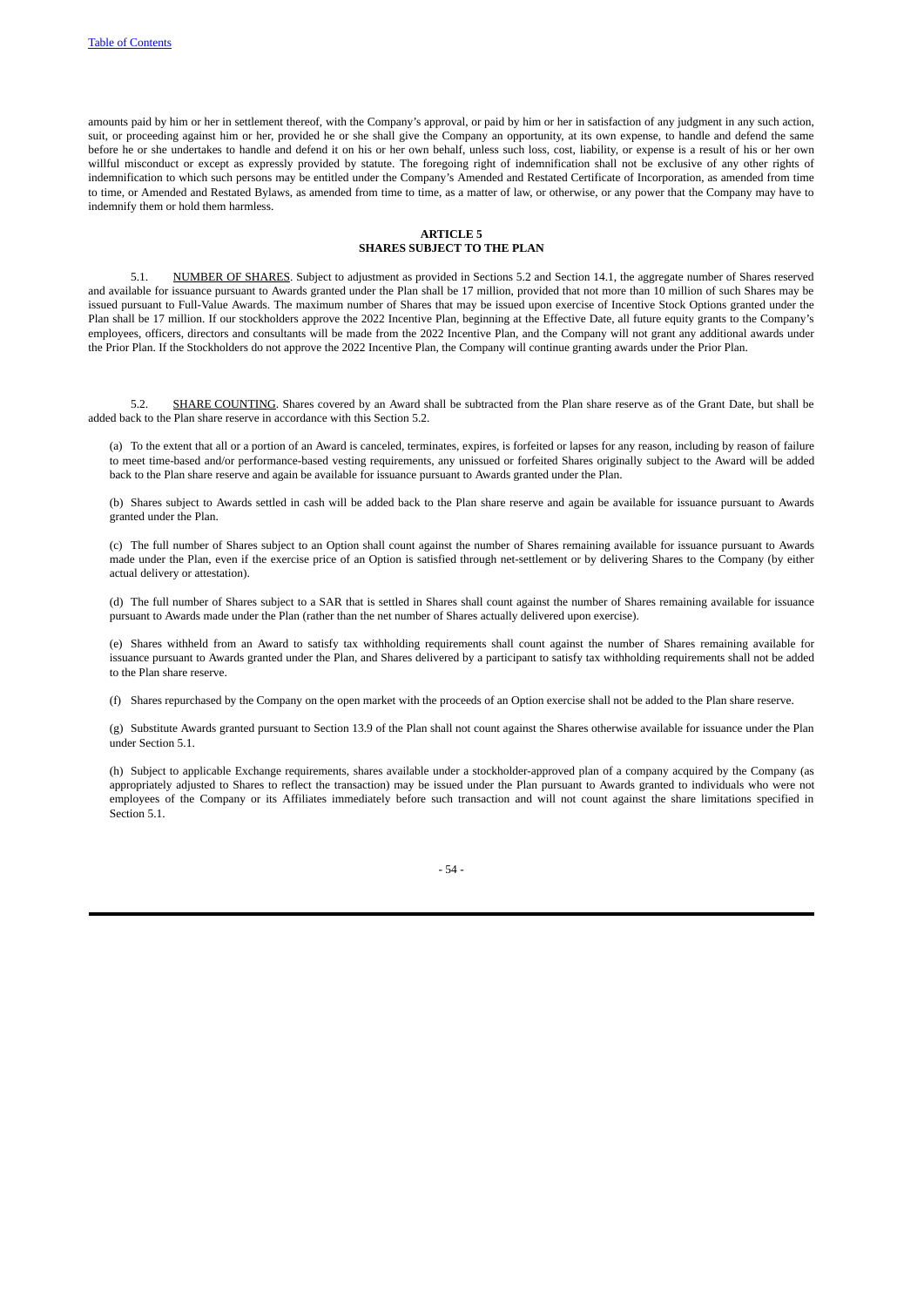amounts paid by him or her in settlement thereof, with the Company's approval, or paid by him or her in satisfaction of any judgment in any such action, suit, or proceeding against him or her, provided he or she shall give the Company an opportunity, at its own expense, to handle and defend the same before he or she undertakes to handle and defend it on his or her own behalf, unless such loss, cost, liability, or expense is a result of his or her own willful misconduct or except as expressly provided by statute. The foregoing right of indemnification shall not be exclusive of any other rights of indemnification to which such persons may be entitled under the Company's Amended and Restated Certificate of Incorporation, as amended from time to time, or Amended and Restated Bylaws, as amended from time to time, as a matter of law, or otherwise, or any power that the Company may have to indemnify them or hold them harmless.

# <span id="page-60-2"></span><span id="page-60-1"></span><span id="page-60-0"></span>**ARTICLE 5**

# **SHARES SUBJECT TO THE PLAN**

5.1. NUMBER OF SHARES. Subject to adjustment as provided in Sections 5.2 and Section 14.1, the aggregate number of Shares reserved and available for issuance pursuant to Awards granted under the Plan shall be 17 million, provided that not more than 10 million of such Shares may be issued pursuant to Full-Value Awards. The maximum number of Shares that may be issued upon exercise of Incentive Stock Options granted under the Plan shall be 17 million. If our stockholders approve the 2022 Incentive Plan, beginning at the Effective Date, all future equity grants to the Company's employees, officers, directors and consultants will be made from the 2022 Incentive Plan, and the Company will not grant any additional awards under the Prior Plan. If the Stockholders do not approve the 2022 Incentive Plan, the Company will continue granting awards under the Prior Plan.

5.2. SHARE COUNTING. Shares covered by an Award shall be subtracted from the Plan share reserve as of the Grant Date, but shall be added back to the Plan share reserve in accordance with this Section 5.2.

(a) To the extent that all or a portion of an Award is canceled, terminates, expires, is forfeited or lapses for any reason, including by reason of failure to meet time-based and/or performance-based vesting requirements, any unissued or forfeited Shares originally subject to the Award will be added back to the Plan share reserve and again be available for issuance pursuant to Awards granted under the Plan.

(b) Shares subject to Awards settled in cash will be added back to the Plan share reserve and again be available for issuance pursuant to Awards granted under the Plan.

(c) The full number of Shares subject to an Option shall count against the number of Shares remaining available for issuance pursuant to Awards made under the Plan, even if the exercise price of an Option is satisfied through net-settlement or by delivering Shares to the Company (by either actual delivery or attestation).

(d) The full number of Shares subject to a SAR that is settled in Shares shall count against the number of Shares remaining available for issuance pursuant to Awards made under the Plan (rather than the net number of Shares actually delivered upon exercise).

(e) Shares withheld from an Award to satisfy tax withholding requirements shall count against the number of Shares remaining available for issuance pursuant to Awards granted under the Plan, and Shares delivered by a participant to satisfy tax withholding requirements shall not be added to the Plan share reserve.

(f) Shares repurchased by the Company on the open market with the proceeds of an Option exercise shall not be added to the Plan share reserve.

(g) Substitute Awards granted pursuant to Section 13.9 of the Plan shall not count against the Shares otherwise available for issuance under the Plan under Section 5.1.

(h) Subject to applicable Exchange requirements, shares available under a stockholder-approved plan of a company acquired by the Company (as appropriately adjusted to Shares to reflect the transaction) may be issued under the Plan pursuant to Awards granted to individuals who were not employees of the Company or its Affiliates immediately before such transaction and will not count against the share limitations specified in Section 5.1.

- 54 -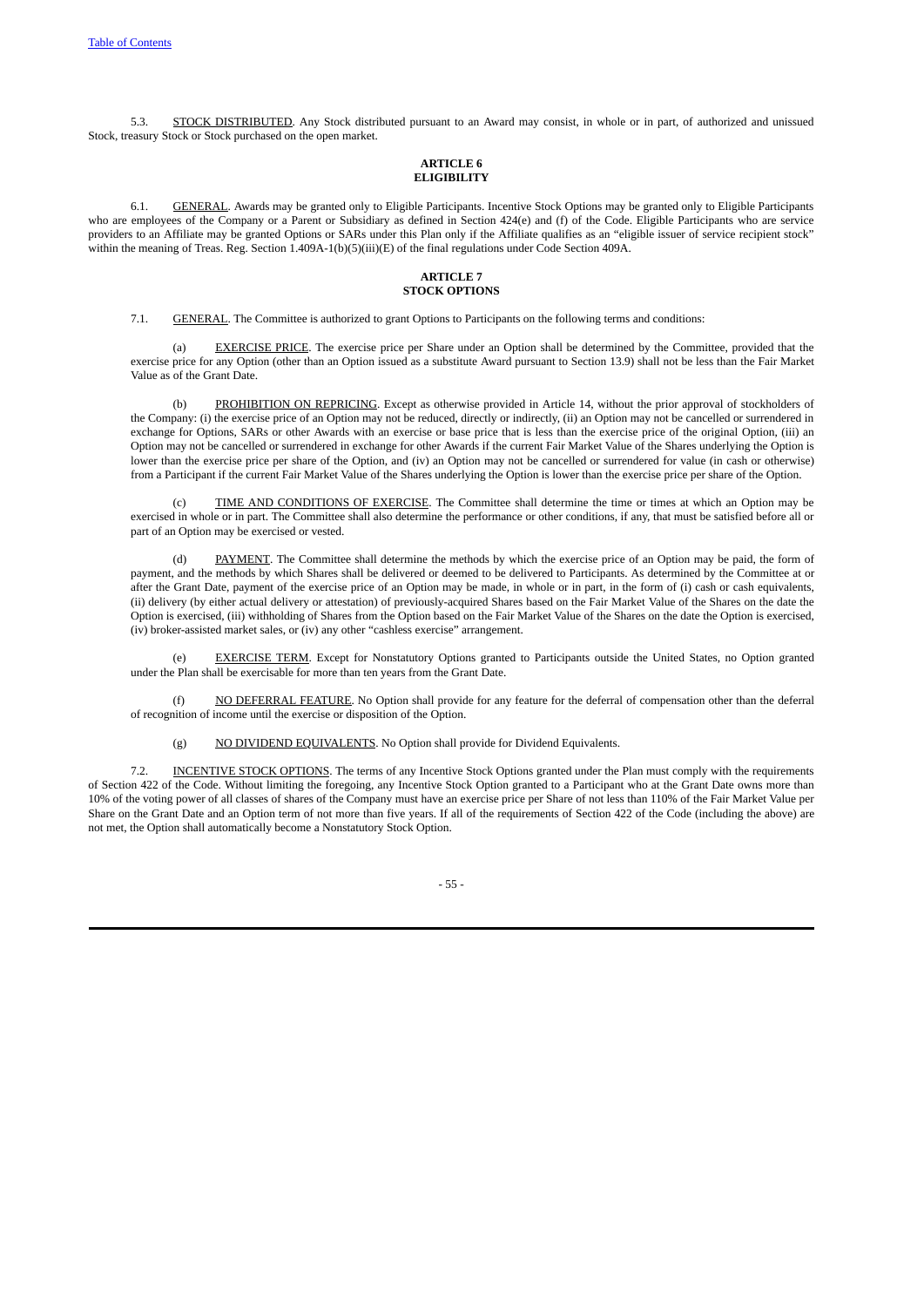5.3. STOCK DISTRIBUTED. Any Stock distributed pursuant to an Award may consist, in whole or in part, of authorized and unissued Stock, treasury Stock or Stock purchased on the open market.

# <span id="page-61-2"></span><span id="page-61-1"></span><span id="page-61-0"></span>**ARTICLE 6 ELIGIBILITY**

6.1. GENERAL. Awards may be granted only to Eligible Participants. Incentive Stock Options may be granted only to Eligible Participants who are employees of the Company or a Parent or Subsidiary as defined in Section 424(e) and (f) of the Code. Eligible Participants who are service providers to an Affiliate may be granted Options or SARs under this Plan only if the Affiliate qualifies as an "eligible issuer of service recipient stock" within the meaning of Treas. Reg. Section 1.409A-1(b)(5)(iii)(E) of the final regulations under Code Section 409A.

#### <span id="page-61-4"></span><span id="page-61-3"></span>**ARTICLE 7 STOCK OPTIONS**

7.1. GENERAL. The Committee is authorized to grant Options to Participants on the following terms and conditions:

**EXERCISE PRICE**. The exercise price per Share under an Option shall be determined by the Committee, provided that the exercise price for any Option (other than an Option issued as a substitute Award pursuant to Section 13.9) shall not be less than the Fair Market Value as of the Grant Date.

PROHIBITION ON REPRICING. Except as otherwise provided in Article 14, without the prior approval of stockholders of the Company: (i) the exercise price of an Option may not be reduced, directly or indirectly, (ii) an Option may not be cancelled or surrendered in exchange for Options, SARs or other Awards with an exercise or base price that is less than the exercise price of the original Option, (iii) an Option may not be cancelled or surrendered in exchange for other Awards if the current Fair Market Value of the Shares underlying the Option is lower than the exercise price per share of the Option, and (iv) an Option may not be cancelled or surrendered for value (in cash or otherwise) from a Participant if the current Fair Market Value of the Shares underlying the Option is lower than the exercise price per share of the Option.

(c) TIME AND CONDITIONS OF EXERCISE. The Committee shall determine the time or times at which an Option may be exercised in whole or in part. The Committee shall also determine the performance or other conditions, if any, that must be satisfied before all or part of an Option may be exercised or vested.

(d) PAYMENT. The Committee shall determine the methods by which the exercise price of an Option may be paid, the form of payment, and the methods by which Shares shall be delivered or deemed to be delivered to Participants. As determined by the Committee at or after the Grant Date, payment of the exercise price of an Option may be made, in whole or in part, in the form of (i) cash or cash equivalents, (ii) delivery (by either actual delivery or attestation) of previously-acquired Shares based on the Fair Market Value of the Shares on the date the Option is exercised, (iii) withholding of Shares from the Option based on the Fair Market Value of the Shares on the date the Option is exercised, (iv) broker-assisted market sales, or (iv) any other "cashless exercise" arrangement.

(e) EXERCISE TERM. Except for Nonstatutory Options granted to Participants outside the United States, no Option granted under the Plan shall be exercisable for more than ten years from the Grant Date.

(f) NO DEFERRAL FEATURE. No Option shall provide for any feature for the deferral of compensation other than the deferral of recognition of income until the exercise or disposition of the Option.

(g) NO DIVIDEND EQUIVALENTS. No Option shall provide for Dividend Equivalents.

7.2. INCENTIVE STOCK OPTIONS. The terms of any Incentive Stock Options granted under the Plan must comply with the requirements of Section 422 of the Code. Without limiting the foregoing, any Incentive Stock Option granted to a Participant who at the Grant Date owns more than 10% of the voting power of all classes of shares of the Company must have an exercise price per Share of not less than 110% of the Fair Market Value per Share on the Grant Date and an Option term of not more than five years. If all of the requirements of Section 422 of the Code (including the above) are not met, the Option shall automatically become a Nonstatutory Stock Option.

<span id="page-61-5"></span>- 55 -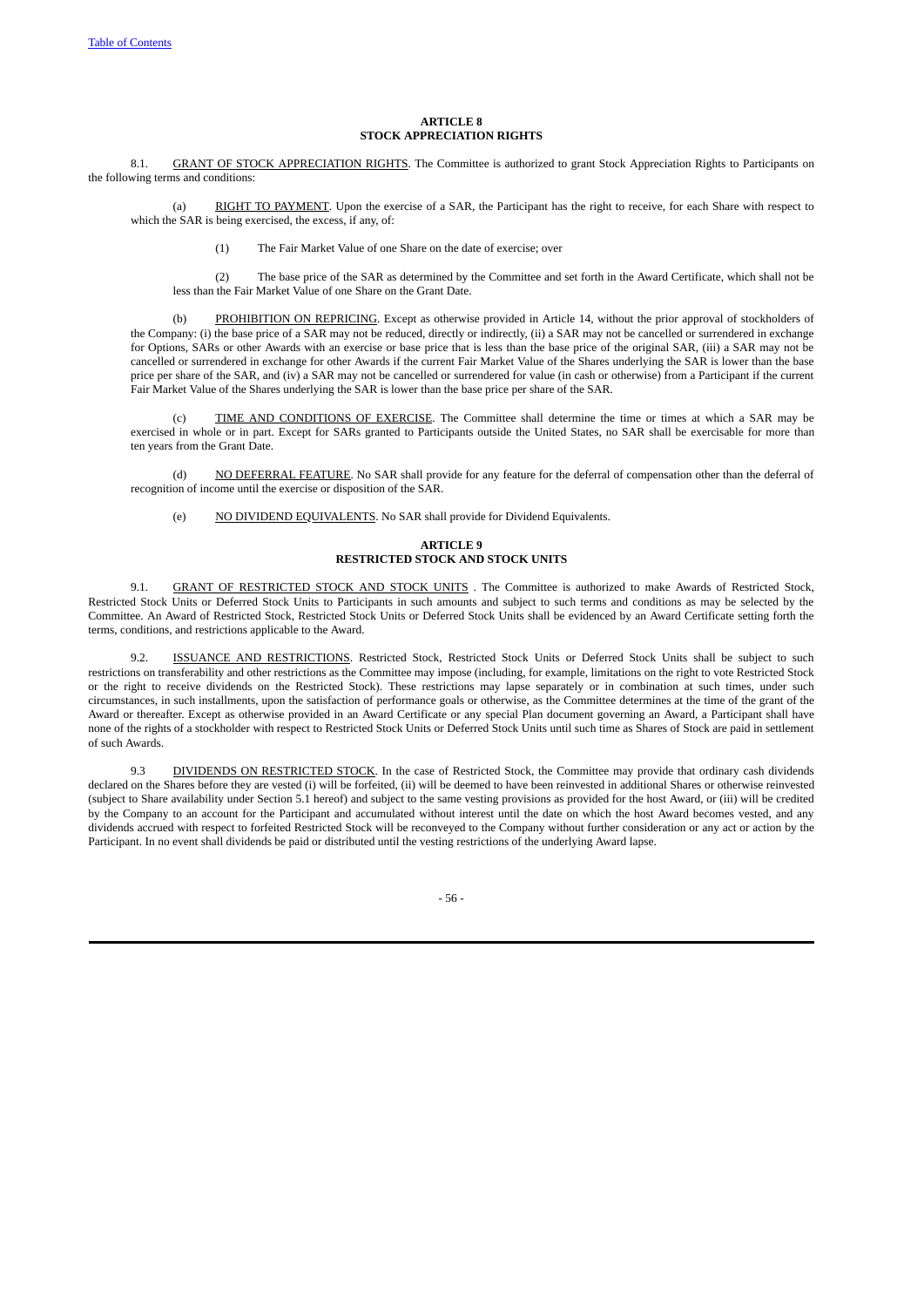#### <span id="page-62-1"></span><span id="page-62-0"></span>**ARTICLE 8 STOCK APPRECIATION RIGHTS**

8.1. GRANT OF STOCK APPRECIATION RIGHTS. The Committee is authorized to grant Stock Appreciation Rights to Participants on the following terms and conditions:

(a) RIGHT TO PAYMENT. Upon the exercise of a SAR, the Participant has the right to receive, for each Share with respect to which the SAR is being exercised, the excess, if any, of:

(1) The Fair Market Value of one Share on the date of exercise; over

(2) The base price of the SAR as determined by the Committee and set forth in the Award Certificate, which shall not be less than the Fair Market Value of one Share on the Grant Date.

(b) PROHIBITION ON REPRICING. Except as otherwise provided in Article 14, without the prior approval of stockholders of the Company: (i) the base price of a SAR may not be reduced, directly or indirectly, (ii) a SAR may not be cancelled or surrendered in exchange for Options, SARs or other Awards with an exercise or base price that is less than the base price of the original SAR, (iii) a SAR may not be cancelled or surrendered in exchange for other Awards if the current Fair Market Value of the Shares underlying the SAR is lower than the base price per share of the SAR, and (iv) a SAR may not be cancelled or surrendered for value (in cash or otherwise) from a Participant if the current Fair Market Value of the Shares underlying the SAR is lower than the base price per share of the SAR.

(c) TIME AND CONDITIONS OF EXERCISE. The Committee shall determine the time or times at which a SAR may be exercised in whole or in part. Except for SARs granted to Participants outside the United States, no SAR shall be exercisable for more than ten years from the Grant Date.

(d) NO DEFERRAL FEATURE. No SAR shall provide for any feature for the deferral of compensation other than the deferral of recognition of income until the exercise or disposition of the SAR.

(e) NO DIVIDEND EQUIVALENTS. No SAR shall provide for Dividend Equivalents.

# <span id="page-62-3"></span><span id="page-62-2"></span>**ARTICLE 9 RESTRICTED STOCK AND STOCK UNITS**

9.1. GRANT OF RESTRICTED STOCK AND STOCK UNITS . The Committee is authorized to make Awards of Restricted Stock, Restricted Stock Units or Deferred Stock Units to Participants in such amounts and subject to such terms and conditions as may be selected by the Committee. An Award of Restricted Stock, Restricted Stock Units or Deferred Stock Units shall be evidenced by an Award Certificate setting forth the terms, conditions, and restrictions applicable to the Award.

9.2. ISSUANCE AND RESTRICTIONS. Restricted Stock, Restricted Stock Units or Deferred Stock Units shall be subject to such restrictions on transferability and other restrictions as the Committee may impose (including, for example, limitations on the right to vote Restricted Stock or the right to receive dividends on the Restricted Stock). These restrictions may lapse separately or in combination at such times, under such circumstances, in such installments, upon the satisfaction of performance goals or otherwise, as the Committee determines at the time of the grant of the Award or thereafter. Except as otherwise provided in an Award Certificate or any special Plan document governing an Award, a Participant shall have none of the rights of a stockholder with respect to Restricted Stock Units or Deferred Stock Units until such time as Shares of Stock are paid in settlement of such Awards.

9.3 DIVIDENDS ON RESTRICTED STOCK. In the case of Restricted Stock, the Committee may provide that ordinary cash dividends declared on the Shares before they are vested (i) will be forfeited, (ii) will be deemed to have been reinvested in additional Shares or otherwise reinvested (subject to Share availability under Section 5.1 hereof) and subject to the same vesting provisions as provided for the host Award, or (iii) will be credited by the Company to an account for the Participant and accumulated without interest until the date on which the host Award becomes vested, and any dividends accrued with respect to forfeited Restricted Stock will be reconveyed to the Company without further consideration or any act or action by the Participant. In no event shall dividends be paid or distributed until the vesting restrictions of the underlying Award lapse.

<span id="page-62-5"></span><span id="page-62-4"></span>- 56 -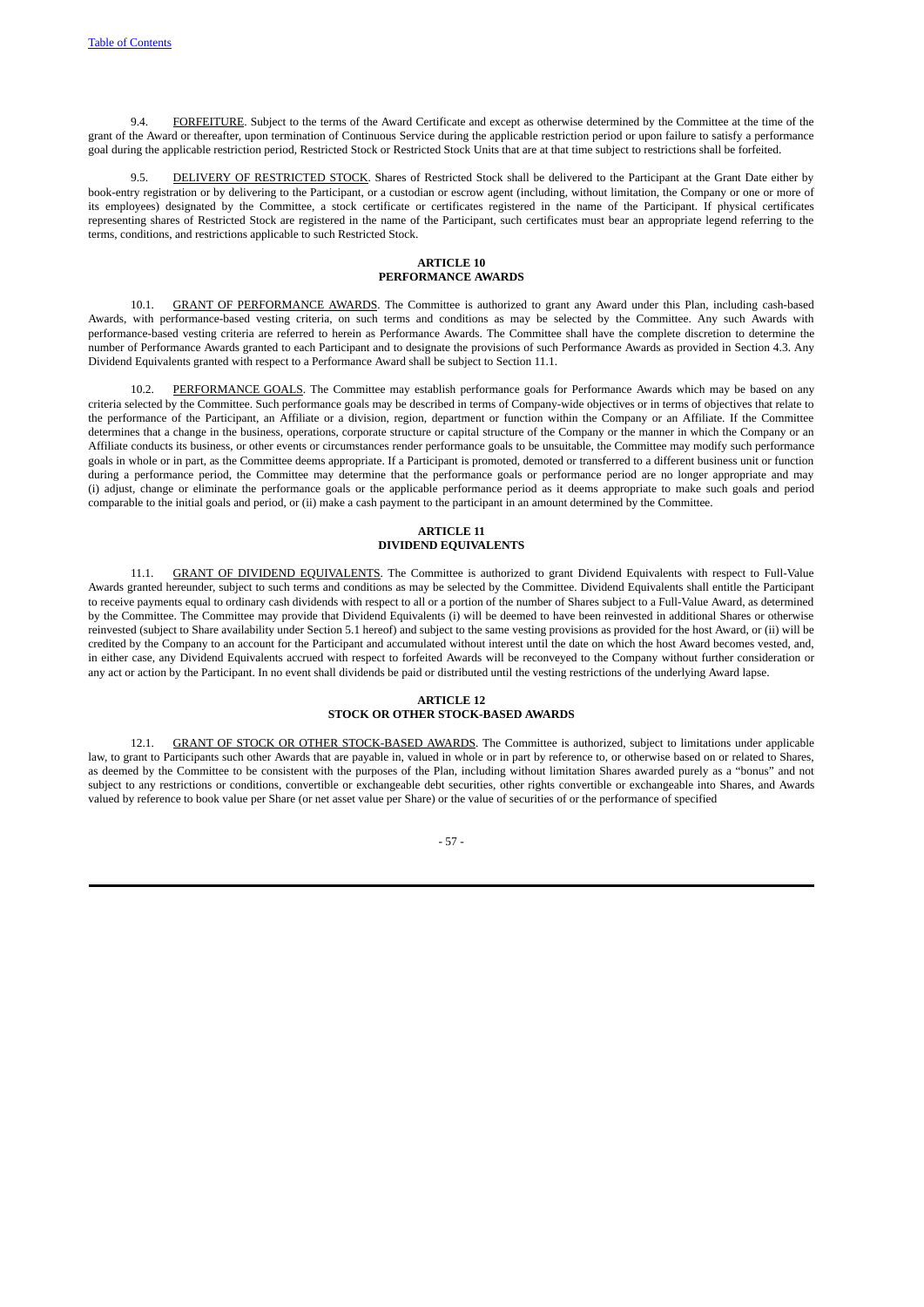9.4. FORFEITURE. Subject to the terms of the Award Certificate and except as otherwise determined by the Committee at the time of the grant of the Award or thereafter, upon termination of Continuous Service during the applicable restriction period or upon failure to satisfy a performance goal during the applicable restriction period, Restricted Stock or Restricted Stock Units that are at that time subject to restrictions shall be forfeited.

9.5. DELIVERY OF RESTRICTED STOCK. Shares of Restricted Stock shall be delivered to the Participant at the Grant Date either by book-entry registration or by delivering to the Participant, or a custodian or escrow agent (including, without limitation, the Company or one or more of its employees) designated by the Committee, a stock certificate or certificates registered in the name of the Participant. If physical certificates representing shares of Restricted Stock are registered in the name of the Participant, such certificates must bear an appropriate legend referring to the terms, conditions, and restrictions applicable to such Restricted Stock.

# <span id="page-63-4"></span><span id="page-63-3"></span><span id="page-63-2"></span><span id="page-63-1"></span><span id="page-63-0"></span>**ARTICLE 10 PERFORMANCE AWARDS**

10.1. GRANT OF PERFORMANCE AWARDS. The Committee is authorized to grant any Award under this Plan, including cash-based Awards, with performance-based vesting criteria, on such terms and conditions as may be selected by the Committee. Any such Awards with performance-based vesting criteria are referred to herein as Performance Awards. The Committee shall have the complete discretion to determine the number of Performance Awards granted to each Participant and to designate the provisions of such Performance Awards as provided in Section 4.3. Any Dividend Equivalents granted with respect to a Performance Award shall be subject to Section 11.1.

10.2. PERFORMANCE GOALS. The Committee may establish performance goals for Performance Awards which may be based on any criteria selected by the Committee. Such performance goals may be described in terms of Company-wide objectives or in terms of objectives that relate to the performance of the Participant, an Affiliate or a division, region, department or function within the Company or an Affiliate. If the Committee determines that a change in the business, operations, corporate structure or capital structure of the Company or the manner in which the Company or an Affiliate conducts its business, or other events or circumstances render performance goals to be unsuitable, the Committee may modify such performance goals in whole or in part, as the Committee deems appropriate. If a Participant is promoted, demoted or transferred to a different business unit or function during a performance period, the Committee may determine that the performance goals or performance period are no longer appropriate and may (i) adjust, change or eliminate the performance goals or the applicable performance period as it deems appropriate to make such goals and period comparable to the initial goals and period, or (ii) make a cash payment to the participant in an amount determined by the Committee.

## <span id="page-63-6"></span><span id="page-63-5"></span>**ARTICLE 11 DIVIDEND EQUIVALENTS**

11.1. GRANT OF DIVIDEND EQUIVALENTS. The Committee is authorized to grant Dividend Equivalents with respect to Full-Value Awards granted hereunder, subject to such terms and conditions as may be selected by the Committee. Dividend Equivalents shall entitle the Participant to receive payments equal to ordinary cash dividends with respect to all or a portion of the number of Shares subject to a Full-Value Award, as determined by the Committee. The Committee may provide that Dividend Equivalents (i) will be deemed to have been reinvested in additional Shares or otherwise reinvested (subject to Share availability under Section 5.1 hereof) and subject to the same vesting provisions as provided for the host Award, or (ii) will be credited by the Company to an account for the Participant and accumulated without interest until the date on which the host Award becomes vested, and, in either case, any Dividend Equivalents accrued with respect to forfeited Awards will be reconveyed to the Company without further consideration or any act or action by the Participant. In no event shall dividends be paid or distributed until the vesting restrictions of the underlying Award lapse.

# **ARTICLE 12 STOCK OR OTHER STOCK-BASED AWARDS**

12.1. GRANT OF STOCK OR OTHER STOCK-BASED AWARDS. The Committee is authorized, subject to limitations under applicable law, to grant to Participants such other Awards that are payable in, valued in whole or in part by reference to, or otherwise based on or related to Shares, as deemed by the Committee to be consistent with the purposes of the Plan, including without limitation Shares awarded purely as a "bonus" and not subject to any restrictions or conditions, convertible or exchangeable debt securities, other rights convertible or exchangeable into Shares, and Awards valued by reference to book value per Share (or net asset value per Share) or the value of securities of or the performance of specified

<span id="page-63-8"></span><span id="page-63-7"></span>- 57 -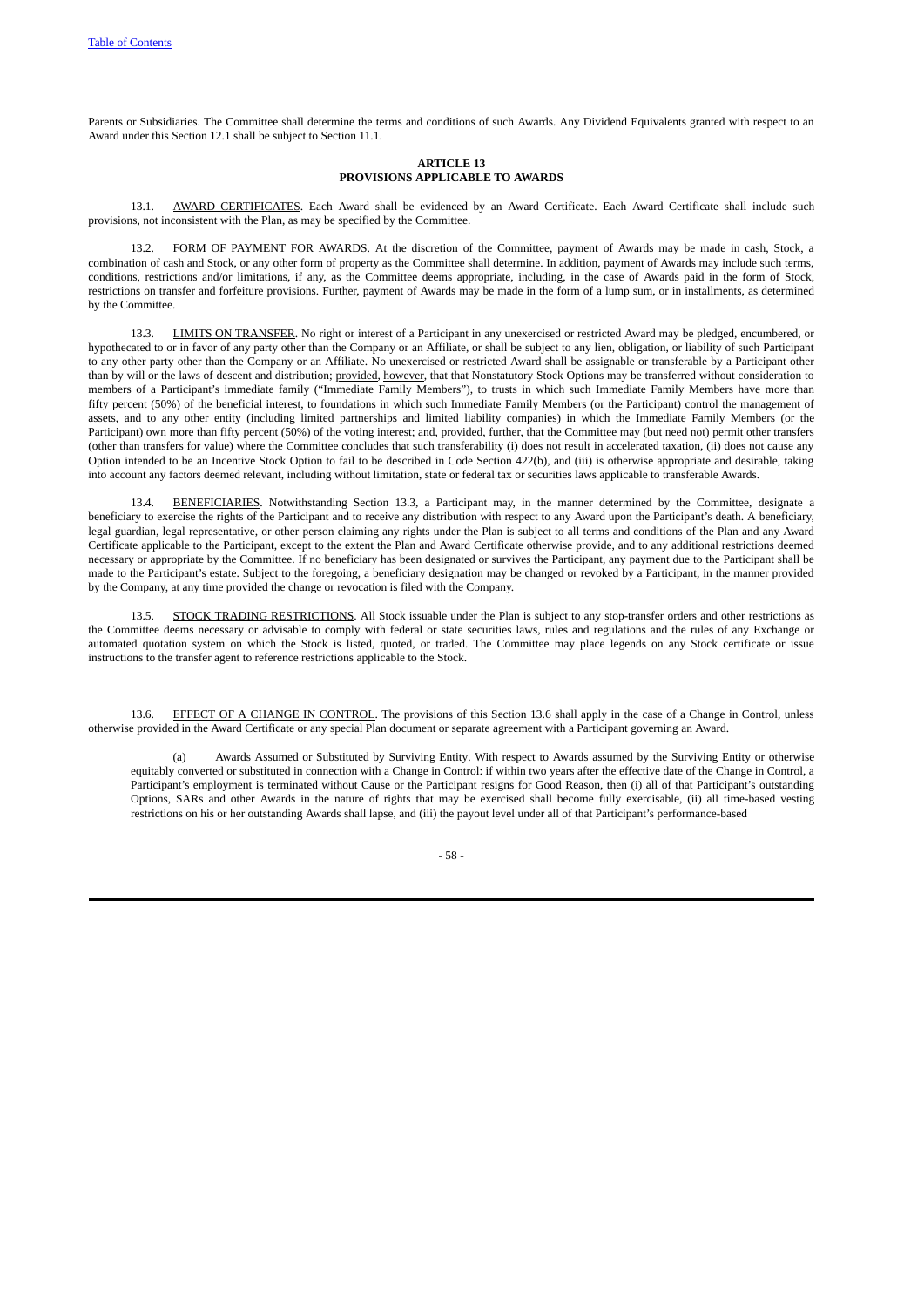Parents or Subsidiaries. The Committee shall determine the terms and conditions of such Awards. Any Dividend Equivalents granted with respect to an Award under this Section 12.1 shall be subject to Section 11.1.

# <span id="page-64-3"></span><span id="page-64-2"></span><span id="page-64-1"></span><span id="page-64-0"></span>**ARTICLE 13 PROVISIONS APPLICABLE TO AWARDS**

13.1. AWARD CERTIFICATES. Each Award shall be evidenced by an Award Certificate. Each Award Certificate shall include such provisions, not inconsistent with the Plan, as may be specified by the Committee.

13.2. FORM OF PAYMENT FOR AWARDS. At the discretion of the Committee, payment of Awards may be made in cash, Stock, a combination of cash and Stock, or any other form of property as the Committee shall determine. In addition, payment of Awards may include such terms, conditions, restrictions and/or limitations, if any, as the Committee deems appropriate, including, in the case of Awards paid in the form of Stock, restrictions on transfer and forfeiture provisions. Further, payment of Awards may be made in the form of a lump sum, or in installments, as determined by the Committee.

13.3. LIMITS ON TRANSFER. No right or interest of a Participant in any unexercised or restricted Award may be pledged, encumbered, or hypothecated to or in favor of any party other than the Company or an Affiliate, or shall be subject to any lien, obligation, or liability of such Participant to any other party other than the Company or an Affiliate. No unexercised or restricted Award shall be assignable or transferable by a Participant other than by will or the laws of descent and distribution; provided, however, that that Nonstatutory Stock Options may be transferred without consideration to members of a Participant's immediate family ("Immediate Family Members"), to trusts in which such Immediate Family Members have more than fifty percent (50%) of the beneficial interest, to foundations in which such Immediate Family Members (or the Participant) control the management of assets, and to any other entity (including limited partnerships and limited liability companies) in which the Immediate Family Members (or the Participant) own more than fifty percent (50%) of the voting interest; and, provided, further, that the Committee may (but need not) permit other transfers (other than transfers for value) where the Committee concludes that such transferability (i) does not result in accelerated taxation, (ii) does not cause any Option intended to be an Incentive Stock Option to fail to be described in Code Section 422(b), and (iii) is otherwise appropriate and desirable, taking into account any factors deemed relevant, including without limitation, state or federal tax or securities laws applicable to transferable Awards.

13.4. BENEFICIARIES. Notwithstanding Section 13.3, a Participant may, in the manner determined by the Committee, designate a beneficiary to exercise the rights of the Participant and to receive any distribution with respect to any Award upon the Participant's death. A beneficiary, legal guardian, legal representative, or other person claiming any rights under the Plan is subject to all terms and conditions of the Plan and any Award Certificate applicable to the Participant, except to the extent the Plan and Award Certificate otherwise provide, and to any additional restrictions deemed necessary or appropriate by the Committee. If no beneficiary has been designated or survives the Participant, any payment due to the Participant shall be made to the Participant's estate. Subject to the foregoing, a beneficiary designation may be changed or revoked by a Participant, in the manner provided by the Company, at any time provided the change or revocation is filed with the Company.

13.5. STOCK TRADING RESTRICTIONS. All Stock issuable under the Plan is subject to any stop-transfer orders and other restrictions as the Committee deems necessary or advisable to comply with federal or state securities laws, rules and regulations and the rules of any Exchange or automated quotation system on which the Stock is listed, quoted, or traded. The Committee may place legends on any Stock certificate or issue instructions to the transfer agent to reference restrictions applicable to the Stock.

13.6. EFFECT OF A CHANGE IN CONTROL. The provisions of this Section 13.6 shall apply in the case of a Change in Control, unless otherwise provided in the Award Certificate or any special Plan document or separate agreement with a Participant governing an Award.

Awards Assumed or Substituted by Surviving Entity. With respect to Awards assumed by the Surviving Entity or otherwise equitably converted or substituted in connection with a Change in Control: if within two years after the effective date of the Change in Control, a Participant's employment is terminated without Cause or the Participant resigns for Good Reason, then (i) all of that Participant's outstanding Options, SARs and other Awards in the nature of rights that may be exercised shall become fully exercisable, (ii) all time-based vesting restrictions on his or her outstanding Awards shall lapse, and (iii) the payout level under all of that Participant's performance-based

<span id="page-64-6"></span><span id="page-64-5"></span><span id="page-64-4"></span>- 58 -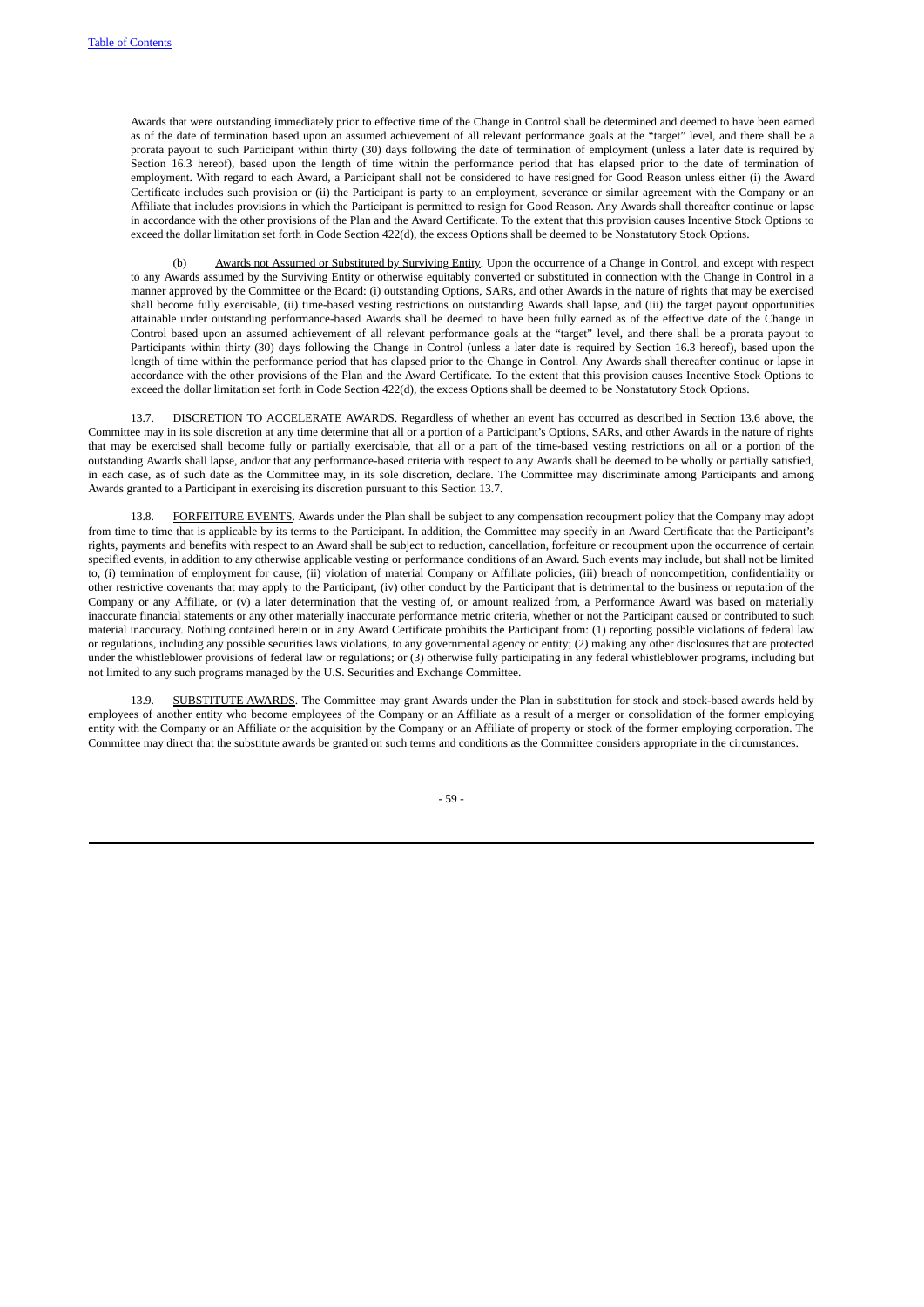Awards that were outstanding immediately prior to effective time of the Change in Control shall be determined and deemed to have been earned as of the date of termination based upon an assumed achievement of all relevant performance goals at the "target" level, and there shall be a prorata payout to such Participant within thirty (30) days following the date of termination of employment (unless a later date is required by Section 16.3 hereof), based upon the length of time within the performance period that has elapsed prior to the date of termination of employment. With regard to each Award, a Participant shall not be considered to have resigned for Good Reason unless either (i) the Award Certificate includes such provision or (ii) the Participant is party to an employment, severance or similar agreement with the Company or an Affiliate that includes provisions in which the Participant is permitted to resign for Good Reason. Any Awards shall thereafter continue or lapse in accordance with the other provisions of the Plan and the Award Certificate. To the extent that this provision causes Incentive Stock Options to exceed the dollar limitation set forth in Code Section 422(d), the excess Options shall be deemed to be Nonstatutory Stock Options.

Awards not Assumed or Substituted by Surviving Entity. Upon the occurrence of a Change in Control, and except with respect to any Awards assumed by the Surviving Entity or otherwise equitably converted or substituted in connection with the Change in Control in a manner approved by the Committee or the Board: (i) outstanding Options, SARs, and other Awards in the nature of rights that may be exercised shall become fully exercisable, (ii) time-based vesting restrictions on outstanding Awards shall lapse, and (iii) the target payout opportunities attainable under outstanding performance-based Awards shall be deemed to have been fully earned as of the effective date of the Change in Control based upon an assumed achievement of all relevant performance goals at the "target" level, and there shall be a prorata payout to Participants within thirty (30) days following the Change in Control (unless a later date is required by Section 16.3 hereof), based upon the length of time within the performance period that has elapsed prior to the Change in Control. Any Awards shall thereafter continue or lapse in accordance with the other provisions of the Plan and the Award Certificate. To the extent that this provision causes Incentive Stock Options to exceed the dollar limitation set forth in Code Section 422(d), the excess Options shall be deemed to be Nonstatutory Stock Options.

13.7. DISCRETION TO ACCELERATE AWARDS. Regardless of whether an event has occurred as described in Section 13.6 above, the Committee may in its sole discretion at any time determine that all or a portion of a Participant's Options, SARs, and other Awards in the nature of rights that may be exercised shall become fully or partially exercisable, that all or a part of the time-based vesting restrictions on all or a portion of the outstanding Awards shall lapse, and/or that any performance-based criteria with respect to any Awards shall be deemed to be wholly or partially satisfied, in each case, as of such date as the Committee may, in its sole discretion, declare. The Committee may discriminate among Participants and among Awards granted to a Participant in exercising its discretion pursuant to this Section 13.7.

13.8. FORFEITURE EVENTS. Awards under the Plan shall be subject to any compensation recoupment policy that the Company may adopt from time to time that is applicable by its terms to the Participant. In addition, the Committee may specify in an Award Certificate that the Participant's rights, payments and benefits with respect to an Award shall be subject to reduction, cancellation, forfeiture or recoupment upon the occurrence of certain specified events, in addition to any otherwise applicable vesting or performance conditions of an Award. Such events may include, but shall not be limited to, (i) termination of employment for cause, (ii) violation of material Company or Affiliate policies, (iii) breach of noncompetition, confidentiality or other restrictive covenants that may apply to the Participant, (iv) other conduct by the Participant that is detrimental to the business or reputation of the Company or any Affiliate, or (v) a later determination that the vesting of, or amount realized from, a Performance Award was based on materially inaccurate financial statements or any other materially inaccurate performance metric criteria, whether or not the Participant caused or contributed to such material inaccuracy. Nothing contained herein or in any Award Certificate prohibits the Participant from: (1) reporting possible violations of federal law or regulations, including any possible securities laws violations, to any governmental agency or entity; (2) making any other disclosures that are protected under the whistleblower provisions of federal law or regulations; or (3) otherwise fully participating in any federal whistleblower programs, including but not limited to any such programs managed by the U.S. Securities and Exchange Committee.

13.9. SUBSTITUTE AWARDS. The Committee may grant Awards under the Plan in substitution for stock and stock-based awards held by employees of another entity who become employees of the Company or an Affiliate as a result of a merger or consolidation of the former employing entity with the Company or an Affiliate or the acquisition by the Company or an Affiliate of property or stock of the former employing corporation. The Committee may direct that the substitute awards be granted on such terms and conditions as the Committee considers appropriate in the circumstances.

<span id="page-65-2"></span><span id="page-65-1"></span><span id="page-65-0"></span>- 59 -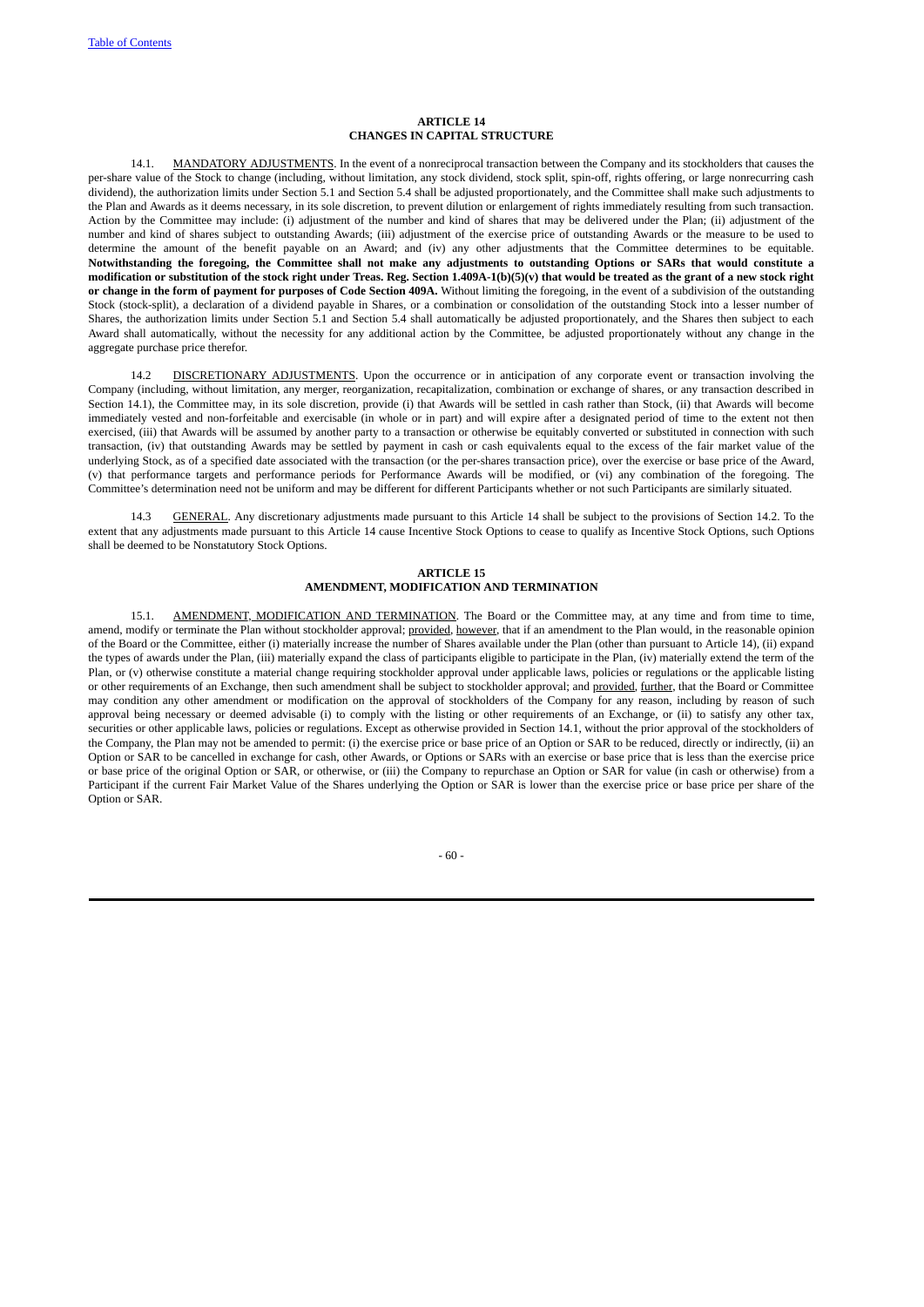## <span id="page-66-2"></span><span id="page-66-1"></span><span id="page-66-0"></span>**ARTICLE 14 CHANGES IN CAPITAL STRUCTURE**

14.1. MANDATORY ADJUSTMENTS. In the event of a nonreciprocal transaction between the Company and its stockholders that causes the per-share value of the Stock to change (including, without limitation, any stock dividend, stock split, spin-off, rights offering, or large nonrecurring cash dividend), the authorization limits under Section 5.1 and Section 5.4 shall be adjusted proportionately, and the Committee shall make such adjustments to the Plan and Awards as it deems necessary, in its sole discretion, to prevent dilution or enlargement of rights immediately resulting from such transaction. Action by the Committee may include: (i) adjustment of the number and kind of shares that may be delivered under the Plan; (ii) adjustment of the number and kind of shares subject to outstanding Awards; (iii) adjustment of the exercise price of outstanding Awards or the measure to be used to determine the amount of the benefit payable on an Award; and (iv) any other adjustments that the Committee determines to be equitable. Notwithstanding the foregoing, the Committee shall not make any adjustments to outstanding Options or SARs that would constitute a modification or substitution of the stock right under Treas. Reg. Section 1.409A-1(b)(5)(v) that would be treated as the grant of a new stock right or change in the form of payment for purposes of Code Section 409A. Without limiting the foregoing, in the event of a subdivision of the outstanding Stock (stock-split), a declaration of a dividend payable in Shares, or a combination or consolidation of the outstanding Stock into a lesser number of Shares, the authorization limits under Section 5.1 and Section 5.4 shall automatically be adjusted proportionately, and the Shares then subject to each Award shall automatically, without the necessity for any additional action by the Committee, be adjusted proportionately without any change in the aggregate purchase price therefor.

14.2 DISCRETIONARY ADJUSTMENTS. Upon the occurrence or in anticipation of any corporate event or transaction involving the Company (including, without limitation, any merger, reorganization, recapitalization, combination or exchange of shares, or any transaction described in Section 14.1), the Committee may, in its sole discretion, provide (i) that Awards will be settled in cash rather than Stock, (ii) that Awards will become immediately vested and non-forfeitable and exercisable (in whole or in part) and will expire after a designated period of time to the extent not then exercised, (iii) that Awards will be assumed by another party to a transaction or otherwise be equitably converted or substituted in connection with such transaction, (iv) that outstanding Awards may be settled by payment in cash or cash equivalents equal to the excess of the fair market value of the underlying Stock, as of a specified date associated with the transaction (or the per-shares transaction price), over the exercise or base price of the Award, (v) that performance targets and performance periods for Performance Awards will be modified, or (vi) any combination of the foregoing. The Committee's determination need not be uniform and may be different for different Participants whether or not such Participants are similarly situated.

14.3 GENERAL. Any discretionary adjustments made pursuant to this Article 14 shall be subject to the provisions of Section 14.2. To the extent that any adjustments made pursuant to this Article 14 cause Incentive Stock Options to cease to qualify as Incentive Stock Options, such Options shall be deemed to be Nonstatutory Stock Options.

#### <span id="page-66-4"></span><span id="page-66-3"></span>**ARTICLE 15 AMENDMENT, MODIFICATION AND TERMINATION**

15.1. AMENDMENT, MODIFICATION AND TERMINATION. The Board or the Committee may, at any time and from time to time, amend, modify or terminate the Plan without stockholder approval; provided, however, that if an amendment to the Plan would, in the reasonable opinion of the Board or the Committee, either (i) materially increase the number of Shares available under the Plan (other than pursuant to Article 14), (ii) expand the types of awards under the Plan, (iii) materially expand the class of participants eligible to participate in the Plan, (iv) materially extend the term of the Plan, or (v) otherwise constitute a material change requiring stockholder approval under applicable laws, policies or regulations or the applicable listing or other requirements of an Exchange, then such amendment shall be subject to stockholder approval; and provided, further, that the Board or Committee may condition any other amendment or modification on the approval of stockholders of the Company for any reason, including by reason of such approval being necessary or deemed advisable (i) to comply with the listing or other requirements of an Exchange, or (ii) to satisfy any other tax, securities or other applicable laws, policies or regulations. Except as otherwise provided in Section 14.1, without the prior approval of the stockholders of the Company, the Plan may not be amended to permit: (i) the exercise price or base price of an Option or SAR to be reduced, directly or indirectly, (ii) an Option or SAR to be cancelled in exchange for cash, other Awards, or Options or SARs with an exercise or base price that is less than the exercise price or base price of the original Option or SAR, or otherwise, or (iii) the Company to repurchase an Option or SAR for value (in cash or otherwise) from a Participant if the current Fair Market Value of the Shares underlying the Option or SAR is lower than the exercise price or base price per share of the Option or SAR.

<span id="page-66-5"></span>- 60 -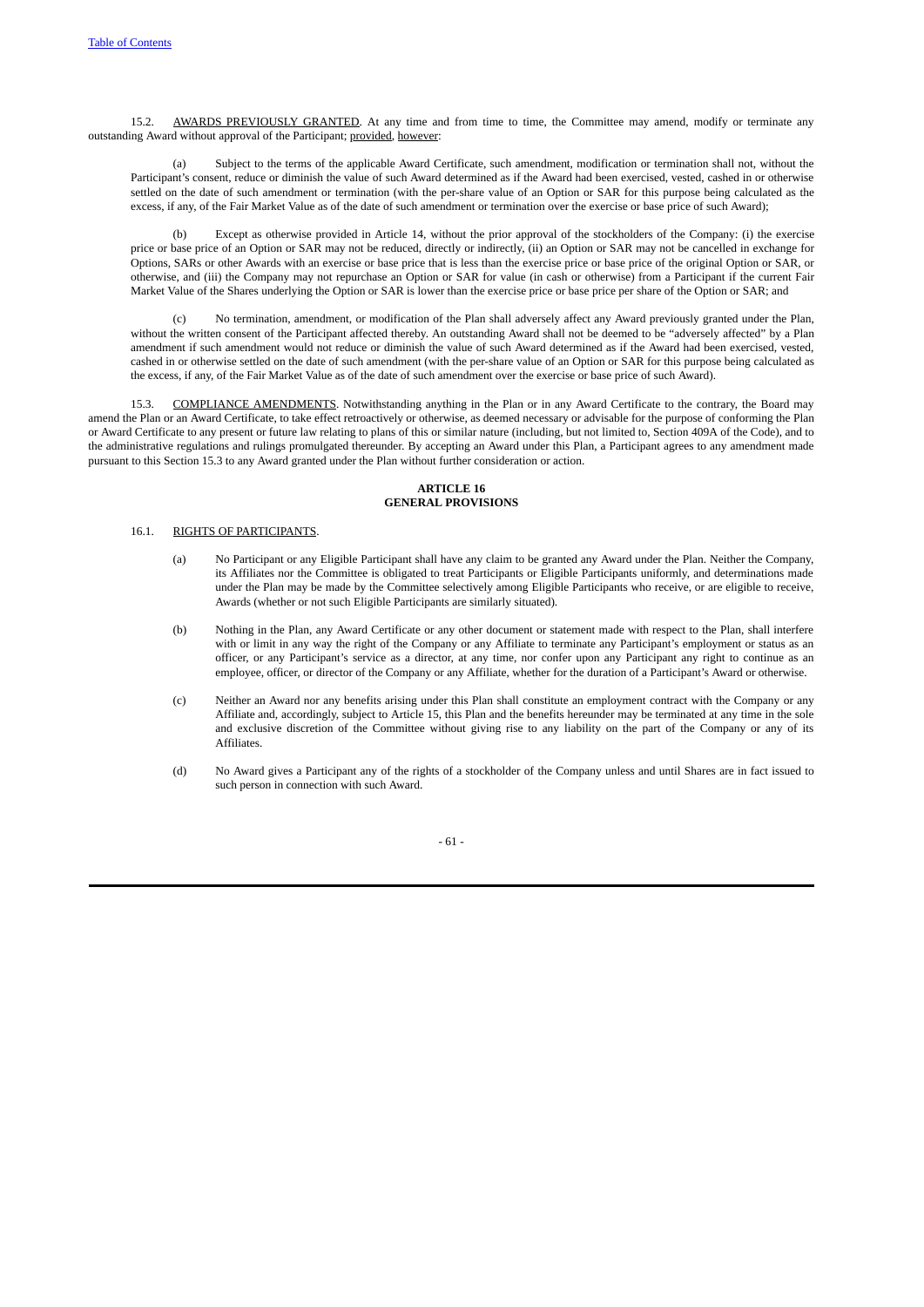AWARDS PREVIOUSLY GRANTED. At any time and from time to time, the Committee may amend, modify or terminate any outstanding Award without approval of the Participant; provided, however:

(a) Subject to the terms of the applicable Award Certificate, such amendment, modification or termination shall not, without the Participant's consent, reduce or diminish the value of such Award determined as if the Award had been exercised, vested, cashed in or otherwise settled on the date of such amendment or termination (with the per-share value of an Option or SAR for this purpose being calculated as the excess, if any, of the Fair Market Value as of the date of such amendment or termination over the exercise or base price of such Award);

Except as otherwise provided in Article 14, without the prior approval of the stockholders of the Company: (i) the exercise price or base price of an Option or SAR may not be reduced, directly or indirectly, (ii) an Option or SAR may not be cancelled in exchange for Options, SARs or other Awards with an exercise or base price that is less than the exercise price or base price of the original Option or SAR, or otherwise, and (iii) the Company may not repurchase an Option or SAR for value (in cash or otherwise) from a Participant if the current Fair Market Value of the Shares underlying the Option or SAR is lower than the exercise price or base price per share of the Option or SAR; and

(c) No termination, amendment, or modification of the Plan shall adversely affect any Award previously granted under the Plan, without the written consent of the Participant affected thereby. An outstanding Award shall not be deemed to be "adversely affected" by a Plan amendment if such amendment would not reduce or diminish the value of such Award determined as if the Award had been exercised, vested, cashed in or otherwise settled on the date of such amendment (with the per-share value of an Option or SAR for this purpose being calculated as the excess, if any, of the Fair Market Value as of the date of such amendment over the exercise or base price of such Award).

15.3. COMPLIANCE AMENDMENTS. Notwithstanding anything in the Plan or in any Award Certificate to the contrary, the Board may amend the Plan or an Award Certificate, to take effect retroactively or otherwise, as deemed necessary or advisable for the purpose of conforming the Plan or Award Certificate to any present or future law relating to plans of this or similar nature (including, but not limited to, Section 409A of the Code), and to the administrative regulations and rulings promulgated thereunder. By accepting an Award under this Plan, a Participant agrees to any amendment made pursuant to this Section 15.3 to any Award granted under the Plan without further consideration or action.

# <span id="page-67-3"></span><span id="page-67-2"></span><span id="page-67-1"></span><span id="page-67-0"></span>**ARTICLE 16 GENERAL PROVISIONS**

#### 16.1. RIGHTS OF PARTICIPANTS.

- (a) No Participant or any Eligible Participant shall have any claim to be granted any Award under the Plan. Neither the Company, its Affiliates nor the Committee is obligated to treat Participants or Eligible Participants uniformly, and determinations made under the Plan may be made by the Committee selectively among Eligible Participants who receive, or are eligible to receive, Awards (whether or not such Eligible Participants are similarly situated).
- (b) Nothing in the Plan, any Award Certificate or any other document or statement made with respect to the Plan, shall interfere with or limit in any way the right of the Company or any Affiliate to terminate any Participant's employment or status as an officer, or any Participant's service as a director, at any time, nor confer upon any Participant any right to continue as an employee, officer, or director of the Company or any Affiliate, whether for the duration of a Participant's Award or otherwise.
- (c) Neither an Award nor any benefits arising under this Plan shall constitute an employment contract with the Company or any Affiliate and, accordingly, subject to Article 15, this Plan and the benefits hereunder may be terminated at any time in the sole and exclusive discretion of the Committee without giving rise to any liability on the part of the Company or any of its Affiliates.
- (d) No Award gives a Participant any of the rights of a stockholder of the Company unless and until Shares are in fact issued to such person in connection with such Award.

- 61 -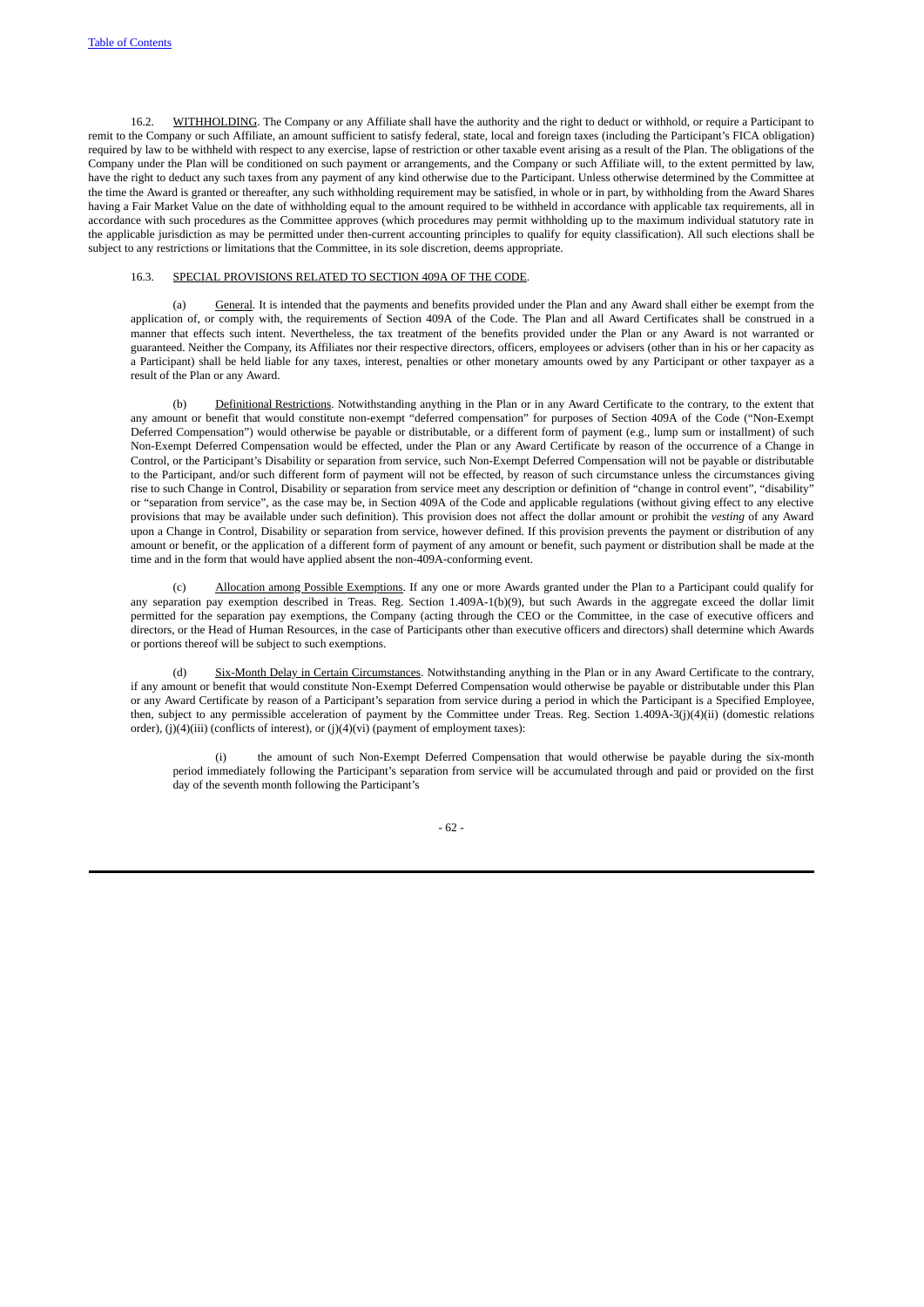16.2. WITHHOLDING. The Company or any Affiliate shall have the authority and the right to deduct or withhold, or require a Participant to remit to the Company or such Affiliate, an amount sufficient to satisfy federal, state, local and foreign taxes (including the Participant's FICA obligation) required by law to be withheld with respect to any exercise, lapse of restriction or other taxable event arising as a result of the Plan. The obligations of the Company under the Plan will be conditioned on such payment or arrangements, and the Company or such Affiliate will, to the extent permitted by law, have the right to deduct any such taxes from any payment of any kind otherwise due to the Participant. Unless otherwise determined by the Committee at the time the Award is granted or thereafter, any such withholding requirement may be satisfied, in whole or in part, by withholding from the Award Shares having a Fair Market Value on the date of withholding equal to the amount required to be withheld in accordance with applicable tax requirements, all in accordance with such procedures as the Committee approves (which procedures may permit withholding up to the maximum individual statutory rate in the applicable jurisdiction as may be permitted under then-current accounting principles to qualify for equity classification). All such elections shall be subject to any restrictions or limitations that the Committee, in its sole discretion, deems appropriate.

# <span id="page-68-1"></span><span id="page-68-0"></span>16.3. SPECIAL PROVISIONS RELATED TO SECTION 409A OF THE CODE.

(a) General. It is intended that the payments and benefits provided under the Plan and any Award shall either be exempt from the application of, or comply with, the requirements of Section 409A of the Code. The Plan and all Award Certificates shall be construed in a manner that effects such intent. Nevertheless, the tax treatment of the benefits provided under the Plan or any Award is not warranted or guaranteed. Neither the Company, its Affiliates nor their respective directors, officers, employees or advisers (other than in his or her capacity as a Participant) shall be held liable for any taxes, interest, penalties or other monetary amounts owed by any Participant or other taxpayer as a result of the Plan or any Award.

(b) Definitional Restrictions. Notwithstanding anything in the Plan or in any Award Certificate to the contrary, to the extent that any amount or benefit that would constitute non-exempt "deferred compensation" for purposes of Section 409A of the Code ("Non-Exempt Deferred Compensation") would otherwise be payable or distributable, or a different form of payment (e.g., lump sum or installment) of such Non-Exempt Deferred Compensation would be effected, under the Plan or any Award Certificate by reason of the occurrence of a Change in Control, or the Participant's Disability or separation from service, such Non-Exempt Deferred Compensation will not be payable or distributable to the Participant, and/or such different form of payment will not be effected, by reason of such circumstance unless the circumstances giving rise to such Change in Control, Disability or separation from service meet any description or definition of "change in control event", "disability" or "separation from service", as the case may be, in Section 409A of the Code and applicable regulations (without giving effect to any elective provisions that may be available under such definition). This provision does not affect the dollar amount or prohibit the *vesting* of any Award upon a Change in Control, Disability or separation from service, however defined. If this provision prevents the payment or distribution of any amount or benefit, or the application of a different form of payment of any amount or benefit, such payment or distribution shall be made at the time and in the form that would have applied absent the non-409A-conforming event.

Allocation among Possible Exemptions. If any one or more Awards granted under the Plan to a Participant could qualify for any separation pay exemption described in Treas. Reg. Section 1.409A-1(b)(9), but such Awards in the aggregate exceed the dollar limit permitted for the separation pay exemptions, the Company (acting through the CEO or the Committee, in the case of executive officers and directors, or the Head of Human Resources, in the case of Participants other than executive officers and directors) shall determine which Awards or portions thereof will be subject to such exemptions.

(d) Six-Month Delay in Certain Circumstances. Notwithstanding anything in the Plan or in any Award Certificate to the contrary, if any amount or benefit that would constitute Non-Exempt Deferred Compensation would otherwise be payable or distributable under this Plan or any Award Certificate by reason of a Participant's separation from service during a period in which the Participant is a Specified Employee, then, subject to any permissible acceleration of payment by the Committee under Treas. Reg. Section 1.409A-3(j)(4)(ii) (domestic relations order), (j)(4)(iii) (conflicts of interest), or (j)(4)(vi) (payment of employment taxes):

the amount of such Non-Exempt Deferred Compensation that would otherwise be payable during the six-month period immediately following the Participant's separation from service will be accumulated through and paid or provided on the first day of the seventh month following the Participant's

- 62 -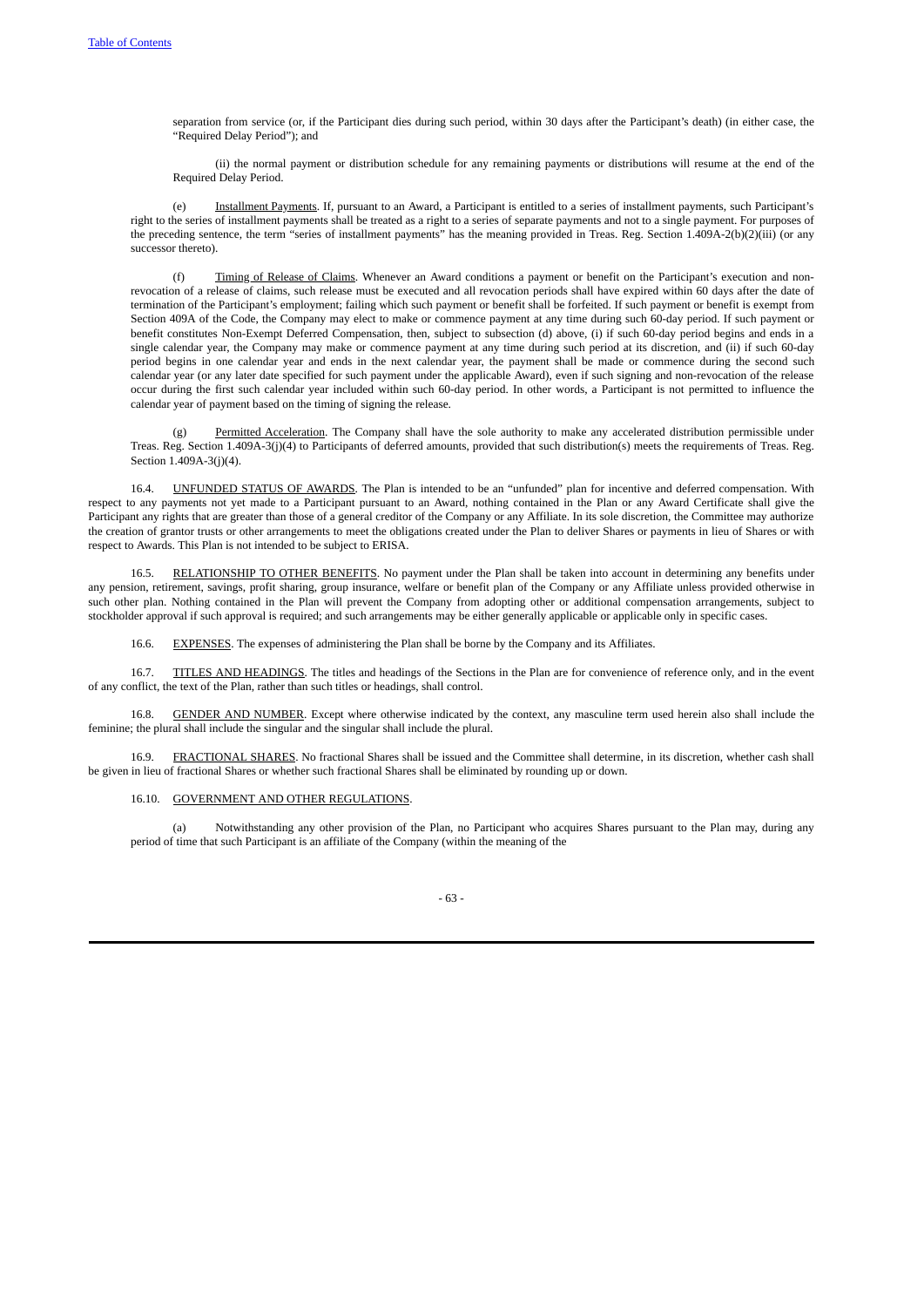separation from service (or, if the Participant dies during such period, within 30 days after the Participant's death) (in either case, the "Required Delay Period"); and

(ii) the normal payment or distribution schedule for any remaining payments or distributions will resume at the end of the Required Delay Period.

(e) Installment Payments. If, pursuant to an Award, a Participant is entitled to a series of installment payments, such Participant's right to the series of installment payments shall be treated as a right to a series of separate payments and not to a single payment. For purposes of the preceding sentence, the term "series of installment payments" has the meaning provided in Treas. Reg. Section 1.409A-2(b)(2)(iii) (or any successor thereto).

Timing of Release of Claims. Whenever an Award conditions a payment or benefit on the Participant's execution and nonrevocation of a release of claims, such release must be executed and all revocation periods shall have expired within 60 days after the date of termination of the Participant's employment; failing which such payment or benefit shall be forfeited. If such payment or benefit is exempt from Section 409A of the Code, the Company may elect to make or commence payment at any time during such 60-day period. If such payment or benefit constitutes Non-Exempt Deferred Compensation, then, subject to subsection (d) above, (i) if such 60-day period begins and ends in a single calendar year, the Company may make or commence payment at any time during such period at its discretion, and (ii) if such 60-day period begins in one calendar year and ends in the next calendar year, the payment shall be made or commence during the second such calendar year (or any later date specified for such payment under the applicable Award), even if such signing and non-revocation of the release occur during the first such calendar year included within such 60-day period. In other words, a Participant is not permitted to influence the calendar year of payment based on the timing of signing the release.

(g) Permitted Acceleration. The Company shall have the sole authority to make any accelerated distribution permissible under Treas. Reg. Section 1.409A-3(j)(4) to Participants of deferred amounts, provided that such distribution(s) meets the requirements of Treas. Reg. Section 1.409A-3(j)(4).

16.4. UNFUNDED STATUS OF AWARDS. The Plan is intended to be an "unfunded" plan for incentive and deferred compensation. With respect to any payments not yet made to a Participant pursuant to an Award, nothing contained in the Plan or any Award Certificate shall give the Participant any rights that are greater than those of a general creditor of the Company or any Affiliate. In its sole discretion, the Committee may authorize the creation of grantor trusts or other arrangements to meet the obligations created under the Plan to deliver Shares or payments in lieu of Shares or with respect to Awards. This Plan is not intended to be subject to ERISA.

16.5. RELATIONSHIP TO OTHER BENEFITS. No payment under the Plan shall be taken into account in determining any benefits under any pension, retirement, savings, profit sharing, group insurance, welfare or benefit plan of the Company or any Affiliate unless provided otherwise in such other plan. Nothing contained in the Plan will prevent the Company from adopting other or additional compensation arrangements, subject to stockholder approval if such approval is required; and such arrangements may be either generally applicable or applicable only in specific cases.

16.6. EXPENSES. The expenses of administering the Plan shall be borne by the Company and its Affiliates.

16.7. TITLES AND HEADINGS. The titles and headings of the Sections in the Plan are for convenience of reference only, and in the event of any conflict, the text of the Plan, rather than such titles or headings, shall control.

GENDER AND NUMBER. Except where otherwise indicated by the context, any masculine term used herein also shall include the feminine; the plural shall include the singular and the singular shall include the plural.

16.9. FRACTIONAL SHARES. No fractional Shares shall be issued and the Committee shall determine, in its discretion, whether cash shall be given in lieu of fractional Shares or whether such fractional Shares shall be eliminated by rounding up or down.

### 16.10. GOVERNMENT AND OTHER REGULATIONS.

Notwithstanding any other provision of the Plan, no Participant who acquires Shares pursuant to the Plan may, during any period of time that such Participant is an affiliate of the Company (within the meaning of the

<span id="page-69-6"></span><span id="page-69-5"></span><span id="page-69-4"></span><span id="page-69-3"></span><span id="page-69-2"></span><span id="page-69-1"></span><span id="page-69-0"></span>- 63 -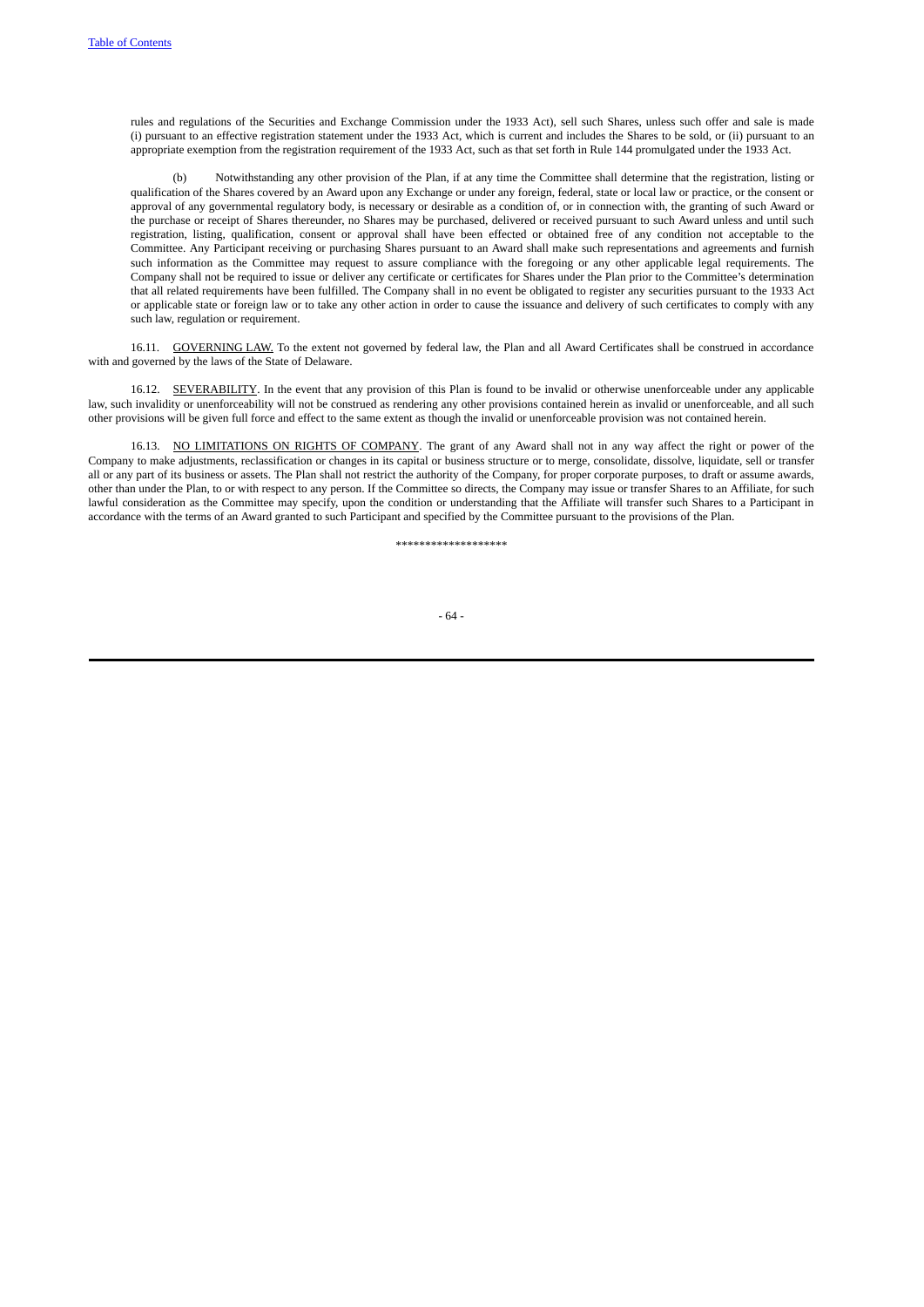rules and regulations of the Securities and Exchange Commission under the 1933 Act), sell such Shares, unless such offer and sale is made (i) pursuant to an effective registration statement under the 1933 Act, which is current and includes the Shares to be sold, or (ii) pursuant to an appropriate exemption from the registration requirement of the 1933 Act, such as that set forth in Rule 144 promulgated under the 1933 Act.

(b) Notwithstanding any other provision of the Plan, if at any time the Committee shall determine that the registration, listing or qualification of the Shares covered by an Award upon any Exchange or under any foreign, federal, state or local law or practice, or the consent or approval of any governmental regulatory body, is necessary or desirable as a condition of, or in connection with, the granting of such Award or the purchase or receipt of Shares thereunder, no Shares may be purchased, delivered or received pursuant to such Award unless and until such registration, listing, qualification, consent or approval shall have been effected or obtained free of any condition not acceptable to the Committee. Any Participant receiving or purchasing Shares pursuant to an Award shall make such representations and agreements and furnish such information as the Committee may request to assure compliance with the foregoing or any other applicable legal requirements. The Company shall not be required to issue or deliver any certificate or certificates for Shares under the Plan prior to the Committee's determination that all related requirements have been fulfilled. The Company shall in no event be obligated to register any securities pursuant to the 1933 Act or applicable state or foreign law or to take any other action in order to cause the issuance and delivery of such certificates to comply with any such law, regulation or requirement.

16.11. GOVERNING LAW. To the extent not governed by federal law, the Plan and all Award Certificates shall be construed in accordance with and governed by the laws of the State of Delaware.

16.12. SEVERABILITY. In the event that any provision of this Plan is found to be invalid or otherwise unenforceable under any applicable law, such invalidity or unenforceability will not be construed as rendering any other provisions contained herein as invalid or unenforceable, and all such other provisions will be given full force and effect to the same extent as though the invalid or unenforceable provision was not contained herein.

16.13. NO LIMITATIONS ON RIGHTS OF COMPANY. The grant of any Award shall not in any way affect the right or power of the Company to make adjustments, reclassification or changes in its capital or business structure or to merge, consolidate, dissolve, liquidate, sell or transfer all or any part of its business or assets. The Plan shall not restrict the authority of the Company, for proper corporate purposes, to draft or assume awards, other than under the Plan, to or with respect to any person. If the Committee so directs, the Company may issue or transfer Shares to an Affiliate, for such lawful consideration as the Committee may specify, upon the condition or understanding that the Affiliate will transfer such Shares to a Participant in accordance with the terms of an Award granted to such Participant and specified by the Committee pursuant to the provisions of the Plan.

<span id="page-70-2"></span><span id="page-70-1"></span><span id="page-70-0"></span>\*\*\*\*\*\*\*\*\*\*\*\*\*\*\*\*\*\*\*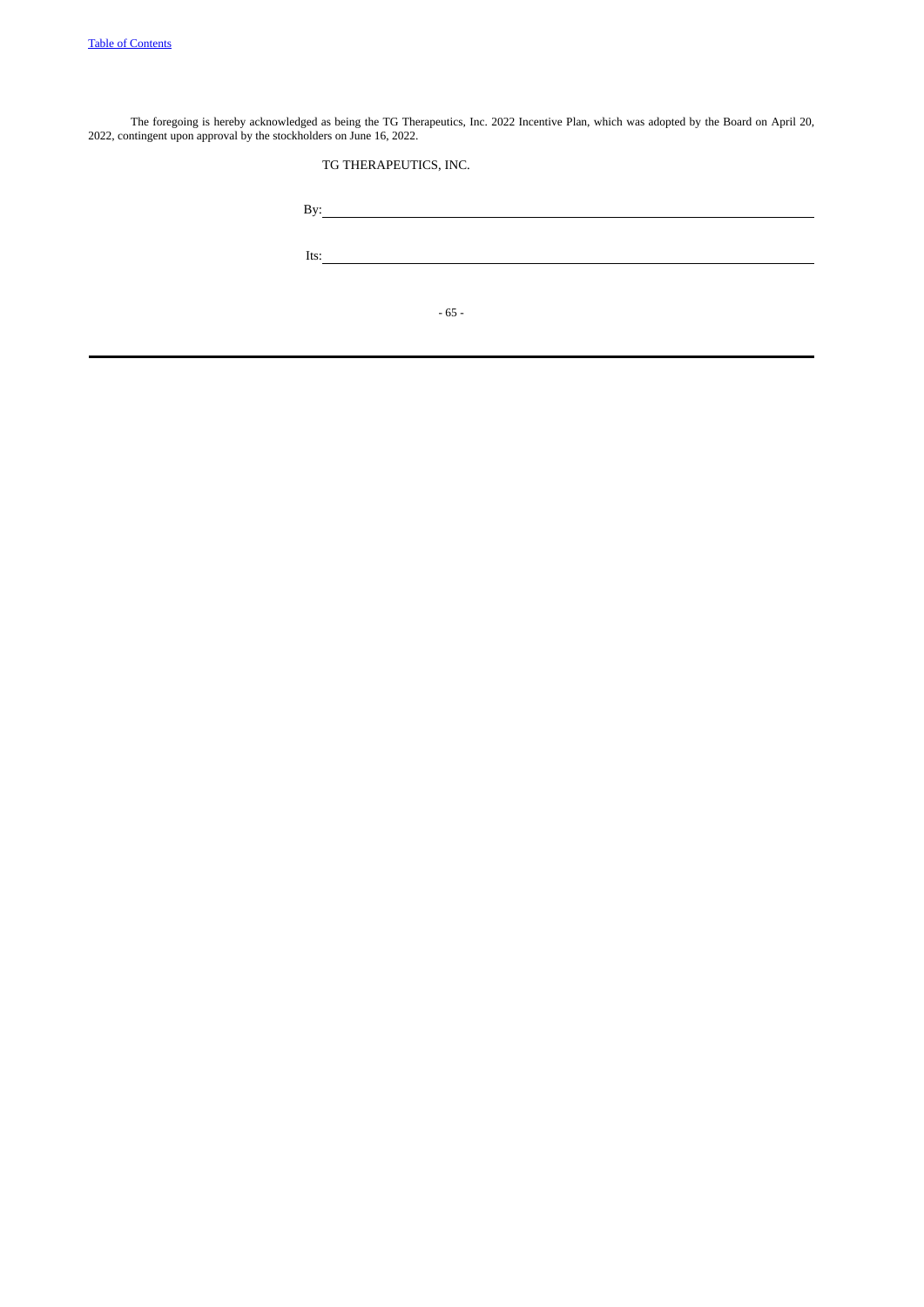The foregoing is hereby acknowledged as being the TG Therapeutics, Inc. 2022 Incentive Plan, which was adopted by the Board on April 20, 2022, contingent upon approval by the stockholders on June 16, 2022.

TG THERAPEUTICS, INC.

| By:  |        |  |  |
|------|--------|--|--|
| Its: |        |  |  |
|      |        |  |  |
|      | $-65-$ |  |  |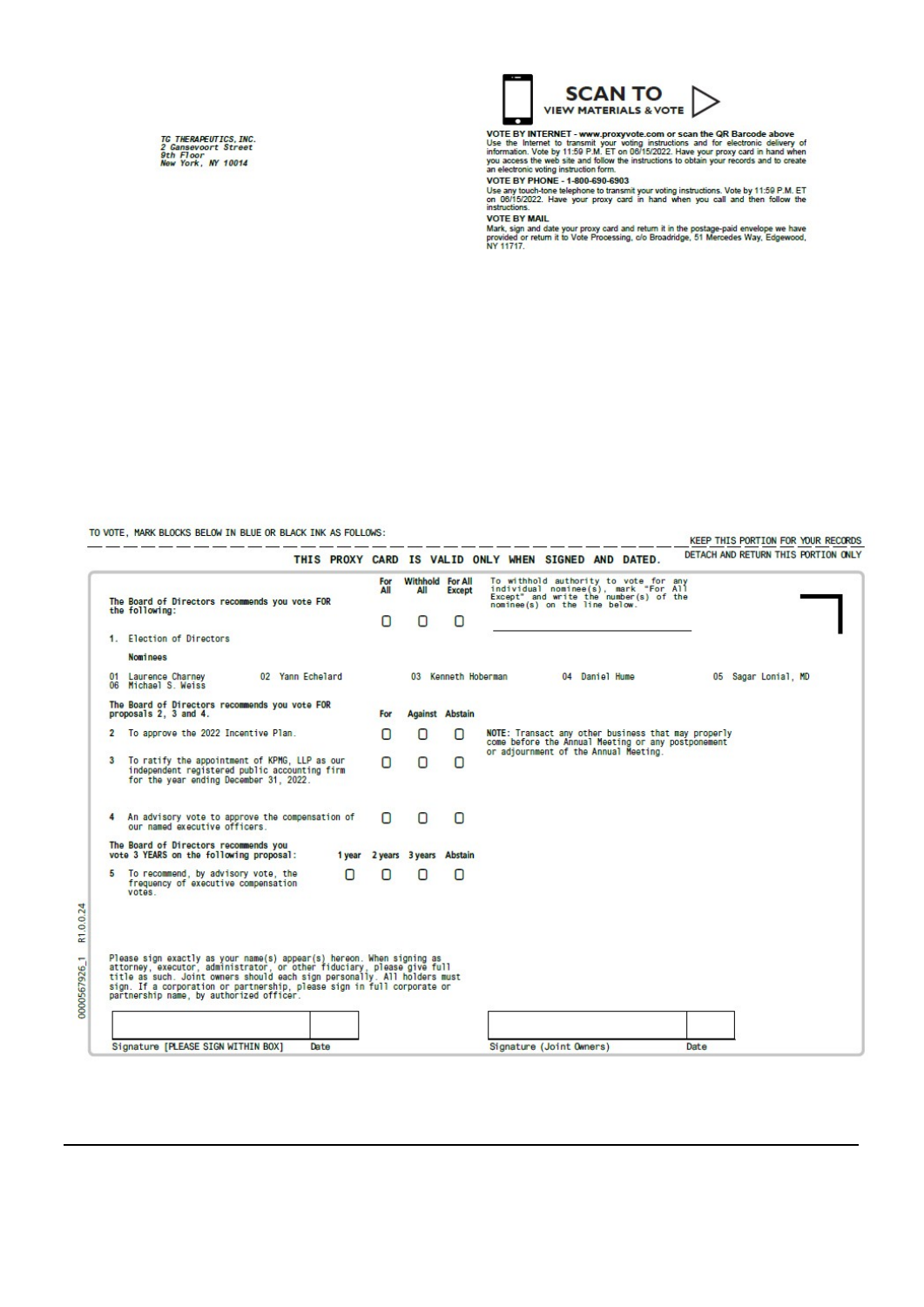TG THERAPEUTICS,INC.<br>2 Gansevoort Street<br>9th Floor<br>New York, NY 10014



VOTE BY INTERNET - www.proxyvote.com or scan the QR Barcode above<br>Use the Internet to transmit your voting instructions and for electronic delivery of<br>information. Vote by 11:59 P.M. ET on 0015/2022. Have your proxy card

**VOTE BY MAIL** 

VOTE OF MINIL<br>Mark, sign and date your proxy card and return it in the postage-paid envelope we have<br>provided or return it to Vote Processing, c/o Broadridge, 51 Mercedes Way, Edgewood,<br>NY 11717.

TO VOTE, MARK BLOCKS BELOW IN BLUE OR BLACK INK AS FOLLOWS:

KEEP THIS PORTION FOR YOUR RECORDS

|                |                                                                                                                                                  | For | <b>Withhold For All</b> |                        |                               | To withhold authority to vote for any<br>individual nominee(s), mark "For All                                                                      |      |                     |  |
|----------------|--------------------------------------------------------------------------------------------------------------------------------------------------|-----|-------------------------|------------------------|-------------------------------|----------------------------------------------------------------------------------------------------------------------------------------------------|------|---------------------|--|
|                | The Board of Directors recommends you vote FOR<br>the following:                                                                                 | All | All                     | <b>Except</b>          | nominee(s) on the line below. | Except" and write the number(s) of the                                                                                                             |      |                     |  |
|                |                                                                                                                                                  | n   | $\Box$                  | п                      |                               |                                                                                                                                                    |      |                     |  |
|                | 1. Election of Directors                                                                                                                         |     |                         |                        |                               |                                                                                                                                                    |      |                     |  |
|                | <b>Nominees</b>                                                                                                                                  |     |                         |                        |                               |                                                                                                                                                    |      |                     |  |
| 01<br>06       | Laurence Charney<br>02 Yann Echelard<br>Michael S. Weiss                                                                                         |     |                         | 03 Kenneth Hoberman    |                               | 04 Daniel Hume                                                                                                                                     |      | 05 Sagar Lonial, MD |  |
|                | The Board of Directors recommends you vote FOR<br>proposals 2, 3 and 4.                                                                          | For |                         | <b>Against Abstain</b> |                               |                                                                                                                                                    |      |                     |  |
| $\overline{2}$ | To approve the 2022 Incentive Plan.                                                                                                              | n   | O                       | n                      |                               | NOTE: Transact any other business that may properly<br>come before the Annual Meeting or any postponement<br>or adjournment of the Annual Meeting. |      |                     |  |
| 8              | To ratify the appointment of KPMG, LLP as our<br>independent registered public accounting firm<br>for the year ending December 31, 2022.         | Ω   | $\Box$                  | n                      |                               |                                                                                                                                                    |      |                     |  |
| 4              | An advisory vote to approve the compensation of<br>our named executive officers.                                                                 | n   | $\Box$                  | n                      |                               |                                                                                                                                                    |      |                     |  |
|                | The Board of Directors recommends you<br>vote 3 YEARS on the following proposal:<br>1 year                                                       |     | 2 years 3 years Abstain |                        |                               |                                                                                                                                                    |      |                     |  |
| 5              | To recommend, by advisory vote, the<br>O<br>frequency of executive compensation<br>votes.                                                        | n   | n                       | O                      |                               |                                                                                                                                                    |      |                     |  |
|                |                                                                                                                                                  |     |                         |                        |                               |                                                                                                                                                    |      |                     |  |
|                | Please sign exactly as your name(s) appear(s) hereon. When signing as<br>attorney, executor, administrator, or other fiduciary, please give full |     |                         |                        |                               |                                                                                                                                                    |      |                     |  |
|                | title as such. Joint owners should each sign personally. All holders must                                                                        |     |                         |                        |                               |                                                                                                                                                    |      |                     |  |
|                | sign. If a corporation or partnership, please sign in full corporate or<br>partnership name, by authorized officer.                              |     |                         |                        |                               |                                                                                                                                                    |      |                     |  |
|                |                                                                                                                                                  |     |                         |                        |                               |                                                                                                                                                    |      |                     |  |
|                | Signature IPLEASE SIGN WITHIN BOX1<br>Date                                                                                                       |     |                         |                        | Signature (Joint Owners)      |                                                                                                                                                    | Date |                     |  |